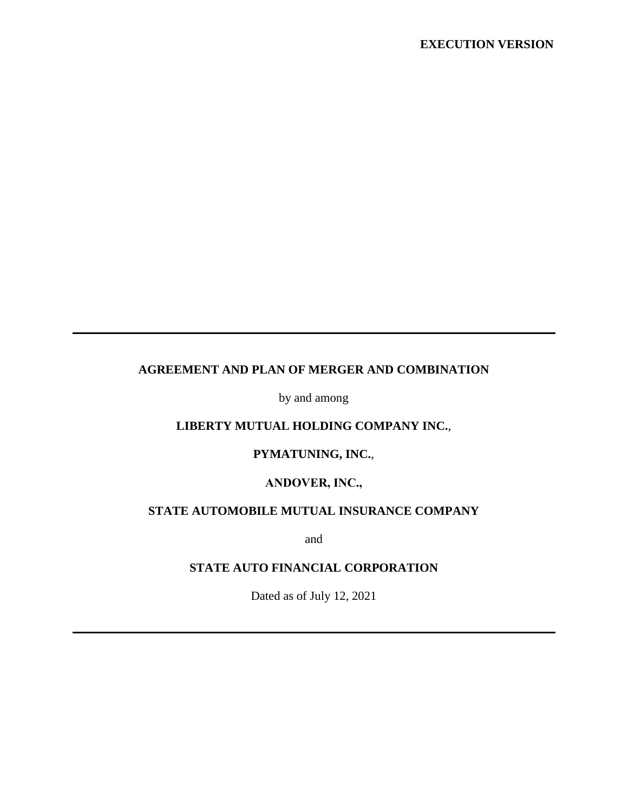# **AGREEMENT AND PLAN OF MERGER AND COMBINATION**

by and among

### **LIBERTY MUTUAL HOLDING COMPANY INC.**,

# **PYMATUNING, INC.**,

### **ANDOVER, INC.,**

### **STATE AUTOMOBILE MUTUAL INSURANCE COMPANY**

and

## **STATE AUTO FINANCIAL CORPORATION**

Dated as of July 12, 2021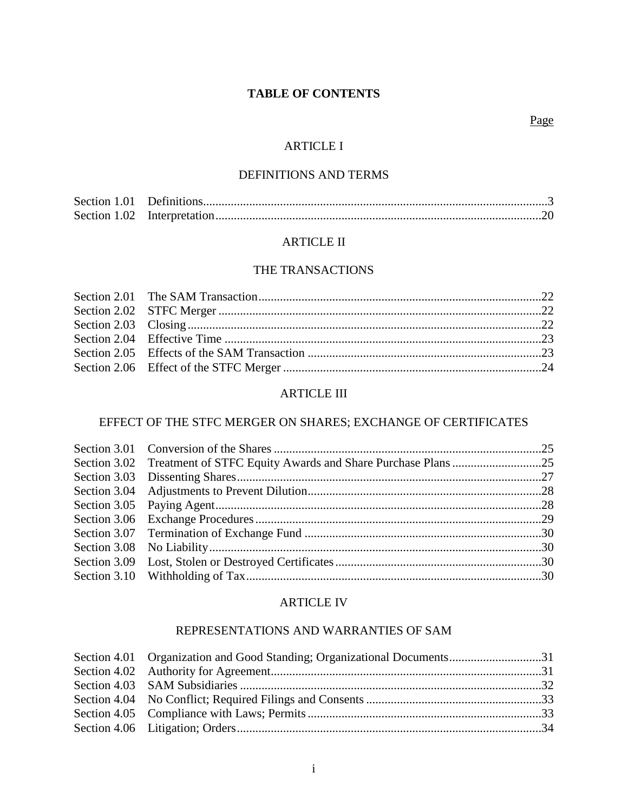#### **TABLE OF CONTENTS**

#### [ARTICLE](#page-8-0) I

### [DEFINITIONS AND TERMS](#page-8-0)

#### [ARTICLE](#page-27-0) II

#### [THE TRANSACTIONS](#page-27-0)

#### [ARTICLE](#page-30-0) III

### [EFFECT OF THE STFC MERGER ON SHARES; EXCHANGE OF CERTIFICATES](#page-30-0)

#### [ARTICLE](#page-36-0) IV

#### [REPRESENTATIONS AND WARRANTIES OF SAM](#page-36-0)

| Section 4.01 Organization and Good Standing; Organizational Documents31 |  |
|-------------------------------------------------------------------------|--|
|                                                                         |  |
|                                                                         |  |
|                                                                         |  |
|                                                                         |  |
|                                                                         |  |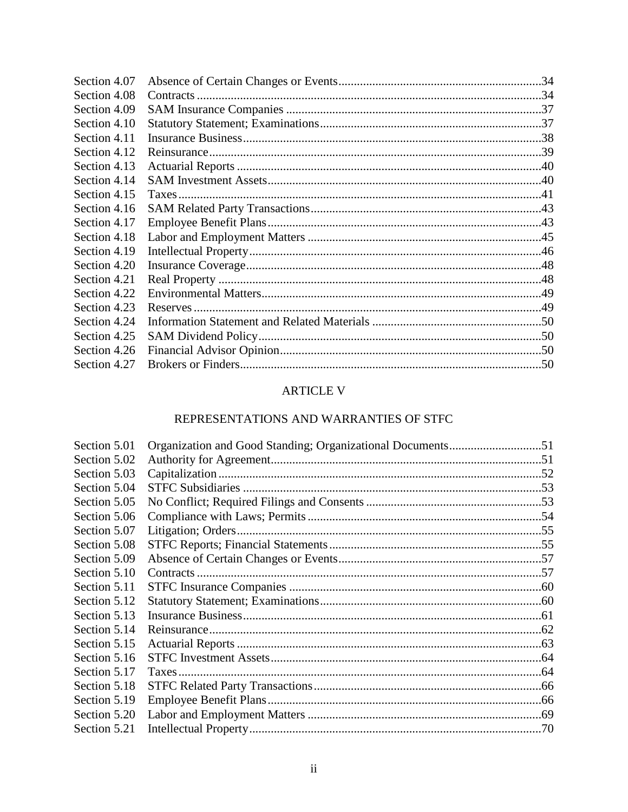| Section 4.07 |  |
|--------------|--|
| Section 4.08 |  |
| Section 4.09 |  |
| Section 4.10 |  |
| Section 4.11 |  |
| Section 4.12 |  |
| Section 4.13 |  |
| Section 4.14 |  |
| Section 4.15 |  |
| Section 4.16 |  |
| Section 4.17 |  |
| Section 4.18 |  |
| Section 4.19 |  |
| Section 4.20 |  |
| Section 4.21 |  |
| Section 4.22 |  |
| Section 4.23 |  |
| Section 4.24 |  |
| Section 4.25 |  |
| Section 4.26 |  |
| Section 4.27 |  |
|              |  |

# **ARTICLE V**

### REPRESENTATIONS AND WARRANTIES OF STFC

| Section 5.01 |  |
|--------------|--|
| Section 5.02 |  |
| Section 5.03 |  |
| Section 5.04 |  |
| Section 5.05 |  |
| Section 5.06 |  |
| Section 5.07 |  |
| Section 5.08 |  |
| Section 5.09 |  |
| Section 5.10 |  |
| Section 5.11 |  |
| Section 5.12 |  |
| Section 5.13 |  |
| Section 5.14 |  |
| Section 5.15 |  |
| Section 5.16 |  |
| Section 5.17 |  |
| Section 5.18 |  |
| Section 5.19 |  |
| Section 5.20 |  |
| Section 5.21 |  |
|              |  |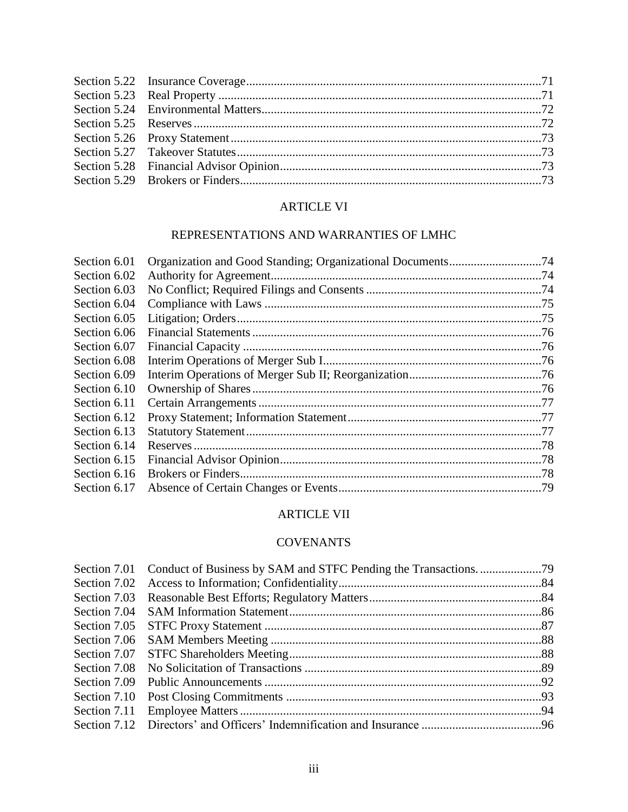# [ARTICLE](#page-78-4) VI

# [REPRESENTATIONS AND WARRANTIES OF LMHC](#page-78-4)

| Section 6.01 |  |
|--------------|--|
| Section 6.02 |  |
| Section 6.03 |  |
| Section 6.04 |  |
| Section 6.05 |  |
| Section 6.06 |  |
| Section 6.07 |  |
| Section 6.08 |  |
| Section 6.09 |  |
| Section 6.10 |  |
| Section 6.11 |  |
| Section 6.12 |  |
| Section 6.13 |  |
| Section 6.14 |  |
| Section 6.15 |  |
| Section 6.16 |  |
| Section 6.17 |  |
|              |  |

# [ARTICLE](#page-84-1) VII

# **[COVENANTS](#page-84-1)**

| Section 7.05 |  |
|--------------|--|
| Section 7.06 |  |
|              |  |
|              |  |
|              |  |
|              |  |
|              |  |
|              |  |
|              |  |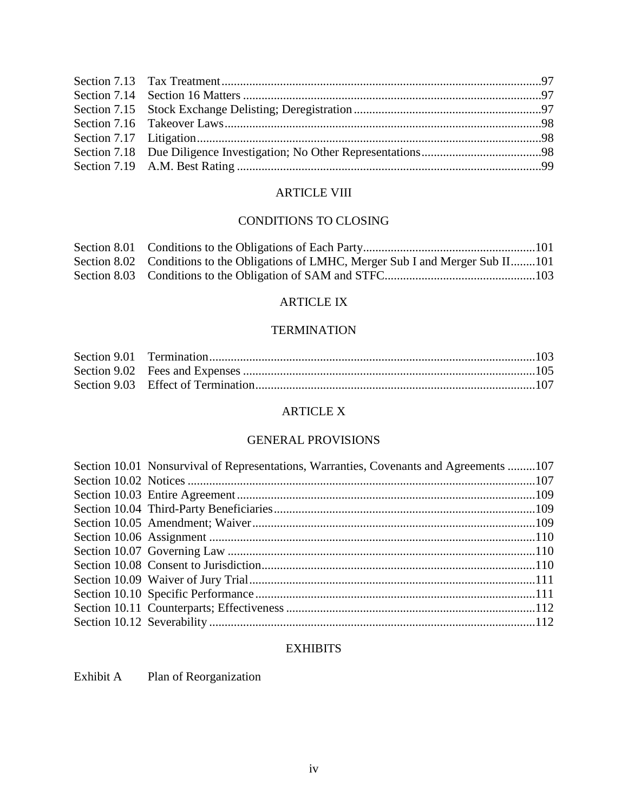### [ARTICLE](#page-106-0) VIII

### [CONDITIONS TO CLOSING](#page-106-0)

| Section 8.02 Conditions to the Obligations of LMHC, Merger Sub I and Merger Sub II101 |  |
|---------------------------------------------------------------------------------------|--|
|                                                                                       |  |

# [ARTICLE](#page-108-1) IX

# [TERMINATION](#page-108-1)

# [ARTICLE](#page-112-1) X

# [GENERAL PROVISIONS](#page-112-1)

| Section 10.01 Nonsurvival of Representations, Warranties, Covenants and Agreements 107 |  |
|----------------------------------------------------------------------------------------|--|
|                                                                                        |  |
|                                                                                        |  |
|                                                                                        |  |
|                                                                                        |  |
|                                                                                        |  |
|                                                                                        |  |
|                                                                                        |  |
|                                                                                        |  |
|                                                                                        |  |
|                                                                                        |  |
|                                                                                        |  |
|                                                                                        |  |

# **EXHIBITS**

Exhibit A Plan of Reorganization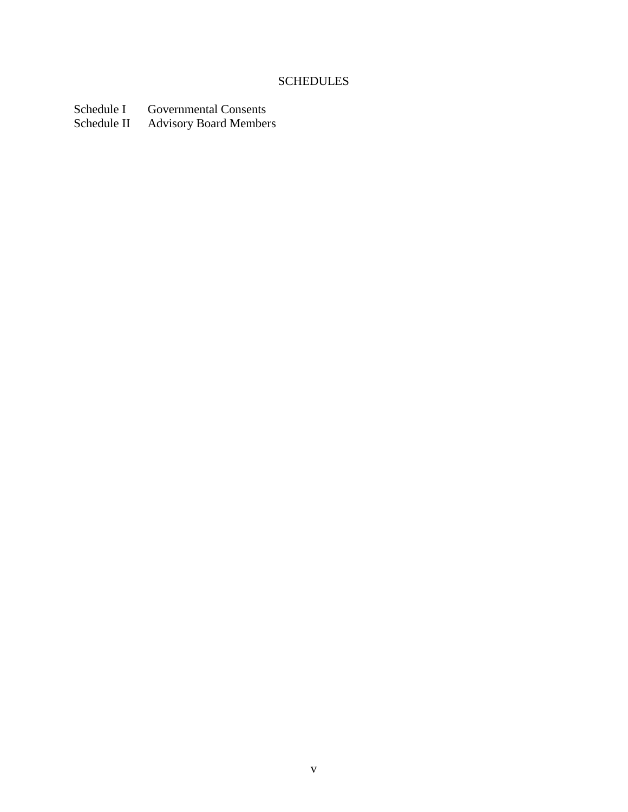Schedule I Governmental Consents Schedule II Advisory Board Members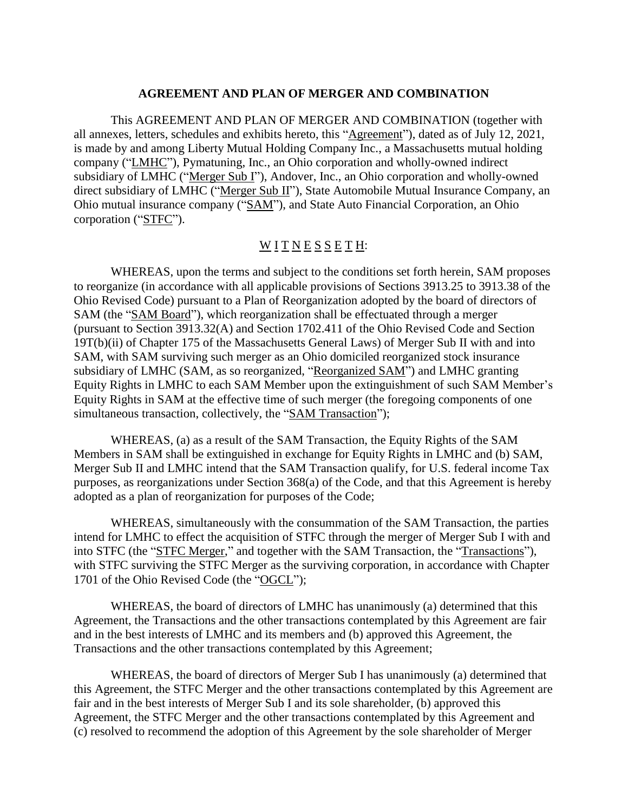#### **AGREEMENT AND PLAN OF MERGER AND COMBINATION**

This AGREEMENT AND PLAN OF MERGER AND COMBINATION (together with all annexes, letters, schedules and exhibits hereto, this "Agreement"), dated as of July 12, 2021, is made by and among Liberty Mutual Holding Company Inc., a Massachusetts mutual holding company ("LMHC"), Pymatuning, Inc., an Ohio corporation and wholly-owned indirect subsidiary of LMHC ("Merger Sub I"), Andover, Inc., an Ohio corporation and wholly-owned direct subsidiary of LMHC ("Merger Sub II"), State Automobile Mutual Insurance Company, an Ohio mutual insurance company ("SAM"), and State Auto Financial Corporation, an Ohio corporation ("STFC").

#### $\underline{W}$  <u>I</u> T <u>N</u> E <u>S</u> S E T H:

WHEREAS, upon the terms and subject to the conditions set forth herein, SAM proposes to reorganize (in accordance with all applicable provisions of Sections 3913.25 to 3913.38 of the Ohio Revised Code) pursuant to a Plan of Reorganization adopted by the board of directors of SAM (the "SAM Board"), which reorganization shall be effectuated through a merger (pursuant to Section 3913.32(A) and Section 1702.411 of the Ohio Revised Code and Section 19T(b)(ii) of Chapter 175 of the Massachusetts General Laws) of Merger Sub II with and into SAM, with SAM surviving such merger as an Ohio domiciled reorganized stock insurance subsidiary of LMHC (SAM, as so reorganized, "Reorganized SAM") and LMHC granting Equity Rights in LMHC to each SAM Member upon the extinguishment of such SAM Member's Equity Rights in SAM at the effective time of such merger (the foregoing components of one simultaneous transaction, collectively, the "SAM Transaction");

WHEREAS, (a) as a result of the SAM Transaction, the Equity Rights of the SAM Members in SAM shall be extinguished in exchange for Equity Rights in LMHC and (b) SAM, Merger Sub II and LMHC intend that the SAM Transaction qualify, for U.S. federal income Tax purposes, as reorganizations under Section 368(a) of the Code, and that this Agreement is hereby adopted as a plan of reorganization for purposes of the Code;

WHEREAS, simultaneously with the consummation of the SAM Transaction, the parties intend for LMHC to effect the acquisition of STFC through the merger of Merger Sub I with and into STFC (the "STFC Merger," and together with the SAM Transaction, the "Transactions"), with STFC surviving the STFC Merger as the surviving corporation, in accordance with Chapter 1701 of the Ohio Revised Code (the "OGCL");

WHEREAS, the board of directors of LMHC has unanimously (a) determined that this Agreement, the Transactions and the other transactions contemplated by this Agreement are fair and in the best interests of LMHC and its members and (b) approved this Agreement, the Transactions and the other transactions contemplated by this Agreement;

WHEREAS, the board of directors of Merger Sub I has unanimously (a) determined that this Agreement, the STFC Merger and the other transactions contemplated by this Agreement are fair and in the best interests of Merger Sub I and its sole shareholder, (b) approved this Agreement, the STFC Merger and the other transactions contemplated by this Agreement and (c) resolved to recommend the adoption of this Agreement by the sole shareholder of Merger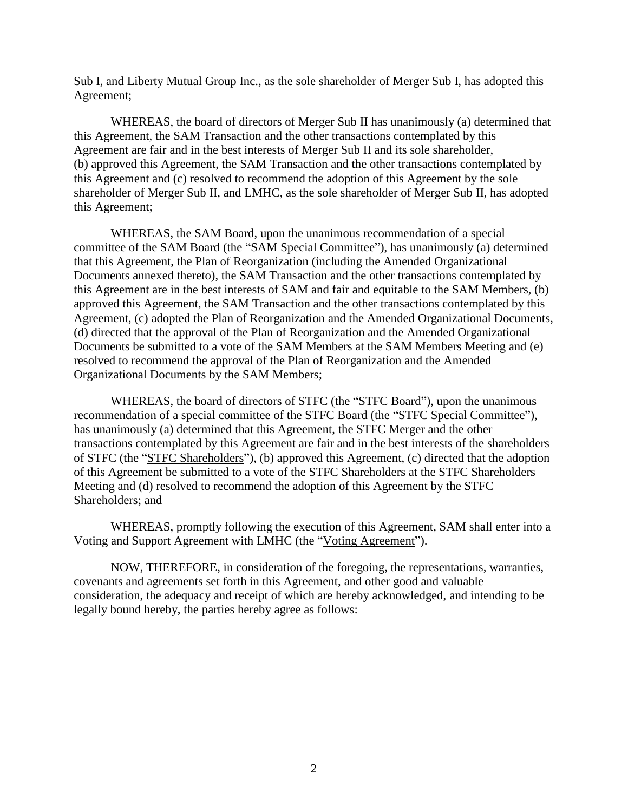Sub I, and Liberty Mutual Group Inc., as the sole shareholder of Merger Sub I, has adopted this Agreement;

WHEREAS, the board of directors of Merger Sub II has unanimously (a) determined that this Agreement, the SAM Transaction and the other transactions contemplated by this Agreement are fair and in the best interests of Merger Sub II and its sole shareholder, (b) approved this Agreement, the SAM Transaction and the other transactions contemplated by this Agreement and (c) resolved to recommend the adoption of this Agreement by the sole shareholder of Merger Sub II, and LMHC, as the sole shareholder of Merger Sub II, has adopted this Agreement;

WHEREAS, the SAM Board, upon the unanimous recommendation of a special committee of the SAM Board (the "SAM Special Committee"), has unanimously (a) determined that this Agreement, the Plan of Reorganization (including the Amended Organizational Documents annexed thereto), the SAM Transaction and the other transactions contemplated by this Agreement are in the best interests of SAM and fair and equitable to the SAM Members, (b) approved this Agreement, the SAM Transaction and the other transactions contemplated by this Agreement, (c) adopted the Plan of Reorganization and the Amended Organizational Documents, (d) directed that the approval of the Plan of Reorganization and the Amended Organizational Documents be submitted to a vote of the SAM Members at the SAM Members Meeting and (e) resolved to recommend the approval of the Plan of Reorganization and the Amended Organizational Documents by the SAM Members;

WHEREAS, the board of directors of STFC (the "STFC Board"), upon the unanimous recommendation of a special committee of the STFC Board (the "STFC Special Committee"), has unanimously (a) determined that this Agreement, the STFC Merger and the other transactions contemplated by this Agreement are fair and in the best interests of the shareholders of STFC (the "STFC Shareholders"), (b) approved this Agreement, (c) directed that the adoption of this Agreement be submitted to a vote of the STFC Shareholders at the STFC Shareholders Meeting and (d) resolved to recommend the adoption of this Agreement by the STFC Shareholders; and

WHEREAS, promptly following the execution of this Agreement, SAM shall enter into a Voting and Support Agreement with LMHC (the "Voting Agreement").

NOW, THEREFORE, in consideration of the foregoing, the representations, warranties, covenants and agreements set forth in this Agreement, and other good and valuable consideration, the adequacy and receipt of which are hereby acknowledged, and intending to be legally bound hereby, the parties hereby agree as follows: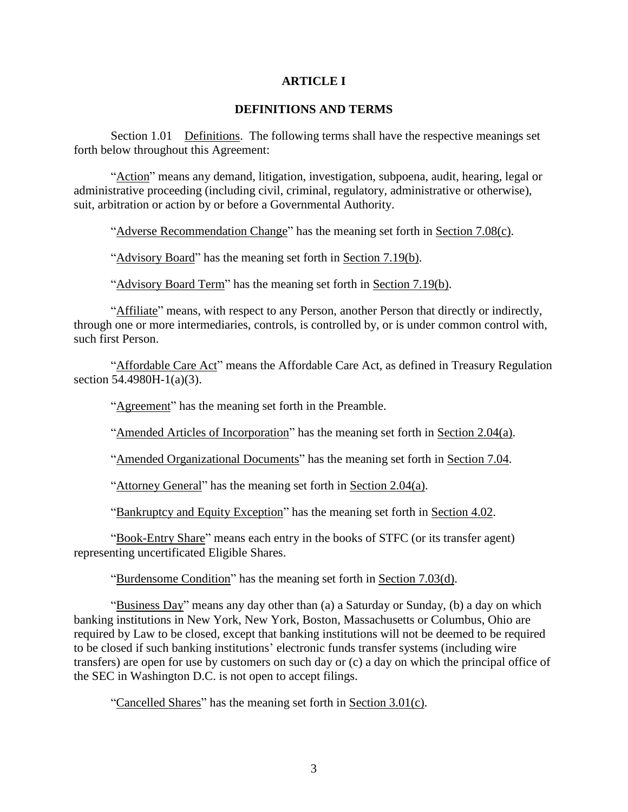#### **ARTICLE I**

#### **DEFINITIONS AND TERMS**

<span id="page-8-1"></span><span id="page-8-0"></span>Section 1.01 Definitions. The following terms shall have the respective meanings set forth below throughout this Agreement:

"Action" means any demand, litigation, investigation, subpoena, audit, hearing, legal or administrative proceeding (including civil, criminal, regulatory, administrative or otherwise), suit, arbitration or action by or before a Governmental Authority.

"Adverse Recommendation Change" has the meaning set forth in Section [7.08\(c\).](#page-95-0)

"Advisory Board" has the meaning set forth in Section [7.19\(b\).](#page-105-0)

"Advisory Board Term" has the meaning set forth in Section [7.19\(b\).](#page-105-0)

"Affiliate" means, with respect to any Person, another Person that directly or indirectly, through one or more intermediaries, controls, is controlled by, or is under common control with, such first Person.

"Affordable Care Act" means the Affordable Care Act, as defined in Treasury Regulation section 54.4980H-1(a)(3).

"Agreement" has the meaning set forth in the Preamble.

"Amended Articles of Incorporation" has the meaning set forth in Section [2.04\(a\).](#page-28-2)

"Amended Organizational Documents" has the meaning set forth in Section [7.04.](#page-91-0)

"Attorney General" has the meaning set forth in Section [2.04\(a\).](#page-28-2)

"Bankruptcy and Equity Exception" has the meaning set forth in Section [4.02.](#page-36-2)

"Book-Entry Share" means each entry in the books of STFC (or its transfer agent) representing uncertificated Eligible Shares.

"Burdensome Condition" has the meaning set forth in [Section](#page-91-1) 7.03(d).

"Business Day" means any day other than (a) a Saturday or Sunday, (b) a day on which banking institutions in New York, New York, Boston, Massachusetts or Columbus, Ohio are required by Law to be closed, except that banking institutions will not be deemed to be required to be closed if such banking institutions' electronic funds transfer systems (including wire transfers) are open for use by customers on such day or (c) a day on which the principal office of the SEC in Washington D.C. is not open to accept filings.

"Cancelled Shares" has the meaning set forth in Section [3.01\(c\).](#page-30-3)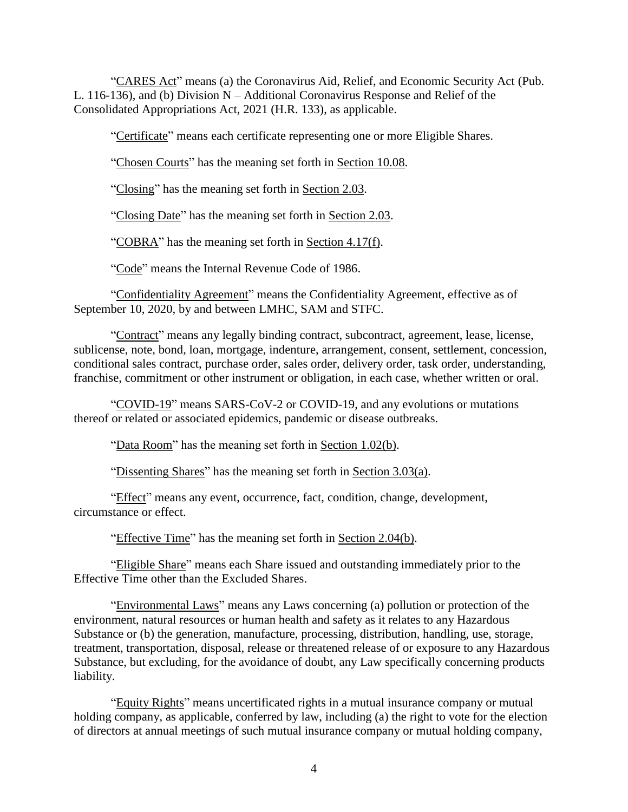"CARES Act" means (a) the Coronavirus Aid, Relief, and Economic Security Act (Pub. L. 116-136), and (b) Division N – Additional Coronavirus Response and Relief of the Consolidated Appropriations Act, 2021 (H.R. 133), as applicable.

"Certificate" means each certificate representing one or more Eligible Shares.

"Chosen Courts" has the meaning set forth in Section [10.08.](#page-115-2)

"Closing" has the meaning set forth in Section [2.03.](#page-27-3)

"Closing Date" has the meaning set forth in Section [2.03.](#page-27-3)

"COBRA" has the meaning set forth in [Section](#page-49-0) 4.17(f).

"Code" means the Internal Revenue Code of 1986.

"Confidentiality Agreement" means the Confidentiality Agreement, effective as of September 10, 2020, by and between LMHC, SAM and STFC.

"Contract" means any legally binding contract, subcontract, agreement, lease, license, sublicense, note, bond, loan, mortgage, indenture, arrangement, consent, settlement, concession, conditional sales contract, purchase order, sales order, delivery order, task order, understanding, franchise, commitment or other instrument or obligation, in each case, whether written or oral.

"COVID-19" means SARS-CoV-2 or COVID-19, and any evolutions or mutations thereof or related or associated epidemics, pandemic or disease outbreaks.

"Data Room" has the meaning set forth in Section [1.02\(b\).](#page-26-0)

"Dissenting Shares" has the meaning set forth in Section [3.03\(a\).](#page-32-1)

"Effect" means any event, occurrence, fact, condition, change, development, circumstance or effect.

"Effective Time" has the meaning set forth in Section [2.04\(b\).](#page-28-3)

"Eligible Share" means each Share issued and outstanding immediately prior to the Effective Time other than the Excluded Shares.

"Environmental Laws" means any Laws concerning (a) pollution or protection of the environment, natural resources or human health and safety as it relates to any Hazardous Substance or (b) the generation, manufacture, processing, distribution, handling, use, storage, treatment, transportation, disposal, release or threatened release of or exposure to any Hazardous Substance, but excluding, for the avoidance of doubt, any Law specifically concerning products liability.

"Equity Rights" means uncertificated rights in a mutual insurance company or mutual holding company, as applicable, conferred by law, including (a) the right to vote for the election of directors at annual meetings of such mutual insurance company or mutual holding company,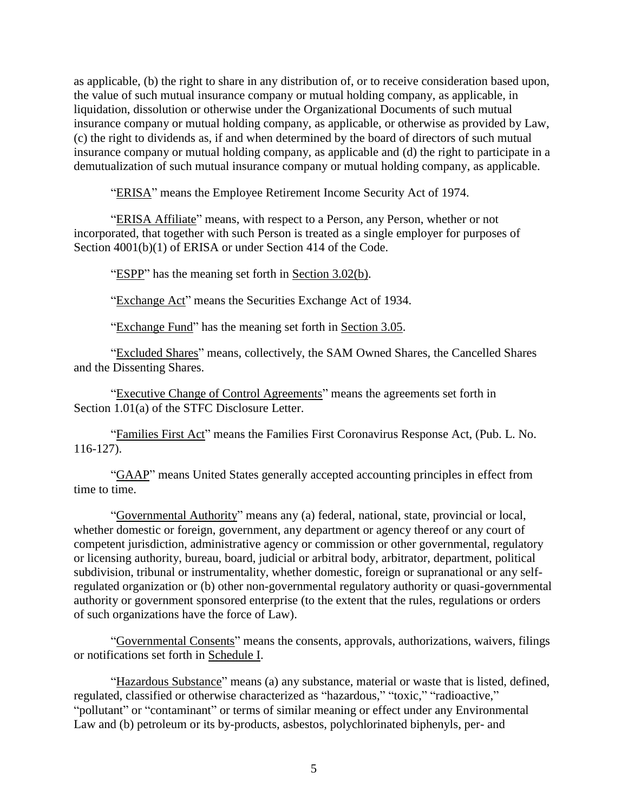as applicable, (b) the right to share in any distribution of, or to receive consideration based upon, the value of such mutual insurance company or mutual holding company, as applicable, in liquidation, dissolution or otherwise under the Organizational Documents of such mutual insurance company or mutual holding company, as applicable, or otherwise as provided by Law, (c) the right to dividends as, if and when determined by the board of directors of such mutual insurance company or mutual holding company, as applicable and (d) the right to participate in a demutualization of such mutual insurance company or mutual holding company, as applicable.

"ERISA" means the Employee Retirement Income Security Act of 1974.

"ERISA Affiliate" means, with respect to a Person, any Person, whether or not incorporated, that together with such Person is treated as a single employer for purposes of Section 4001(b)(1) of ERISA or under Section 414 of the Code.

"ESPP" has the meaning set forth in Section [3.02\(b\).](#page-31-0)

"Exchange Act" means the Securities Exchange Act of 1934.

"Exchange Fund" has the meaning set forth in Section [3.05.](#page-33-1)

"Excluded Shares" means, collectively, the SAM Owned Shares, the Cancelled Shares and the Dissenting Shares.

"Executive Change of Control Agreements" means the agreements set forth in Section [1.01\(](#page-8-1)a) of the STFC Disclosure Letter.

"Families First Act" means the Families First Coronavirus Response Act, (Pub. L. No. 116-127).

"GAAP" means United States generally accepted accounting principles in effect from time to time.

"Governmental Authority" means any (a) federal, national, state, provincial or local, whether domestic or foreign, government, any department or agency thereof or any court of competent jurisdiction, administrative agency or commission or other governmental, regulatory or licensing authority, bureau, board, judicial or arbitral body, arbitrator, department, political subdivision, tribunal or instrumentality, whether domestic, foreign or supranational or any selfregulated organization or (b) other non-governmental regulatory authority or quasi-governmental authority or government sponsored enterprise (to the extent that the rules, regulations or orders of such organizations have the force of Law).

"Governmental Consents" means the consents, approvals, authorizations, waivers, filings or notifications set forth in Schedule I.

"Hazardous Substance" means (a) any substance, material or waste that is listed, defined, regulated, classified or otherwise characterized as "hazardous," "toxic," "radioactive," "pollutant" or "contaminant" or terms of similar meaning or effect under any Environmental Law and (b) petroleum or its by-products, asbestos, polychlorinated biphenyls, per- and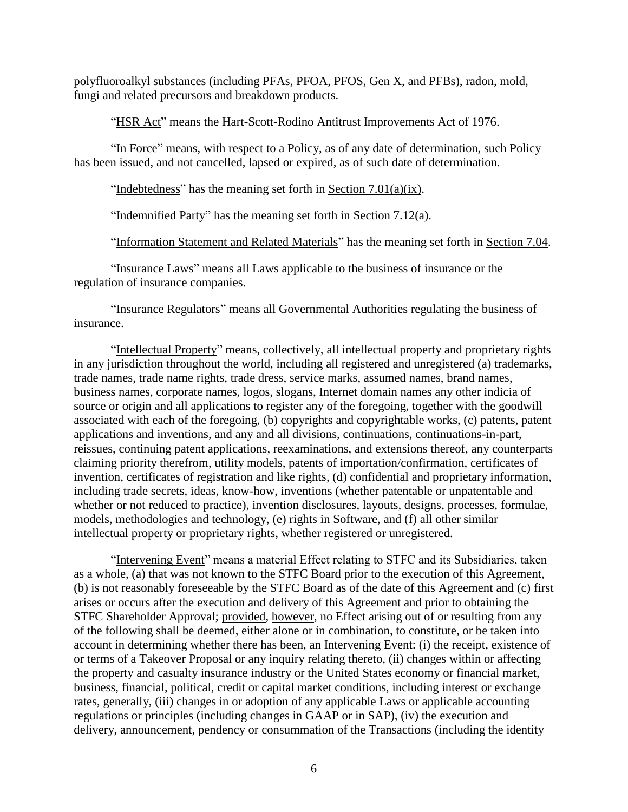polyfluoroalkyl substances (including PFAs, PFOA, PFOS, Gen X, and PFBs), radon, mold, fungi and related precursors and breakdown products.

"HSR Act" means the Hart-Scott-Rodino Antitrust Improvements Act of 1976.

"In Force" means, with respect to a Policy, as of any date of determination, such Policy has been issued, and not cancelled, lapsed or expired, as of such date of determination.

"Indebtedness" has the meaning set forth in Section [7.01\(a\)\(ix\).](#page-86-0)

"Indemnified Party" has the meaning set forth in Section [7.12\(a\).](#page-101-1)

"Information Statement and Related Materials" has the meaning set forth in Section [7.04.](#page-91-0)

"Insurance Laws" means all Laws applicable to the business of insurance or the regulation of insurance companies.

"Insurance Regulators" means all Governmental Authorities regulating the business of insurance.

"Intellectual Property" means, collectively, all intellectual property and proprietary rights in any jurisdiction throughout the world, including all registered and unregistered (a) trademarks, trade names, trade name rights, trade dress, service marks, assumed names, brand names, business names, corporate names, logos, slogans, Internet domain names any other indicia of source or origin and all applications to register any of the foregoing, together with the goodwill associated with each of the foregoing, (b) copyrights and copyrightable works, (c) patents, patent applications and inventions, and any and all divisions, continuations, continuations-in-part, reissues, continuing patent applications, reexaminations, and extensions thereof, any counterparts claiming priority therefrom, utility models, patents of importation/confirmation, certificates of invention, certificates of registration and like rights, (d) confidential and proprietary information, including trade secrets, ideas, know-how, inventions (whether patentable or unpatentable and whether or not reduced to practice), invention disclosures, layouts, designs, processes, formulae, models, methodologies and technology, (e) rights in Software, and (f) all other similar intellectual property or proprietary rights, whether registered or unregistered.

"Intervening Event" means a material Effect relating to STFC and its Subsidiaries, taken as a whole, (a) that was not known to the STFC Board prior to the execution of this Agreement, (b) is not reasonably foreseeable by the STFC Board as of the date of this Agreement and (c) first arises or occurs after the execution and delivery of this Agreement and prior to obtaining the STFC Shareholder Approval; provided, however, no Effect arising out of or resulting from any of the following shall be deemed, either alone or in combination, to constitute, or be taken into account in determining whether there has been, an Intervening Event: (i) the receipt, existence of or terms of a Takeover Proposal or any inquiry relating thereto, (ii) changes within or affecting the property and casualty insurance industry or the United States economy or financial market, business, financial, political, credit or capital market conditions, including interest or exchange rates, generally, (iii) changes in or adoption of any applicable Laws or applicable accounting regulations or principles (including changes in GAAP or in SAP), (iv) the execution and delivery, announcement, pendency or consummation of the Transactions (including the identity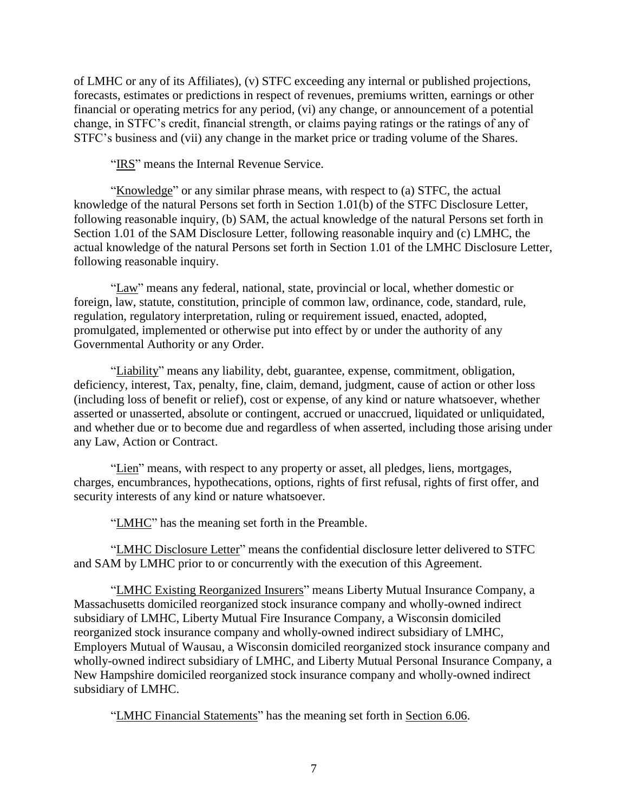of LMHC or any of its Affiliates), (v) STFC exceeding any internal or published projections, forecasts, estimates or predictions in respect of revenues, premiums written, earnings or other financial or operating metrics for any period, (vi) any change, or announcement of a potential change, in STFC's credit, financial strength, or claims paying ratings or the ratings of any of STFC's business and (vii) any change in the market price or trading volume of the Shares.

"IRS" means the Internal Revenue Service.

"Knowledge" or any similar phrase means, with respect to (a) STFC, the actual knowledge of the natural Persons set forth in Section [1.01\(](#page-8-1)b) of the STFC Disclosure Letter, following reasonable inquiry, (b) SAM, the actual knowledge of the natural Persons set forth in Section [1.01](#page-8-1) of the SAM Disclosure Letter, following reasonable inquiry and (c) LMHC, the actual knowledge of the natural Persons set forth in Section [1.01](#page-8-1) of the LMHC Disclosure Letter, following reasonable inquiry.

"Law" means any federal, national, state, provincial or local, whether domestic or foreign, law, statute, constitution, principle of common law, ordinance, code, standard, rule, regulation, regulatory interpretation, ruling or requirement issued, enacted, adopted, promulgated, implemented or otherwise put into effect by or under the authority of any Governmental Authority or any Order.

"Liability" means any liability, debt, guarantee, expense, commitment, obligation, deficiency, interest, Tax, penalty, fine, claim, demand, judgment, cause of action or other loss (including loss of benefit or relief), cost or expense, of any kind or nature whatsoever, whether asserted or unasserted, absolute or contingent, accrued or unaccrued, liquidated or unliquidated, and whether due or to become due and regardless of when asserted, including those arising under any Law, Action or Contract.

"Lien" means, with respect to any property or asset, all pledges, liens, mortgages, charges, encumbrances, hypothecations, options, rights of first refusal, rights of first offer, and security interests of any kind or nature whatsoever.

"LMHC" has the meaning set forth in the Preamble.

"LMHC Disclosure Letter" means the confidential disclosure letter delivered to STFC and SAM by LMHC prior to or concurrently with the execution of this Agreement.

"LMHC Existing Reorganized Insurers" means Liberty Mutual Insurance Company, a Massachusetts domiciled reorganized stock insurance company and wholly-owned indirect subsidiary of LMHC, Liberty Mutual Fire Insurance Company, a Wisconsin domiciled reorganized stock insurance company and wholly-owned indirect subsidiary of LMHC, Employers Mutual of Wausau, a Wisconsin domiciled reorganized stock insurance company and wholly-owned indirect subsidiary of LMHC, and Liberty Mutual Personal Insurance Company, a New Hampshire domiciled reorganized stock insurance company and wholly-owned indirect subsidiary of LMHC.

"LMHC Financial Statements" has the meaning set forth in Section [6.06.](#page-81-0)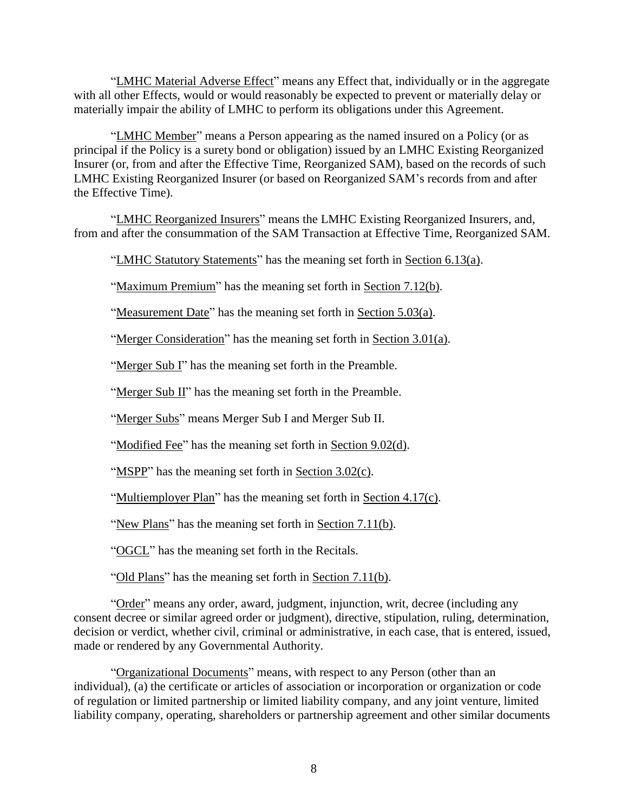"LMHC Material Adverse Effect" means any Effect that, individually or in the aggregate with all other Effects, would or would reasonably be expected to prevent or materially delay or materially impair the ability of LMHC to perform its obligations under this Agreement.

"LMHC Member" means a Person appearing as the named insured on a Policy (or as principal if the Policy is a surety bond or obligation) issued by an LMHC Existing Reorganized Insurer (or, from and after the Effective Time, Reorganized SAM), based on the records of such LMHC Existing Reorganized Insurer (or based on Reorganized SAM's records from and after the Effective Time).

"LMHC Reorganized Insurers" means the LMHC Existing Reorganized Insurers, and, from and after the consummation of the SAM Transaction at Effective Time, Reorganized SAM.

"LMHC Statutory Statements" has the meaning set forth in [Section](#page-82-3) 6.13(a).

"Maximum Premium" has the meaning set forth in Section [7.12\(b\).](#page-101-2)

"Measurement Date" has the meaning set forth in Section [5.03\(a\).](#page-57-1)

"Merger Consideration" has the meaning set forth in Section [3.01\(a\).](#page-30-4)

"Merger Sub I" has the meaning set forth in the Preamble.

"Merger Sub II" has the meaning set forth in the Preamble.

"Merger Subs" means Merger Sub I and Merger Sub II.

"Modified Fee" has the meaning set forth in Section [9.02\(d\).](#page-111-0)

"MSPP" has the meaning set forth in Section [3.02\(c\).](#page-31-1)

"Multiemployer Plan" has the meaning set forth in Section [4.17\(c\).](#page-48-2)

"New Plans" has the meaning set forth in Section [7.11\(b\).](#page-99-1)

"OGCL" has the meaning set forth in the Recitals.

"Old Plans" has the meaning set forth in Section [7.11\(b\).](#page-99-1)

"Order" means any order, award, judgment, injunction, writ, decree (including any consent decree or similar agreed order or judgment), directive, stipulation, ruling, determination, decision or verdict, whether civil, criminal or administrative, in each case, that is entered, issued, made or rendered by any Governmental Authority.

"Organizational Documents" means, with respect to any Person (other than an individual), (a) the certificate or articles of association or incorporation or organization or code of regulation or limited partnership or limited liability company, and any joint venture, limited liability company, operating, shareholders or partnership agreement and other similar documents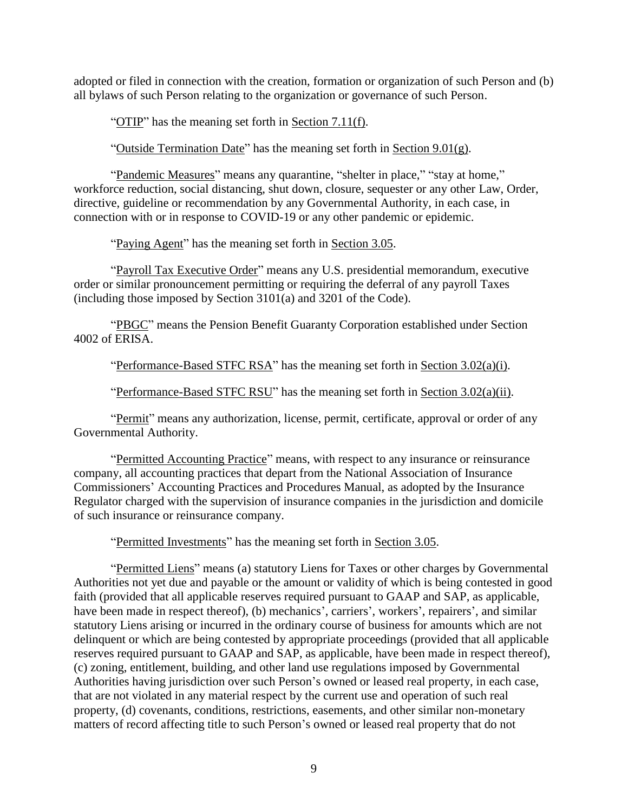adopted or filed in connection with the creation, formation or organization of such Person and (b) all bylaws of such Person relating to the organization or governance of such Person.

"OTIP" has the meaning set forth in Section [7.11\(f\).](#page-100-0)

"Outside Termination Date" has the meaning set forth in Section [9.01\(g\).](#page-109-0)

"Pandemic Measures" means any quarantine, "shelter in place," "stay at home," workforce reduction, social distancing, shut down, closure, sequester or any other Law, Order, directive, guideline or recommendation by any Governmental Authority, in each case, in connection with or in response to COVID-19 or any other pandemic or epidemic.

"Paying Agent" has the meaning set forth in Section [3.05.](#page-33-1)

"Payroll Tax Executive Order" means any U.S. presidential memorandum, executive order or similar pronouncement permitting or requiring the deferral of any payroll Taxes (including those imposed by Section 3101(a) and 3201 of the Code).

"PBGC" means the Pension Benefit Guaranty Corporation established under Section 4002 of ERISA.

"Performance-Based STFC RSA" has the meaning set forth in Section  $3.02(a)(i)$ .

"Performance-Based STFC RSU" has the meaning set forth in Section [3.02\(a\)\(ii\).](#page-31-2)

"Permit" means any authorization, license, permit, certificate, approval or order of any Governmental Authority.

"Permitted Accounting Practice" means, with respect to any insurance or reinsurance company, all accounting practices that depart from the National Association of Insurance Commissioners' Accounting Practices and Procedures Manual, as adopted by the Insurance Regulator charged with the supervision of insurance companies in the jurisdiction and domicile of such insurance or reinsurance company.

"Permitted Investments" has the meaning set forth in Section [3.05.](#page-33-1)

"Permitted Liens" means (a) statutory Liens for Taxes or other charges by Governmental Authorities not yet due and payable or the amount or validity of which is being contested in good faith (provided that all applicable reserves required pursuant to GAAP and SAP, as applicable, have been made in respect thereof), (b) mechanics', carriers', workers', repairers', and similar statutory Liens arising or incurred in the ordinary course of business for amounts which are not delinquent or which are being contested by appropriate proceedings (provided that all applicable reserves required pursuant to GAAP and SAP, as applicable, have been made in respect thereof), (c) zoning, entitlement, building, and other land use regulations imposed by Governmental Authorities having jurisdiction over such Person's owned or leased real property, in each case, that are not violated in any material respect by the current use and operation of such real property, (d) covenants, conditions, restrictions, easements, and other similar non-monetary matters of record affecting title to such Person's owned or leased real property that do not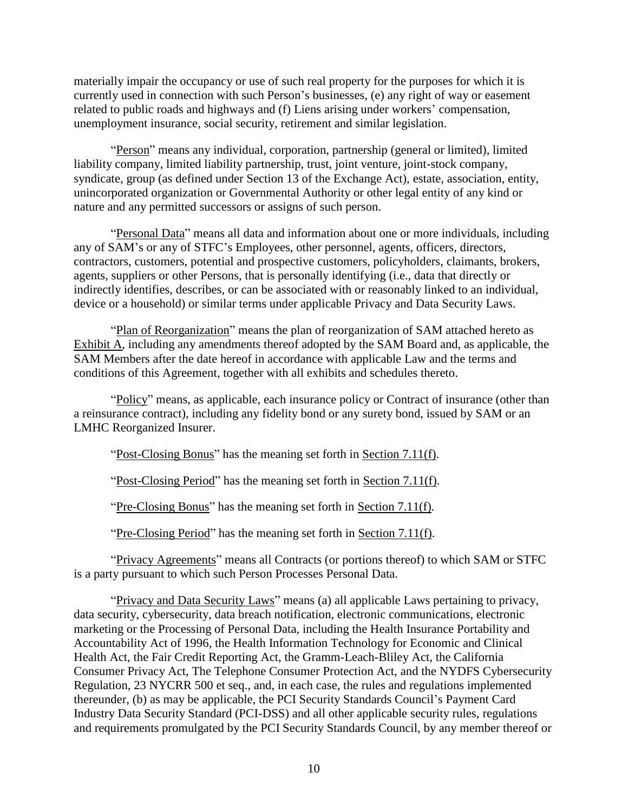materially impair the occupancy or use of such real property for the purposes for which it is currently used in connection with such Person's businesses, (e) any right of way or easement related to public roads and highways and (f) Liens arising under workers' compensation, unemployment insurance, social security, retirement and similar legislation.

"Person" means any individual, corporation, partnership (general or limited), limited liability company, limited liability partnership, trust, joint venture, joint-stock company, syndicate, group (as defined under Section 13 of the Exchange Act), estate, association, entity, unincorporated organization or Governmental Authority or other legal entity of any kind or nature and any permitted successors or assigns of such person.

"Personal Data" means all data and information about one or more individuals, including any of SAM's or any of STFC's Employees, other personnel, agents, officers, directors, contractors, customers, potential and prospective customers, policyholders, claimants, brokers, agents, suppliers or other Persons, that is personally identifying (i.e., data that directly or indirectly identifies, describes, or can be associated with or reasonably linked to an individual, device or a household) or similar terms under applicable Privacy and Data Security Laws.

"Plan of Reorganization" means the plan of reorganization of SAM attached hereto as Exhibit A, including any amendments thereof adopted by the SAM Board and, as applicable, the SAM Members after the date hereof in accordance with applicable Law and the terms and conditions of this Agreement, together with all exhibits and schedules thereto.

"Policy" means, as applicable, each insurance policy or Contract of insurance (other than a reinsurance contract), including any fidelity bond or any surety bond, issued by SAM or an LMHC Reorganized Insurer.

"Post-Closing Bonus" has the meaning set forth in Section [7.11\(f\).](#page-100-0)

"Post-Closing Period" has the meaning set forth in Section [7.11\(f\).](#page-100-0)

"Pre-Closing Bonus" has the meaning set forth in Section [7.11\(f\).](#page-100-0)

"Pre-Closing Period" has the meaning set forth in Section [7.11\(f\).](#page-100-0)

"Privacy Agreements" means all Contracts (or portions thereof) to which SAM or STFC is a party pursuant to which such Person Processes Personal Data.

"Privacy and Data Security Laws" means (a) all applicable Laws pertaining to privacy, data security, cybersecurity, data breach notification, electronic communications, electronic marketing or the Processing of Personal Data, including the Health Insurance Portability and Accountability Act of 1996, the Health Information Technology for Economic and Clinical Health Act, the Fair Credit Reporting Act, the Gramm-Leach-Bliley Act, the California Consumer Privacy Act, The Telephone Consumer Protection Act, and the NYDFS Cybersecurity Regulation, 23 NYCRR 500 et seq., and, in each case, the rules and regulations implemented thereunder, (b) as may be applicable, the PCI Security Standards Council's Payment Card Industry Data Security Standard (PCI-DSS) and all other applicable security rules, regulations and requirements promulgated by the PCI Security Standards Council, by any member thereof or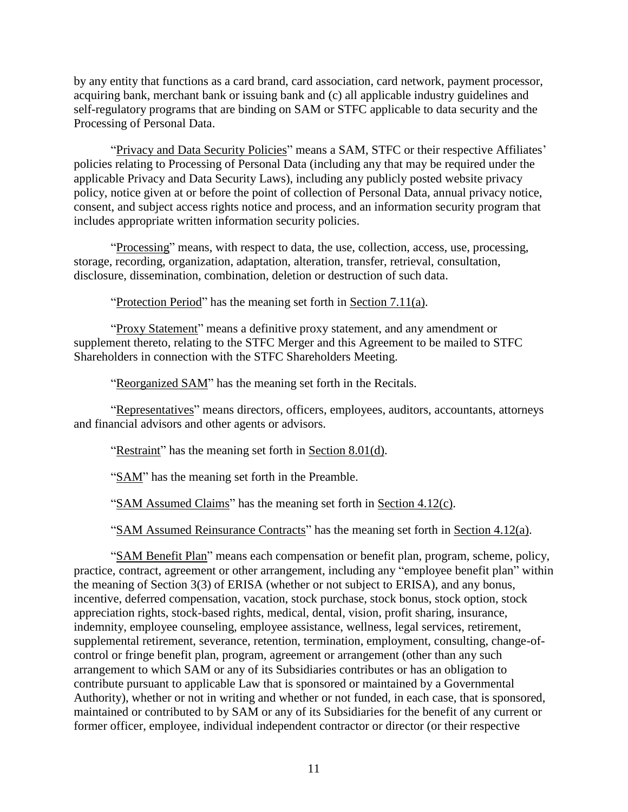by any entity that functions as a card brand, card association, card network, payment processor, acquiring bank, merchant bank or issuing bank and (c) all applicable industry guidelines and self-regulatory programs that are binding on SAM or STFC applicable to data security and the Processing of Personal Data.

"Privacy and Data Security Policies" means a SAM, STFC or their respective Affiliates' policies relating to Processing of Personal Data (including any that may be required under the applicable Privacy and Data Security Laws), including any publicly posted website privacy policy, notice given at or before the point of collection of Personal Data, annual privacy notice, consent, and subject access rights notice and process, and an information security program that includes appropriate written information security policies.

"Processing" means, with respect to data, the use, collection, access, use, processing, storage, recording, organization, adaptation, alteration, transfer, retrieval, consultation, disclosure, dissemination, combination, deletion or destruction of such data.

"Protection Period" has the meaning set forth in Section [7.11\(a\).](#page-99-2)

"Proxy Statement" means a definitive proxy statement, and any amendment or supplement thereto, relating to the STFC Merger and this Agreement to be mailed to STFC Shareholders in connection with the STFC Shareholders Meeting.

"Reorganized SAM" has the meaning set forth in the Recitals.

"Representatives" means directors, officers, employees, auditors, accountants, attorneys and financial advisors and other agents or advisors.

"Restraint" has the meaning set forth in [Section](#page-106-3) 8.01(d).

"SAM" has the meaning set forth in the Preamble.

"SAM Assumed Claims" has the meaning set forth in Section [4.12\(c\).](#page-45-2)

"SAM Assumed Reinsurance Contracts" has the meaning set forth in Section [4.12\(a\).](#page-44-1)

"SAM Benefit Plan" means each compensation or benefit plan, program, scheme, policy, practice, contract, agreement or other arrangement, including any "employee benefit plan" within the meaning of Section 3(3) of ERISA (whether or not subject to ERISA), and any bonus, incentive, deferred compensation, vacation, stock purchase, stock bonus, stock option, stock appreciation rights, stock-based rights, medical, dental, vision, profit sharing, insurance, indemnity, employee counseling, employee assistance, wellness, legal services, retirement, supplemental retirement, severance, retention, termination, employment, consulting, change-ofcontrol or fringe benefit plan, program, agreement or arrangement (other than any such arrangement to which SAM or any of its Subsidiaries contributes or has an obligation to contribute pursuant to applicable Law that is sponsored or maintained by a Governmental Authority), whether or not in writing and whether or not funded, in each case, that is sponsored, maintained or contributed to by SAM or any of its Subsidiaries for the benefit of any current or former officer, employee, individual independent contractor or director (or their respective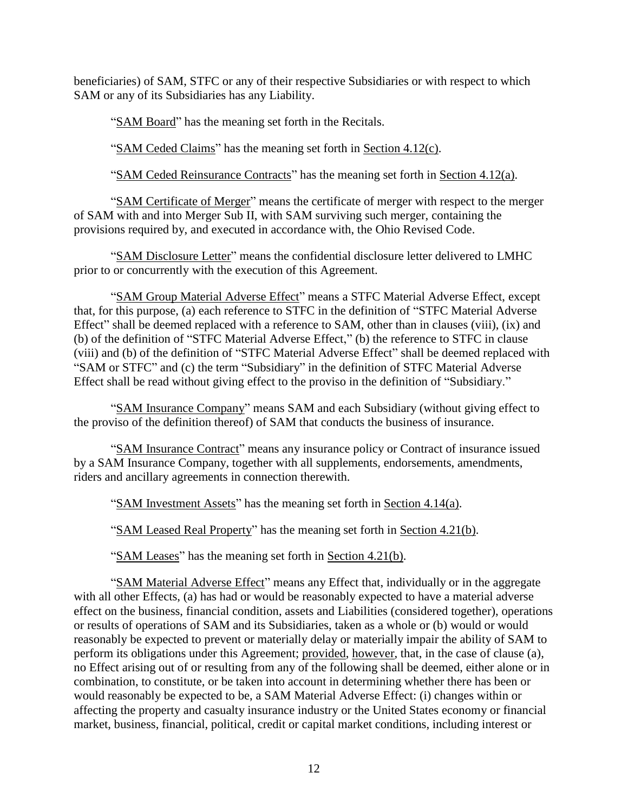beneficiaries) of SAM, STFC or any of their respective Subsidiaries or with respect to which SAM or any of its Subsidiaries has any Liability.

"SAM Board" has the meaning set forth in the Recitals.

"SAM Ceded Claims" has the meaning set forth in Section [4.12\(c\).](#page-45-2)

"SAM Ceded Reinsurance Contracts" has the meaning set forth in Section [4.12\(a\).](#page-44-1)

"SAM Certificate of Merger" means the certificate of merger with respect to the merger of SAM with and into Merger Sub II, with SAM surviving such merger, containing the provisions required by, and executed in accordance with, the Ohio Revised Code.

"SAM Disclosure Letter" means the confidential disclosure letter delivered to LMHC prior to or concurrently with the execution of this Agreement.

"SAM Group Material Adverse Effect" means a STFC Material Adverse Effect, except that, for this purpose, (a) each reference to STFC in the definition of "STFC Material Adverse Effect" shall be deemed replaced with a reference to SAM, other than in clauses (viii), (ix) and (b) of the definition of "STFC Material Adverse Effect," (b) the reference to STFC in clause (viii) and (b) of the definition of "STFC Material Adverse Effect" shall be deemed replaced with "SAM or STFC" and (c) the term "Subsidiary" in the definition of STFC Material Adverse Effect shall be read without giving effect to the proviso in the definition of "Subsidiary."

"SAM Insurance Company" means SAM and each Subsidiary (without giving effect to the proviso of the definition thereof) of SAM that conducts the business of insurance.

"SAM Insurance Contract" means any insurance policy or Contract of insurance issued by a SAM Insurance Company, together with all supplements, endorsements, amendments, riders and ancillary agreements in connection therewith.

"SAM Investment Assets" has the meaning set forth in Section [4.14\(a\).](#page-45-3)

"SAM Leased Real Property" has the meaning set forth in Section [4.21\(b\).](#page-53-2)

"SAM Leases" has the meaning set forth in Section [4.21\(b\).](#page-53-2)

"SAM Material Adverse Effect" means any Effect that, individually or in the aggregate with all other Effects, (a) has had or would be reasonably expected to have a material adverse effect on the business, financial condition, assets and Liabilities (considered together), operations or results of operations of SAM and its Subsidiaries, taken as a whole or (b) would or would reasonably be expected to prevent or materially delay or materially impair the ability of SAM to perform its obligations under this Agreement; provided, however, that, in the case of clause (a), no Effect arising out of or resulting from any of the following shall be deemed, either alone or in combination, to constitute, or be taken into account in determining whether there has been or would reasonably be expected to be, a SAM Material Adverse Effect: (i) changes within or affecting the property and casualty insurance industry or the United States economy or financial market, business, financial, political, credit or capital market conditions, including interest or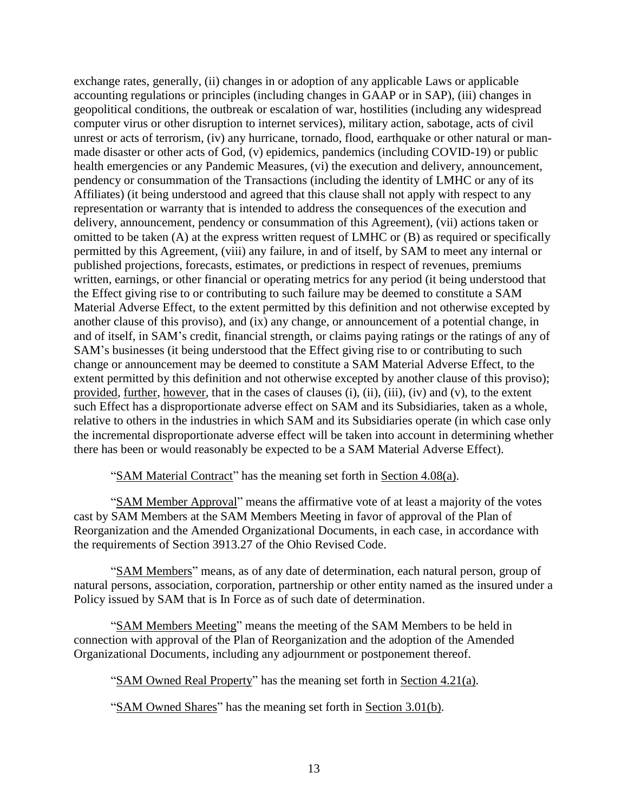exchange rates, generally, (ii) changes in or adoption of any applicable Laws or applicable accounting regulations or principles (including changes in GAAP or in SAP), (iii) changes in geopolitical conditions, the outbreak or escalation of war, hostilities (including any widespread computer virus or other disruption to internet services), military action, sabotage, acts of civil unrest or acts of terrorism, (iv) any hurricane, tornado, flood, earthquake or other natural or manmade disaster or other acts of God, (v) epidemics, pandemics (including COVID-19) or public health emergencies or any Pandemic Measures, (vi) the execution and delivery, announcement, pendency or consummation of the Transactions (including the identity of LMHC or any of its Affiliates) (it being understood and agreed that this clause shall not apply with respect to any representation or warranty that is intended to address the consequences of the execution and delivery, announcement, pendency or consummation of this Agreement), (vii) actions taken or omitted to be taken (A) at the express written request of LMHC or (B) as required or specifically permitted by this Agreement, (viii) any failure, in and of itself, by SAM to meet any internal or published projections, forecasts, estimates, or predictions in respect of revenues, premiums written, earnings, or other financial or operating metrics for any period (it being understood that the Effect giving rise to or contributing to such failure may be deemed to constitute a SAM Material Adverse Effect, to the extent permitted by this definition and not otherwise excepted by another clause of this proviso), and (ix) any change, or announcement of a potential change, in and of itself, in SAM's credit, financial strength, or claims paying ratings or the ratings of any of SAM's businesses (it being understood that the Effect giving rise to or contributing to such change or announcement may be deemed to constitute a SAM Material Adverse Effect, to the extent permitted by this definition and not otherwise excepted by another clause of this proviso); provided, further, however, that in the cases of clauses (i), (ii), (iii), (iv) and (v), to the extent such Effect has a disproportionate adverse effect on SAM and its Subsidiaries, taken as a whole, relative to others in the industries in which SAM and its Subsidiaries operate (in which case only the incremental disproportionate adverse effect will be taken into account in determining whether there has been or would reasonably be expected to be a SAM Material Adverse Effect).

"SAM Material Contract" has the meaning set forth in Section [4.08\(a\).](#page-39-3)

"SAM Member Approval" means the affirmative vote of at least a majority of the votes cast by SAM Members at the SAM Members Meeting in favor of approval of the Plan of Reorganization and the Amended Organizational Documents, in each case, in accordance with the requirements of Section 3913.27 of the Ohio Revised Code.

"SAM Members" means, as of any date of determination, each natural person, group of natural persons, association, corporation, partnership or other entity named as the insured under a Policy issued by SAM that is In Force as of such date of determination.

"SAM Members Meeting" means the meeting of the SAM Members to be held in connection with approval of the Plan of Reorganization and the adoption of the Amended Organizational Documents, including any adjournment or postponement thereof.

"SAM Owned Real Property" has the meaning set forth in Section [4.21\(a\).](#page-53-3)

"SAM Owned Shares" has the meaning set forth in Section [3.01\(b\).](#page-30-6)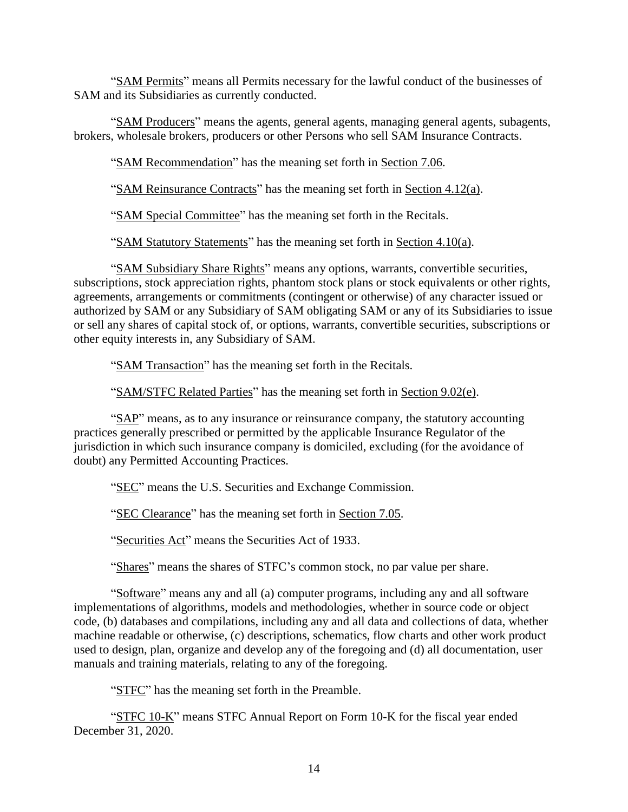"SAM Permits" means all Permits necessary for the lawful conduct of the businesses of SAM and its Subsidiaries as currently conducted.

"SAM Producers" means the agents, general agents, managing general agents, subagents, brokers, wholesale brokers, producers or other Persons who sell SAM Insurance Contracts.

"SAM Recommendation" has the meaning set forth in Section [7.06.](#page-93-0)

"SAM Reinsurance Contracts" has the meaning set forth in Section [4.12\(a\).](#page-44-1)

"SAM Special Committee" has the meaning set forth in the Recitals.

"SAM Statutory Statements" has the meaning set forth in Section [4.10\(a\).](#page-42-2)

"SAM Subsidiary Share Rights" means any options, warrants, convertible securities, subscriptions, stock appreciation rights, phantom stock plans or stock equivalents or other rights, agreements, arrangements or commitments (contingent or otherwise) of any character issued or authorized by SAM or any Subsidiary of SAM obligating SAM or any of its Subsidiaries to issue or sell any shares of capital stock of, or options, warrants, convertible securities, subscriptions or other equity interests in, any Subsidiary of SAM.

"SAM Transaction" has the meaning set forth in the Recitals.

"SAM/STFC Related Parties" has the meaning set forth in Section [9.02\(e\).](#page-111-1)

"SAP" means, as to any insurance or reinsurance company, the statutory accounting practices generally prescribed or permitted by the applicable Insurance Regulator of the jurisdiction in which such insurance company is domiciled, excluding (for the avoidance of doubt) any Permitted Accounting Practices.

"SEC" means the U.S. Securities and Exchange Commission.

"SEC Clearance" has the meaning set forth in Section [7.05.](#page-92-0)

"Securities Act" means the Securities Act of 1933.

"Shares" means the shares of STFC's common stock, no par value per share.

"Software" means any and all (a) computer programs, including any and all software implementations of algorithms, models and methodologies, whether in source code or object code, (b) databases and compilations, including any and all data and collections of data, whether machine readable or otherwise, (c) descriptions, schematics, flow charts and other work product used to design, plan, organize and develop any of the foregoing and (d) all documentation, user manuals and training materials, relating to any of the foregoing.

"STFC" has the meaning set forth in the Preamble.

"STFC 10-K" means STFC Annual Report on Form 10-K for the fiscal year ended December 31, 2020.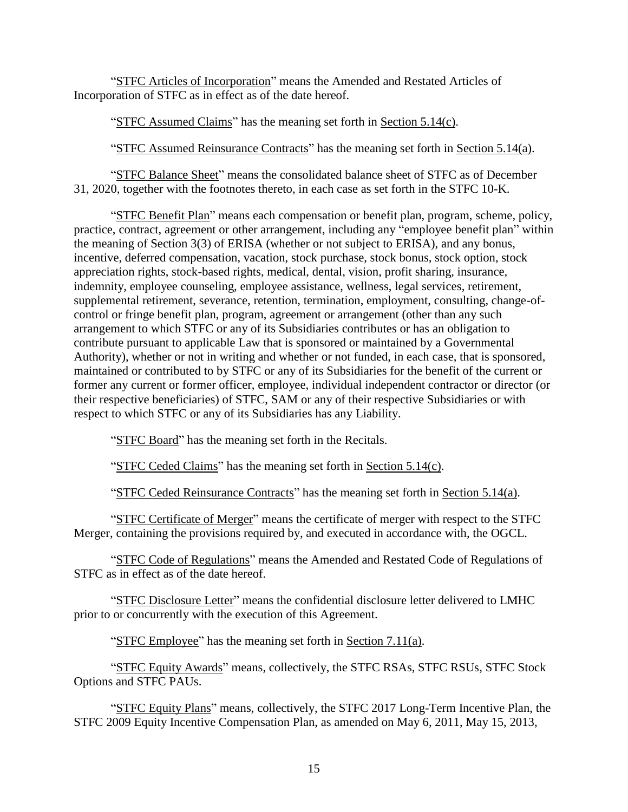"STFC Articles of Incorporation" means the Amended and Restated Articles of Incorporation of STFC as in effect as of the date hereof.

"STFC Assumed Claims" has the meaning set forth in Section [5.14\(c\).](#page-68-1)

"STFC Assumed Reinsurance Contracts" has the meaning set forth in Section [5.14\(a\).](#page-67-1)

"STFC Balance Sheet" means the consolidated balance sheet of STFC as of December 31, 2020, together with the footnotes thereto, in each case as set forth in the STFC 10-K.

"STFC Benefit Plan" means each compensation or benefit plan, program, scheme, policy, practice, contract, agreement or other arrangement, including any "employee benefit plan" within the meaning of Section 3(3) of ERISA (whether or not subject to ERISA), and any bonus, incentive, deferred compensation, vacation, stock purchase, stock bonus, stock option, stock appreciation rights, stock-based rights, medical, dental, vision, profit sharing, insurance, indemnity, employee counseling, employee assistance, wellness, legal services, retirement, supplemental retirement, severance, retention, termination, employment, consulting, change-ofcontrol or fringe benefit plan, program, agreement or arrangement (other than any such arrangement to which STFC or any of its Subsidiaries contributes or has an obligation to contribute pursuant to applicable Law that is sponsored or maintained by a Governmental Authority), whether or not in writing and whether or not funded, in each case, that is sponsored, maintained or contributed to by STFC or any of its Subsidiaries for the benefit of the current or former any current or former officer, employee, individual independent contractor or director (or their respective beneficiaries) of STFC, SAM or any of their respective Subsidiaries or with respect to which STFC or any of its Subsidiaries has any Liability.

"STFC Board" has the meaning set forth in the Recitals.

"STFC Ceded Claims" has the meaning set forth in Section [5.14\(c\).](#page-68-1)

"STFC Ceded Reinsurance Contracts" has the meaning set forth in Section [5.14\(a\).](#page-67-1)

"STFC Certificate of Merger" means the certificate of merger with respect to the STFC Merger, containing the provisions required by, and executed in accordance with, the OGCL.

"STFC Code of Regulations" means the Amended and Restated Code of Regulations of STFC as in effect as of the date hereof.

"STFC Disclosure Letter" means the confidential disclosure letter delivered to LMHC prior to or concurrently with the execution of this Agreement.

"STFC Employee" has the meaning set forth in Section [7.11\(a\).](#page-99-2)

"STFC Equity Awards" means, collectively, the STFC RSAs, STFC RSUs, STFC Stock Options and STFC PAUs.

"STFC Equity Plans" means, collectively, the STFC 2017 Long-Term Incentive Plan, the STFC 2009 Equity Incentive Compensation Plan, as amended on May 6, 2011, May 15, 2013,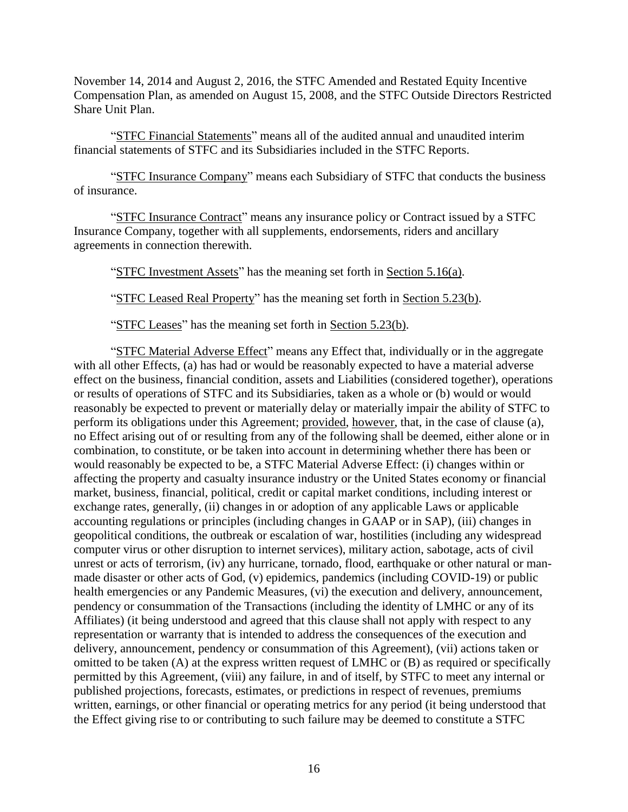November 14, 2014 and August 2, 2016, the STFC Amended and Restated Equity Incentive Compensation Plan, as amended on August 15, 2008, and the STFC Outside Directors Restricted Share Unit Plan.

"STFC Financial Statements" means all of the audited annual and unaudited interim financial statements of STFC and its Subsidiaries included in the STFC Reports.

"STFC Insurance Company" means each Subsidiary of STFC that conducts the business of insurance.

"STFC Insurance Contract" means any insurance policy or Contract issued by a STFC Insurance Company, together with all supplements, endorsements, riders and ancillary agreements in connection therewith.

"STFC Investment Assets" has the meaning set forth in Section [5.16\(a\).](#page-69-2)

"STFC Leased Real Property" has the meaning set forth in Section [5.23\(b\).](#page-76-2)

"STFC Leases" has the meaning set forth in Section [5.23\(b\).](#page-76-2)

"STFC Material Adverse Effect" means any Effect that, individually or in the aggregate with all other Effects, (a) has had or would be reasonably expected to have a material adverse effect on the business, financial condition, assets and Liabilities (considered together), operations or results of operations of STFC and its Subsidiaries, taken as a whole or (b) would or would reasonably be expected to prevent or materially delay or materially impair the ability of STFC to perform its obligations under this Agreement; provided, however, that, in the case of clause (a), no Effect arising out of or resulting from any of the following shall be deemed, either alone or in combination, to constitute, or be taken into account in determining whether there has been or would reasonably be expected to be, a STFC Material Adverse Effect: (i) changes within or affecting the property and casualty insurance industry or the United States economy or financial market, business, financial, political, credit or capital market conditions, including interest or exchange rates, generally, (ii) changes in or adoption of any applicable Laws or applicable accounting regulations or principles (including changes in GAAP or in SAP), (iii) changes in geopolitical conditions, the outbreak or escalation of war, hostilities (including any widespread computer virus or other disruption to internet services), military action, sabotage, acts of civil unrest or acts of terrorism, (iv) any hurricane, tornado, flood, earthquake or other natural or manmade disaster or other acts of God, (v) epidemics, pandemics (including COVID-19) or public health emergencies or any Pandemic Measures, (vi) the execution and delivery, announcement, pendency or consummation of the Transactions (including the identity of LMHC or any of its Affiliates) (it being understood and agreed that this clause shall not apply with respect to any representation or warranty that is intended to address the consequences of the execution and delivery, announcement, pendency or consummation of this Agreement), (vii) actions taken or omitted to be taken (A) at the express written request of LMHC or (B) as required or specifically permitted by this Agreement, (viii) any failure, in and of itself, by STFC to meet any internal or published projections, forecasts, estimates, or predictions in respect of revenues, premiums written, earnings, or other financial or operating metrics for any period (it being understood that the Effect giving rise to or contributing to such failure may be deemed to constitute a STFC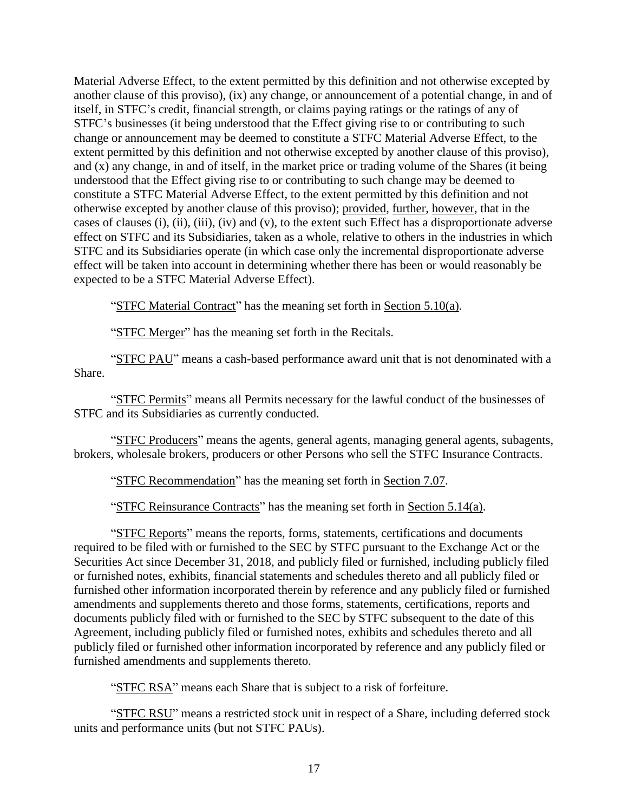Material Adverse Effect, to the extent permitted by this definition and not otherwise excepted by another clause of this proviso), (ix) any change, or announcement of a potential change, in and of itself, in STFC's credit, financial strength, or claims paying ratings or the ratings of any of STFC's businesses (it being understood that the Effect giving rise to or contributing to such change or announcement may be deemed to constitute a STFC Material Adverse Effect, to the extent permitted by this definition and not otherwise excepted by another clause of this proviso), and (x) any change, in and of itself, in the market price or trading volume of the Shares (it being understood that the Effect giving rise to or contributing to such change may be deemed to constitute a STFC Material Adverse Effect, to the extent permitted by this definition and not otherwise excepted by another clause of this proviso); provided, further, however, that in the cases of clauses (i), (ii), (iii), (iv) and (v), to the extent such Effect has a disproportionate adverse effect on STFC and its Subsidiaries, taken as a whole, relative to others in the industries in which STFC and its Subsidiaries operate (in which case only the incremental disproportionate adverse effect will be taken into account in determining whether there has been or would reasonably be expected to be a STFC Material Adverse Effect).

"STFC Material Contract" has the meaning set forth in Section [5.10\(a\).](#page-62-2)

"STFC Merger" has the meaning set forth in the Recitals.

"STFC PAU" means a cash-based performance award unit that is not denominated with a Share.

"STFC Permits" means all Permits necessary for the lawful conduct of the businesses of STFC and its Subsidiaries as currently conducted.

"STFC Producers" means the agents, general agents, managing general agents, subagents, brokers, wholesale brokers, producers or other Persons who sell the STFC Insurance Contracts.

"STFC Recommendation" has the meaning set forth in Section [7.07.](#page-93-1)

"STFC Reinsurance Contracts" has the meaning set forth in Section [5.14\(a\).](#page-67-1)

"STFC Reports" means the reports, forms, statements, certifications and documents required to be filed with or furnished to the SEC by STFC pursuant to the Exchange Act or the Securities Act since December 31, 2018, and publicly filed or furnished, including publicly filed or furnished notes, exhibits, financial statements and schedules thereto and all publicly filed or furnished other information incorporated therein by reference and any publicly filed or furnished amendments and supplements thereto and those forms, statements, certifications, reports and documents publicly filed with or furnished to the SEC by STFC subsequent to the date of this Agreement, including publicly filed or furnished notes, exhibits and schedules thereto and all publicly filed or furnished other information incorporated by reference and any publicly filed or furnished amendments and supplements thereto.

"STFC RSA" means each Share that is subject to a risk of forfeiture.

"STFC RSU" means a restricted stock unit in respect of a Share, including deferred stock units and performance units (but not STFC PAUs).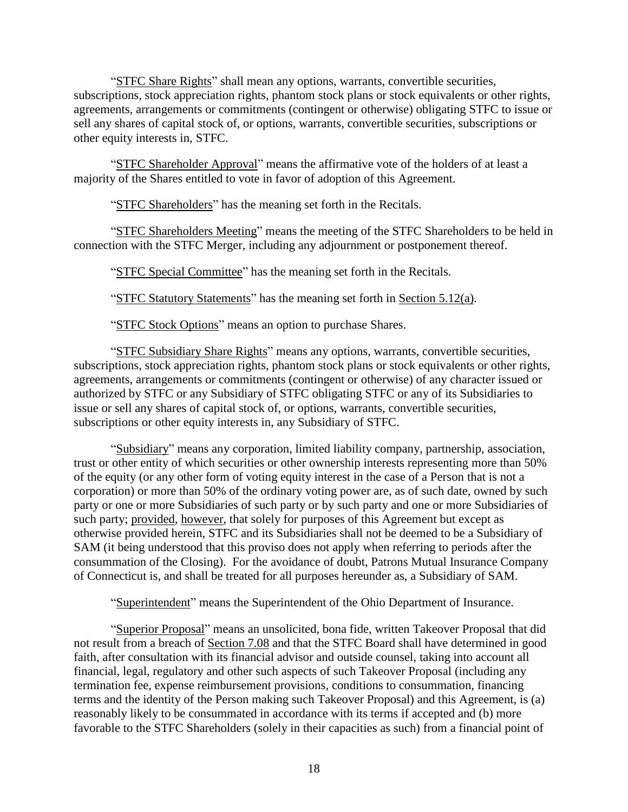"STFC Share Rights" shall mean any options, warrants, convertible securities, subscriptions, stock appreciation rights, phantom stock plans or stock equivalents or other rights, agreements, arrangements or commitments (contingent or otherwise) obligating STFC to issue or sell any shares of capital stock of, or options, warrants, convertible securities, subscriptions or other equity interests in, STFC.

"STFC Shareholder Approval" means the affirmative vote of the holders of at least a majority of the Shares entitled to vote in favor of adoption of this Agreement.

"STFC Shareholders" has the meaning set forth in the Recitals.

"STFC Shareholders Meeting" means the meeting of the STFC Shareholders to be held in connection with the STFC Merger, including any adjournment or postponement thereof.

"STFC Special Committee" has the meaning set forth in the Recitals.

"STFC Statutory Statements" has the meaning set forth in Section [5.12\(a\).](#page-65-2)

"STFC Stock Options" means an option to purchase Shares.

"STFC Subsidiary Share Rights" means any options, warrants, convertible securities, subscriptions, stock appreciation rights, phantom stock plans or stock equivalents or other rights, agreements, arrangements or commitments (contingent or otherwise) of any character issued or authorized by STFC or any Subsidiary of STFC obligating STFC or any of its Subsidiaries to issue or sell any shares of capital stock of, or options, warrants, convertible securities, subscriptions or other equity interests in, any Subsidiary of STFC.

"Subsidiary" means any corporation, limited liability company, partnership, association, trust or other entity of which securities or other ownership interests representing more than 50% of the equity (or any other form of voting equity interest in the case of a Person that is not a corporation) or more than 50% of the ordinary voting power are, as of such date, owned by such party or one or more Subsidiaries of such party or by such party and one or more Subsidiaries of such party; provided, however, that solely for purposes of this Agreement but except as otherwise provided herein, STFC and its Subsidiaries shall not be deemed to be a Subsidiary of SAM (it being understood that this proviso does not apply when referring to periods after the consummation of the Closing). For the avoidance of doubt, Patrons Mutual Insurance Company of Connecticut is, and shall be treated for all purposes hereunder as, a Subsidiary of SAM.

"Superintendent" means the Superintendent of the Ohio Department of Insurance.

"Superior Proposal" means an unsolicited, bona fide, written Takeover Proposal that did not result from a breach of Section [7.08](#page-94-0) and that the STFC Board shall have determined in good faith, after consultation with its financial advisor and outside counsel, taking into account all financial, legal, regulatory and other such aspects of such Takeover Proposal (including any termination fee, expense reimbursement provisions, conditions to consummation, financing terms and the identity of the Person making such Takeover Proposal) and this Agreement, is (a) reasonably likely to be consummated in accordance with its terms if accepted and (b) more favorable to the STFC Shareholders (solely in their capacities as such) from a financial point of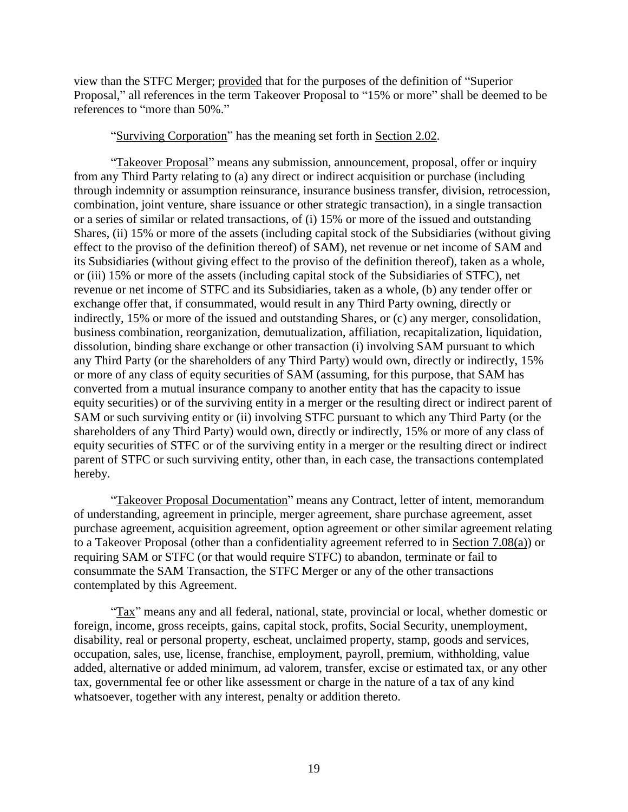view than the STFC Merger; provided that for the purposes of the definition of "Superior Proposal," all references in the term Takeover Proposal to "15% or more" shall be deemed to be references to "more than 50%."

#### "Surviving Corporation" has the meaning set forth in Section [2.02.](#page-27-2)

"Takeover Proposal" means any submission, announcement, proposal, offer or inquiry from any Third Party relating to (a) any direct or indirect acquisition or purchase (including through indemnity or assumption reinsurance, insurance business transfer, division, retrocession, combination, joint venture, share issuance or other strategic transaction), in a single transaction or a series of similar or related transactions, of (i) 15% or more of the issued and outstanding Shares, (ii) 15% or more of the assets (including capital stock of the Subsidiaries (without giving effect to the proviso of the definition thereof) of SAM), net revenue or net income of SAM and its Subsidiaries (without giving effect to the proviso of the definition thereof), taken as a whole, or (iii) 15% or more of the assets (including capital stock of the Subsidiaries of STFC), net revenue or net income of STFC and its Subsidiaries, taken as a whole, (b) any tender offer or exchange offer that, if consummated, would result in any Third Party owning, directly or indirectly, 15% or more of the issued and outstanding Shares, or (c) any merger, consolidation, business combination, reorganization, demutualization, affiliation, recapitalization, liquidation, dissolution, binding share exchange or other transaction (i) involving SAM pursuant to which any Third Party (or the shareholders of any Third Party) would own, directly or indirectly, 15% or more of any class of equity securities of SAM (assuming, for this purpose, that SAM has converted from a mutual insurance company to another entity that has the capacity to issue equity securities) or of the surviving entity in a merger or the resulting direct or indirect parent of SAM or such surviving entity or (ii) involving STFC pursuant to which any Third Party (or the shareholders of any Third Party) would own, directly or indirectly, 15% or more of any class of equity securities of STFC or of the surviving entity in a merger or the resulting direct or indirect parent of STFC or such surviving entity, other than, in each case, the transactions contemplated hereby.

"Takeover Proposal Documentation" means any Contract, letter of intent, memorandum of understanding, agreement in principle, merger agreement, share purchase agreement, asset purchase agreement, acquisition agreement, option agreement or other similar agreement relating to a Takeover Proposal (other than a confidentiality agreement referred to in Section [7.08\(a\)\)](#page-94-1) or requiring SAM or STFC (or that would require STFC) to abandon, terminate or fail to consummate the SAM Transaction, the STFC Merger or any of the other transactions contemplated by this Agreement.

"Tax" means any and all federal, national, state, provincial or local, whether domestic or foreign, income, gross receipts, gains, capital stock, profits, Social Security, unemployment, disability, real or personal property, escheat, unclaimed property, stamp, goods and services, occupation, sales, use, license, franchise, employment, payroll, premium, withholding, value added, alternative or added minimum, ad valorem, transfer, excise or estimated tax, or any other tax, governmental fee or other like assessment or charge in the nature of a tax of any kind whatsoever, together with any interest, penalty or addition thereto.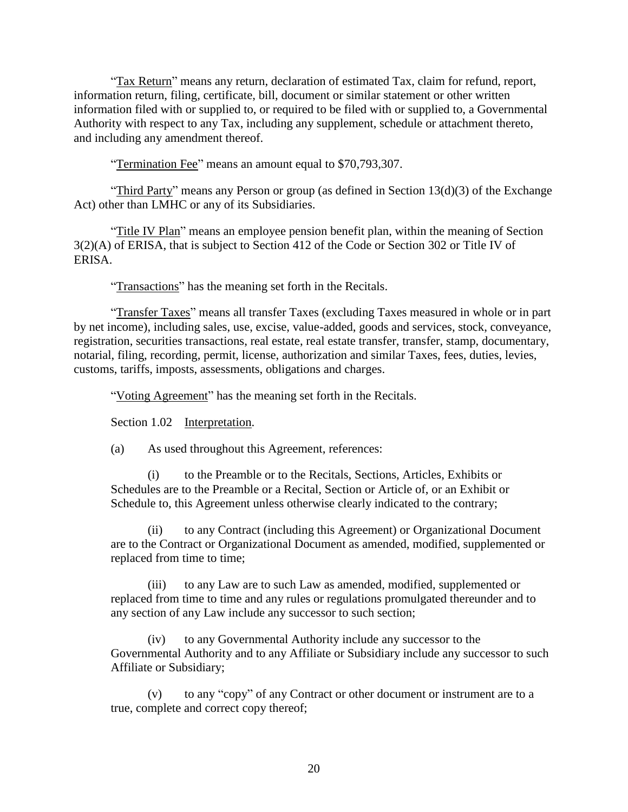"Tax Return" means any return, declaration of estimated Tax, claim for refund, report, information return, filing, certificate, bill, document or similar statement or other written information filed with or supplied to, or required to be filed with or supplied to, a Governmental Authority with respect to any Tax, including any supplement, schedule or attachment thereto, and including any amendment thereof.

"Termination Fee" means an amount equal to \$70,793,307.

"Third Party" means any Person or group (as defined in Section 13(d)(3) of the Exchange Act) other than LMHC or any of its Subsidiaries.

"Title IV Plan" means an employee pension benefit plan, within the meaning of Section 3(2)(A) of ERISA, that is subject to Section 412 of the Code or Section 302 or Title IV of ERISA.

"Transactions" has the meaning set forth in the Recitals.

"Transfer Taxes" means all transfer Taxes (excluding Taxes measured in whole or in part by net income), including sales, use, excise, value-added, goods and services, stock, conveyance, registration, securities transactions, real estate, real estate transfer, transfer, stamp, documentary, notarial, filing, recording, permit, license, authorization and similar Taxes, fees, duties, levies, customs, tariffs, imposts, assessments, obligations and charges.

"Voting Agreement" has the meaning set forth in the Recitals.

<span id="page-25-0"></span>Section 1.02 Interpretation.

(a) As used throughout this Agreement, references:

(i) to the Preamble or to the Recitals, Sections, Articles, Exhibits or Schedules are to the Preamble or a Recital, Section or Article of, or an Exhibit or Schedule to, this Agreement unless otherwise clearly indicated to the contrary;

(ii) to any Contract (including this Agreement) or Organizational Document are to the Contract or Organizational Document as amended, modified, supplemented or replaced from time to time;

(iii) to any Law are to such Law as amended, modified, supplemented or replaced from time to time and any rules or regulations promulgated thereunder and to any section of any Law include any successor to such section;

(iv) to any Governmental Authority include any successor to the Governmental Authority and to any Affiliate or Subsidiary include any successor to such Affiliate or Subsidiary;

(v) to any "copy" of any Contract or other document or instrument are to a true, complete and correct copy thereof;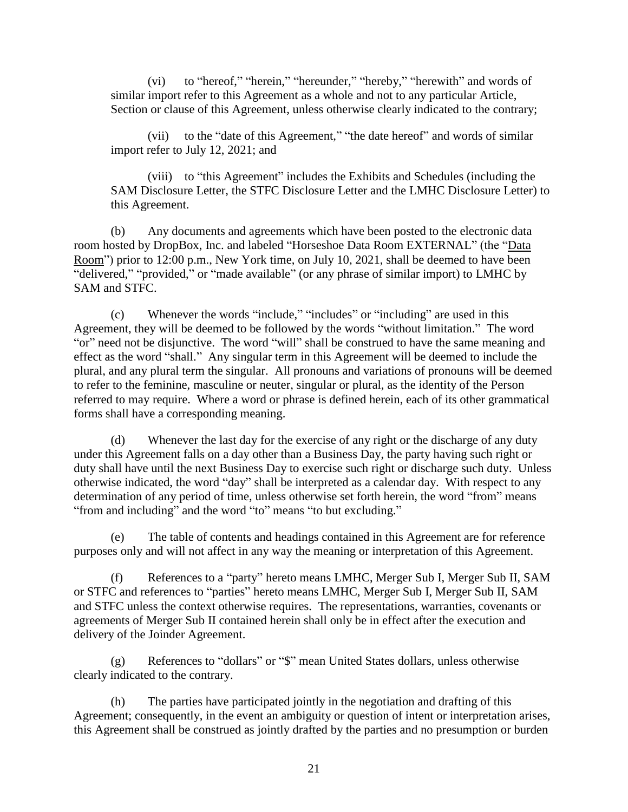(vi) to "hereof," "herein," "hereunder," "hereby," "herewith" and words of similar import refer to this Agreement as a whole and not to any particular Article, Section or clause of this Agreement, unless otherwise clearly indicated to the contrary;

(vii) to the "date of this Agreement," "the date hereof" and words of similar import refer to July 12, 2021; and

(viii) to "this Agreement" includes the Exhibits and Schedules (including the SAM Disclosure Letter, the STFC Disclosure Letter and the LMHC Disclosure Letter) to this Agreement.

<span id="page-26-0"></span>(b) Any documents and agreements which have been posted to the electronic data room hosted by DropBox, Inc. and labeled "Horseshoe Data Room EXTERNAL" (the "Data Room") prior to 12:00 p.m., New York time, on July 10, 2021, shall be deemed to have been "delivered," "provided," or "made available" (or any phrase of similar import) to LMHC by SAM and STFC.

(c) Whenever the words "include," "includes" or "including" are used in this Agreement, they will be deemed to be followed by the words "without limitation." The word "or" need not be disjunctive. The word "will" shall be construed to have the same meaning and effect as the word "shall." Any singular term in this Agreement will be deemed to include the plural, and any plural term the singular. All pronouns and variations of pronouns will be deemed to refer to the feminine, masculine or neuter, singular or plural, as the identity of the Person referred to may require. Where a word or phrase is defined herein, each of its other grammatical forms shall have a corresponding meaning.

(d) Whenever the last day for the exercise of any right or the discharge of any duty under this Agreement falls on a day other than a Business Day, the party having such right or duty shall have until the next Business Day to exercise such right or discharge such duty. Unless otherwise indicated, the word "day" shall be interpreted as a calendar day. With respect to any determination of any period of time, unless otherwise set forth herein, the word "from" means "from and including" and the word "to" means "to but excluding."

(e) The table of contents and headings contained in this Agreement are for reference purposes only and will not affect in any way the meaning or interpretation of this Agreement.

(f) References to a "party" hereto means LMHC, Merger Sub I, Merger Sub II, SAM or STFC and references to "parties" hereto means LMHC, Merger Sub I, Merger Sub II, SAM and STFC unless the context otherwise requires. The representations, warranties, covenants or agreements of Merger Sub II contained herein shall only be in effect after the execution and delivery of the Joinder Agreement.

(g) References to "dollars" or "\$" mean United States dollars, unless otherwise clearly indicated to the contrary.

(h) The parties have participated jointly in the negotiation and drafting of this Agreement; consequently, in the event an ambiguity or question of intent or interpretation arises, this Agreement shall be construed as jointly drafted by the parties and no presumption or burden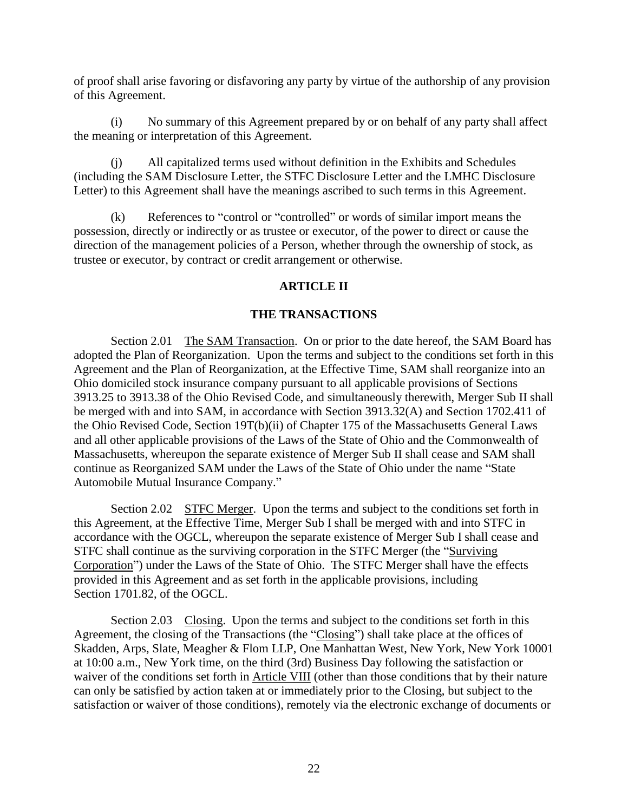of proof shall arise favoring or disfavoring any party by virtue of the authorship of any provision of this Agreement.

(i) No summary of this Agreement prepared by or on behalf of any party shall affect the meaning or interpretation of this Agreement.

(j) All capitalized terms used without definition in the Exhibits and Schedules (including the SAM Disclosure Letter, the STFC Disclosure Letter and the LMHC Disclosure Letter) to this Agreement shall have the meanings ascribed to such terms in this Agreement.

(k) References to "control or "controlled" or words of similar import means the possession, directly or indirectly or as trustee or executor, of the power to direct or cause the direction of the management policies of a Person, whether through the ownership of stock, as trustee or executor, by contract or credit arrangement or otherwise.

#### **ARTICLE II**

#### **THE TRANSACTIONS**

<span id="page-27-1"></span><span id="page-27-0"></span>Section 2.01 The SAM Transaction. On or prior to the date hereof, the SAM Board has adopted the Plan of Reorganization. Upon the terms and subject to the conditions set forth in this Agreement and the Plan of Reorganization, at the Effective Time, SAM shall reorganize into an Ohio domiciled stock insurance company pursuant to all applicable provisions of Sections 3913.25 to 3913.38 of the Ohio Revised Code, and simultaneously therewith, Merger Sub II shall be merged with and into SAM, in accordance with Section 3913.32(A) and Section 1702.411 of the Ohio Revised Code, Section 19T(b)(ii) of Chapter 175 of the Massachusetts General Laws and all other applicable provisions of the Laws of the State of Ohio and the Commonwealth of Massachusetts, whereupon the separate existence of Merger Sub II shall cease and SAM shall continue as Reorganized SAM under the Laws of the State of Ohio under the name "State Automobile Mutual Insurance Company."

<span id="page-27-2"></span>Section 2.02 STFC Merger. Upon the terms and subject to the conditions set forth in this Agreement, at the Effective Time, Merger Sub I shall be merged with and into STFC in accordance with the OGCL, whereupon the separate existence of Merger Sub I shall cease and STFC shall continue as the surviving corporation in the STFC Merger (the "Surviving Corporation") under the Laws of the State of Ohio. The STFC Merger shall have the effects provided in this Agreement and as set forth in the applicable provisions, including Section 1701.82, of the OGCL.

<span id="page-27-3"></span>Section 2.03 Closing. Upon the terms and subject to the conditions set forth in this Agreement, the closing of the Transactions (the "Closing") shall take place at the offices of Skadden, Arps, Slate, Meagher & Flom LLP, One Manhattan West, New York, New York 10001 at 10:00 a.m., New York time, on the third (3rd) Business Day following the satisfaction or waiver of the conditions set forth in Article [VIII](#page-106-4) (other than those conditions that by their nature can only be satisfied by action taken at or immediately prior to the Closing, but subject to the satisfaction or waiver of those conditions), remotely via the electronic exchange of documents or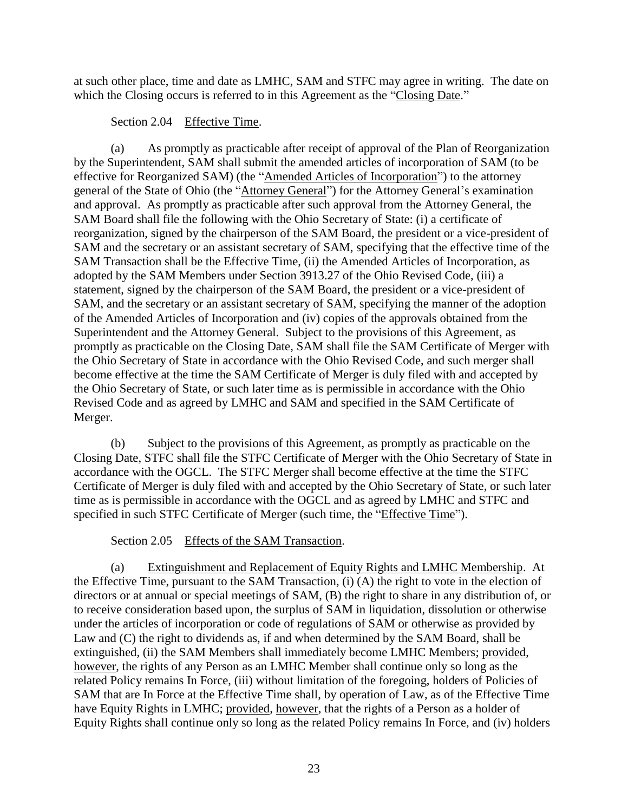at such other place, time and date as LMHC, SAM and STFC may agree in writing. The date on which the Closing occurs is referred to in this Agreement as the "Closing Date."

### Section 2.04 Effective Time.

<span id="page-28-2"></span><span id="page-28-0"></span>(a) As promptly as practicable after receipt of approval of the Plan of Reorganization by the Superintendent, SAM shall submit the amended articles of incorporation of SAM (to be effective for Reorganized SAM) (the "Amended Articles of Incorporation") to the attorney general of the State of Ohio (the "Attorney General") for the Attorney General's examination and approval. As promptly as practicable after such approval from the Attorney General, the SAM Board shall file the following with the Ohio Secretary of State: (i) a certificate of reorganization, signed by the chairperson of the SAM Board, the president or a vice-president of SAM and the secretary or an assistant secretary of SAM, specifying that the effective time of the SAM Transaction shall be the Effective Time, (ii) the Amended Articles of Incorporation, as adopted by the SAM Members under Section 3913.27 of the Ohio Revised Code, (iii) a statement, signed by the chairperson of the SAM Board, the president or a vice-president of SAM, and the secretary or an assistant secretary of SAM, specifying the manner of the adoption of the Amended Articles of Incorporation and (iv) copies of the approvals obtained from the Superintendent and the Attorney General. Subject to the provisions of this Agreement, as promptly as practicable on the Closing Date, SAM shall file the SAM Certificate of Merger with the Ohio Secretary of State in accordance with the Ohio Revised Code, and such merger shall become effective at the time the SAM Certificate of Merger is duly filed with and accepted by the Ohio Secretary of State, or such later time as is permissible in accordance with the Ohio Revised Code and as agreed by LMHC and SAM and specified in the SAM Certificate of Merger.

<span id="page-28-3"></span>(b) Subject to the provisions of this Agreement, as promptly as practicable on the Closing Date, STFC shall file the STFC Certificate of Merger with the Ohio Secretary of State in accordance with the OGCL. The STFC Merger shall become effective at the time the STFC Certificate of Merger is duly filed with and accepted by the Ohio Secretary of State, or such later time as is permissible in accordance with the OGCL and as agreed by LMHC and STFC and specified in such STFC Certificate of Merger (such time, the "Effective Time").

### Section 2.05 Effects of the SAM Transaction.

<span id="page-28-1"></span>(a) Extinguishment and Replacement of Equity Rights and LMHC Membership. At the Effective Time, pursuant to the SAM Transaction, (i) (A) the right to vote in the election of directors or at annual or special meetings of SAM, (B) the right to share in any distribution of, or to receive consideration based upon, the surplus of SAM in liquidation, dissolution or otherwise under the articles of incorporation or code of regulations of SAM or otherwise as provided by Law and (C) the right to dividends as, if and when determined by the SAM Board, shall be extinguished, (ii) the SAM Members shall immediately become LMHC Members; provided, however, the rights of any Person as an LMHC Member shall continue only so long as the related Policy remains In Force, (iii) without limitation of the foregoing, holders of Policies of SAM that are In Force at the Effective Time shall, by operation of Law, as of the Effective Time have Equity Rights in LMHC; provided, however, that the rights of a Person as a holder of Equity Rights shall continue only so long as the related Policy remains In Force, and (iv) holders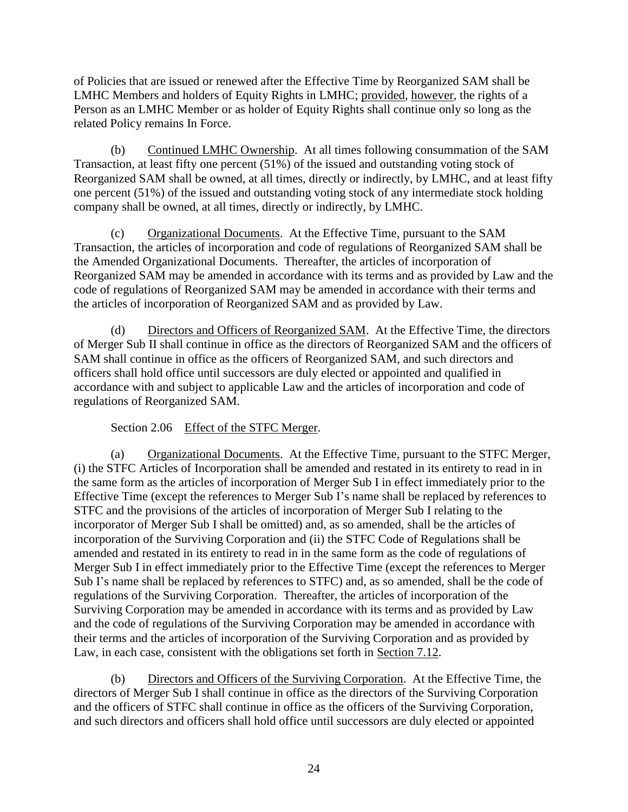of Policies that are issued or renewed after the Effective Time by Reorganized SAM shall be LMHC Members and holders of Equity Rights in LMHC; provided, however, the rights of a Person as an LMHC Member or as holder of Equity Rights shall continue only so long as the related Policy remains In Force.

(b) Continued LMHC Ownership. At all times following consummation of the SAM Transaction, at least fifty one percent (51%) of the issued and outstanding voting stock of Reorganized SAM shall be owned, at all times, directly or indirectly, by LMHC, and at least fifty one percent (51%) of the issued and outstanding voting stock of any intermediate stock holding company shall be owned, at all times, directly or indirectly, by LMHC.

(c) Organizational Documents. At the Effective Time, pursuant to the SAM Transaction, the articles of incorporation and code of regulations of Reorganized SAM shall be the Amended Organizational Documents. Thereafter, the articles of incorporation of Reorganized SAM may be amended in accordance with its terms and as provided by Law and the code of regulations of Reorganized SAM may be amended in accordance with their terms and the articles of incorporation of Reorganized SAM and as provided by Law.

(d) Directors and Officers of Reorganized SAM. At the Effective Time, the directors of Merger Sub II shall continue in office as the directors of Reorganized SAM and the officers of SAM shall continue in office as the officers of Reorganized SAM, and such directors and officers shall hold office until successors are duly elected or appointed and qualified in accordance with and subject to applicable Law and the articles of incorporation and code of regulations of Reorganized SAM.

Section 2.06 Effect of the STFC Merger.

<span id="page-29-0"></span>(a) Organizational Documents. At the Effective Time, pursuant to the STFC Merger, (i) the STFC Articles of Incorporation shall be amended and restated in its entirety to read in in the same form as the articles of incorporation of Merger Sub I in effect immediately prior to the Effective Time (except the references to Merger Sub I's name shall be replaced by references to STFC and the provisions of the articles of incorporation of Merger Sub I relating to the incorporator of Merger Sub I shall be omitted) and, as so amended, shall be the articles of incorporation of the Surviving Corporation and (ii) the STFC Code of Regulations shall be amended and restated in its entirety to read in in the same form as the code of regulations of Merger Sub I in effect immediately prior to the Effective Time (except the references to Merger Sub I's name shall be replaced by references to STFC) and, as so amended, shall be the code of regulations of the Surviving Corporation. Thereafter, the articles of incorporation of the Surviving Corporation may be amended in accordance with its terms and as provided by Law and the code of regulations of the Surviving Corporation may be amended in accordance with their terms and the articles of incorporation of the Surviving Corporation and as provided by Law, in each case, consistent with the obligations set forth in Section [7.12.](#page-101-0)

(b) Directors and Officers of the Surviving Corporation. At the Effective Time, the directors of Merger Sub I shall continue in office as the directors of the Surviving Corporation and the officers of STFC shall continue in office as the officers of the Surviving Corporation, and such directors and officers shall hold office until successors are duly elected or appointed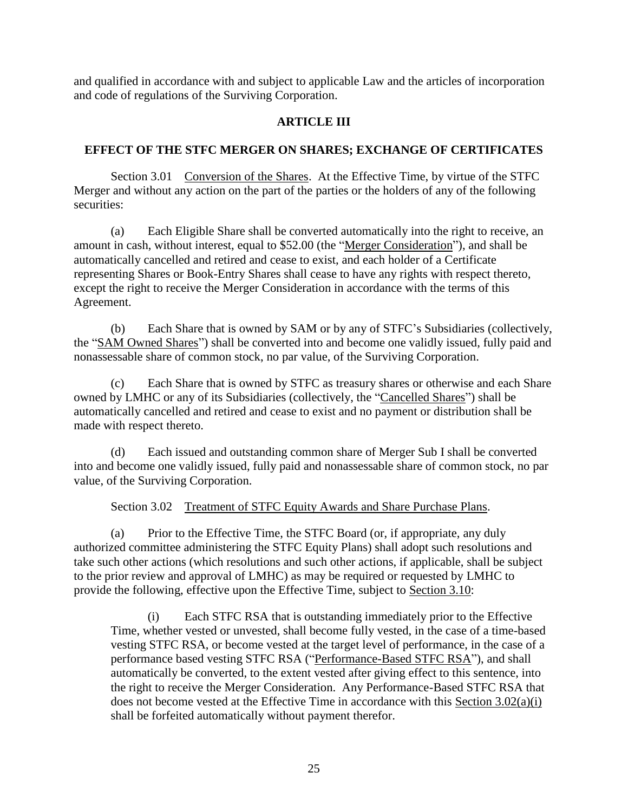and qualified in accordance with and subject to applicable Law and the articles of incorporation and code of regulations of the Surviving Corporation.

### **ARTICLE III**

### <span id="page-30-8"></span><span id="page-30-0"></span>**EFFECT OF THE STFC MERGER ON SHARES; EXCHANGE OF CERTIFICATES**

<span id="page-30-1"></span>Section 3.01 Conversion of the Shares. At the Effective Time, by virtue of the STFC Merger and without any action on the part of the parties or the holders of any of the following securities:

<span id="page-30-4"></span>(a) Each Eligible Share shall be converted automatically into the right to receive, an amount in cash, without interest, equal to \$52.00 (the "Merger Consideration"), and shall be automatically cancelled and retired and cease to exist, and each holder of a Certificate representing Shares or Book-Entry Shares shall cease to have any rights with respect thereto, except the right to receive the Merger Consideration in accordance with the terms of this Agreement.

<span id="page-30-6"></span>(b) Each Share that is owned by SAM or by any of STFC's Subsidiaries (collectively, the "SAM Owned Shares") shall be converted into and become one validly issued, fully paid and nonassessable share of common stock, no par value, of the Surviving Corporation.

<span id="page-30-3"></span>(c) Each Share that is owned by STFC as treasury shares or otherwise and each Share owned by LMHC or any of its Subsidiaries (collectively, the "Cancelled Shares") shall be automatically cancelled and retired and cease to exist and no payment or distribution shall be made with respect thereto.

(d) Each issued and outstanding common share of Merger Sub I shall be converted into and become one validly issued, fully paid and nonassessable share of common stock, no par value, of the Surviving Corporation.

Section 3.02 Treatment of STFC Equity Awards and Share Purchase Plans.

<span id="page-30-7"></span><span id="page-30-2"></span>(a) Prior to the Effective Time, the STFC Board (or, if appropriate, any duly authorized committee administering the STFC Equity Plans) shall adopt such resolutions and take such other actions (which resolutions and such other actions, if applicable, shall be subject to the prior review and approval of LMHC) as may be required or requested by LMHC to provide the following, effective upon the Effective Time, subject to Section [3.10:](#page-35-3)

<span id="page-30-5"></span>(i) Each STFC RSA that is outstanding immediately prior to the Effective Time, whether vested or unvested, shall become fully vested, in the case of a time-based vesting STFC RSA, or become vested at the target level of performance, in the case of a performance based vesting STFC RSA ("Performance-Based STFC RSA"), and shall automatically be converted, to the extent vested after giving effect to this sentence, into the right to receive the Merger Consideration. Any Performance-Based STFC RSA that does not become vested at the Effective Time in accordance with this Section [3.02\(a\)\(i\)](#page-30-5) shall be forfeited automatically without payment therefor.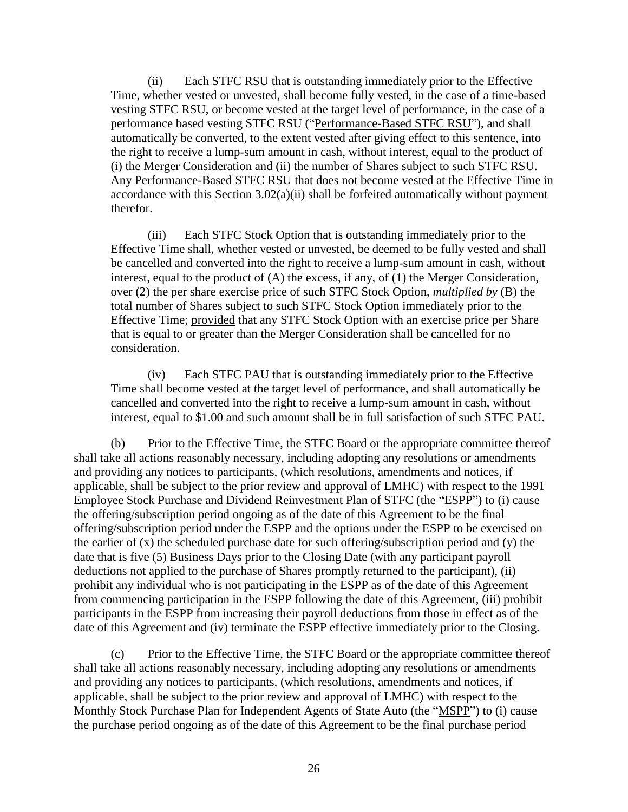<span id="page-31-2"></span>(ii) Each STFC RSU that is outstanding immediately prior to the Effective Time, whether vested or unvested, shall become fully vested, in the case of a time-based vesting STFC RSU, or become vested at the target level of performance, in the case of a performance based vesting STFC RSU ("Performance-Based STFC RSU"), and shall automatically be converted, to the extent vested after giving effect to this sentence, into the right to receive a lump-sum amount in cash, without interest, equal to the product of (i) the Merger Consideration and (ii) the number of Shares subject to such STFC RSU. Any Performance-Based STFC RSU that does not become vested at the Effective Time in accordance with this Section [3.02\(a\)\(ii\)](#page-31-2) shall be forfeited automatically without payment therefor.

(iii) Each STFC Stock Option that is outstanding immediately prior to the Effective Time shall, whether vested or unvested, be deemed to be fully vested and shall be cancelled and converted into the right to receive a lump-sum amount in cash, without interest, equal to the product of (A) the excess, if any, of (1) the Merger Consideration, over (2) the per share exercise price of such STFC Stock Option, *multiplied by* (B) the total number of Shares subject to such STFC Stock Option immediately prior to the Effective Time; provided that any STFC Stock Option with an exercise price per Share that is equal to or greater than the Merger Consideration shall be cancelled for no consideration.

(iv) Each STFC PAU that is outstanding immediately prior to the Effective Time shall become vested at the target level of performance, and shall automatically be cancelled and converted into the right to receive a lump-sum amount in cash, without interest, equal to \$1.00 and such amount shall be in full satisfaction of such STFC PAU.

<span id="page-31-0"></span>(b) Prior to the Effective Time, the STFC Board or the appropriate committee thereof shall take all actions reasonably necessary, including adopting any resolutions or amendments and providing any notices to participants, (which resolutions, amendments and notices, if applicable, shall be subject to the prior review and approval of LMHC) with respect to the 1991 Employee Stock Purchase and Dividend Reinvestment Plan of STFC (the "ESPP") to (i) cause the offering/subscription period ongoing as of the date of this Agreement to be the final offering/subscription period under the ESPP and the options under the ESPP to be exercised on the earlier of (x) the scheduled purchase date for such offering/subscription period and (y) the date that is five (5) Business Days prior to the Closing Date (with any participant payroll deductions not applied to the purchase of Shares promptly returned to the participant), (ii) prohibit any individual who is not participating in the ESPP as of the date of this Agreement from commencing participation in the ESPP following the date of this Agreement, (iii) prohibit participants in the ESPP from increasing their payroll deductions from those in effect as of the date of this Agreement and (iv) terminate the ESPP effective immediately prior to the Closing.

<span id="page-31-1"></span>(c) Prior to the Effective Time, the STFC Board or the appropriate committee thereof shall take all actions reasonably necessary, including adopting any resolutions or amendments and providing any notices to participants, (which resolutions, amendments and notices, if applicable, shall be subject to the prior review and approval of LMHC) with respect to the Monthly Stock Purchase Plan for Independent Agents of State Auto (the "MSPP") to (i) cause the purchase period ongoing as of the date of this Agreement to be the final purchase period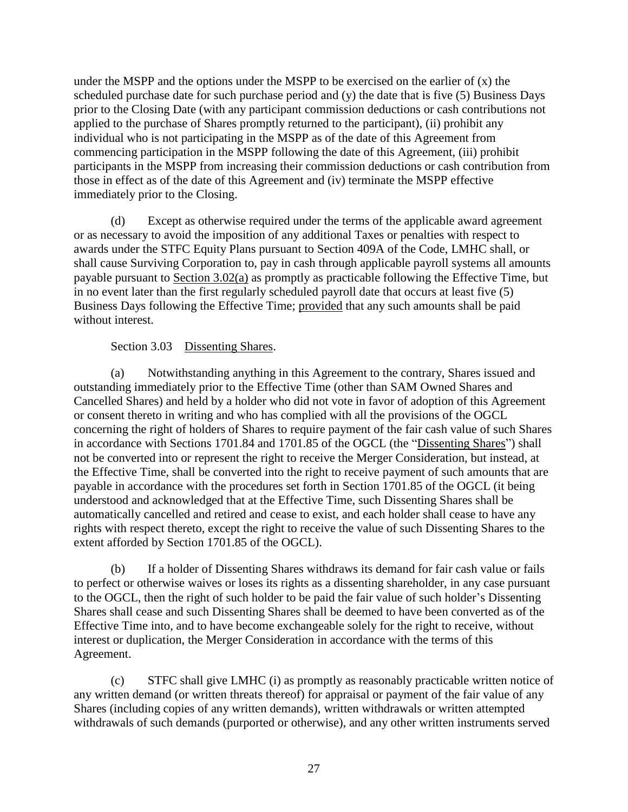under the MSPP and the options under the MSPP to be exercised on the earlier of  $(x)$  the scheduled purchase date for such purchase period and (y) the date that is five (5) Business Days prior to the Closing Date (with any participant commission deductions or cash contributions not applied to the purchase of Shares promptly returned to the participant), (ii) prohibit any individual who is not participating in the MSPP as of the date of this Agreement from commencing participation in the MSPP following the date of this Agreement, (iii) prohibit participants in the MSPP from increasing their commission deductions or cash contribution from those in effect as of the date of this Agreement and (iv) terminate the MSPP effective immediately prior to the Closing.

(d) Except as otherwise required under the terms of the applicable award agreement or as necessary to avoid the imposition of any additional Taxes or penalties with respect to awards under the STFC Equity Plans pursuant to Section 409A of the Code, LMHC shall, or shall cause Surviving Corporation to, pay in cash through applicable payroll systems all amounts payable pursuant to Section [3.02\(a\)](#page-30-7) as promptly as practicable following the Effective Time, but in no event later than the first regularly scheduled payroll date that occurs at least five (5) Business Days following the Effective Time; provided that any such amounts shall be paid without interest.

#### Section 3.03 Dissenting Shares.

<span id="page-32-1"></span><span id="page-32-0"></span>(a) Notwithstanding anything in this Agreement to the contrary, Shares issued and outstanding immediately prior to the Effective Time (other than SAM Owned Shares and Cancelled Shares) and held by a holder who did not vote in favor of adoption of this Agreement or consent thereto in writing and who has complied with all the provisions of the OGCL concerning the right of holders of Shares to require payment of the fair cash value of such Shares in accordance with Sections 1701.84 and 1701.85 of the OGCL (the "Dissenting Shares") shall not be converted into or represent the right to receive the Merger Consideration, but instead, at the Effective Time, shall be converted into the right to receive payment of such amounts that are payable in accordance with the procedures set forth in Section 1701.85 of the OGCL (it being understood and acknowledged that at the Effective Time, such Dissenting Shares shall be automatically cancelled and retired and cease to exist, and each holder shall cease to have any rights with respect thereto, except the right to receive the value of such Dissenting Shares to the extent afforded by Section 1701.85 of the OGCL).

(b) If a holder of Dissenting Shares withdraws its demand for fair cash value or fails to perfect or otherwise waives or loses its rights as a dissenting shareholder, in any case pursuant to the OGCL, then the right of such holder to be paid the fair value of such holder's Dissenting Shares shall cease and such Dissenting Shares shall be deemed to have been converted as of the Effective Time into, and to have become exchangeable solely for the right to receive, without interest or duplication, the Merger Consideration in accordance with the terms of this Agreement.

(c) STFC shall give LMHC (i) as promptly as reasonably practicable written notice of any written demand (or written threats thereof) for appraisal or payment of the fair value of any Shares (including copies of any written demands), written withdrawals or written attempted withdrawals of such demands (purported or otherwise), and any other written instruments served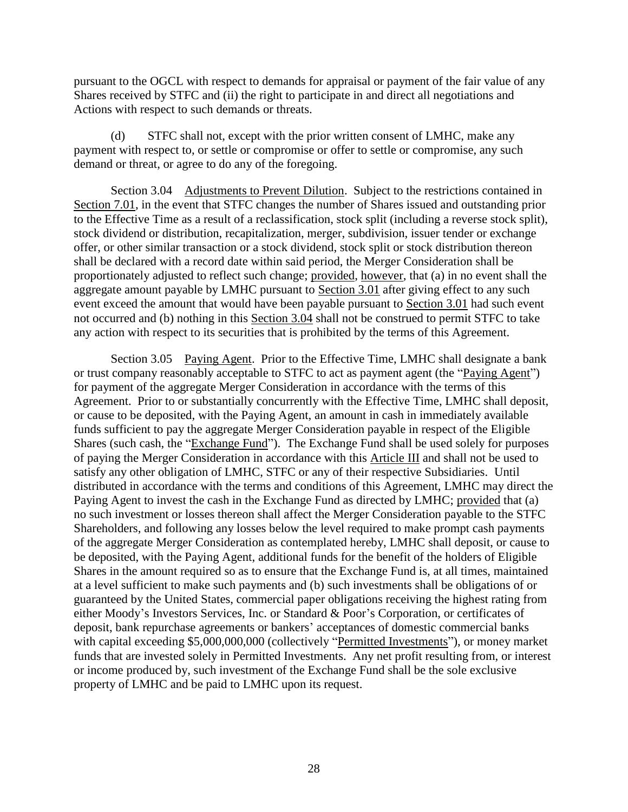pursuant to the OGCL with respect to demands for appraisal or payment of the fair value of any Shares received by STFC and (ii) the right to participate in and direct all negotiations and Actions with respect to such demands or threats.

(d) STFC shall not, except with the prior written consent of LMHC, make any payment with respect to, or settle or compromise or offer to settle or compromise, any such demand or threat, or agree to do any of the foregoing.

<span id="page-33-0"></span>Section 3.04 Adjustments to Prevent Dilution. Subject to the restrictions contained in Section [7.01,](#page-84-2) in the event that STFC changes the number of Shares issued and outstanding prior to the Effective Time as a result of a reclassification, stock split (including a reverse stock split), stock dividend or distribution, recapitalization, merger, subdivision, issuer tender or exchange offer, or other similar transaction or a stock dividend, stock split or stock distribution thereon shall be declared with a record date within said period, the Merger Consideration shall be proportionately adjusted to reflect such change; provided, however, that (a) in no event shall the aggregate amount payable by LMHC pursuant to Section [3.01](#page-30-1) after giving effect to any such event exceed the amount that would have been payable pursuant to Section [3.01](#page-30-1) had such event not occurred and (b) nothing in this Section [3.04](#page-33-0) shall not be construed to permit STFC to take any action with respect to its securities that is prohibited by the terms of this Agreement.

<span id="page-33-1"></span>Section 3.05 Paying Agent. Prior to the Effective Time, LMHC shall designate a bank or trust company reasonably acceptable to STFC to act as payment agent (the "Paying Agent") for payment of the aggregate Merger Consideration in accordance with the terms of this Agreement. Prior to or substantially concurrently with the Effective Time, LMHC shall deposit, or cause to be deposited, with the Paying Agent, an amount in cash in immediately available funds sufficient to pay the aggregate Merger Consideration payable in respect of the Eligible Shares (such cash, the "Exchange Fund"). The Exchange Fund shall be used solely for purposes of paying the Merger Consideration in accordance with this Article [III](#page-30-8) and shall not be used to satisfy any other obligation of LMHC, STFC or any of their respective Subsidiaries. Until distributed in accordance with the terms and conditions of this Agreement, LMHC may direct the Paying Agent to invest the cash in the Exchange Fund as directed by LMHC; provided that (a) no such investment or losses thereon shall affect the Merger Consideration payable to the STFC Shareholders, and following any losses below the level required to make prompt cash payments of the aggregate Merger Consideration as contemplated hereby, LMHC shall deposit, or cause to be deposited, with the Paying Agent, additional funds for the benefit of the holders of Eligible Shares in the amount required so as to ensure that the Exchange Fund is, at all times, maintained at a level sufficient to make such payments and (b) such investments shall be obligations of or guaranteed by the United States, commercial paper obligations receiving the highest rating from either Moody's Investors Services, Inc. or Standard & Poor's Corporation, or certificates of deposit, bank repurchase agreements or bankers' acceptances of domestic commercial banks with capital exceeding \$5,000,000,000 (collectively "Permitted Investments"), or money market funds that are invested solely in Permitted Investments. Any net profit resulting from, or interest or income produced by, such investment of the Exchange Fund shall be the sole exclusive property of LMHC and be paid to LMHC upon its request.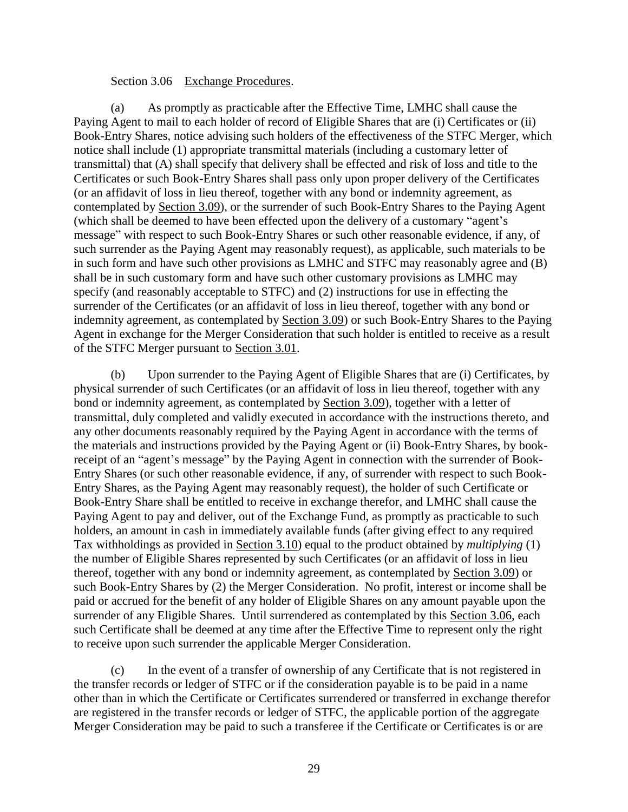#### Section 3.06 Exchange Procedures.

<span id="page-34-0"></span>(a) As promptly as practicable after the Effective Time, LMHC shall cause the Paying Agent to mail to each holder of record of Eligible Shares that are (i) Certificates or (ii) Book-Entry Shares, notice advising such holders of the effectiveness of the STFC Merger, which notice shall include (1) appropriate transmittal materials (including a customary letter of transmittal) that (A) shall specify that delivery shall be effected and risk of loss and title to the Certificates or such Book-Entry Shares shall pass only upon proper delivery of the Certificates (or an affidavit of loss in lieu thereof, together with any bond or indemnity agreement, as contemplated by Section [3.09\)](#page-35-2), or the surrender of such Book-Entry Shares to the Paying Agent (which shall be deemed to have been effected upon the delivery of a customary "agent's message" with respect to such Book-Entry Shares or such other reasonable evidence, if any, of such surrender as the Paying Agent may reasonably request), as applicable, such materials to be in such form and have such other provisions as LMHC and STFC may reasonably agree and (B) shall be in such customary form and have such other customary provisions as LMHC may specify (and reasonably acceptable to STFC) and (2) instructions for use in effecting the surrender of the Certificates (or an affidavit of loss in lieu thereof, together with any bond or indemnity agreement, as contemplated by Section [3.09\)](#page-35-2) or such Book-Entry Shares to the Paying Agent in exchange for the Merger Consideration that such holder is entitled to receive as a result of the STFC Merger pursuant to Section [3.01.](#page-30-1)

(b) Upon surrender to the Paying Agent of Eligible Shares that are (i) Certificates, by physical surrender of such Certificates (or an affidavit of loss in lieu thereof, together with any bond or indemnity agreement, as contemplated by Section [3.09\)](#page-35-2), together with a letter of transmittal, duly completed and validly executed in accordance with the instructions thereto, and any other documents reasonably required by the Paying Agent in accordance with the terms of the materials and instructions provided by the Paying Agent or (ii) Book-Entry Shares, by bookreceipt of an "agent's message" by the Paying Agent in connection with the surrender of Book-Entry Shares (or such other reasonable evidence, if any, of surrender with respect to such Book-Entry Shares, as the Paying Agent may reasonably request), the holder of such Certificate or Book-Entry Share shall be entitled to receive in exchange therefor, and LMHC shall cause the Paying Agent to pay and deliver, out of the Exchange Fund, as promptly as practicable to such holders, an amount in cash in immediately available funds (after giving effect to any required Tax withholdings as provided in Section [3.10\)](#page-35-3) equal to the product obtained by *multiplying* (1) the number of Eligible Shares represented by such Certificates (or an affidavit of loss in lieu thereof, together with any bond or indemnity agreement, as contemplated by Section [3.09\)](#page-35-2) or such Book-Entry Shares by (2) the Merger Consideration. No profit, interest or income shall be paid or accrued for the benefit of any holder of Eligible Shares on any amount payable upon the surrender of any Eligible Shares. Until surrendered as contemplated by this Section [3.06,](#page-34-0) each such Certificate shall be deemed at any time after the Effective Time to represent only the right to receive upon such surrender the applicable Merger Consideration.

(c) In the event of a transfer of ownership of any Certificate that is not registered in the transfer records or ledger of STFC or if the consideration payable is to be paid in a name other than in which the Certificate or Certificates surrendered or transferred in exchange therefor are registered in the transfer records or ledger of STFC, the applicable portion of the aggregate Merger Consideration may be paid to such a transferee if the Certificate or Certificates is or are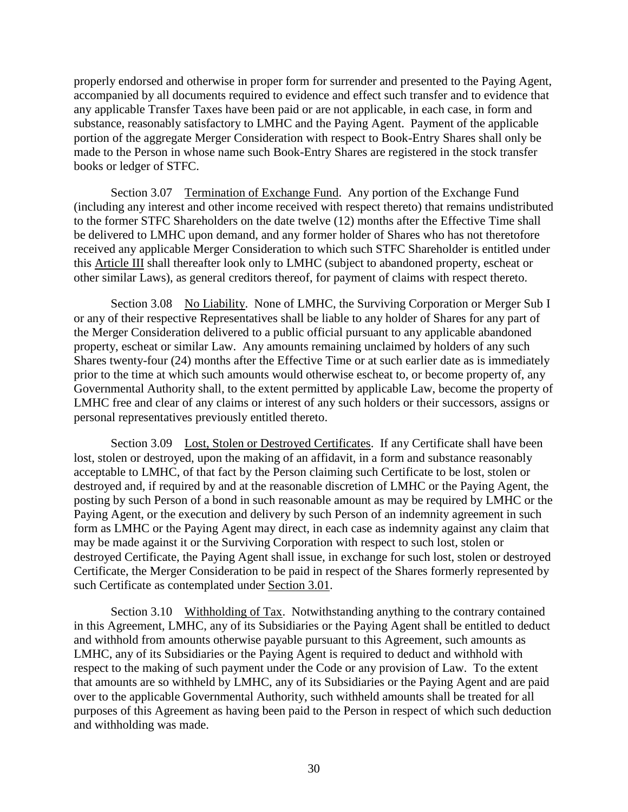properly endorsed and otherwise in proper form for surrender and presented to the Paying Agent, accompanied by all documents required to evidence and effect such transfer and to evidence that any applicable Transfer Taxes have been paid or are not applicable, in each case, in form and substance, reasonably satisfactory to LMHC and the Paying Agent. Payment of the applicable portion of the aggregate Merger Consideration with respect to Book-Entry Shares shall only be made to the Person in whose name such Book-Entry Shares are registered in the stock transfer books or ledger of STFC.

<span id="page-35-0"></span>Section 3.07 Termination of Exchange Fund. Any portion of the Exchange Fund (including any interest and other income received with respect thereto) that remains undistributed to the former STFC Shareholders on the date twelve (12) months after the Effective Time shall be delivered to LMHC upon demand, and any former holder of Shares who has not theretofore received any applicable Merger Consideration to which such STFC Shareholder is entitled under this Article [III](#page-30-8) shall thereafter look only to LMHC (subject to abandoned property, escheat or other similar Laws), as general creditors thereof, for payment of claims with respect thereto.

<span id="page-35-1"></span>Section 3.08 No Liability. None of LMHC, the Surviving Corporation or Merger Sub I or any of their respective Representatives shall be liable to any holder of Shares for any part of the Merger Consideration delivered to a public official pursuant to any applicable abandoned property, escheat or similar Law. Any amounts remaining unclaimed by holders of any such Shares twenty-four (24) months after the Effective Time or at such earlier date as is immediately prior to the time at which such amounts would otherwise escheat to, or become property of, any Governmental Authority shall, to the extent permitted by applicable Law, become the property of LMHC free and clear of any claims or interest of any such holders or their successors, assigns or personal representatives previously entitled thereto.

<span id="page-35-2"></span>Section 3.09 Lost, Stolen or Destroyed Certificates. If any Certificate shall have been lost, stolen or destroyed, upon the making of an affidavit, in a form and substance reasonably acceptable to LMHC, of that fact by the Person claiming such Certificate to be lost, stolen or destroyed and, if required by and at the reasonable discretion of LMHC or the Paying Agent, the posting by such Person of a bond in such reasonable amount as may be required by LMHC or the Paying Agent, or the execution and delivery by such Person of an indemnity agreement in such form as LMHC or the Paying Agent may direct, in each case as indemnity against any claim that may be made against it or the Surviving Corporation with respect to such lost, stolen or destroyed Certificate, the Paying Agent shall issue, in exchange for such lost, stolen or destroyed Certificate, the Merger Consideration to be paid in respect of the Shares formerly represented by such Certificate as contemplated under Section [3.01.](#page-30-1)

<span id="page-35-3"></span>Section 3.10 Withholding of Tax. Notwithstanding anything to the contrary contained in this Agreement, LMHC, any of its Subsidiaries or the Paying Agent shall be entitled to deduct and withhold from amounts otherwise payable pursuant to this Agreement, such amounts as LMHC, any of its Subsidiaries or the Paying Agent is required to deduct and withhold with respect to the making of such payment under the Code or any provision of Law. To the extent that amounts are so withheld by LMHC, any of its Subsidiaries or the Paying Agent and are paid over to the applicable Governmental Authority, such withheld amounts shall be treated for all purposes of this Agreement as having been paid to the Person in respect of which such deduction and withholding was made.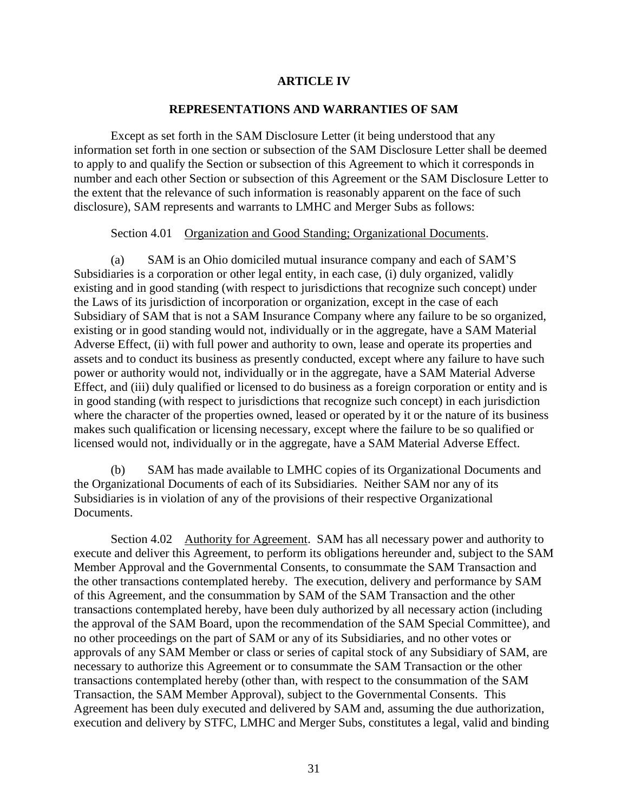#### **ARTICLE IV**

#### **REPRESENTATIONS AND WARRANTIES OF SAM**

Except as set forth in the SAM Disclosure Letter (it being understood that any information set forth in one section or subsection of the SAM Disclosure Letter shall be deemed to apply to and qualify the Section or subsection of this Agreement to which it corresponds in number and each other Section or subsection of this Agreement or the SAM Disclosure Letter to the extent that the relevance of such information is reasonably apparent on the face of such disclosure), SAM represents and warrants to LMHC and Merger Subs as follows:

#### Section 4.01 Organization and Good Standing; Organizational Documents.

(a) SAM is an Ohio domiciled mutual insurance company and each of SAM'S Subsidiaries is a corporation or other legal entity, in each case, (i) duly organized, validly existing and in good standing (with respect to jurisdictions that recognize such concept) under the Laws of its jurisdiction of incorporation or organization, except in the case of each Subsidiary of SAM that is not a SAM Insurance Company where any failure to be so organized, existing or in good standing would not, individually or in the aggregate, have a SAM Material Adverse Effect, (ii) with full power and authority to own, lease and operate its properties and assets and to conduct its business as presently conducted, except where any failure to have such power or authority would not, individually or in the aggregate, have a SAM Material Adverse Effect, and (iii) duly qualified or licensed to do business as a foreign corporation or entity and is in good standing (with respect to jurisdictions that recognize such concept) in each jurisdiction where the character of the properties owned, leased or operated by it or the nature of its business makes such qualification or licensing necessary, except where the failure to be so qualified or licensed would not, individually or in the aggregate, have a SAM Material Adverse Effect.

(b) SAM has made available to LMHC copies of its Organizational Documents and the Organizational Documents of each of its Subsidiaries. Neither SAM nor any of its Subsidiaries is in violation of any of the provisions of their respective Organizational Documents.

Section 4.02 Authority for Agreement. SAM has all necessary power and authority to execute and deliver this Agreement, to perform its obligations hereunder and, subject to the SAM Member Approval and the Governmental Consents, to consummate the SAM Transaction and the other transactions contemplated hereby. The execution, delivery and performance by SAM of this Agreement, and the consummation by SAM of the SAM Transaction and the other transactions contemplated hereby, have been duly authorized by all necessary action (including the approval of the SAM Board, upon the recommendation of the SAM Special Committee), and no other proceedings on the part of SAM or any of its Subsidiaries, and no other votes or approvals of any SAM Member or class or series of capital stock of any Subsidiary of SAM, are necessary to authorize this Agreement or to consummate the SAM Transaction or the other transactions contemplated hereby (other than, with respect to the consummation of the SAM Transaction, the SAM Member Approval), subject to the Governmental Consents. This Agreement has been duly executed and delivered by SAM and, assuming the due authorization, execution and delivery by STFC, LMHC and Merger Subs, constitutes a legal, valid and binding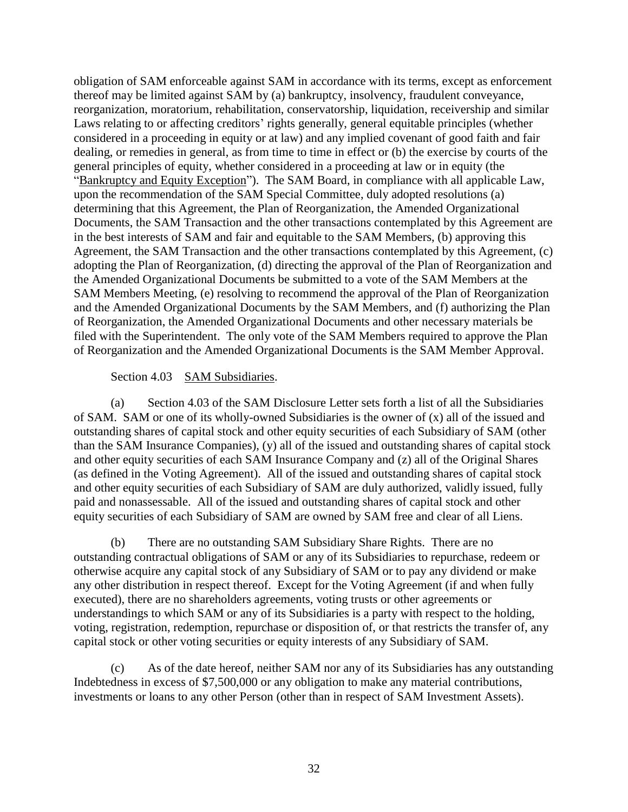obligation of SAM enforceable against SAM in accordance with its terms, except as enforcement thereof may be limited against SAM by (a) bankruptcy, insolvency, fraudulent conveyance, reorganization, moratorium, rehabilitation, conservatorship, liquidation, receivership and similar Laws relating to or affecting creditors' rights generally, general equitable principles (whether considered in a proceeding in equity or at law) and any implied covenant of good faith and fair dealing, or remedies in general, as from time to time in effect or (b) the exercise by courts of the general principles of equity, whether considered in a proceeding at law or in equity (the "Bankruptcy and Equity Exception"). The SAM Board, in compliance with all applicable Law, upon the recommendation of the SAM Special Committee, duly adopted resolutions (a) determining that this Agreement, the Plan of Reorganization, the Amended Organizational Documents, the SAM Transaction and the other transactions contemplated by this Agreement are in the best interests of SAM and fair and equitable to the SAM Members, (b) approving this Agreement, the SAM Transaction and the other transactions contemplated by this Agreement, (c) adopting the Plan of Reorganization, (d) directing the approval of the Plan of Reorganization and the Amended Organizational Documents be submitted to a vote of the SAM Members at the SAM Members Meeting, (e) resolving to recommend the approval of the Plan of Reorganization and the Amended Organizational Documents by the SAM Members, and (f) authorizing the Plan of Reorganization, the Amended Organizational Documents and other necessary materials be filed with the Superintendent. The only vote of the SAM Members required to approve the Plan of Reorganization and the Amended Organizational Documents is the SAM Member Approval.

#### Section 4.03 SAM Subsidiaries.

<span id="page-37-0"></span>(a) Section [4.03](#page-37-0) of the SAM Disclosure Letter sets forth a list of all the Subsidiaries of SAM. SAM or one of its wholly-owned Subsidiaries is the owner of (x) all of the issued and outstanding shares of capital stock and other equity securities of each Subsidiary of SAM (other than the SAM Insurance Companies), (y) all of the issued and outstanding shares of capital stock and other equity securities of each SAM Insurance Company and (z) all of the Original Shares (as defined in the Voting Agreement). All of the issued and outstanding shares of capital stock and other equity securities of each Subsidiary of SAM are duly authorized, validly issued, fully paid and nonassessable. All of the issued and outstanding shares of capital stock and other equity securities of each Subsidiary of SAM are owned by SAM free and clear of all Liens.

(b) There are no outstanding SAM Subsidiary Share Rights. There are no outstanding contractual obligations of SAM or any of its Subsidiaries to repurchase, redeem or otherwise acquire any capital stock of any Subsidiary of SAM or to pay any dividend or make any other distribution in respect thereof. Except for the Voting Agreement (if and when fully executed), there are no shareholders agreements, voting trusts or other agreements or understandings to which SAM or any of its Subsidiaries is a party with respect to the holding, voting, registration, redemption, repurchase or disposition of, or that restricts the transfer of, any capital stock or other voting securities or equity interests of any Subsidiary of SAM.

(c) As of the date hereof, neither SAM nor any of its Subsidiaries has any outstanding Indebtedness in excess of \$7,500,000 or any obligation to make any material contributions, investments or loans to any other Person (other than in respect of SAM Investment Assets).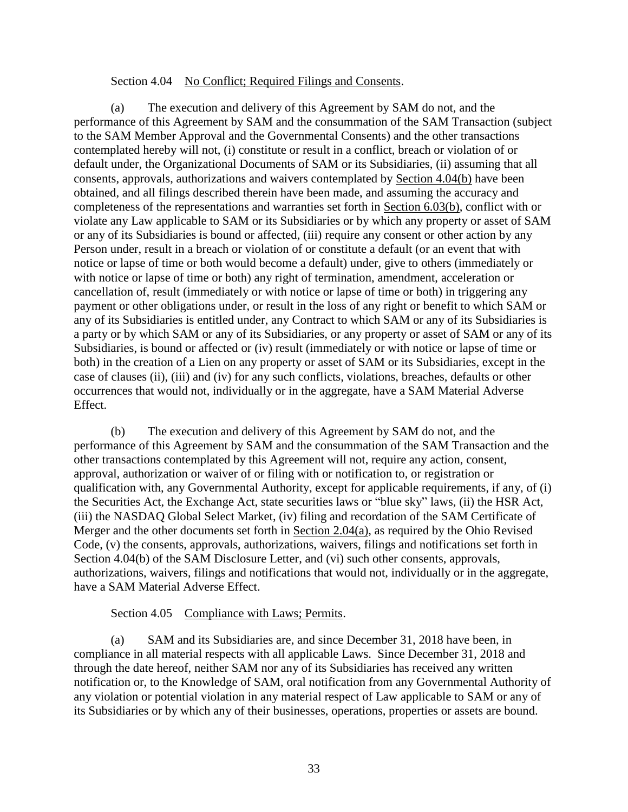#### Section 4.04 No Conflict; Required Filings and Consents.

(a) The execution and delivery of this Agreement by SAM do not, and the performance of this Agreement by SAM and the consummation of the SAM Transaction (subject to the SAM Member Approval and the Governmental Consents) and the other transactions contemplated hereby will not, (i) constitute or result in a conflict, breach or violation of or default under, the Organizational Documents of SAM or its Subsidiaries, (ii) assuming that all consents, approvals, authorizations and waivers contemplated by Section [4.04\(b\)](#page-38-0) have been obtained, and all filings described therein have been made, and assuming the accuracy and completeness of the representations and warranties set forth in Section [6.03\(b\),](#page-80-0) conflict with or violate any Law applicable to SAM or its Subsidiaries or by which any property or asset of SAM or any of its Subsidiaries is bound or affected, (iii) require any consent or other action by any Person under, result in a breach or violation of or constitute a default (or an event that with notice or lapse of time or both would become a default) under, give to others (immediately or with notice or lapse of time or both) any right of termination, amendment, acceleration or cancellation of, result (immediately or with notice or lapse of time or both) in triggering any payment or other obligations under, or result in the loss of any right or benefit to which SAM or any of its Subsidiaries is entitled under, any Contract to which SAM or any of its Subsidiaries is a party or by which SAM or any of its Subsidiaries, or any property or asset of SAM or any of its Subsidiaries, is bound or affected or (iv) result (immediately or with notice or lapse of time or both) in the creation of a Lien on any property or asset of SAM or its Subsidiaries, except in the case of clauses (ii), (iii) and (iv) for any such conflicts, violations, breaches, defaults or other occurrences that would not, individually or in the aggregate, have a SAM Material Adverse Effect.

<span id="page-38-0"></span>(b) The execution and delivery of this Agreement by SAM do not, and the performance of this Agreement by SAM and the consummation of the SAM Transaction and the other transactions contemplated by this Agreement will not, require any action, consent, approval, authorization or waiver of or filing with or notification to, or registration or qualification with, any Governmental Authority, except for applicable requirements, if any, of (i) the Securities Act, the Exchange Act, state securities laws or "blue sky" laws, (ii) the HSR Act, (iii) the NASDAQ Global Select Market, (iv) filing and recordation of the SAM Certificate of Merger and the other documents set forth in Section [2.04\(a\),](#page-28-0) as required by the Ohio Revised Code, (v) the consents, approvals, authorizations, waivers, filings and notifications set forth in Section [4.04\(b\)](#page-38-0) of the SAM Disclosure Letter, and (vi) such other consents, approvals, authorizations, waivers, filings and notifications that would not, individually or in the aggregate, have a SAM Material Adverse Effect.

## Section 4.05 Compliance with Laws; Permits.

(a) SAM and its Subsidiaries are, and since December 31, 2018 have been, in compliance in all material respects with all applicable Laws. Since December 31, 2018 and through the date hereof, neither SAM nor any of its Subsidiaries has received any written notification or, to the Knowledge of SAM, oral notification from any Governmental Authority of any violation or potential violation in any material respect of Law applicable to SAM or any of its Subsidiaries or by which any of their businesses, operations, properties or assets are bound.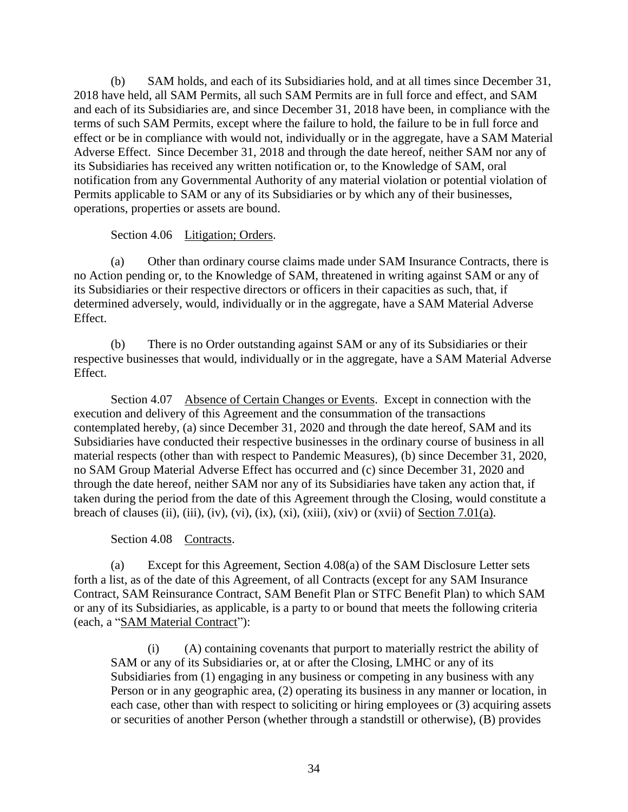(b) SAM holds, and each of its Subsidiaries hold, and at all times since December 31, 2018 have held, all SAM Permits, all such SAM Permits are in full force and effect, and SAM and each of its Subsidiaries are, and since December 31, 2018 have been, in compliance with the terms of such SAM Permits, except where the failure to hold, the failure to be in full force and effect or be in compliance with would not, individually or in the aggregate, have a SAM Material Adverse Effect. Since December 31, 2018 and through the date hereof, neither SAM nor any of its Subsidiaries has received any written notification or, to the Knowledge of SAM, oral notification from any Governmental Authority of any material violation or potential violation of Permits applicable to SAM or any of its Subsidiaries or by which any of their businesses, operations, properties or assets are bound.

## Section 4.06 Litigation; Orders.

(a) Other than ordinary course claims made under SAM Insurance Contracts, there is no Action pending or, to the Knowledge of SAM, threatened in writing against SAM or any of its Subsidiaries or their respective directors or officers in their capacities as such, that, if determined adversely, would, individually or in the aggregate, have a SAM Material Adverse Effect.

(b) There is no Order outstanding against SAM or any of its Subsidiaries or their respective businesses that would, individually or in the aggregate, have a SAM Material Adverse Effect.

Section 4.07 Absence of Certain Changes or Events. Except in connection with the execution and delivery of this Agreement and the consummation of the transactions contemplated hereby, (a) since December 31, 2020 and through the date hereof, SAM and its Subsidiaries have conducted their respective businesses in the ordinary course of business in all material respects (other than with respect to Pandemic Measures), (b) since December 31, 2020, no SAM Group Material Adverse Effect has occurred and (c) since December 31, 2020 and through the date hereof, neither SAM nor any of its Subsidiaries have taken any action that, if taken during the period from the date of this Agreement through the Closing, would constitute a breach of clauses (ii), (iii), (iv), (vi), (ix), (xii), (xiii), (xiv) or (xvii) of <u>Section 7.01(a</u>).

# Section 4.08 Contracts.

<span id="page-39-0"></span>(a) Except for this Agreement, Section [4.08\(a\)](#page-39-0) of the SAM Disclosure Letter sets forth a list, as of the date of this Agreement, of all Contracts (except for any SAM Insurance Contract, SAM Reinsurance Contract, SAM Benefit Plan or STFC Benefit Plan) to which SAM or any of its Subsidiaries, as applicable, is a party to or bound that meets the following criteria (each, a "SAM Material Contract"):

(i) (A) containing covenants that purport to materially restrict the ability of SAM or any of its Subsidiaries or, at or after the Closing, LMHC or any of its Subsidiaries from (1) engaging in any business or competing in any business with any Person or in any geographic area, (2) operating its business in any manner or location, in each case, other than with respect to soliciting or hiring employees or (3) acquiring assets or securities of another Person (whether through a standstill or otherwise), (B) provides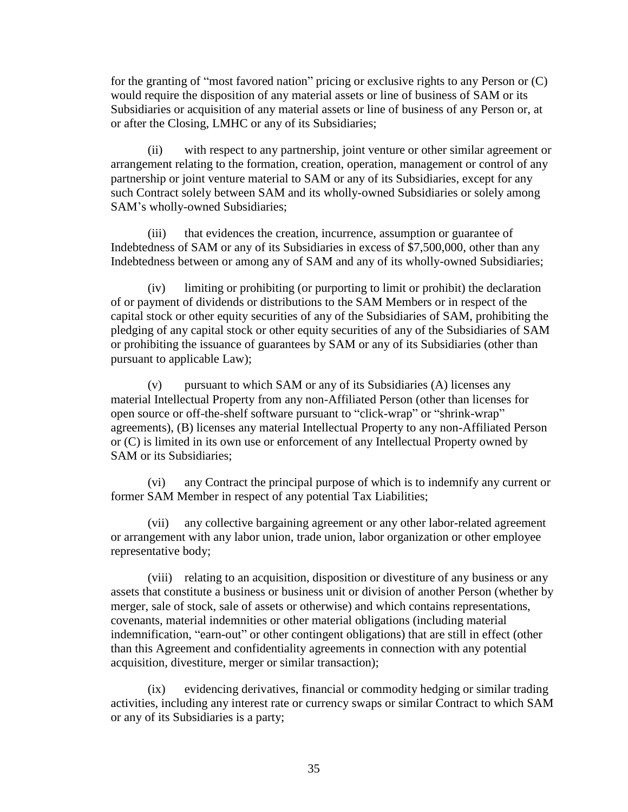for the granting of "most favored nation" pricing or exclusive rights to any Person or (C) would require the disposition of any material assets or line of business of SAM or its Subsidiaries or acquisition of any material assets or line of business of any Person or, at or after the Closing, LMHC or any of its Subsidiaries;

(ii) with respect to any partnership, joint venture or other similar agreement or arrangement relating to the formation, creation, operation, management or control of any partnership or joint venture material to SAM or any of its Subsidiaries, except for any such Contract solely between SAM and its wholly-owned Subsidiaries or solely among SAM's wholly-owned Subsidiaries;

(iii) that evidences the creation, incurrence, assumption or guarantee of Indebtedness of SAM or any of its Subsidiaries in excess of \$7,500,000, other than any Indebtedness between or among any of SAM and any of its wholly-owned Subsidiaries;

(iv) limiting or prohibiting (or purporting to limit or prohibit) the declaration of or payment of dividends or distributions to the SAM Members or in respect of the capital stock or other equity securities of any of the Subsidiaries of SAM, prohibiting the pledging of any capital stock or other equity securities of any of the Subsidiaries of SAM or prohibiting the issuance of guarantees by SAM or any of its Subsidiaries (other than pursuant to applicable Law);

(v) pursuant to which SAM or any of its Subsidiaries (A) licenses any material Intellectual Property from any non-Affiliated Person (other than licenses for open source or off-the-shelf software pursuant to "click-wrap" or "shrink-wrap" agreements), (B) licenses any material Intellectual Property to any non-Affiliated Person or (C) is limited in its own use or enforcement of any Intellectual Property owned by SAM or its Subsidiaries;

(vi) any Contract the principal purpose of which is to indemnify any current or former SAM Member in respect of any potential Tax Liabilities;

(vii) any collective bargaining agreement or any other labor-related agreement or arrangement with any labor union, trade union, labor organization or other employee representative body;

(viii) relating to an acquisition, disposition or divestiture of any business or any assets that constitute a business or business unit or division of another Person (whether by merger, sale of stock, sale of assets or otherwise) and which contains representations, covenants, material indemnities or other material obligations (including material indemnification, "earn-out" or other contingent obligations) that are still in effect (other than this Agreement and confidentiality agreements in connection with any potential acquisition, divestiture, merger or similar transaction);

(ix) evidencing derivatives, financial or commodity hedging or similar trading activities, including any interest rate or currency swaps or similar Contract to which SAM or any of its Subsidiaries is a party;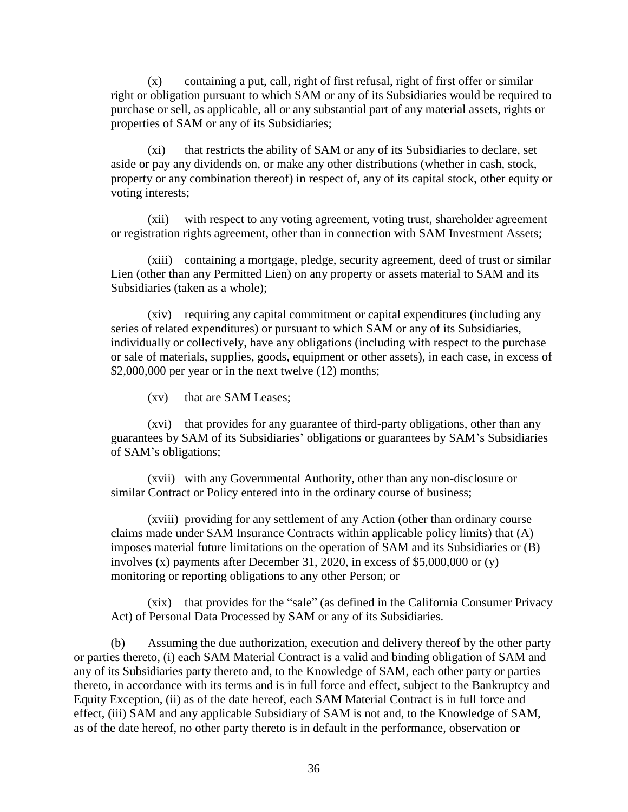(x) containing a put, call, right of first refusal, right of first offer or similar right or obligation pursuant to which SAM or any of its Subsidiaries would be required to purchase or sell, as applicable, all or any substantial part of any material assets, rights or properties of SAM or any of its Subsidiaries;

(xi) that restricts the ability of SAM or any of its Subsidiaries to declare, set aside or pay any dividends on, or make any other distributions (whether in cash, stock, property or any combination thereof) in respect of, any of its capital stock, other equity or voting interests;

(xii) with respect to any voting agreement, voting trust, shareholder agreement or registration rights agreement, other than in connection with SAM Investment Assets;

(xiii) containing a mortgage, pledge, security agreement, deed of trust or similar Lien (other than any Permitted Lien) on any property or assets material to SAM and its Subsidiaries (taken as a whole);

(xiv) requiring any capital commitment or capital expenditures (including any series of related expenditures) or pursuant to which SAM or any of its Subsidiaries, individually or collectively, have any obligations (including with respect to the purchase or sale of materials, supplies, goods, equipment or other assets), in each case, in excess of \$2,000,000 per year or in the next twelve (12) months;

(xv) that are SAM Leases;

(xvi) that provides for any guarantee of third-party obligations, other than any guarantees by SAM of its Subsidiaries' obligations or guarantees by SAM's Subsidiaries of SAM's obligations;

(xvii) with any Governmental Authority, other than any non-disclosure or similar Contract or Policy entered into in the ordinary course of business;

(xviii) providing for any settlement of any Action (other than ordinary course claims made under SAM Insurance Contracts within applicable policy limits) that (A) imposes material future limitations on the operation of SAM and its Subsidiaries or (B) involves  $(x)$  payments after December 31, 2020, in excess of \$5,000,000 or  $(y)$ monitoring or reporting obligations to any other Person; or

(xix) that provides for the "sale" (as defined in the California Consumer Privacy Act) of Personal Data Processed by SAM or any of its Subsidiaries.

(b) Assuming the due authorization, execution and delivery thereof by the other party or parties thereto, (i) each SAM Material Contract is a valid and binding obligation of SAM and any of its Subsidiaries party thereto and, to the Knowledge of SAM, each other party or parties thereto, in accordance with its terms and is in full force and effect, subject to the Bankruptcy and Equity Exception, (ii) as of the date hereof, each SAM Material Contract is in full force and effect, (iii) SAM and any applicable Subsidiary of SAM is not and, to the Knowledge of SAM, as of the date hereof, no other party thereto is in default in the performance, observation or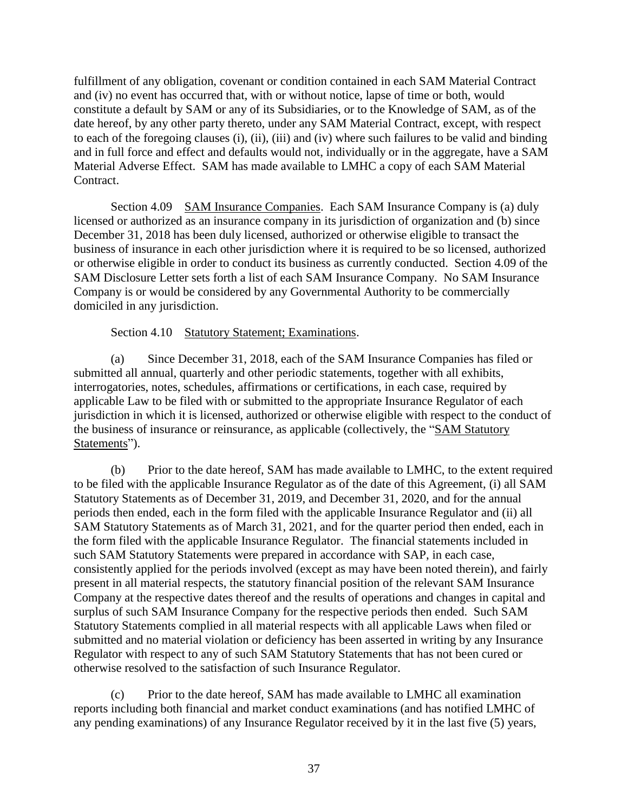fulfillment of any obligation, covenant or condition contained in each SAM Material Contract and (iv) no event has occurred that, with or without notice, lapse of time or both, would constitute a default by SAM or any of its Subsidiaries, or to the Knowledge of SAM, as of the date hereof, by any other party thereto, under any SAM Material Contract, except, with respect to each of the foregoing clauses (i), (ii), (iii) and (iv) where such failures to be valid and binding and in full force and effect and defaults would not, individually or in the aggregate, have a SAM Material Adverse Effect. SAM has made available to LMHC a copy of each SAM Material Contract.

<span id="page-42-0"></span>Section 4.09 SAM Insurance Companies. Each SAM Insurance Company is (a) duly licensed or authorized as an insurance company in its jurisdiction of organization and (b) since December 31, 2018 has been duly licensed, authorized or otherwise eligible to transact the business of insurance in each other jurisdiction where it is required to be so licensed, authorized or otherwise eligible in order to conduct its business as currently conducted. Section [4.09](#page-42-0) of the SAM Disclosure Letter sets forth a list of each SAM Insurance Company. No SAM Insurance Company is or would be considered by any Governmental Authority to be commercially domiciled in any jurisdiction.

Section 4.10 Statutory Statement; Examinations.

(a) Since December 31, 2018, each of the SAM Insurance Companies has filed or submitted all annual, quarterly and other periodic statements, together with all exhibits, interrogatories, notes, schedules, affirmations or certifications, in each case, required by applicable Law to be filed with or submitted to the appropriate Insurance Regulator of each jurisdiction in which it is licensed, authorized or otherwise eligible with respect to the conduct of the business of insurance or reinsurance, as applicable (collectively, the "SAM Statutory Statements").

(b) Prior to the date hereof, SAM has made available to LMHC, to the extent required to be filed with the applicable Insurance Regulator as of the date of this Agreement, (i) all SAM Statutory Statements as of December 31, 2019, and December 31, 2020, and for the annual periods then ended, each in the form filed with the applicable Insurance Regulator and (ii) all SAM Statutory Statements as of March 31, 2021, and for the quarter period then ended, each in the form filed with the applicable Insurance Regulator. The financial statements included in such SAM Statutory Statements were prepared in accordance with SAP, in each case, consistently applied for the periods involved (except as may have been noted therein), and fairly present in all material respects, the statutory financial position of the relevant SAM Insurance Company at the respective dates thereof and the results of operations and changes in capital and surplus of such SAM Insurance Company for the respective periods then ended. Such SAM Statutory Statements complied in all material respects with all applicable Laws when filed or submitted and no material violation or deficiency has been asserted in writing by any Insurance Regulator with respect to any of such SAM Statutory Statements that has not been cured or otherwise resolved to the satisfaction of such Insurance Regulator.

(c) Prior to the date hereof, SAM has made available to LMHC all examination reports including both financial and market conduct examinations (and has notified LMHC of any pending examinations) of any Insurance Regulator received by it in the last five (5) years,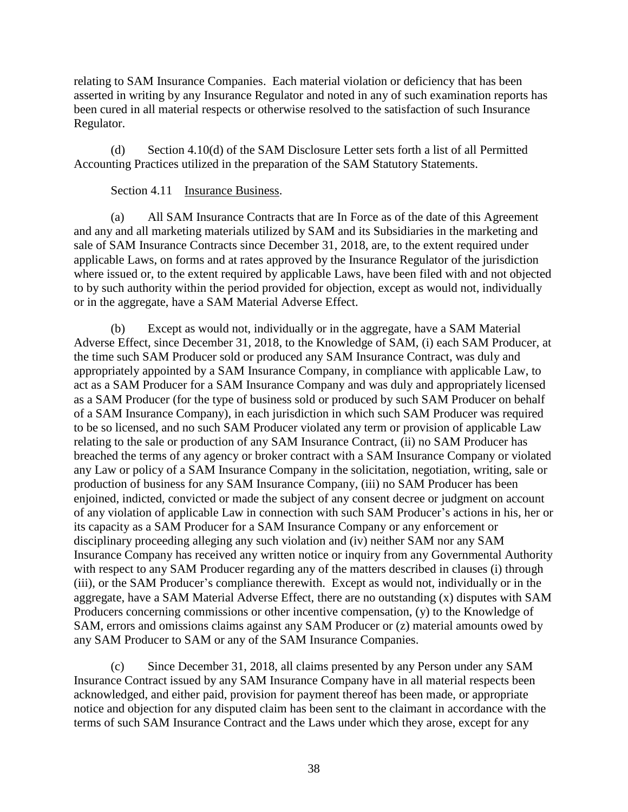relating to SAM Insurance Companies. Each material violation or deficiency that has been asserted in writing by any Insurance Regulator and noted in any of such examination reports has been cured in all material respects or otherwise resolved to the satisfaction of such Insurance Regulator.

<span id="page-43-0"></span>(d) Section [4.10\(d\)](#page-43-0) of the SAM Disclosure Letter sets forth a list of all Permitted Accounting Practices utilized in the preparation of the SAM Statutory Statements.

## Section 4.11 Insurance Business.

(a) All SAM Insurance Contracts that are In Force as of the date of this Agreement and any and all marketing materials utilized by SAM and its Subsidiaries in the marketing and sale of SAM Insurance Contracts since December 31, 2018, are, to the extent required under applicable Laws, on forms and at rates approved by the Insurance Regulator of the jurisdiction where issued or, to the extent required by applicable Laws, have been filed with and not objected to by such authority within the period provided for objection, except as would not, individually or in the aggregate, have a SAM Material Adverse Effect.

(b) Except as would not, individually or in the aggregate, have a SAM Material Adverse Effect, since December 31, 2018, to the Knowledge of SAM, (i) each SAM Producer, at the time such SAM Producer sold or produced any SAM Insurance Contract, was duly and appropriately appointed by a SAM Insurance Company, in compliance with applicable Law, to act as a SAM Producer for a SAM Insurance Company and was duly and appropriately licensed as a SAM Producer (for the type of business sold or produced by such SAM Producer on behalf of a SAM Insurance Company), in each jurisdiction in which such SAM Producer was required to be so licensed, and no such SAM Producer violated any term or provision of applicable Law relating to the sale or production of any SAM Insurance Contract, (ii) no SAM Producer has breached the terms of any agency or broker contract with a SAM Insurance Company or violated any Law or policy of a SAM Insurance Company in the solicitation, negotiation, writing, sale or production of business for any SAM Insurance Company, (iii) no SAM Producer has been enjoined, indicted, convicted or made the subject of any consent decree or judgment on account of any violation of applicable Law in connection with such SAM Producer's actions in his, her or its capacity as a SAM Producer for a SAM Insurance Company or any enforcement or disciplinary proceeding alleging any such violation and (iv) neither SAM nor any SAM Insurance Company has received any written notice or inquiry from any Governmental Authority with respect to any SAM Producer regarding any of the matters described in clauses (i) through (iii), or the SAM Producer's compliance therewith. Except as would not, individually or in the aggregate, have a SAM Material Adverse Effect, there are no outstanding (x) disputes with SAM Producers concerning commissions or other incentive compensation, (y) to the Knowledge of SAM, errors and omissions claims against any SAM Producer or (z) material amounts owed by any SAM Producer to SAM or any of the SAM Insurance Companies.

(c) Since December 31, 2018, all claims presented by any Person under any SAM Insurance Contract issued by any SAM Insurance Company have in all material respects been acknowledged, and either paid, provision for payment thereof has been made, or appropriate notice and objection for any disputed claim has been sent to the claimant in accordance with the terms of such SAM Insurance Contract and the Laws under which they arose, except for any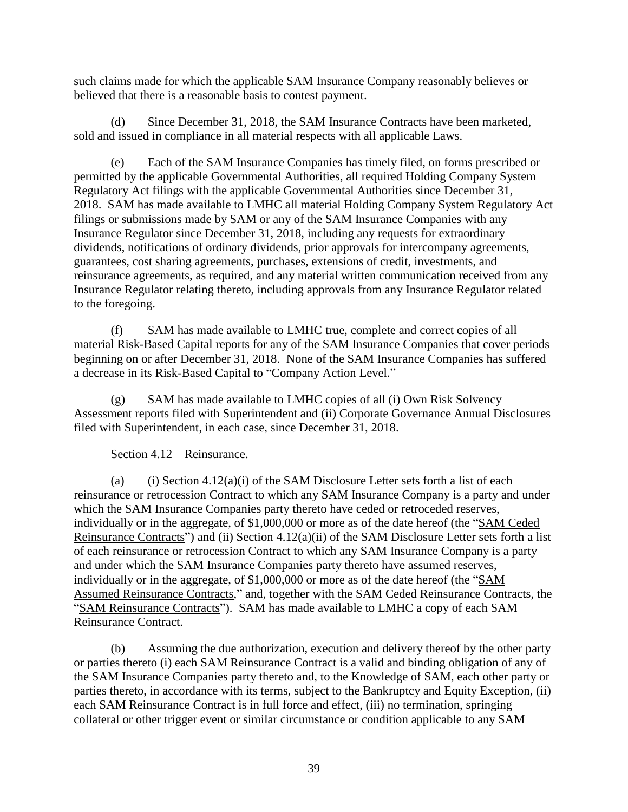such claims made for which the applicable SAM Insurance Company reasonably believes or believed that there is a reasonable basis to contest payment.

(d) Since December 31, 2018, the SAM Insurance Contracts have been marketed, sold and issued in compliance in all material respects with all applicable Laws.

(e) Each of the SAM Insurance Companies has timely filed, on forms prescribed or permitted by the applicable Governmental Authorities, all required Holding Company System Regulatory Act filings with the applicable Governmental Authorities since December 31, 2018. SAM has made available to LMHC all material Holding Company System Regulatory Act filings or submissions made by SAM or any of the SAM Insurance Companies with any Insurance Regulator since December 31, 2018, including any requests for extraordinary dividends, notifications of ordinary dividends, prior approvals for intercompany agreements, guarantees, cost sharing agreements, purchases, extensions of credit, investments, and reinsurance agreements, as required, and any material written communication received from any Insurance Regulator relating thereto, including approvals from any Insurance Regulator related to the foregoing.

(f) SAM has made available to LMHC true, complete and correct copies of all material Risk-Based Capital reports for any of the SAM Insurance Companies that cover periods beginning on or after December 31, 2018. None of the SAM Insurance Companies has suffered a decrease in its Risk-Based Capital to "Company Action Level."

(g) SAM has made available to LMHC copies of all (i) Own Risk Solvency Assessment reports filed with Superintendent and (ii) Corporate Governance Annual Disclosures filed with Superintendent, in each case, since December 31, 2018.

# Section 4.12 Reinsurance.

<span id="page-44-0"></span>(a) (i) Section  $4.12(a)(i)$  of the SAM Disclosure Letter sets forth a list of each reinsurance or retrocession Contract to which any SAM Insurance Company is a party and under which the SAM Insurance Companies party thereto have ceded or retroceded reserves, individually or in the aggregate, of \$1,000,000 or more as of the date hereof (the "SAM Ceded Reinsurance Contracts") and (ii) Section [4.12\(a\)\(](#page-44-0)ii) of the SAM Disclosure Letter sets forth a list of each reinsurance or retrocession Contract to which any SAM Insurance Company is a party and under which the SAM Insurance Companies party thereto have assumed reserves, individually or in the aggregate, of \$1,000,000 or more as of the date hereof (the "SAM Assumed Reinsurance Contracts," and, together with the SAM Ceded Reinsurance Contracts, the "SAM Reinsurance Contracts"). SAM has made available to LMHC a copy of each SAM Reinsurance Contract.

(b) Assuming the due authorization, execution and delivery thereof by the other party or parties thereto (i) each SAM Reinsurance Contract is a valid and binding obligation of any of the SAM Insurance Companies party thereto and, to the Knowledge of SAM, each other party or parties thereto, in accordance with its terms, subject to the Bankruptcy and Equity Exception, (ii) each SAM Reinsurance Contract is in full force and effect, (iii) no termination, springing collateral or other trigger event or similar circumstance or condition applicable to any SAM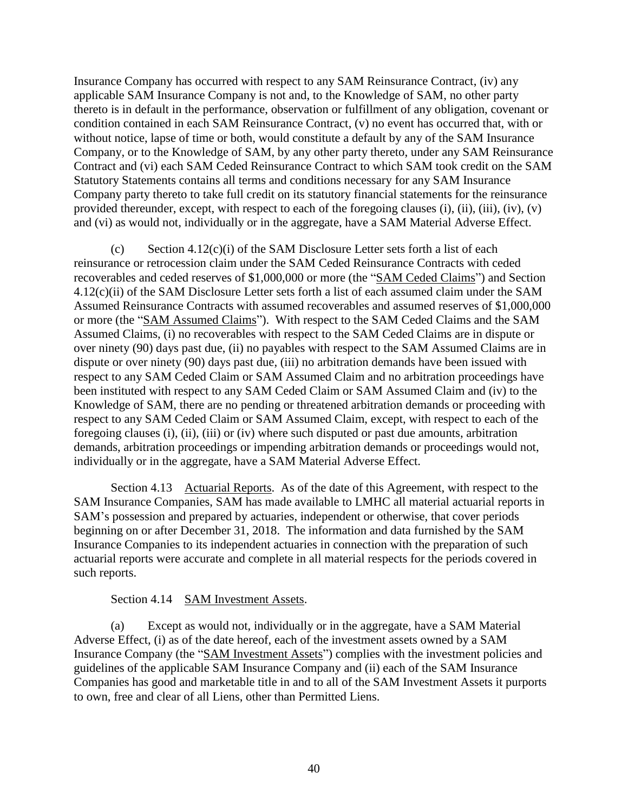Insurance Company has occurred with respect to any SAM Reinsurance Contract, (iv) any applicable SAM Insurance Company is not and, to the Knowledge of SAM, no other party thereto is in default in the performance, observation or fulfillment of any obligation, covenant or condition contained in each SAM Reinsurance Contract, (v) no event has occurred that, with or without notice, lapse of time or both, would constitute a default by any of the SAM Insurance Company, or to the Knowledge of SAM, by any other party thereto, under any SAM Reinsurance Contract and (vi) each SAM Ceded Reinsurance Contract to which SAM took credit on the SAM Statutory Statements contains all terms and conditions necessary for any SAM Insurance Company party thereto to take full credit on its statutory financial statements for the reinsurance provided thereunder, except, with respect to each of the foregoing clauses (i), (ii), (iii), (iv), (v) and (vi) as would not, individually or in the aggregate, have a SAM Material Adverse Effect.

<span id="page-45-0"></span>(c) Section  $4.12(c)(i)$  of the SAM Disclosure Letter sets forth a list of each reinsurance or retrocession claim under the SAM Ceded Reinsurance Contracts with ceded recoverables and ceded reserves of \$1,000,000 or more (the "SAM Ceded Claims") and Section [4.12\(c\)\(](#page-45-0)ii) of the SAM Disclosure Letter sets forth a list of each assumed claim under the SAM Assumed Reinsurance Contracts with assumed recoverables and assumed reserves of \$1,000,000 or more (the "SAM Assumed Claims"). With respect to the SAM Ceded Claims and the SAM Assumed Claims, (i) no recoverables with respect to the SAM Ceded Claims are in dispute or over ninety (90) days past due, (ii) no payables with respect to the SAM Assumed Claims are in dispute or over ninety (90) days past due, (iii) no arbitration demands have been issued with respect to any SAM Ceded Claim or SAM Assumed Claim and no arbitration proceedings have been instituted with respect to any SAM Ceded Claim or SAM Assumed Claim and (iv) to the Knowledge of SAM, there are no pending or threatened arbitration demands or proceeding with respect to any SAM Ceded Claim or SAM Assumed Claim, except, with respect to each of the foregoing clauses (i), (ii), (iii) or (iv) where such disputed or past due amounts, arbitration demands, arbitration proceedings or impending arbitration demands or proceedings would not, individually or in the aggregate, have a SAM Material Adverse Effect.

Section 4.13 Actuarial Reports. As of the date of this Agreement, with respect to the SAM Insurance Companies, SAM has made available to LMHC all material actuarial reports in SAM's possession and prepared by actuaries, independent or otherwise, that cover periods beginning on or after December 31, 2018. The information and data furnished by the SAM Insurance Companies to its independent actuaries in connection with the preparation of such actuarial reports were accurate and complete in all material respects for the periods covered in such reports.

## Section 4.14 SAM Investment Assets.

(a) Except as would not, individually or in the aggregate, have a SAM Material Adverse Effect, (i) as of the date hereof, each of the investment assets owned by a SAM Insurance Company (the "SAM Investment Assets") complies with the investment policies and guidelines of the applicable SAM Insurance Company and (ii) each of the SAM Insurance Companies has good and marketable title in and to all of the SAM Investment Assets it purports to own, free and clear of all Liens, other than Permitted Liens.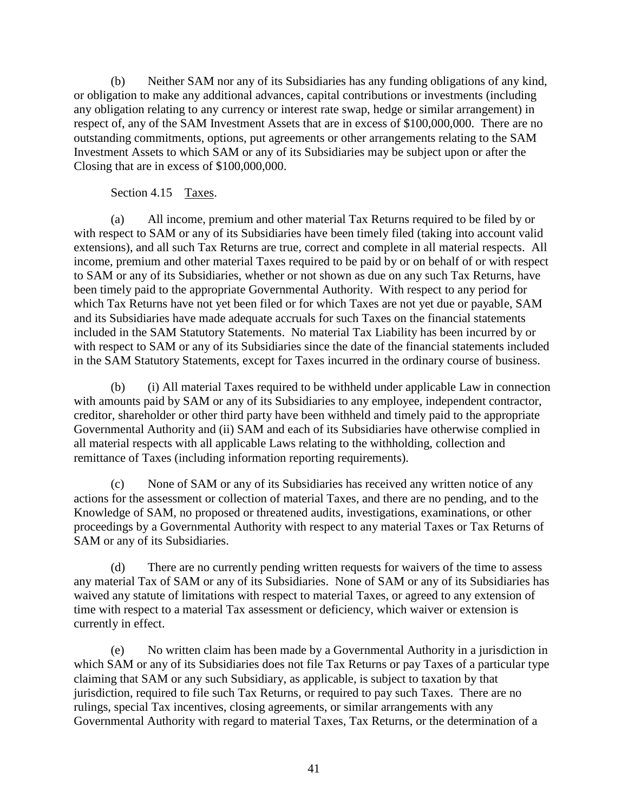(b) Neither SAM nor any of its Subsidiaries has any funding obligations of any kind, or obligation to make any additional advances, capital contributions or investments (including any obligation relating to any currency or interest rate swap, hedge or similar arrangement) in respect of, any of the SAM Investment Assets that are in excess of \$100,000,000. There are no outstanding commitments, options, put agreements or other arrangements relating to the SAM Investment Assets to which SAM or any of its Subsidiaries may be subject upon or after the Closing that are in excess of \$100,000,000.

## Section 4.15 Taxes.

(a) All income, premium and other material Tax Returns required to be filed by or with respect to SAM or any of its Subsidiaries have been timely filed (taking into account valid extensions), and all such Tax Returns are true, correct and complete in all material respects. All income, premium and other material Taxes required to be paid by or on behalf of or with respect to SAM or any of its Subsidiaries, whether or not shown as due on any such Tax Returns, have been timely paid to the appropriate Governmental Authority. With respect to any period for which Tax Returns have not yet been filed or for which Taxes are not yet due or payable, SAM and its Subsidiaries have made adequate accruals for such Taxes on the financial statements included in the SAM Statutory Statements. No material Tax Liability has been incurred by or with respect to SAM or any of its Subsidiaries since the date of the financial statements included in the SAM Statutory Statements, except for Taxes incurred in the ordinary course of business.

(b) (i) All material Taxes required to be withheld under applicable Law in connection with amounts paid by SAM or any of its Subsidiaries to any employee, independent contractor, creditor, shareholder or other third party have been withheld and timely paid to the appropriate Governmental Authority and (ii) SAM and each of its Subsidiaries have otherwise complied in all material respects with all applicable Laws relating to the withholding, collection and remittance of Taxes (including information reporting requirements).

(c) None of SAM or any of its Subsidiaries has received any written notice of any actions for the assessment or collection of material Taxes, and there are no pending, and to the Knowledge of SAM, no proposed or threatened audits, investigations, examinations, or other proceedings by a Governmental Authority with respect to any material Taxes or Tax Returns of SAM or any of its Subsidiaries.

(d) There are no currently pending written requests for waivers of the time to assess any material Tax of SAM or any of its Subsidiaries. None of SAM or any of its Subsidiaries has waived any statute of limitations with respect to material Taxes, or agreed to any extension of time with respect to a material Tax assessment or deficiency, which waiver or extension is currently in effect.

(e) No written claim has been made by a Governmental Authority in a jurisdiction in which SAM or any of its Subsidiaries does not file Tax Returns or pay Taxes of a particular type claiming that SAM or any such Subsidiary, as applicable, is subject to taxation by that jurisdiction, required to file such Tax Returns, or required to pay such Taxes. There are no rulings, special Tax incentives, closing agreements, or similar arrangements with any Governmental Authority with regard to material Taxes, Tax Returns, or the determination of a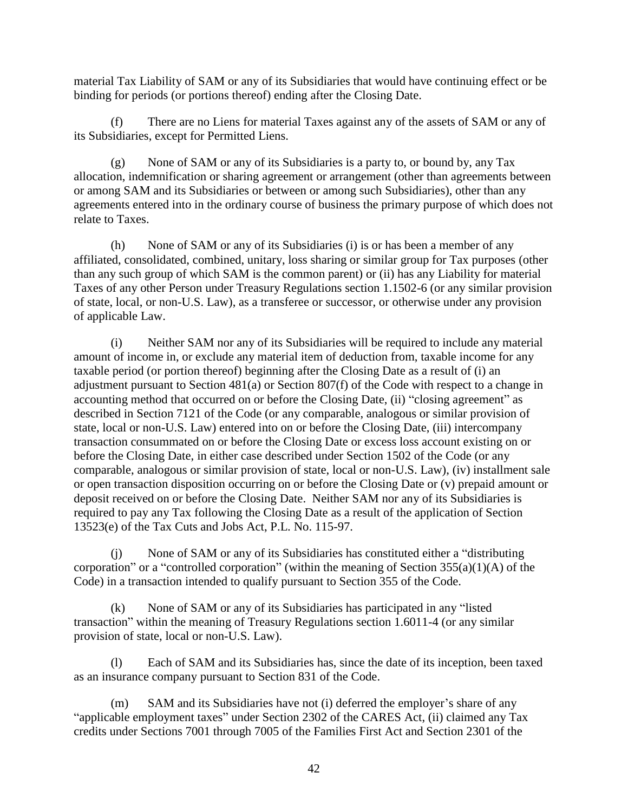material Tax Liability of SAM or any of its Subsidiaries that would have continuing effect or be binding for periods (or portions thereof) ending after the Closing Date.

(f) There are no Liens for material Taxes against any of the assets of SAM or any of its Subsidiaries, except for Permitted Liens.

(g) None of SAM or any of its Subsidiaries is a party to, or bound by, any Tax allocation, indemnification or sharing agreement or arrangement (other than agreements between or among SAM and its Subsidiaries or between or among such Subsidiaries), other than any agreements entered into in the ordinary course of business the primary purpose of which does not relate to Taxes.

(h) None of SAM or any of its Subsidiaries (i) is or has been a member of any affiliated, consolidated, combined, unitary, loss sharing or similar group for Tax purposes (other than any such group of which SAM is the common parent) or (ii) has any Liability for material Taxes of any other Person under Treasury Regulations section 1.1502-6 (or any similar provision of state, local, or non-U.S. Law), as a transferee or successor, or otherwise under any provision of applicable Law.

(i) Neither SAM nor any of its Subsidiaries will be required to include any material amount of income in, or exclude any material item of deduction from, taxable income for any taxable period (or portion thereof) beginning after the Closing Date as a result of (i) an adjustment pursuant to Section 481(a) or Section 807(f) of the Code with respect to a change in accounting method that occurred on or before the Closing Date, (ii) "closing agreement" as described in Section 7121 of the Code (or any comparable, analogous or similar provision of state, local or non-U.S. Law) entered into on or before the Closing Date, (iii) intercompany transaction consummated on or before the Closing Date or excess loss account existing on or before the Closing Date, in either case described under Section 1502 of the Code (or any comparable, analogous or similar provision of state, local or non-U.S. Law), (iv) installment sale or open transaction disposition occurring on or before the Closing Date or (v) prepaid amount or deposit received on or before the Closing Date. Neither SAM nor any of its Subsidiaries is required to pay any Tax following the Closing Date as a result of the application of Section 13523(e) of the Tax Cuts and Jobs Act, P.L. No. 115-97.

(j) None of SAM or any of its Subsidiaries has constituted either a "distributing corporation" or a "controlled corporation" (within the meaning of Section  $355(a)(1)(A)$  of the Code) in a transaction intended to qualify pursuant to Section 355 of the Code.

(k) None of SAM or any of its Subsidiaries has participated in any "listed transaction" within the meaning of Treasury Regulations section 1.6011-4 (or any similar provision of state, local or non-U.S. Law).

(l) Each of SAM and its Subsidiaries has, since the date of its inception, been taxed as an insurance company pursuant to Section 831 of the Code.

(m) SAM and its Subsidiaries have not (i) deferred the employer's share of any "applicable employment taxes" under Section 2302 of the CARES Act, (ii) claimed any Tax credits under Sections 7001 through 7005 of the Families First Act and Section 2301 of the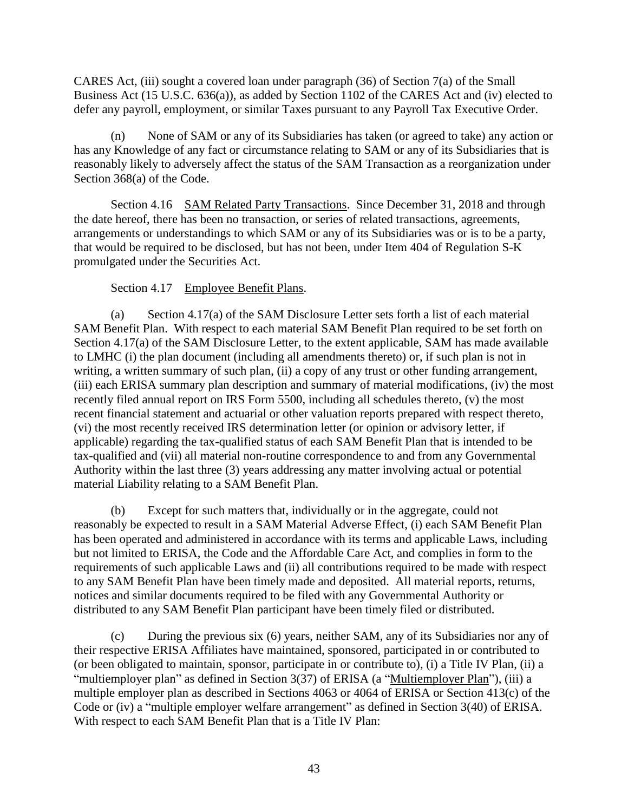CARES Act, (iii) sought a covered loan under paragraph (36) of Section 7(a) of the Small Business Act (15 U.S.C. 636(a)), as added by Section 1102 of the CARES Act and (iv) elected to defer any payroll, employment, or similar Taxes pursuant to any Payroll Tax Executive Order.

(n) None of SAM or any of its Subsidiaries has taken (or agreed to take) any action or has any Knowledge of any fact or circumstance relating to SAM or any of its Subsidiaries that is reasonably likely to adversely affect the status of the SAM Transaction as a reorganization under Section 368(a) of the Code.

Section 4.16 SAM Related Party Transactions. Since December 31, 2018 and through the date hereof, there has been no transaction, or series of related transactions, agreements, arrangements or understandings to which SAM or any of its Subsidiaries was or is to be a party, that would be required to be disclosed, but has not been, under Item 404 of Regulation S-K promulgated under the Securities Act.

# Section 4.17 Employee Benefit Plans.

<span id="page-48-0"></span>(a) Section [4.17\(a\)](#page-48-0) of the SAM Disclosure Letter sets forth a list of each material SAM Benefit Plan. With respect to each material SAM Benefit Plan required to be set forth on Section [4.17\(a\)](#page-48-0) of the SAM Disclosure Letter, to the extent applicable, SAM has made available to LMHC (i) the plan document (including all amendments thereto) or, if such plan is not in writing, a written summary of such plan, (ii) a copy of any trust or other funding arrangement, (iii) each ERISA summary plan description and summary of material modifications, (iv) the most recently filed annual report on IRS Form 5500, including all schedules thereto, (v) the most recent financial statement and actuarial or other valuation reports prepared with respect thereto, (vi) the most recently received IRS determination letter (or opinion or advisory letter, if applicable) regarding the tax-qualified status of each SAM Benefit Plan that is intended to be tax-qualified and (vii) all material non-routine correspondence to and from any Governmental Authority within the last three (3) years addressing any matter involving actual or potential material Liability relating to a SAM Benefit Plan.

(b) Except for such matters that, individually or in the aggregate, could not reasonably be expected to result in a SAM Material Adverse Effect, (i) each SAM Benefit Plan has been operated and administered in accordance with its terms and applicable Laws, including but not limited to ERISA, the Code and the Affordable Care Act, and complies in form to the requirements of such applicable Laws and (ii) all contributions required to be made with respect to any SAM Benefit Plan have been timely made and deposited. All material reports, returns, notices and similar documents required to be filed with any Governmental Authority or distributed to any SAM Benefit Plan participant have been timely filed or distributed.

(c) During the previous six (6) years, neither SAM, any of its Subsidiaries nor any of their respective ERISA Affiliates have maintained, sponsored, participated in or contributed to (or been obligated to maintain, sponsor, participate in or contribute to), (i) a Title IV Plan, (ii) a "multiemployer plan" as defined in Section 3(37) of ERISA (a "Multiemployer Plan"), (iii) a multiple employer plan as described in Sections 4063 or 4064 of ERISA or Section 413(c) of the Code or (iv) a "multiple employer welfare arrangement" as defined in Section 3(40) of ERISA. With respect to each SAM Benefit Plan that is a Title IV Plan: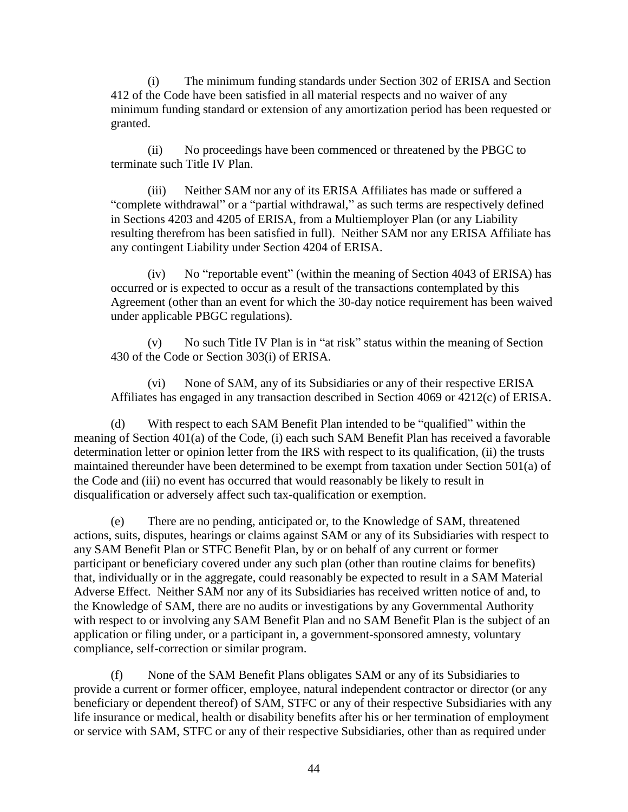(i) The minimum funding standards under Section 302 of ERISA and Section 412 of the Code have been satisfied in all material respects and no waiver of any minimum funding standard or extension of any amortization period has been requested or granted.

(ii) No proceedings have been commenced or threatened by the PBGC to terminate such Title IV Plan.

(iii) Neither SAM nor any of its ERISA Affiliates has made or suffered a "complete withdrawal" or a "partial withdrawal," as such terms are respectively defined in Sections 4203 and 4205 of ERISA, from a Multiemployer Plan (or any Liability resulting therefrom has been satisfied in full). Neither SAM nor any ERISA Affiliate has any contingent Liability under Section 4204 of ERISA.

(iv) No "reportable event" (within the meaning of Section 4043 of ERISA) has occurred or is expected to occur as a result of the transactions contemplated by this Agreement (other than an event for which the 30-day notice requirement has been waived under applicable PBGC regulations).

(v) No such Title IV Plan is in "at risk" status within the meaning of Section 430 of the Code or Section 303(i) of ERISA.

(vi) None of SAM, any of its Subsidiaries or any of their respective ERISA Affiliates has engaged in any transaction described in Section 4069 or 4212(c) of ERISA.

(d) With respect to each SAM Benefit Plan intended to be "qualified" within the meaning of Section 401(a) of the Code, (i) each such SAM Benefit Plan has received a favorable determination letter or opinion letter from the IRS with respect to its qualification, (ii) the trusts maintained thereunder have been determined to be exempt from taxation under Section 501(a) of the Code and (iii) no event has occurred that would reasonably be likely to result in disqualification or adversely affect such tax-qualification or exemption.

(e) There are no pending, anticipated or, to the Knowledge of SAM, threatened actions, suits, disputes, hearings or claims against SAM or any of its Subsidiaries with respect to any SAM Benefit Plan or STFC Benefit Plan, by or on behalf of any current or former participant or beneficiary covered under any such plan (other than routine claims for benefits) that, individually or in the aggregate, could reasonably be expected to result in a SAM Material Adverse Effect. Neither SAM nor any of its Subsidiaries has received written notice of and, to the Knowledge of SAM, there are no audits or investigations by any Governmental Authority with respect to or involving any SAM Benefit Plan and no SAM Benefit Plan is the subject of an application or filing under, or a participant in, a government-sponsored amnesty, voluntary compliance, self-correction or similar program.

(f) None of the SAM Benefit Plans obligates SAM or any of its Subsidiaries to provide a current or former officer, employee, natural independent contractor or director (or any beneficiary or dependent thereof) of SAM, STFC or any of their respective Subsidiaries with any life insurance or medical, health or disability benefits after his or her termination of employment or service with SAM, STFC or any of their respective Subsidiaries, other than as required under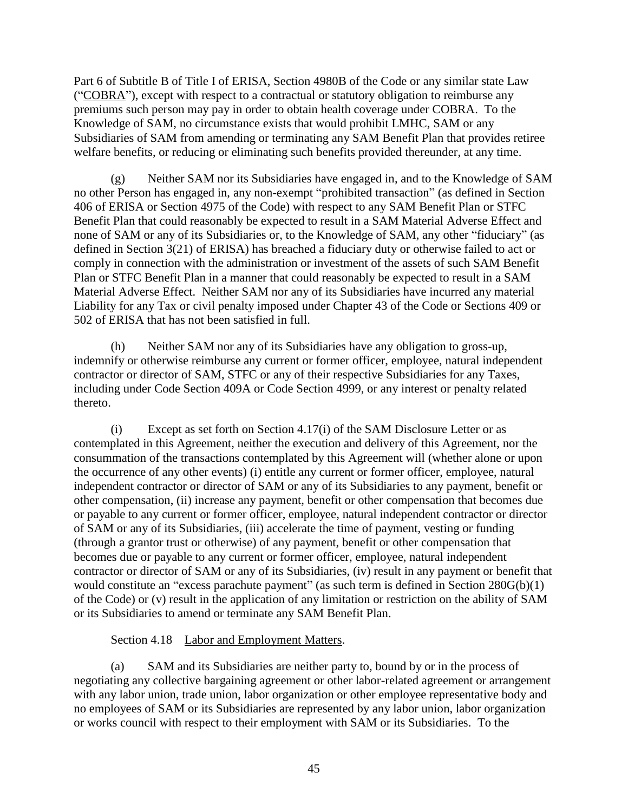Part 6 of Subtitle B of Title I of ERISA, Section 4980B of the Code or any similar state Law ("COBRA"), except with respect to a contractual or statutory obligation to reimburse any premiums such person may pay in order to obtain health coverage under COBRA. To the Knowledge of SAM, no circumstance exists that would prohibit LMHC, SAM or any Subsidiaries of SAM from amending or terminating any SAM Benefit Plan that provides retiree welfare benefits, or reducing or eliminating such benefits provided thereunder, at any time.

(g) Neither SAM nor its Subsidiaries have engaged in, and to the Knowledge of SAM no other Person has engaged in, any non-exempt "prohibited transaction" (as defined in Section 406 of ERISA or Section 4975 of the Code) with respect to any SAM Benefit Plan or STFC Benefit Plan that could reasonably be expected to result in a SAM Material Adverse Effect and none of SAM or any of its Subsidiaries or, to the Knowledge of SAM, any other "fiduciary" (as defined in Section 3(21) of ERISA) has breached a fiduciary duty or otherwise failed to act or comply in connection with the administration or investment of the assets of such SAM Benefit Plan or STFC Benefit Plan in a manner that could reasonably be expected to result in a SAM Material Adverse Effect. Neither SAM nor any of its Subsidiaries have incurred any material Liability for any Tax or civil penalty imposed under Chapter 43 of the Code or Sections 409 or 502 of ERISA that has not been satisfied in full.

(h) Neither SAM nor any of its Subsidiaries have any obligation to gross-up, indemnify or otherwise reimburse any current or former officer, employee, natural independent contractor or director of SAM, STFC or any of their respective Subsidiaries for any Taxes, including under Code Section 409A or Code Section 4999, or any interest or penalty related thereto.

<span id="page-50-0"></span>(i) Except as set forth on [Section](#page-50-0) 4.17(i) of the SAM Disclosure Letter or as contemplated in this Agreement, neither the execution and delivery of this Agreement, nor the consummation of the transactions contemplated by this Agreement will (whether alone or upon the occurrence of any other events) (i) entitle any current or former officer, employee, natural independent contractor or director of SAM or any of its Subsidiaries to any payment, benefit or other compensation, (ii) increase any payment, benefit or other compensation that becomes due or payable to any current or former officer, employee, natural independent contractor or director of SAM or any of its Subsidiaries, (iii) accelerate the time of payment, vesting or funding (through a grantor trust or otherwise) of any payment, benefit or other compensation that becomes due or payable to any current or former officer, employee, natural independent contractor or director of SAM or any of its Subsidiaries, (iv) result in any payment or benefit that would constitute an "excess parachute payment" (as such term is defined in Section 280G(b)(1) of the Code) or (v) result in the application of any limitation or restriction on the ability of SAM or its Subsidiaries to amend or terminate any SAM Benefit Plan.

## Section 4.18 Labor and Employment Matters.

(a) SAM and its Subsidiaries are neither party to, bound by or in the process of negotiating any collective bargaining agreement or other labor-related agreement or arrangement with any labor union, trade union, labor organization or other employee representative body and no employees of SAM or its Subsidiaries are represented by any labor union, labor organization or works council with respect to their employment with SAM or its Subsidiaries. To the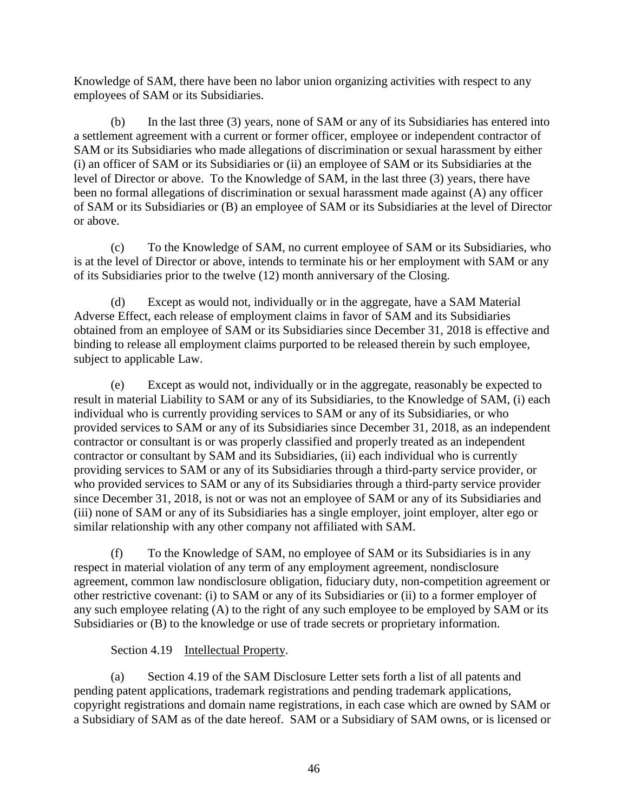Knowledge of SAM, there have been no labor union organizing activities with respect to any employees of SAM or its Subsidiaries.

(b) In the last three (3) years, none of SAM or any of its Subsidiaries has entered into a settlement agreement with a current or former officer, employee or independent contractor of SAM or its Subsidiaries who made allegations of discrimination or sexual harassment by either (i) an officer of SAM or its Subsidiaries or (ii) an employee of SAM or its Subsidiaries at the level of Director or above. To the Knowledge of SAM, in the last three (3) years, there have been no formal allegations of discrimination or sexual harassment made against (A) any officer of SAM or its Subsidiaries or (B) an employee of SAM or its Subsidiaries at the level of Director or above.

(c) To the Knowledge of SAM, no current employee of SAM or its Subsidiaries, who is at the level of Director or above, intends to terminate his or her employment with SAM or any of its Subsidiaries prior to the twelve (12) month anniversary of the Closing.

(d) Except as would not, individually or in the aggregate, have a SAM Material Adverse Effect, each release of employment claims in favor of SAM and its Subsidiaries obtained from an employee of SAM or its Subsidiaries since December 31, 2018 is effective and binding to release all employment claims purported to be released therein by such employee, subject to applicable Law.

(e) Except as would not, individually or in the aggregate, reasonably be expected to result in material Liability to SAM or any of its Subsidiaries, to the Knowledge of SAM, (i) each individual who is currently providing services to SAM or any of its Subsidiaries, or who provided services to SAM or any of its Subsidiaries since December 31, 2018, as an independent contractor or consultant is or was properly classified and properly treated as an independent contractor or consultant by SAM and its Subsidiaries, (ii) each individual who is currently providing services to SAM or any of its Subsidiaries through a third-party service provider, or who provided services to SAM or any of its Subsidiaries through a third-party service provider since December 31, 2018, is not or was not an employee of SAM or any of its Subsidiaries and (iii) none of SAM or any of its Subsidiaries has a single employer, joint employer, alter ego or similar relationship with any other company not affiliated with SAM.

(f) To the Knowledge of SAM, no employee of SAM or its Subsidiaries is in any respect in material violation of any term of any employment agreement, nondisclosure agreement, common law nondisclosure obligation, fiduciary duty, non-competition agreement or other restrictive covenant: (i) to SAM or any of its Subsidiaries or (ii) to a former employer of any such employee relating (A) to the right of any such employee to be employed by SAM or its Subsidiaries or (B) to the knowledge or use of trade secrets or proprietary information.

# Section 4.19 Intellectual Property.

<span id="page-51-0"></span>(a) Section [4.19](#page-51-0) of the SAM Disclosure Letter sets forth a list of all patents and pending patent applications, trademark registrations and pending trademark applications, copyright registrations and domain name registrations, in each case which are owned by SAM or a Subsidiary of SAM as of the date hereof. SAM or a Subsidiary of SAM owns, or is licensed or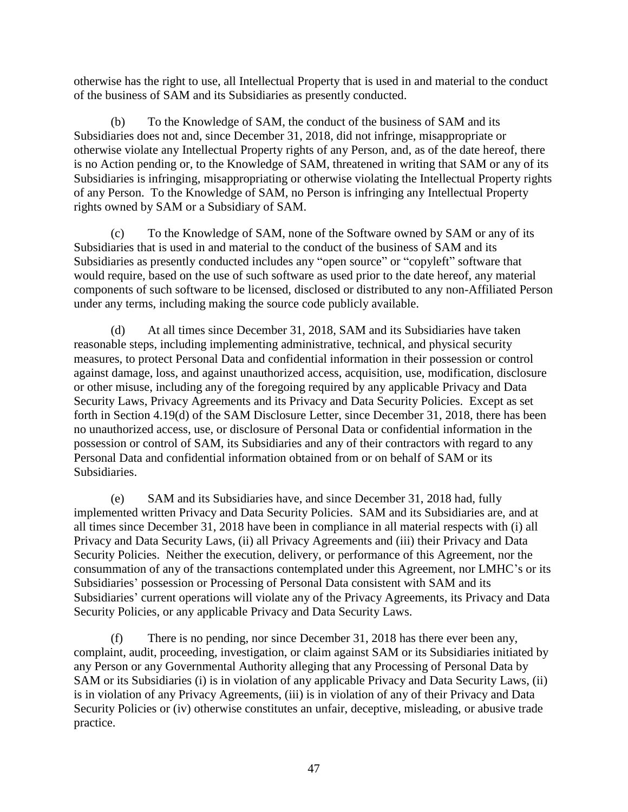otherwise has the right to use, all Intellectual Property that is used in and material to the conduct of the business of SAM and its Subsidiaries as presently conducted.

(b) To the Knowledge of SAM, the conduct of the business of SAM and its Subsidiaries does not and, since December 31, 2018, did not infringe, misappropriate or otherwise violate any Intellectual Property rights of any Person, and, as of the date hereof, there is no Action pending or, to the Knowledge of SAM, threatened in writing that SAM or any of its Subsidiaries is infringing, misappropriating or otherwise violating the Intellectual Property rights of any Person. To the Knowledge of SAM, no Person is infringing any Intellectual Property rights owned by SAM or a Subsidiary of SAM.

(c) To the Knowledge of SAM, none of the Software owned by SAM or any of its Subsidiaries that is used in and material to the conduct of the business of SAM and its Subsidiaries as presently conducted includes any "open source" or "copyleft" software that would require, based on the use of such software as used prior to the date hereof, any material components of such software to be licensed, disclosed or distributed to any non-Affiliated Person under any terms, including making the source code publicly available.

<span id="page-52-0"></span>(d) At all times since December 31, 2018, SAM and its Subsidiaries have taken reasonable steps, including implementing administrative, technical, and physical security measures, to protect Personal Data and confidential information in their possession or control against damage, loss, and against unauthorized access, acquisition, use, modification, disclosure or other misuse, including any of the foregoing required by any applicable Privacy and Data Security Laws, Privacy Agreements and its Privacy and Data Security Policies. Except as set forth in [Section](#page-52-0) 4.19(d) of the SAM Disclosure Letter, since December 31, 2018, there has been no unauthorized access, use, or disclosure of Personal Data or confidential information in the possession or control of SAM, its Subsidiaries and any of their contractors with regard to any Personal Data and confidential information obtained from or on behalf of SAM or its Subsidiaries.

(e) SAM and its Subsidiaries have, and since December 31, 2018 had, fully implemented written Privacy and Data Security Policies. SAM and its Subsidiaries are, and at all times since December 31, 2018 have been in compliance in all material respects with (i) all Privacy and Data Security Laws, (ii) all Privacy Agreements and (iii) their Privacy and Data Security Policies. Neither the execution, delivery, or performance of this Agreement, nor the consummation of any of the transactions contemplated under this Agreement, nor LMHC's or its Subsidiaries' possession or Processing of Personal Data consistent with SAM and its Subsidiaries' current operations will violate any of the Privacy Agreements, its Privacy and Data Security Policies, or any applicable Privacy and Data Security Laws.

(f) There is no pending, nor since December 31, 2018 has there ever been any, complaint, audit, proceeding, investigation, or claim against SAM or its Subsidiaries initiated by any Person or any Governmental Authority alleging that any Processing of Personal Data by SAM or its Subsidiaries (i) is in violation of any applicable Privacy and Data Security Laws, (ii) is in violation of any Privacy Agreements, (iii) is in violation of any of their Privacy and Data Security Policies or (iv) otherwise constitutes an unfair, deceptive, misleading, or abusive trade practice.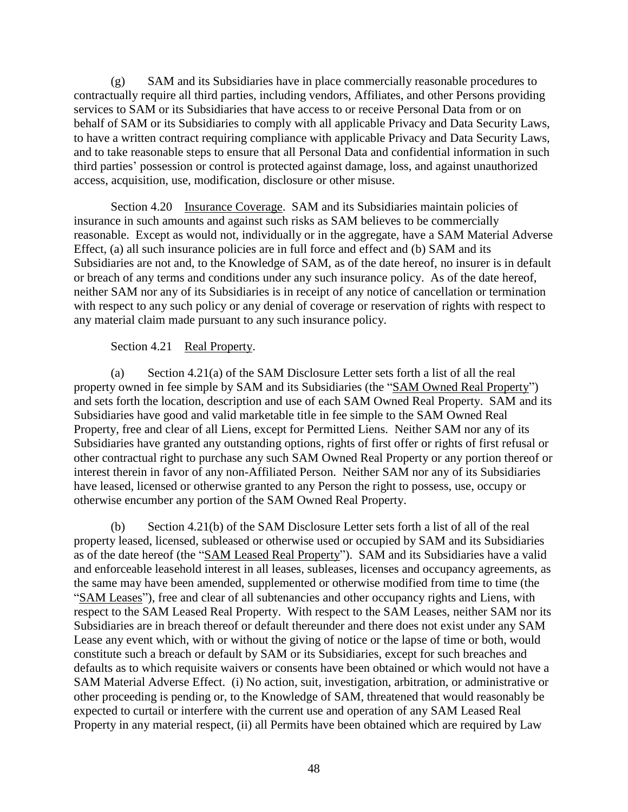(g) SAM and its Subsidiaries have in place commercially reasonable procedures to contractually require all third parties, including vendors, Affiliates, and other Persons providing services to SAM or its Subsidiaries that have access to or receive Personal Data from or on behalf of SAM or its Subsidiaries to comply with all applicable Privacy and Data Security Laws, to have a written contract requiring compliance with applicable Privacy and Data Security Laws, and to take reasonable steps to ensure that all Personal Data and confidential information in such third parties' possession or control is protected against damage, loss, and against unauthorized access, acquisition, use, modification, disclosure or other misuse.

Section 4.20 Insurance Coverage. SAM and its Subsidiaries maintain policies of insurance in such amounts and against such risks as SAM believes to be commercially reasonable. Except as would not, individually or in the aggregate, have a SAM Material Adverse Effect, (a) all such insurance policies are in full force and effect and (b) SAM and its Subsidiaries are not and, to the Knowledge of SAM, as of the date hereof, no insurer is in default or breach of any terms and conditions under any such insurance policy. As of the date hereof, neither SAM nor any of its Subsidiaries is in receipt of any notice of cancellation or termination with respect to any such policy or any denial of coverage or reservation of rights with respect to any material claim made pursuant to any such insurance policy.

## Section 4.21 Real Property.

<span id="page-53-0"></span>(a) Section [4.21\(a\)](#page-53-0) of the SAM Disclosure Letter sets forth a list of all the real property owned in fee simple by SAM and its Subsidiaries (the "SAM Owned Real Property") and sets forth the location, description and use of each SAM Owned Real Property. SAM and its Subsidiaries have good and valid marketable title in fee simple to the SAM Owned Real Property, free and clear of all Liens, except for Permitted Liens. Neither SAM nor any of its Subsidiaries have granted any outstanding options, rights of first offer or rights of first refusal or other contractual right to purchase any such SAM Owned Real Property or any portion thereof or interest therein in favor of any non-Affiliated Person. Neither SAM nor any of its Subsidiaries have leased, licensed or otherwise granted to any Person the right to possess, use, occupy or otherwise encumber any portion of the SAM Owned Real Property.

<span id="page-53-1"></span>(b) Section [4.21\(b\)](#page-53-1) of the SAM Disclosure Letter sets forth a list of all of the real property leased, licensed, subleased or otherwise used or occupied by SAM and its Subsidiaries as of the date hereof (the "SAM Leased Real Property"). SAM and its Subsidiaries have a valid and enforceable leasehold interest in all leases, subleases, licenses and occupancy agreements, as the same may have been amended, supplemented or otherwise modified from time to time (the "SAM Leases"), free and clear of all subtenancies and other occupancy rights and Liens, with respect to the SAM Leased Real Property. With respect to the SAM Leases, neither SAM nor its Subsidiaries are in breach thereof or default thereunder and there does not exist under any SAM Lease any event which, with or without the giving of notice or the lapse of time or both, would constitute such a breach or default by SAM or its Subsidiaries, except for such breaches and defaults as to which requisite waivers or consents have been obtained or which would not have a SAM Material Adverse Effect. (i) No action, suit, investigation, arbitration, or administrative or other proceeding is pending or, to the Knowledge of SAM, threatened that would reasonably be expected to curtail or interfere with the current use and operation of any SAM Leased Real Property in any material respect, (ii) all Permits have been obtained which are required by Law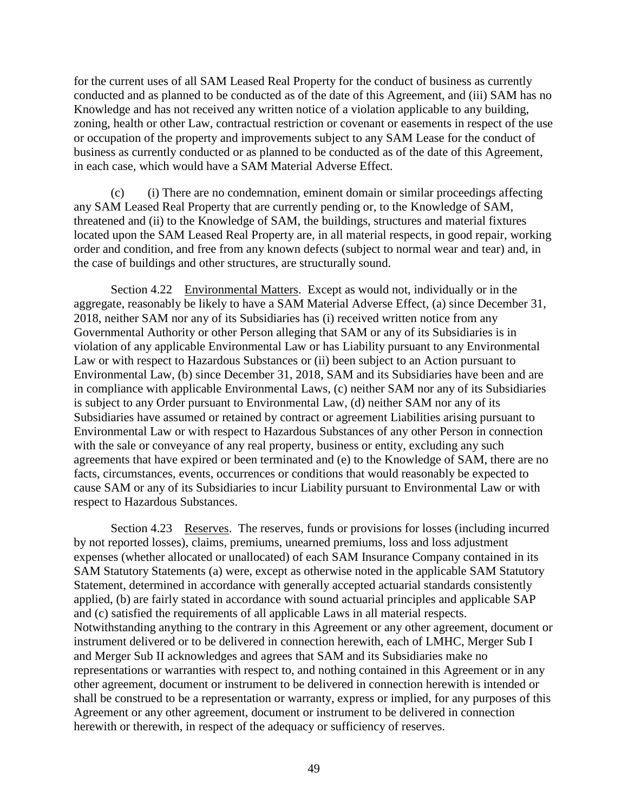for the current uses of all SAM Leased Real Property for the conduct of business as currently conducted and as planned to be conducted as of the date of this Agreement, and (iii) SAM has no Knowledge and has not received any written notice of a violation applicable to any building, zoning, health or other Law, contractual restriction or covenant or easements in respect of the use or occupation of the property and improvements subject to any SAM Lease for the conduct of business as currently conducted or as planned to be conducted as of the date of this Agreement, in each case, which would have a SAM Material Adverse Effect.

(c) (i) There are no condemnation, eminent domain or similar proceedings affecting any SAM Leased Real Property that are currently pending or, to the Knowledge of SAM, threatened and (ii) to the Knowledge of SAM, the buildings, structures and material fixtures located upon the SAM Leased Real Property are, in all material respects, in good repair, working order and condition, and free from any known defects (subject to normal wear and tear) and, in the case of buildings and other structures, are structurally sound.

Section 4.22 Environmental Matters. Except as would not, individually or in the aggregate, reasonably be likely to have a SAM Material Adverse Effect, (a) since December 31, 2018, neither SAM nor any of its Subsidiaries has (i) received written notice from any Governmental Authority or other Person alleging that SAM or any of its Subsidiaries is in violation of any applicable Environmental Law or has Liability pursuant to any Environmental Law or with respect to Hazardous Substances or (ii) been subject to an Action pursuant to Environmental Law, (b) since December 31, 2018, SAM and its Subsidiaries have been and are in compliance with applicable Environmental Laws, (c) neither SAM nor any of its Subsidiaries is subject to any Order pursuant to Environmental Law, (d) neither SAM nor any of its Subsidiaries have assumed or retained by contract or agreement Liabilities arising pursuant to Environmental Law or with respect to Hazardous Substances of any other Person in connection with the sale or conveyance of any real property, business or entity, excluding any such agreements that have expired or been terminated and (e) to the Knowledge of SAM, there are no facts, circumstances, events, occurrences or conditions that would reasonably be expected to cause SAM or any of its Subsidiaries to incur Liability pursuant to Environmental Law or with respect to Hazardous Substances.

Section 4.23 Reserves. The reserves, funds or provisions for losses (including incurred by not reported losses), claims, premiums, unearned premiums, loss and loss adjustment expenses (whether allocated or unallocated) of each SAM Insurance Company contained in its SAM Statutory Statements (a) were, except as otherwise noted in the applicable SAM Statutory Statement, determined in accordance with generally accepted actuarial standards consistently applied, (b) are fairly stated in accordance with sound actuarial principles and applicable SAP and (c) satisfied the requirements of all applicable Laws in all material respects. Notwithstanding anything to the contrary in this Agreement or any other agreement, document or instrument delivered or to be delivered in connection herewith, each of LMHC, Merger Sub I and Merger Sub II acknowledges and agrees that SAM and its Subsidiaries make no representations or warranties with respect to, and nothing contained in this Agreement or in any other agreement, document or instrument to be delivered in connection herewith is intended or shall be construed to be a representation or warranty, express or implied, for any purposes of this Agreement or any other agreement, document or instrument to be delivered in connection herewith or therewith, in respect of the adequacy or sufficiency of reserves.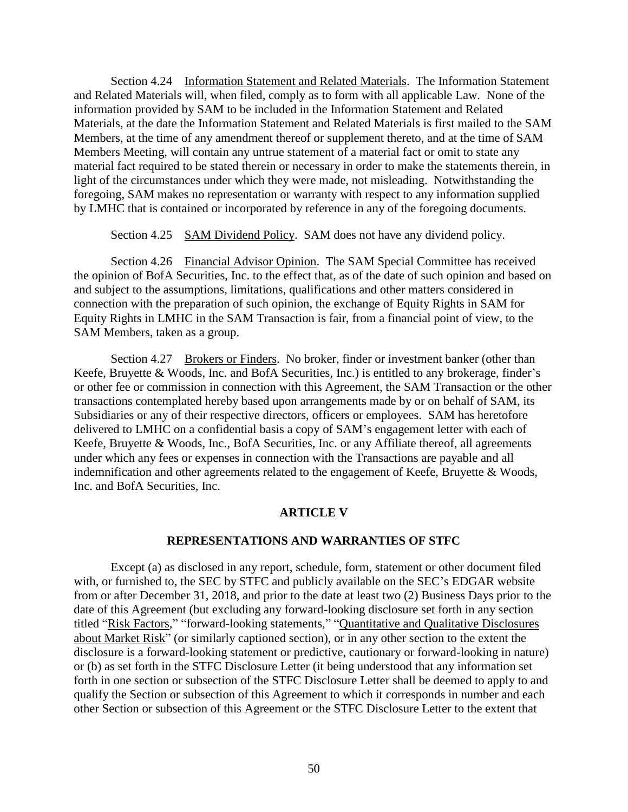Section 4.24 Information Statement and Related Materials. The Information Statement and Related Materials will, when filed, comply as to form with all applicable Law. None of the information provided by SAM to be included in the Information Statement and Related Materials, at the date the Information Statement and Related Materials is first mailed to the SAM Members, at the time of any amendment thereof or supplement thereto, and at the time of SAM Members Meeting, will contain any untrue statement of a material fact or omit to state any material fact required to be stated therein or necessary in order to make the statements therein, in light of the circumstances under which they were made, not misleading. Notwithstanding the foregoing, SAM makes no representation or warranty with respect to any information supplied by LMHC that is contained or incorporated by reference in any of the foregoing documents.

Section 4.25 SAM Dividend Policy. SAM does not have any dividend policy.

Section 4.26 Financial Advisor Opinion. The SAM Special Committee has received the opinion of BofA Securities, Inc. to the effect that, as of the date of such opinion and based on and subject to the assumptions, limitations, qualifications and other matters considered in connection with the preparation of such opinion, the exchange of Equity Rights in SAM for Equity Rights in LMHC in the SAM Transaction is fair, from a financial point of view, to the SAM Members, taken as a group.

Section 4.27 Brokers or Finders. No broker, finder or investment banker (other than Keefe, Bruyette & Woods, Inc. and BofA Securities, Inc.) is entitled to any brokerage, finder's or other fee or commission in connection with this Agreement, the SAM Transaction or the other transactions contemplated hereby based upon arrangements made by or on behalf of SAM, its Subsidiaries or any of their respective directors, officers or employees. SAM has heretofore delivered to LMHC on a confidential basis a copy of SAM's engagement letter with each of Keefe, Bruyette & Woods, Inc., BofA Securities, Inc. or any Affiliate thereof, all agreements under which any fees or expenses in connection with the Transactions are payable and all indemnification and other agreements related to the engagement of Keefe, Bruyette & Woods, Inc. and BofA Securities, Inc.

#### **ARTICLE V**

## **REPRESENTATIONS AND WARRANTIES OF STFC**

Except (a) as disclosed in any report, schedule, form, statement or other document filed with, or furnished to, the SEC by STFC and publicly available on the SEC's EDGAR website from or after December 31, 2018, and prior to the date at least two (2) Business Days prior to the date of this Agreement (but excluding any forward-looking disclosure set forth in any section titled "Risk Factors," "forward-looking statements," "Quantitative and Qualitative Disclosures about Market Risk" (or similarly captioned section), or in any other section to the extent the disclosure is a forward-looking statement or predictive, cautionary or forward-looking in nature) or (b) as set forth in the STFC Disclosure Letter (it being understood that any information set forth in one section or subsection of the STFC Disclosure Letter shall be deemed to apply to and qualify the Section or subsection of this Agreement to which it corresponds in number and each other Section or subsection of this Agreement or the STFC Disclosure Letter to the extent that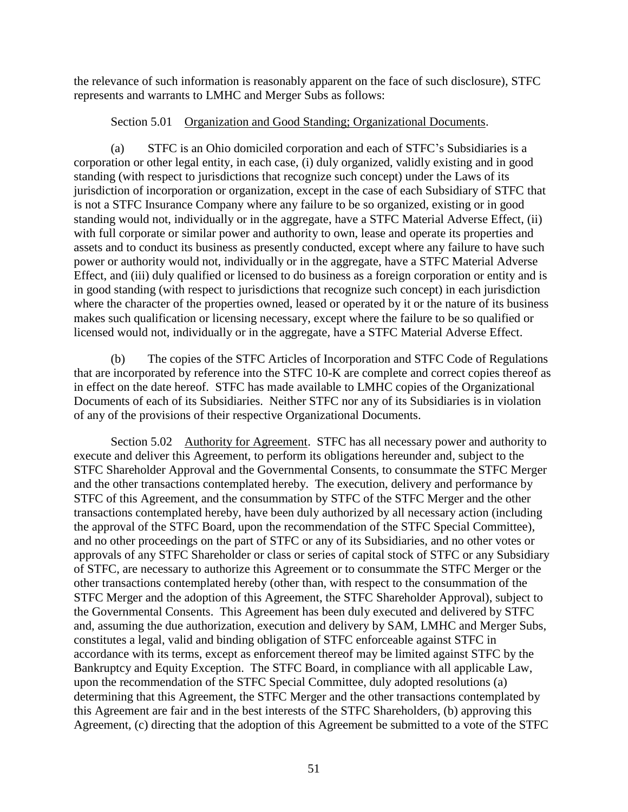the relevance of such information is reasonably apparent on the face of such disclosure), STFC represents and warrants to LMHC and Merger Subs as follows:

## Section 5.01 Organization and Good Standing; Organizational Documents.

(a) STFC is an Ohio domiciled corporation and each of STFC's Subsidiaries is a corporation or other legal entity, in each case, (i) duly organized, validly existing and in good standing (with respect to jurisdictions that recognize such concept) under the Laws of its jurisdiction of incorporation or organization, except in the case of each Subsidiary of STFC that is not a STFC Insurance Company where any failure to be so organized, existing or in good standing would not, individually or in the aggregate, have a STFC Material Adverse Effect, (ii) with full corporate or similar power and authority to own, lease and operate its properties and assets and to conduct its business as presently conducted, except where any failure to have such power or authority would not, individually or in the aggregate, have a STFC Material Adverse Effect, and (iii) duly qualified or licensed to do business as a foreign corporation or entity and is in good standing (with respect to jurisdictions that recognize such concept) in each jurisdiction where the character of the properties owned, leased or operated by it or the nature of its business makes such qualification or licensing necessary, except where the failure to be so qualified or licensed would not, individually or in the aggregate, have a STFC Material Adverse Effect.

(b) The copies of the STFC Articles of Incorporation and STFC Code of Regulations that are incorporated by reference into the STFC 10-K are complete and correct copies thereof as in effect on the date hereof. STFC has made available to LMHC copies of the Organizational Documents of each of its Subsidiaries. Neither STFC nor any of its Subsidiaries is in violation of any of the provisions of their respective Organizational Documents.

Section 5.02 Authority for Agreement. STFC has all necessary power and authority to execute and deliver this Agreement, to perform its obligations hereunder and, subject to the STFC Shareholder Approval and the Governmental Consents, to consummate the STFC Merger and the other transactions contemplated hereby. The execution, delivery and performance by STFC of this Agreement, and the consummation by STFC of the STFC Merger and the other transactions contemplated hereby, have been duly authorized by all necessary action (including the approval of the STFC Board, upon the recommendation of the STFC Special Committee), and no other proceedings on the part of STFC or any of its Subsidiaries, and no other votes or approvals of any STFC Shareholder or class or series of capital stock of STFC or any Subsidiary of STFC, are necessary to authorize this Agreement or to consummate the STFC Merger or the other transactions contemplated hereby (other than, with respect to the consummation of the STFC Merger and the adoption of this Agreement, the STFC Shareholder Approval), subject to the Governmental Consents. This Agreement has been duly executed and delivered by STFC and, assuming the due authorization, execution and delivery by SAM, LMHC and Merger Subs, constitutes a legal, valid and binding obligation of STFC enforceable against STFC in accordance with its terms, except as enforcement thereof may be limited against STFC by the Bankruptcy and Equity Exception. The STFC Board, in compliance with all applicable Law, upon the recommendation of the STFC Special Committee, duly adopted resolutions (a) determining that this Agreement, the STFC Merger and the other transactions contemplated by this Agreement are fair and in the best interests of the STFC Shareholders, (b) approving this Agreement, (c) directing that the adoption of this Agreement be submitted to a vote of the STFC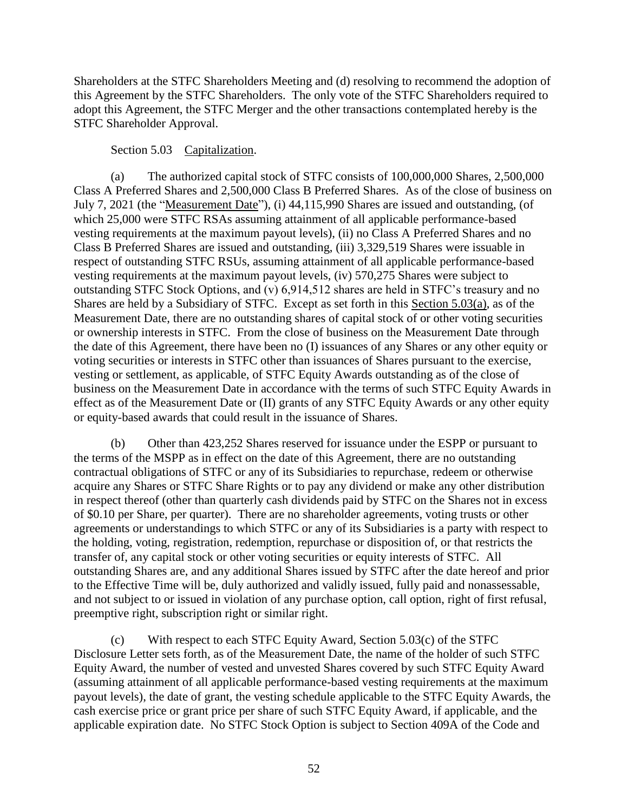Shareholders at the STFC Shareholders Meeting and (d) resolving to recommend the adoption of this Agreement by the STFC Shareholders. The only vote of the STFC Shareholders required to adopt this Agreement, the STFC Merger and the other transactions contemplated hereby is the STFC Shareholder Approval.

## Section 5.03 Capitalization.

<span id="page-57-0"></span>(a) The authorized capital stock of STFC consists of 100,000,000 Shares, 2,500,000 Class A Preferred Shares and 2,500,000 Class B Preferred Shares. As of the close of business on July 7, 2021 (the "Measurement Date"), (i) 44,115,990 Shares are issued and outstanding, (of which 25,000 were STFC RSAs assuming attainment of all applicable performance-based vesting requirements at the maximum payout levels), (ii) no Class A Preferred Shares and no Class B Preferred Shares are issued and outstanding, (iii) 3,329,519 Shares were issuable in respect of outstanding STFC RSUs, assuming attainment of all applicable performance-based vesting requirements at the maximum payout levels, (iv) 570,275 Shares were subject to outstanding STFC Stock Options, and (v) 6,914,512 shares are held in STFC's treasury and no Shares are held by a Subsidiary of STFC. Except as set forth in this Section [5.03\(a\),](#page-57-0) as of the Measurement Date, there are no outstanding shares of capital stock of or other voting securities or ownership interests in STFC. From the close of business on the Measurement Date through the date of this Agreement, there have been no (I) issuances of any Shares or any other equity or voting securities or interests in STFC other than issuances of Shares pursuant to the exercise, vesting or settlement, as applicable, of STFC Equity Awards outstanding as of the close of business on the Measurement Date in accordance with the terms of such STFC Equity Awards in effect as of the Measurement Date or (II) grants of any STFC Equity Awards or any other equity or equity-based awards that could result in the issuance of Shares.

(b) Other than 423,252 Shares reserved for issuance under the ESPP or pursuant to the terms of the MSPP as in effect on the date of this Agreement, there are no outstanding contractual obligations of STFC or any of its Subsidiaries to repurchase, redeem or otherwise acquire any Shares or STFC Share Rights or to pay any dividend or make any other distribution in respect thereof (other than quarterly cash dividends paid by STFC on the Shares not in excess of \$0.10 per Share, per quarter). There are no shareholder agreements, voting trusts or other agreements or understandings to which STFC or any of its Subsidiaries is a party with respect to the holding, voting, registration, redemption, repurchase or disposition of, or that restricts the transfer of, any capital stock or other voting securities or equity interests of STFC. All outstanding Shares are, and any additional Shares issued by STFC after the date hereof and prior to the Effective Time will be, duly authorized and validly issued, fully paid and nonassessable, and not subject to or issued in violation of any purchase option, call option, right of first refusal, preemptive right, subscription right or similar right.

<span id="page-57-1"></span>(c) With respect to each STFC Equity Award, Section [5.03\(c\)](#page-57-1) of the STFC Disclosure Letter sets forth, as of the Measurement Date, the name of the holder of such STFC Equity Award, the number of vested and unvested Shares covered by such STFC Equity Award (assuming attainment of all applicable performance-based vesting requirements at the maximum payout levels), the date of grant, the vesting schedule applicable to the STFC Equity Awards, the cash exercise price or grant price per share of such STFC Equity Award, if applicable, and the applicable expiration date. No STFC Stock Option is subject to Section 409A of the Code and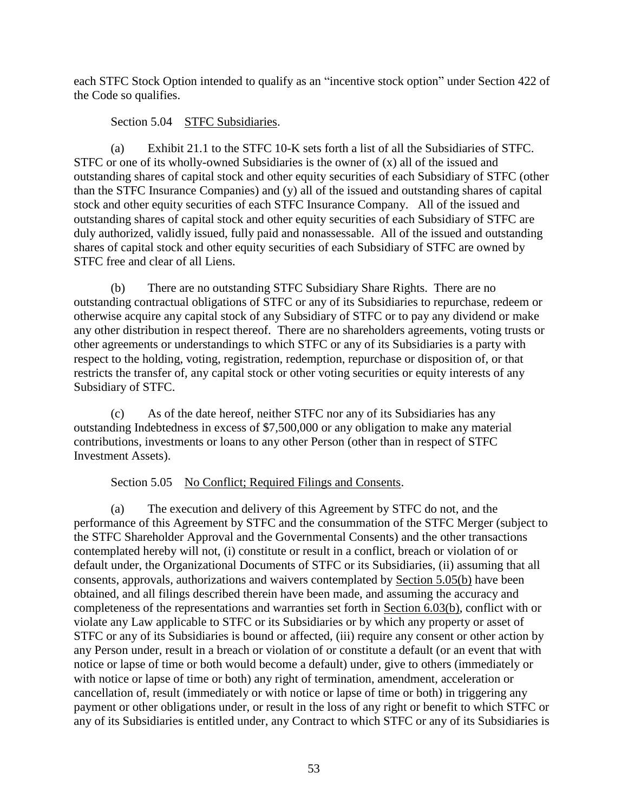each STFC Stock Option intended to qualify as an "incentive stock option" under Section 422 of the Code so qualifies.

## Section 5.04 STFC Subsidiaries.

(a) Exhibit 21.1 to the STFC 10-K sets forth a list of all the Subsidiaries of STFC. STFC or one of its wholly-owned Subsidiaries is the owner of (x) all of the issued and outstanding shares of capital stock and other equity securities of each Subsidiary of STFC (other than the STFC Insurance Companies) and (y) all of the issued and outstanding shares of capital stock and other equity securities of each STFC Insurance Company. All of the issued and outstanding shares of capital stock and other equity securities of each Subsidiary of STFC are duly authorized, validly issued, fully paid and nonassessable. All of the issued and outstanding shares of capital stock and other equity securities of each Subsidiary of STFC are owned by STFC free and clear of all Liens.

(b) There are no outstanding STFC Subsidiary Share Rights. There are no outstanding contractual obligations of STFC or any of its Subsidiaries to repurchase, redeem or otherwise acquire any capital stock of any Subsidiary of STFC or to pay any dividend or make any other distribution in respect thereof. There are no shareholders agreements, voting trusts or other agreements or understandings to which STFC or any of its Subsidiaries is a party with respect to the holding, voting, registration, redemption, repurchase or disposition of, or that restricts the transfer of, any capital stock or other voting securities or equity interests of any Subsidiary of STFC.

(c) As of the date hereof, neither STFC nor any of its Subsidiaries has any outstanding Indebtedness in excess of \$7,500,000 or any obligation to make any material contributions, investments or loans to any other Person (other than in respect of STFC Investment Assets).

## Section 5.05 No Conflict; Required Filings and Consents.

(a) The execution and delivery of this Agreement by STFC do not, and the performance of this Agreement by STFC and the consummation of the STFC Merger (subject to the STFC Shareholder Approval and the Governmental Consents) and the other transactions contemplated hereby will not, (i) constitute or result in a conflict, breach or violation of or default under, the Organizational Documents of STFC or its Subsidiaries, (ii) assuming that all consents, approvals, authorizations and waivers contemplated by Section [5.05\(b\)](#page-59-0) have been obtained, and all filings described therein have been made, and assuming the accuracy and completeness of the representations and warranties set forth in Section [6.03\(b\),](#page-80-0) conflict with or violate any Law applicable to STFC or its Subsidiaries or by which any property or asset of STFC or any of its Subsidiaries is bound or affected, (iii) require any consent or other action by any Person under, result in a breach or violation of or constitute a default (or an event that with notice or lapse of time or both would become a default) under, give to others (immediately or with notice or lapse of time or both) any right of termination, amendment, acceleration or cancellation of, result (immediately or with notice or lapse of time or both) in triggering any payment or other obligations under, or result in the loss of any right or benefit to which STFC or any of its Subsidiaries is entitled under, any Contract to which STFC or any of its Subsidiaries is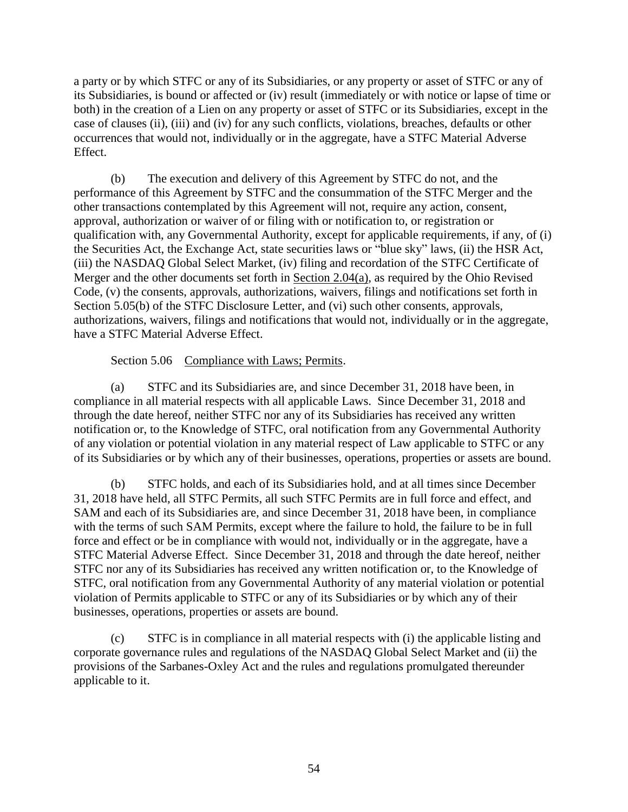a party or by which STFC or any of its Subsidiaries, or any property or asset of STFC or any of its Subsidiaries, is bound or affected or (iv) result (immediately or with notice or lapse of time or both) in the creation of a Lien on any property or asset of STFC or its Subsidiaries, except in the case of clauses (ii), (iii) and (iv) for any such conflicts, violations, breaches, defaults or other occurrences that would not, individually or in the aggregate, have a STFC Material Adverse Effect.

<span id="page-59-0"></span>(b) The execution and delivery of this Agreement by STFC do not, and the performance of this Agreement by STFC and the consummation of the STFC Merger and the other transactions contemplated by this Agreement will not, require any action, consent, approval, authorization or waiver of or filing with or notification to, or registration or qualification with, any Governmental Authority, except for applicable requirements, if any, of (i) the Securities Act, the Exchange Act, state securities laws or "blue sky" laws, (ii) the HSR Act, (iii) the NASDAQ Global Select Market, (iv) filing and recordation of the STFC Certificate of Merger and the other documents set forth in Section 2.04(a), as required by the Ohio Revised Code, (v) the consents, approvals, authorizations, waivers, filings and notifications set forth in Section [5.05\(b\)](#page-59-0) of the STFC Disclosure Letter, and (vi) such other consents, approvals, authorizations, waivers, filings and notifications that would not, individually or in the aggregate, have a STFC Material Adverse Effect.

## Section 5.06 Compliance with Laws; Permits.

(a) STFC and its Subsidiaries are, and since December 31, 2018 have been, in compliance in all material respects with all applicable Laws. Since December 31, 2018 and through the date hereof, neither STFC nor any of its Subsidiaries has received any written notification or, to the Knowledge of STFC, oral notification from any Governmental Authority of any violation or potential violation in any material respect of Law applicable to STFC or any of its Subsidiaries or by which any of their businesses, operations, properties or assets are bound.

(b) STFC holds, and each of its Subsidiaries hold, and at all times since December 31, 2018 have held, all STFC Permits, all such STFC Permits are in full force and effect, and SAM and each of its Subsidiaries are, and since December 31, 2018 have been, in compliance with the terms of such SAM Permits, except where the failure to hold, the failure to be in full force and effect or be in compliance with would not, individually or in the aggregate, have a STFC Material Adverse Effect. Since December 31, 2018 and through the date hereof, neither STFC nor any of its Subsidiaries has received any written notification or, to the Knowledge of STFC, oral notification from any Governmental Authority of any material violation or potential violation of Permits applicable to STFC or any of its Subsidiaries or by which any of their businesses, operations, properties or assets are bound.

(c) STFC is in compliance in all material respects with (i) the applicable listing and corporate governance rules and regulations of the NASDAQ Global Select Market and (ii) the provisions of the Sarbanes-Oxley Act and the rules and regulations promulgated thereunder applicable to it.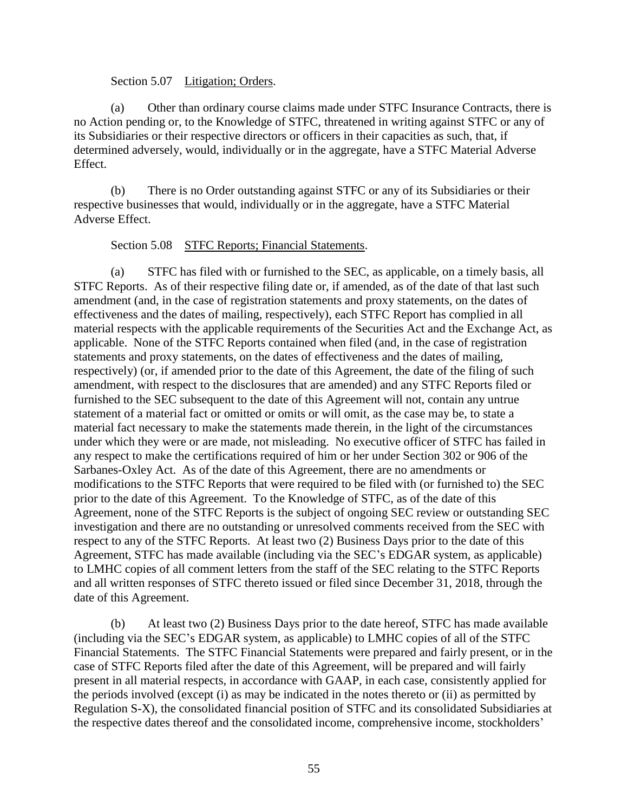#### Section 5.07 Litigation; Orders.

(a) Other than ordinary course claims made under STFC Insurance Contracts, there is no Action pending or, to the Knowledge of STFC, threatened in writing against STFC or any of its Subsidiaries or their respective directors or officers in their capacities as such, that, if determined adversely, would, individually or in the aggregate, have a STFC Material Adverse Effect.

(b) There is no Order outstanding against STFC or any of its Subsidiaries or their respective businesses that would, individually or in the aggregate, have a STFC Material Adverse Effect.

## Section 5.08 STFC Reports; Financial Statements.

(a) STFC has filed with or furnished to the SEC, as applicable, on a timely basis, all STFC Reports. As of their respective filing date or, if amended, as of the date of that last such amendment (and, in the case of registration statements and proxy statements, on the dates of effectiveness and the dates of mailing, respectively), each STFC Report has complied in all material respects with the applicable requirements of the Securities Act and the Exchange Act, as applicable. None of the STFC Reports contained when filed (and, in the case of registration statements and proxy statements, on the dates of effectiveness and the dates of mailing, respectively) (or, if amended prior to the date of this Agreement, the date of the filing of such amendment, with respect to the disclosures that are amended) and any STFC Reports filed or furnished to the SEC subsequent to the date of this Agreement will not, contain any untrue statement of a material fact or omitted or omits or will omit, as the case may be, to state a material fact necessary to make the statements made therein, in the light of the circumstances under which they were or are made, not misleading. No executive officer of STFC has failed in any respect to make the certifications required of him or her under Section 302 or 906 of the Sarbanes-Oxley Act. As of the date of this Agreement, there are no amendments or modifications to the STFC Reports that were required to be filed with (or furnished to) the SEC prior to the date of this Agreement. To the Knowledge of STFC, as of the date of this Agreement, none of the STFC Reports is the subject of ongoing SEC review or outstanding SEC investigation and there are no outstanding or unresolved comments received from the SEC with respect to any of the STFC Reports. At least two (2) Business Days prior to the date of this Agreement, STFC has made available (including via the SEC's EDGAR system, as applicable) to LMHC copies of all comment letters from the staff of the SEC relating to the STFC Reports and all written responses of STFC thereto issued or filed since December 31, 2018, through the date of this Agreement.

(b) At least two (2) Business Days prior to the date hereof, STFC has made available (including via the SEC's EDGAR system, as applicable) to LMHC copies of all of the STFC Financial Statements. The STFC Financial Statements were prepared and fairly present, or in the case of STFC Reports filed after the date of this Agreement, will be prepared and will fairly present in all material respects, in accordance with GAAP, in each case, consistently applied for the periods involved (except (i) as may be indicated in the notes thereto or (ii) as permitted by Regulation S-X), the consolidated financial position of STFC and its consolidated Subsidiaries at the respective dates thereof and the consolidated income, comprehensive income, stockholders'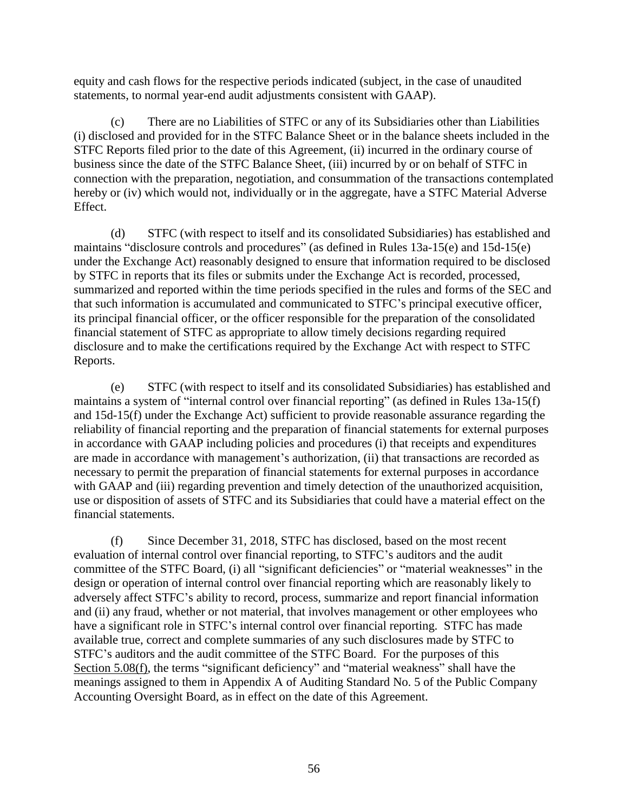equity and cash flows for the respective periods indicated (subject, in the case of unaudited statements, to normal year-end audit adjustments consistent with GAAP).

(c) There are no Liabilities of STFC or any of its Subsidiaries other than Liabilities (i) disclosed and provided for in the STFC Balance Sheet or in the balance sheets included in the STFC Reports filed prior to the date of this Agreement, (ii) incurred in the ordinary course of business since the date of the STFC Balance Sheet, (iii) incurred by or on behalf of STFC in connection with the preparation, negotiation, and consummation of the transactions contemplated hereby or (iv) which would not, individually or in the aggregate, have a STFC Material Adverse Effect.

(d) STFC (with respect to itself and its consolidated Subsidiaries) has established and maintains "disclosure controls and procedures" (as defined in Rules 13a-15(e) and 15d-15(e) under the Exchange Act) reasonably designed to ensure that information required to be disclosed by STFC in reports that its files or submits under the Exchange Act is recorded, processed, summarized and reported within the time periods specified in the rules and forms of the SEC and that such information is accumulated and communicated to STFC's principal executive officer, its principal financial officer, or the officer responsible for the preparation of the consolidated financial statement of STFC as appropriate to allow timely decisions regarding required disclosure and to make the certifications required by the Exchange Act with respect to STFC Reports.

(e) STFC (with respect to itself and its consolidated Subsidiaries) has established and maintains a system of "internal control over financial reporting" (as defined in Rules 13a-15(f) and 15d-15(f) under the Exchange Act) sufficient to provide reasonable assurance regarding the reliability of financial reporting and the preparation of financial statements for external purposes in accordance with GAAP including policies and procedures (i) that receipts and expenditures are made in accordance with management's authorization, (ii) that transactions are recorded as necessary to permit the preparation of financial statements for external purposes in accordance with GAAP and (iii) regarding prevention and timely detection of the unauthorized acquisition, use or disposition of assets of STFC and its Subsidiaries that could have a material effect on the financial statements.

<span id="page-61-0"></span>(f) Since December 31, 2018, STFC has disclosed, based on the most recent evaluation of internal control over financial reporting, to STFC's auditors and the audit committee of the STFC Board, (i) all "significant deficiencies" or "material weaknesses" in the design or operation of internal control over financial reporting which are reasonably likely to adversely affect STFC's ability to record, process, summarize and report financial information and (ii) any fraud, whether or not material, that involves management or other employees who have a significant role in STFC's internal control over financial reporting. STFC has made available true, correct and complete summaries of any such disclosures made by STFC to STFC's auditors and the audit committee of the STFC Board. For the purposes of this Section [5.08\(f\),](#page-61-0) the terms "significant deficiency" and "material weakness" shall have the meanings assigned to them in Appendix A of Auditing Standard No. 5 of the Public Company Accounting Oversight Board, as in effect on the date of this Agreement.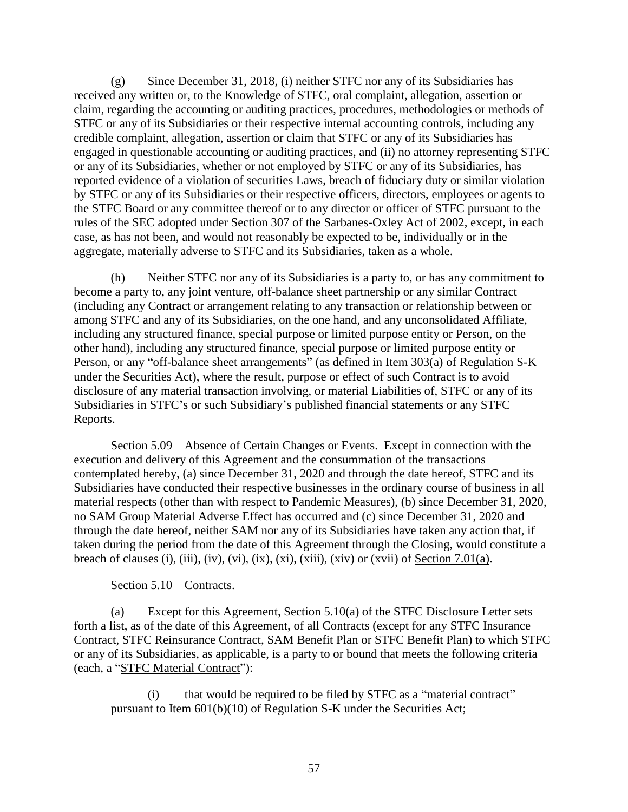(g) Since December 31, 2018, (i) neither STFC nor any of its Subsidiaries has received any written or, to the Knowledge of STFC, oral complaint, allegation, assertion or claim, regarding the accounting or auditing practices, procedures, methodologies or methods of STFC or any of its Subsidiaries or their respective internal accounting controls, including any credible complaint, allegation, assertion or claim that STFC or any of its Subsidiaries has engaged in questionable accounting or auditing practices, and (ii) no attorney representing STFC or any of its Subsidiaries, whether or not employed by STFC or any of its Subsidiaries, has reported evidence of a violation of securities Laws, breach of fiduciary duty or similar violation by STFC or any of its Subsidiaries or their respective officers, directors, employees or agents to the STFC Board or any committee thereof or to any director or officer of STFC pursuant to the rules of the SEC adopted under Section 307 of the Sarbanes-Oxley Act of 2002, except, in each case, as has not been, and would not reasonably be expected to be, individually or in the aggregate, materially adverse to STFC and its Subsidiaries, taken as a whole.

(h) Neither STFC nor any of its Subsidiaries is a party to, or has any commitment to become a party to, any joint venture, off-balance sheet partnership or any similar Contract (including any Contract or arrangement relating to any transaction or relationship between or among STFC and any of its Subsidiaries, on the one hand, and any unconsolidated Affiliate, including any structured finance, special purpose or limited purpose entity or Person, on the other hand), including any structured finance, special purpose or limited purpose entity or Person, or any "off-balance sheet arrangements" (as defined in Item 303(a) of Regulation S-K under the Securities Act), where the result, purpose or effect of such Contract is to avoid disclosure of any material transaction involving, or material Liabilities of, STFC or any of its Subsidiaries in STFC's or such Subsidiary's published financial statements or any STFC Reports.

Section 5.09 Absence of Certain Changes or Events. Except in connection with the execution and delivery of this Agreement and the consummation of the transactions contemplated hereby, (a) since December 31, 2020 and through the date hereof, STFC and its Subsidiaries have conducted their respective businesses in the ordinary course of business in all material respects (other than with respect to Pandemic Measures), (b) since December 31, 2020, no SAM Group Material Adverse Effect has occurred and (c) since December 31, 2020 and through the date hereof, neither SAM nor any of its Subsidiaries have taken any action that, if taken during the period from the date of this Agreement through the Closing, would constitute a breach of clauses (i), (iii), (iv), (vi), (ix), (xii), (xiii), (xiv) or (xvii) of Section [7.01\(a\).](#page-84-0)

## Section 5.10 Contracts.

<span id="page-62-0"></span>(a) Except for this Agreement, Section [5.10\(a\)](#page-62-0) of the STFC Disclosure Letter sets forth a list, as of the date of this Agreement, of all Contracts (except for any STFC Insurance Contract, STFC Reinsurance Contract, SAM Benefit Plan or STFC Benefit Plan) to which STFC or any of its Subsidiaries, as applicable, is a party to or bound that meets the following criteria (each, a "STFC Material Contract"):

(i) that would be required to be filed by STFC as a "material contract" pursuant to Item 601(b)(10) of Regulation S-K under the Securities Act;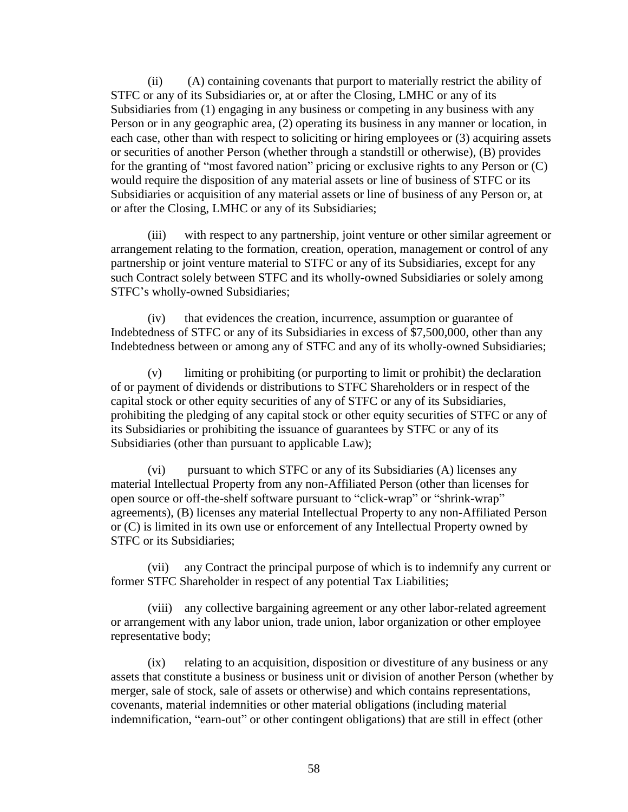(ii) (A) containing covenants that purport to materially restrict the ability of STFC or any of its Subsidiaries or, at or after the Closing, LMHC or any of its Subsidiaries from (1) engaging in any business or competing in any business with any Person or in any geographic area, (2) operating its business in any manner or location, in each case, other than with respect to soliciting or hiring employees or (3) acquiring assets or securities of another Person (whether through a standstill or otherwise), (B) provides for the granting of "most favored nation" pricing or exclusive rights to any Person or (C) would require the disposition of any material assets or line of business of STFC or its Subsidiaries or acquisition of any material assets or line of business of any Person or, at or after the Closing, LMHC or any of its Subsidiaries;

(iii) with respect to any partnership, joint venture or other similar agreement or arrangement relating to the formation, creation, operation, management or control of any partnership or joint venture material to STFC or any of its Subsidiaries, except for any such Contract solely between STFC and its wholly-owned Subsidiaries or solely among STFC's wholly-owned Subsidiaries;

(iv) that evidences the creation, incurrence, assumption or guarantee of Indebtedness of STFC or any of its Subsidiaries in excess of \$7,500,000, other than any Indebtedness between or among any of STFC and any of its wholly-owned Subsidiaries;

(v) limiting or prohibiting (or purporting to limit or prohibit) the declaration of or payment of dividends or distributions to STFC Shareholders or in respect of the capital stock or other equity securities of any of STFC or any of its Subsidiaries, prohibiting the pledging of any capital stock or other equity securities of STFC or any of its Subsidiaries or prohibiting the issuance of guarantees by STFC or any of its Subsidiaries (other than pursuant to applicable Law);

(vi) pursuant to which STFC or any of its Subsidiaries (A) licenses any material Intellectual Property from any non-Affiliated Person (other than licenses for open source or off-the-shelf software pursuant to "click-wrap" or "shrink-wrap" agreements), (B) licenses any material Intellectual Property to any non-Affiliated Person or (C) is limited in its own use or enforcement of any Intellectual Property owned by STFC or its Subsidiaries;

(vii) any Contract the principal purpose of which is to indemnify any current or former STFC Shareholder in respect of any potential Tax Liabilities;

(viii) any collective bargaining agreement or any other labor-related agreement or arrangement with any labor union, trade union, labor organization or other employee representative body;

(ix) relating to an acquisition, disposition or divestiture of any business or any assets that constitute a business or business unit or division of another Person (whether by merger, sale of stock, sale of assets or otherwise) and which contains representations, covenants, material indemnities or other material obligations (including material indemnification, "earn-out" or other contingent obligations) that are still in effect (other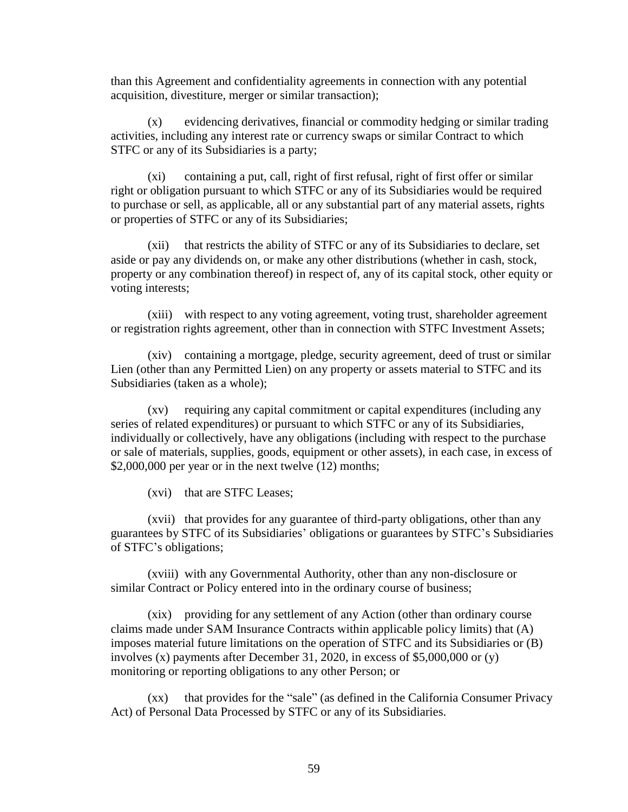than this Agreement and confidentiality agreements in connection with any potential acquisition, divestiture, merger or similar transaction);

(x) evidencing derivatives, financial or commodity hedging or similar trading activities, including any interest rate or currency swaps or similar Contract to which STFC or any of its Subsidiaries is a party;

(xi) containing a put, call, right of first refusal, right of first offer or similar right or obligation pursuant to which STFC or any of its Subsidiaries would be required to purchase or sell, as applicable, all or any substantial part of any material assets, rights or properties of STFC or any of its Subsidiaries;

(xii) that restricts the ability of STFC or any of its Subsidiaries to declare, set aside or pay any dividends on, or make any other distributions (whether in cash, stock, property or any combination thereof) in respect of, any of its capital stock, other equity or voting interests;

(xiii) with respect to any voting agreement, voting trust, shareholder agreement or registration rights agreement, other than in connection with STFC Investment Assets;

(xiv) containing a mortgage, pledge, security agreement, deed of trust or similar Lien (other than any Permitted Lien) on any property or assets material to STFC and its Subsidiaries (taken as a whole);

(xv) requiring any capital commitment or capital expenditures (including any series of related expenditures) or pursuant to which STFC or any of its Subsidiaries, individually or collectively, have any obligations (including with respect to the purchase or sale of materials, supplies, goods, equipment or other assets), in each case, in excess of \$2,000,000 per year or in the next twelve (12) months;

(xvi) that are STFC Leases;

(xvii) that provides for any guarantee of third-party obligations, other than any guarantees by STFC of its Subsidiaries' obligations or guarantees by STFC's Subsidiaries of STFC's obligations;

(xviii) with any Governmental Authority, other than any non-disclosure or similar Contract or Policy entered into in the ordinary course of business;

(xix) providing for any settlement of any Action (other than ordinary course claims made under SAM Insurance Contracts within applicable policy limits) that (A) imposes material future limitations on the operation of STFC and its Subsidiaries or (B) involves  $(x)$  payments after December 31, 2020, in excess of \$5,000,000 or  $(y)$ monitoring or reporting obligations to any other Person; or

(xx) that provides for the "sale" (as defined in the California Consumer Privacy Act) of Personal Data Processed by STFC or any of its Subsidiaries.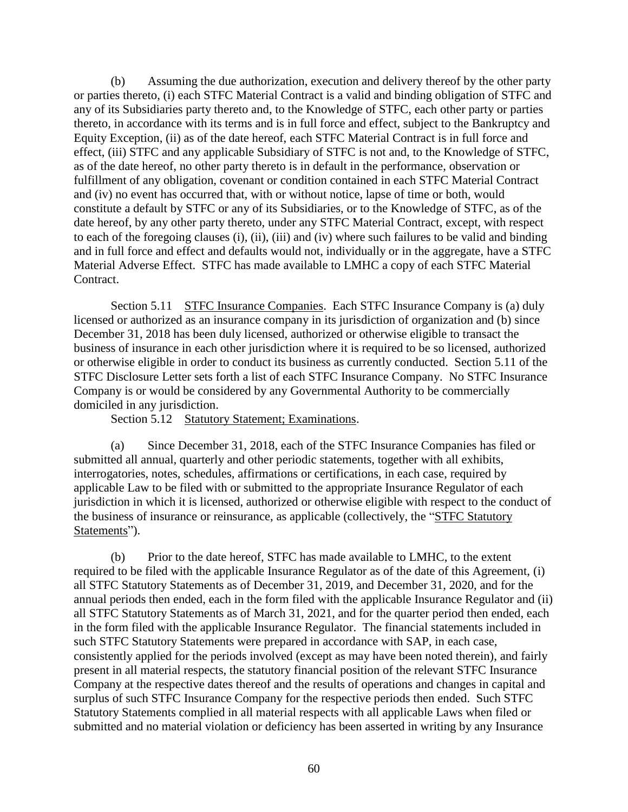(b) Assuming the due authorization, execution and delivery thereof by the other party or parties thereto, (i) each STFC Material Contract is a valid and binding obligation of STFC and any of its Subsidiaries party thereto and, to the Knowledge of STFC, each other party or parties thereto, in accordance with its terms and is in full force and effect, subject to the Bankruptcy and Equity Exception, (ii) as of the date hereof, each STFC Material Contract is in full force and effect, (iii) STFC and any applicable Subsidiary of STFC is not and, to the Knowledge of STFC, as of the date hereof, no other party thereto is in default in the performance, observation or fulfillment of any obligation, covenant or condition contained in each STFC Material Contract and (iv) no event has occurred that, with or without notice, lapse of time or both, would constitute a default by STFC or any of its Subsidiaries, or to the Knowledge of STFC, as of the date hereof, by any other party thereto, under any STFC Material Contract, except, with respect to each of the foregoing clauses (i), (ii), (iii) and (iv) where such failures to be valid and binding and in full force and effect and defaults would not, individually or in the aggregate, have a STFC Material Adverse Effect. STFC has made available to LMHC a copy of each STFC Material Contract.

<span id="page-65-0"></span>Section 5.11 STFC Insurance Companies. Each STFC Insurance Company is (a) duly licensed or authorized as an insurance company in its jurisdiction of organization and (b) since December 31, 2018 has been duly licensed, authorized or otherwise eligible to transact the business of insurance in each other jurisdiction where it is required to be so licensed, authorized or otherwise eligible in order to conduct its business as currently conducted. Section [5.11](#page-65-0) of the STFC Disclosure Letter sets forth a list of each STFC Insurance Company. No STFC Insurance Company is or would be considered by any Governmental Authority to be commercially domiciled in any jurisdiction.

Section 5.12 Statutory Statement; Examinations.

(a) Since December 31, 2018, each of the STFC Insurance Companies has filed or submitted all annual, quarterly and other periodic statements, together with all exhibits, interrogatories, notes, schedules, affirmations or certifications, in each case, required by applicable Law to be filed with or submitted to the appropriate Insurance Regulator of each jurisdiction in which it is licensed, authorized or otherwise eligible with respect to the conduct of the business of insurance or reinsurance, as applicable (collectively, the "STFC Statutory Statements").

(b) Prior to the date hereof, STFC has made available to LMHC, to the extent required to be filed with the applicable Insurance Regulator as of the date of this Agreement, (i) all STFC Statutory Statements as of December 31, 2019, and December 31, 2020, and for the annual periods then ended, each in the form filed with the applicable Insurance Regulator and (ii) all STFC Statutory Statements as of March 31, 2021, and for the quarter period then ended, each in the form filed with the applicable Insurance Regulator. The financial statements included in such STFC Statutory Statements were prepared in accordance with SAP, in each case, consistently applied for the periods involved (except as may have been noted therein), and fairly present in all material respects, the statutory financial position of the relevant STFC Insurance Company at the respective dates thereof and the results of operations and changes in capital and surplus of such STFC Insurance Company for the respective periods then ended. Such STFC Statutory Statements complied in all material respects with all applicable Laws when filed or submitted and no material violation or deficiency has been asserted in writing by any Insurance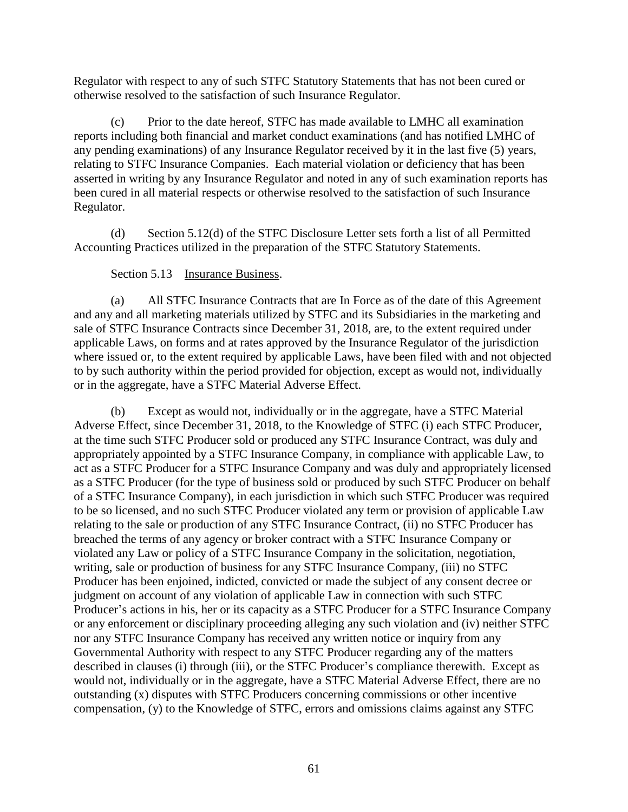Regulator with respect to any of such STFC Statutory Statements that has not been cured or otherwise resolved to the satisfaction of such Insurance Regulator.

(c) Prior to the date hereof, STFC has made available to LMHC all examination reports including both financial and market conduct examinations (and has notified LMHC of any pending examinations) of any Insurance Regulator received by it in the last five (5) years, relating to STFC Insurance Companies. Each material violation or deficiency that has been asserted in writing by any Insurance Regulator and noted in any of such examination reports has been cured in all material respects or otherwise resolved to the satisfaction of such Insurance Regulator.

<span id="page-66-0"></span>(d) Section [5.12\(d\)](#page-66-0) of the STFC Disclosure Letter sets forth a list of all Permitted Accounting Practices utilized in the preparation of the STFC Statutory Statements.

Section 5.13 Insurance Business.

(a) All STFC Insurance Contracts that are In Force as of the date of this Agreement and any and all marketing materials utilized by STFC and its Subsidiaries in the marketing and sale of STFC Insurance Contracts since December 31, 2018, are, to the extent required under applicable Laws, on forms and at rates approved by the Insurance Regulator of the jurisdiction where issued or, to the extent required by applicable Laws, have been filed with and not objected to by such authority within the period provided for objection, except as would not, individually or in the aggregate, have a STFC Material Adverse Effect.

(b) Except as would not, individually or in the aggregate, have a STFC Material Adverse Effect, since December 31, 2018, to the Knowledge of STFC (i) each STFC Producer, at the time such STFC Producer sold or produced any STFC Insurance Contract, was duly and appropriately appointed by a STFC Insurance Company, in compliance with applicable Law, to act as a STFC Producer for a STFC Insurance Company and was duly and appropriately licensed as a STFC Producer (for the type of business sold or produced by such STFC Producer on behalf of a STFC Insurance Company), in each jurisdiction in which such STFC Producer was required to be so licensed, and no such STFC Producer violated any term or provision of applicable Law relating to the sale or production of any STFC Insurance Contract, (ii) no STFC Producer has breached the terms of any agency or broker contract with a STFC Insurance Company or violated any Law or policy of a STFC Insurance Company in the solicitation, negotiation, writing, sale or production of business for any STFC Insurance Company, (iii) no STFC Producer has been enjoined, indicted, convicted or made the subject of any consent decree or judgment on account of any violation of applicable Law in connection with such STFC Producer's actions in his, her or its capacity as a STFC Producer for a STFC Insurance Company or any enforcement or disciplinary proceeding alleging any such violation and (iv) neither STFC nor any STFC Insurance Company has received any written notice or inquiry from any Governmental Authority with respect to any STFC Producer regarding any of the matters described in clauses (i) through (iii), or the STFC Producer's compliance therewith. Except as would not, individually or in the aggregate, have a STFC Material Adverse Effect, there are no outstanding (x) disputes with STFC Producers concerning commissions or other incentive compensation, (y) to the Knowledge of STFC, errors and omissions claims against any STFC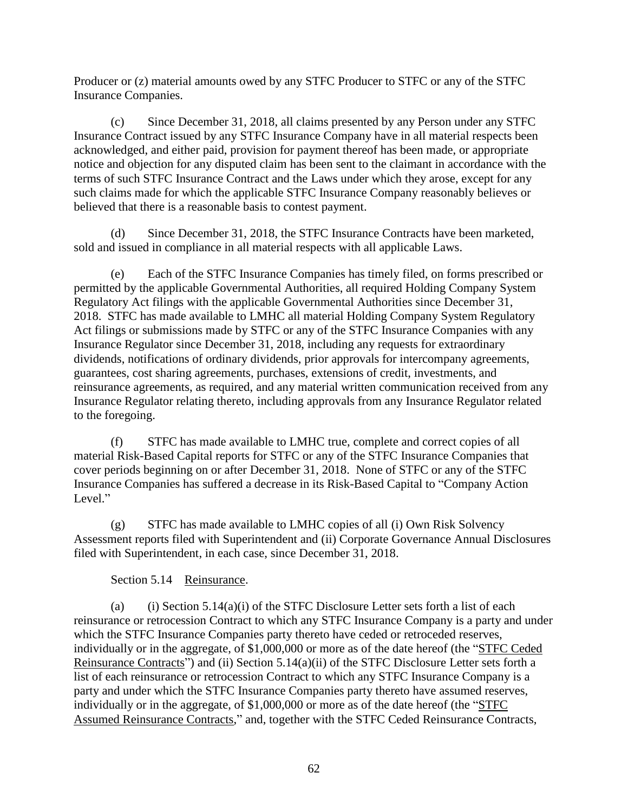Producer or (z) material amounts owed by any STFC Producer to STFC or any of the STFC Insurance Companies.

(c) Since December 31, 2018, all claims presented by any Person under any STFC Insurance Contract issued by any STFC Insurance Company have in all material respects been acknowledged, and either paid, provision for payment thereof has been made, or appropriate notice and objection for any disputed claim has been sent to the claimant in accordance with the terms of such STFC Insurance Contract and the Laws under which they arose, except for any such claims made for which the applicable STFC Insurance Company reasonably believes or believed that there is a reasonable basis to contest payment.

(d) Since December 31, 2018, the STFC Insurance Contracts have been marketed, sold and issued in compliance in all material respects with all applicable Laws.

(e) Each of the STFC Insurance Companies has timely filed, on forms prescribed or permitted by the applicable Governmental Authorities, all required Holding Company System Regulatory Act filings with the applicable Governmental Authorities since December 31, 2018. STFC has made available to LMHC all material Holding Company System Regulatory Act filings or submissions made by STFC or any of the STFC Insurance Companies with any Insurance Regulator since December 31, 2018, including any requests for extraordinary dividends, notifications of ordinary dividends, prior approvals for intercompany agreements, guarantees, cost sharing agreements, purchases, extensions of credit, investments, and reinsurance agreements, as required, and any material written communication received from any Insurance Regulator relating thereto, including approvals from any Insurance Regulator related to the foregoing.

(f) STFC has made available to LMHC true, complete and correct copies of all material Risk-Based Capital reports for STFC or any of the STFC Insurance Companies that cover periods beginning on or after December 31, 2018. None of STFC or any of the STFC Insurance Companies has suffered a decrease in its Risk-Based Capital to "Company Action Level."

(g) STFC has made available to LMHC copies of all (i) Own Risk Solvency Assessment reports filed with Superintendent and (ii) Corporate Governance Annual Disclosures filed with Superintendent, in each case, since December 31, 2018.

# Section 5.14 Reinsurance.

<span id="page-67-0"></span>(a) (i) Section [5.14\(a\)\(](#page-67-0)i) of the STFC Disclosure Letter sets forth a list of each reinsurance or retrocession Contract to which any STFC Insurance Company is a party and under which the STFC Insurance Companies party thereto have ceded or retroceded reserves, individually or in the aggregate, of \$1,000,000 or more as of the date hereof (the "STFC Ceded Reinsurance Contracts") and (ii) Section [5.14\(a\)\(](#page-67-0)ii) of the STFC Disclosure Letter sets forth a list of each reinsurance or retrocession Contract to which any STFC Insurance Company is a party and under which the STFC Insurance Companies party thereto have assumed reserves, individually or in the aggregate, of \$1,000,000 or more as of the date hereof (the "STFC Assumed Reinsurance Contracts," and, together with the STFC Ceded Reinsurance Contracts,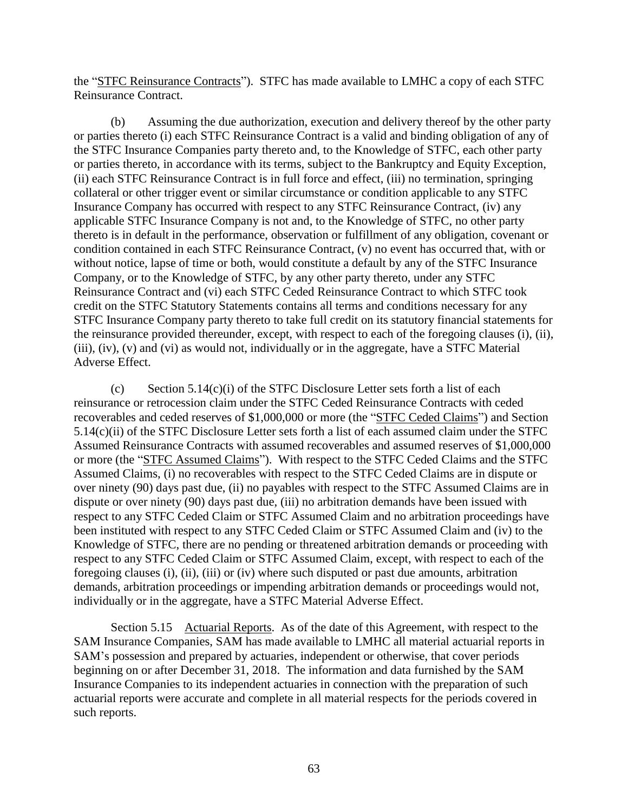the "STFC Reinsurance Contracts"). STFC has made available to LMHC a copy of each STFC Reinsurance Contract.

(b) Assuming the due authorization, execution and delivery thereof by the other party or parties thereto (i) each STFC Reinsurance Contract is a valid and binding obligation of any of the STFC Insurance Companies party thereto and, to the Knowledge of STFC, each other party or parties thereto, in accordance with its terms, subject to the Bankruptcy and Equity Exception, (ii) each STFC Reinsurance Contract is in full force and effect, (iii) no termination, springing collateral or other trigger event or similar circumstance or condition applicable to any STFC Insurance Company has occurred with respect to any STFC Reinsurance Contract, (iv) any applicable STFC Insurance Company is not and, to the Knowledge of STFC, no other party thereto is in default in the performance, observation or fulfillment of any obligation, covenant or condition contained in each STFC Reinsurance Contract, (v) no event has occurred that, with or without notice, lapse of time or both, would constitute a default by any of the STFC Insurance Company, or to the Knowledge of STFC, by any other party thereto, under any STFC Reinsurance Contract and (vi) each STFC Ceded Reinsurance Contract to which STFC took credit on the STFC Statutory Statements contains all terms and conditions necessary for any STFC Insurance Company party thereto to take full credit on its statutory financial statements for the reinsurance provided thereunder, except, with respect to each of the foregoing clauses (i), (ii), (iii), (iv), (v) and (vi) as would not, individually or in the aggregate, have a STFC Material Adverse Effect.

<span id="page-68-0"></span>(c) Section  $5.14(c)(i)$  of the STFC Disclosure Letter sets forth a list of each reinsurance or retrocession claim under the STFC Ceded Reinsurance Contracts with ceded recoverables and ceded reserves of \$1,000,000 or more (the "STFC Ceded Claims") and Section [5.14\(c\)\(](#page-68-0)ii) of the STFC Disclosure Letter sets forth a list of each assumed claim under the STFC Assumed Reinsurance Contracts with assumed recoverables and assumed reserves of \$1,000,000 or more (the "STFC Assumed Claims"). With respect to the STFC Ceded Claims and the STFC Assumed Claims, (i) no recoverables with respect to the STFC Ceded Claims are in dispute or over ninety (90) days past due, (ii) no payables with respect to the STFC Assumed Claims are in dispute or over ninety (90) days past due, (iii) no arbitration demands have been issued with respect to any STFC Ceded Claim or STFC Assumed Claim and no arbitration proceedings have been instituted with respect to any STFC Ceded Claim or STFC Assumed Claim and (iv) to the Knowledge of STFC, there are no pending or threatened arbitration demands or proceeding with respect to any STFC Ceded Claim or STFC Assumed Claim, except, with respect to each of the foregoing clauses (i), (ii), (iii) or (iv) where such disputed or past due amounts, arbitration demands, arbitration proceedings or impending arbitration demands or proceedings would not, individually or in the aggregate, have a STFC Material Adverse Effect.

Section 5.15 Actuarial Reports. As of the date of this Agreement, with respect to the SAM Insurance Companies, SAM has made available to LMHC all material actuarial reports in SAM's possession and prepared by actuaries, independent or otherwise, that cover periods beginning on or after December 31, 2018. The information and data furnished by the SAM Insurance Companies to its independent actuaries in connection with the preparation of such actuarial reports were accurate and complete in all material respects for the periods covered in such reports.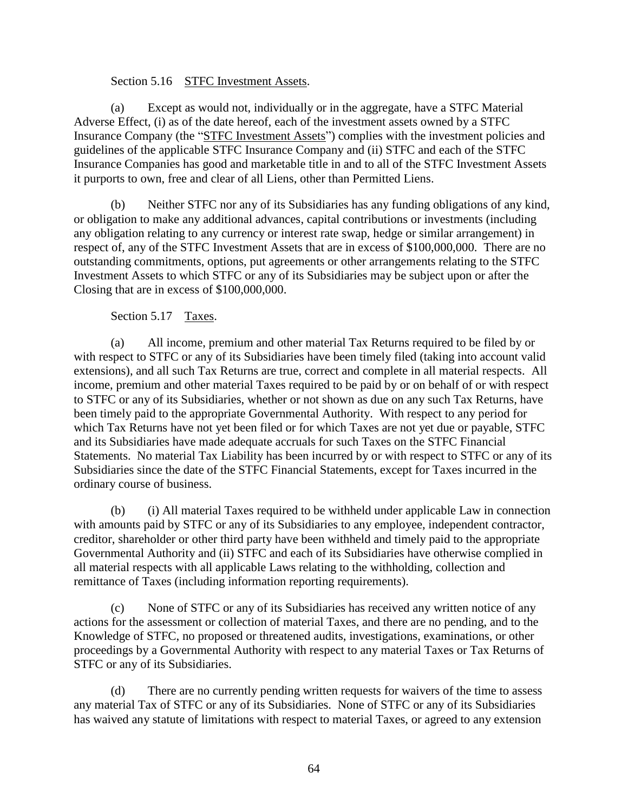## Section 5.16 STFC Investment Assets.

(a) Except as would not, individually or in the aggregate, have a STFC Material Adverse Effect, (i) as of the date hereof, each of the investment assets owned by a STFC Insurance Company (the "STFC Investment Assets") complies with the investment policies and guidelines of the applicable STFC Insurance Company and (ii) STFC and each of the STFC Insurance Companies has good and marketable title in and to all of the STFC Investment Assets it purports to own, free and clear of all Liens, other than Permitted Liens.

(b) Neither STFC nor any of its Subsidiaries has any funding obligations of any kind, or obligation to make any additional advances, capital contributions or investments (including any obligation relating to any currency or interest rate swap, hedge or similar arrangement) in respect of, any of the STFC Investment Assets that are in excess of \$100,000,000. There are no outstanding commitments, options, put agreements or other arrangements relating to the STFC Investment Assets to which STFC or any of its Subsidiaries may be subject upon or after the Closing that are in excess of \$100,000,000.

Section 5.17 Taxes.

(a) All income, premium and other material Tax Returns required to be filed by or with respect to STFC or any of its Subsidiaries have been timely filed (taking into account valid extensions), and all such Tax Returns are true, correct and complete in all material respects. All income, premium and other material Taxes required to be paid by or on behalf of or with respect to STFC or any of its Subsidiaries, whether or not shown as due on any such Tax Returns, have been timely paid to the appropriate Governmental Authority. With respect to any period for which Tax Returns have not yet been filed or for which Taxes are not yet due or payable, STFC and its Subsidiaries have made adequate accruals for such Taxes on the STFC Financial Statements. No material Tax Liability has been incurred by or with respect to STFC or any of its Subsidiaries since the date of the STFC Financial Statements, except for Taxes incurred in the ordinary course of business.

(b) (i) All material Taxes required to be withheld under applicable Law in connection with amounts paid by STFC or any of its Subsidiaries to any employee, independent contractor, creditor, shareholder or other third party have been withheld and timely paid to the appropriate Governmental Authority and (ii) STFC and each of its Subsidiaries have otherwise complied in all material respects with all applicable Laws relating to the withholding, collection and remittance of Taxes (including information reporting requirements).

(c) None of STFC or any of its Subsidiaries has received any written notice of any actions for the assessment or collection of material Taxes, and there are no pending, and to the Knowledge of STFC, no proposed or threatened audits, investigations, examinations, or other proceedings by a Governmental Authority with respect to any material Taxes or Tax Returns of STFC or any of its Subsidiaries.

(d) There are no currently pending written requests for waivers of the time to assess any material Tax of STFC or any of its Subsidiaries. None of STFC or any of its Subsidiaries has waived any statute of limitations with respect to material Taxes, or agreed to any extension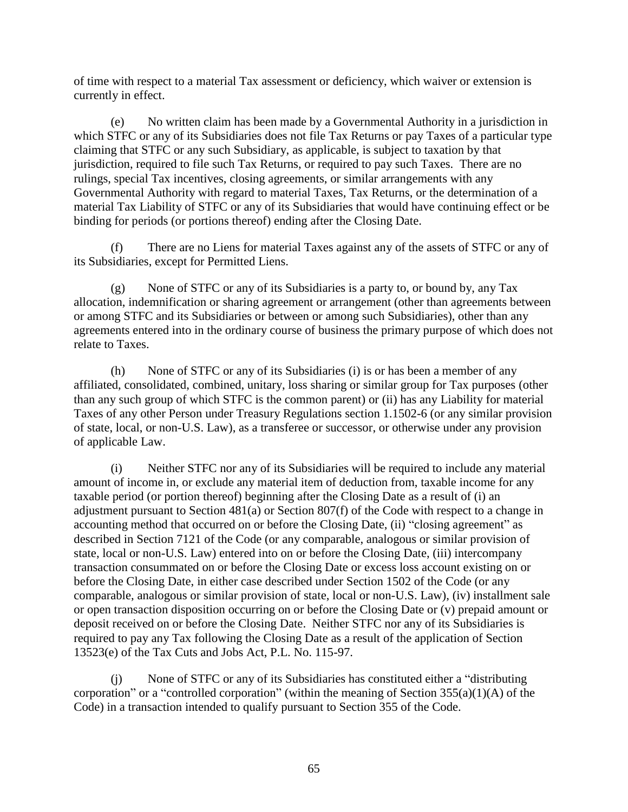of time with respect to a material Tax assessment or deficiency, which waiver or extension is currently in effect.

(e) No written claim has been made by a Governmental Authority in a jurisdiction in which STFC or any of its Subsidiaries does not file Tax Returns or pay Taxes of a particular type claiming that STFC or any such Subsidiary, as applicable, is subject to taxation by that jurisdiction, required to file such Tax Returns, or required to pay such Taxes. There are no rulings, special Tax incentives, closing agreements, or similar arrangements with any Governmental Authority with regard to material Taxes, Tax Returns, or the determination of a material Tax Liability of STFC or any of its Subsidiaries that would have continuing effect or be binding for periods (or portions thereof) ending after the Closing Date.

(f) There are no Liens for material Taxes against any of the assets of STFC or any of its Subsidiaries, except for Permitted Liens.

(g) None of STFC or any of its Subsidiaries is a party to, or bound by, any Tax allocation, indemnification or sharing agreement or arrangement (other than agreements between or among STFC and its Subsidiaries or between or among such Subsidiaries), other than any agreements entered into in the ordinary course of business the primary purpose of which does not relate to Taxes.

(h) None of STFC or any of its Subsidiaries (i) is or has been a member of any affiliated, consolidated, combined, unitary, loss sharing or similar group for Tax purposes (other than any such group of which STFC is the common parent) or (ii) has any Liability for material Taxes of any other Person under Treasury Regulations section 1.1502-6 (or any similar provision of state, local, or non-U.S. Law), as a transferee or successor, or otherwise under any provision of applicable Law.

(i) Neither STFC nor any of its Subsidiaries will be required to include any material amount of income in, or exclude any material item of deduction from, taxable income for any taxable period (or portion thereof) beginning after the Closing Date as a result of (i) an adjustment pursuant to Section 481(a) or Section 807(f) of the Code with respect to a change in accounting method that occurred on or before the Closing Date, (ii) "closing agreement" as described in Section 7121 of the Code (or any comparable, analogous or similar provision of state, local or non-U.S. Law) entered into on or before the Closing Date, (iii) intercompany transaction consummated on or before the Closing Date or excess loss account existing on or before the Closing Date, in either case described under Section 1502 of the Code (or any comparable, analogous or similar provision of state, local or non-U.S. Law), (iv) installment sale or open transaction disposition occurring on or before the Closing Date or (v) prepaid amount or deposit received on or before the Closing Date. Neither STFC nor any of its Subsidiaries is required to pay any Tax following the Closing Date as a result of the application of Section 13523(e) of the Tax Cuts and Jobs Act, P.L. No. 115-97.

None of STFC or any of its Subsidiaries has constituted either a "distributing" corporation" or a "controlled corporation" (within the meaning of Section  $355(a)(1)(A)$  of the Code) in a transaction intended to qualify pursuant to Section 355 of the Code.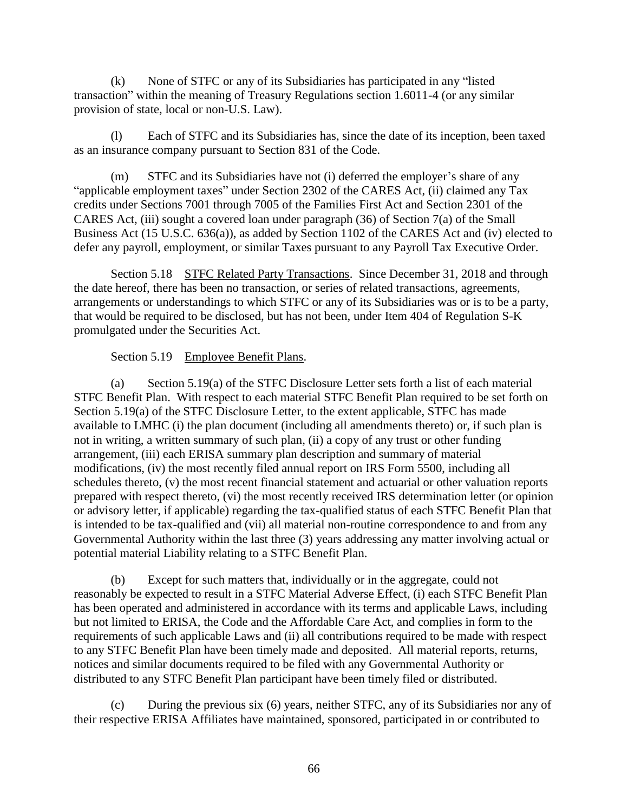(k) None of STFC or any of its Subsidiaries has participated in any "listed transaction" within the meaning of Treasury Regulations section 1.6011-4 (or any similar provision of state, local or non-U.S. Law).

(l) Each of STFC and its Subsidiaries has, since the date of its inception, been taxed as an insurance company pursuant to Section 831 of the Code.

(m) STFC and its Subsidiaries have not (i) deferred the employer's share of any "applicable employment taxes" under Section 2302 of the CARES Act, (ii) claimed any Tax credits under Sections 7001 through 7005 of the Families First Act and Section 2301 of the CARES Act, (iii) sought a covered loan under paragraph (36) of Section 7(a) of the Small Business Act (15 U.S.C. 636(a)), as added by Section 1102 of the CARES Act and (iv) elected to defer any payroll, employment, or similar Taxes pursuant to any Payroll Tax Executive Order.

Section 5.18 STFC Related Party Transactions. Since December 31, 2018 and through the date hereof, there has been no transaction, or series of related transactions, agreements, arrangements or understandings to which STFC or any of its Subsidiaries was or is to be a party, that would be required to be disclosed, but has not been, under Item 404 of Regulation S-K promulgated under the Securities Act.

## Section 5.19 Employee Benefit Plans.

<span id="page-71-0"></span>(a) Section [5.19\(a\)](#page-71-0) of the STFC Disclosure Letter sets forth a list of each material STFC Benefit Plan. With respect to each material STFC Benefit Plan required to be set forth on Section [5.19\(a\)](#page-71-0) of the STFC Disclosure Letter, to the extent applicable, STFC has made available to LMHC (i) the plan document (including all amendments thereto) or, if such plan is not in writing, a written summary of such plan, (ii) a copy of any trust or other funding arrangement, (iii) each ERISA summary plan description and summary of material modifications, (iv) the most recently filed annual report on IRS Form 5500, including all schedules thereto, (v) the most recent financial statement and actuarial or other valuation reports prepared with respect thereto, (vi) the most recently received IRS determination letter (or opinion or advisory letter, if applicable) regarding the tax-qualified status of each STFC Benefit Plan that is intended to be tax-qualified and (vii) all material non-routine correspondence to and from any Governmental Authority within the last three (3) years addressing any matter involving actual or potential material Liability relating to a STFC Benefit Plan.

(b) Except for such matters that, individually or in the aggregate, could not reasonably be expected to result in a STFC Material Adverse Effect, (i) each STFC Benefit Plan has been operated and administered in accordance with its terms and applicable Laws, including but not limited to ERISA, the Code and the Affordable Care Act, and complies in form to the requirements of such applicable Laws and (ii) all contributions required to be made with respect to any STFC Benefit Plan have been timely made and deposited. All material reports, returns, notices and similar documents required to be filed with any Governmental Authority or distributed to any STFC Benefit Plan participant have been timely filed or distributed.

(c) During the previous six (6) years, neither STFC, any of its Subsidiaries nor any of their respective ERISA Affiliates have maintained, sponsored, participated in or contributed to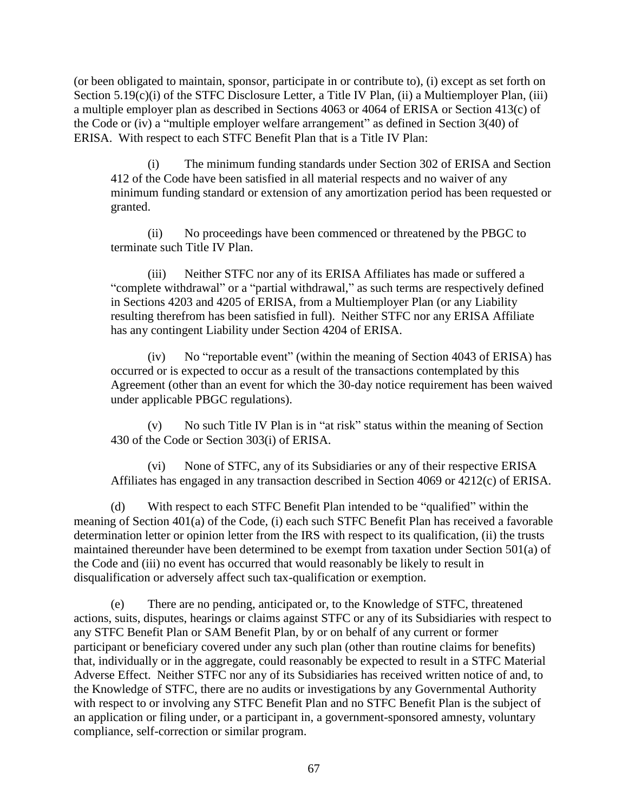(or been obligated to maintain, sponsor, participate in or contribute to), (i) except as set forth on Section [5.19\(c\)\(](#page-71-0)i) of the STFC Disclosure Letter, a Title IV Plan, (ii) a Multiemployer Plan, (iii) a multiple employer plan as described in Sections 4063 or 4064 of ERISA or Section 413(c) of the Code or (iv) a "multiple employer welfare arrangement" as defined in Section 3(40) of ERISA. With respect to each STFC Benefit Plan that is a Title IV Plan:

(i) The minimum funding standards under Section 302 of ERISA and Section 412 of the Code have been satisfied in all material respects and no waiver of any minimum funding standard or extension of any amortization period has been requested or granted.

(ii) No proceedings have been commenced or threatened by the PBGC to terminate such Title IV Plan.

(iii) Neither STFC nor any of its ERISA Affiliates has made or suffered a "complete withdrawal" or a "partial withdrawal," as such terms are respectively defined in Sections 4203 and 4205 of ERISA, from a Multiemployer Plan (or any Liability resulting therefrom has been satisfied in full). Neither STFC nor any ERISA Affiliate has any contingent Liability under Section 4204 of ERISA.

(iv) No "reportable event" (within the meaning of Section 4043 of ERISA) has occurred or is expected to occur as a result of the transactions contemplated by this Agreement (other than an event for which the 30-day notice requirement has been waived under applicable PBGC regulations).

(v) No such Title IV Plan is in "at risk" status within the meaning of Section 430 of the Code or Section 303(i) of ERISA.

(vi) None of STFC, any of its Subsidiaries or any of their respective ERISA Affiliates has engaged in any transaction described in Section 4069 or 4212(c) of ERISA.

(d) With respect to each STFC Benefit Plan intended to be "qualified" within the meaning of Section 401(a) of the Code, (i) each such STFC Benefit Plan has received a favorable determination letter or opinion letter from the IRS with respect to its qualification, (ii) the trusts maintained thereunder have been determined to be exempt from taxation under Section 501(a) of the Code and (iii) no event has occurred that would reasonably be likely to result in disqualification or adversely affect such tax-qualification or exemption.

(e) There are no pending, anticipated or, to the Knowledge of STFC, threatened actions, suits, disputes, hearings or claims against STFC or any of its Subsidiaries with respect to any STFC Benefit Plan or SAM Benefit Plan, by or on behalf of any current or former participant or beneficiary covered under any such plan (other than routine claims for benefits) that, individually or in the aggregate, could reasonably be expected to result in a STFC Material Adverse Effect. Neither STFC nor any of its Subsidiaries has received written notice of and, to the Knowledge of STFC, there are no audits or investigations by any Governmental Authority with respect to or involving any STFC Benefit Plan and no STFC Benefit Plan is the subject of an application or filing under, or a participant in, a government-sponsored amnesty, voluntary compliance, self-correction or similar program.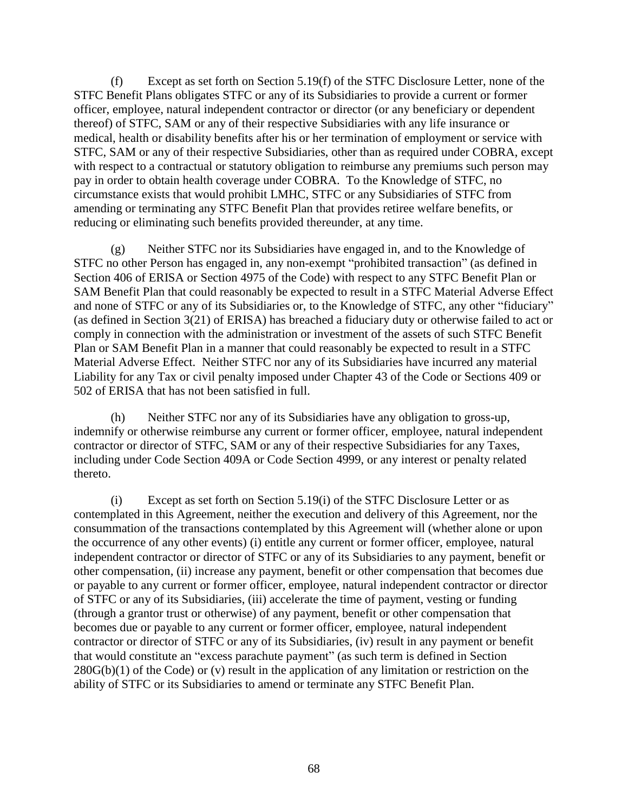<span id="page-73-0"></span>(f) Except as set forth on Section [5.19\(f\)](#page-73-0) of the STFC Disclosure Letter, none of the STFC Benefit Plans obligates STFC or any of its Subsidiaries to provide a current or former officer, employee, natural independent contractor or director (or any beneficiary or dependent thereof) of STFC, SAM or any of their respective Subsidiaries with any life insurance or medical, health or disability benefits after his or her termination of employment or service with STFC, SAM or any of their respective Subsidiaries, other than as required under COBRA, except with respect to a contractual or statutory obligation to reimburse any premiums such person may pay in order to obtain health coverage under COBRA. To the Knowledge of STFC, no circumstance exists that would prohibit LMHC, STFC or any Subsidiaries of STFC from amending or terminating any STFC Benefit Plan that provides retiree welfare benefits, or reducing or eliminating such benefits provided thereunder, at any time.

(g) Neither STFC nor its Subsidiaries have engaged in, and to the Knowledge of STFC no other Person has engaged in, any non-exempt "prohibited transaction" (as defined in Section 406 of ERISA or Section 4975 of the Code) with respect to any STFC Benefit Plan or SAM Benefit Plan that could reasonably be expected to result in a STFC Material Adverse Effect and none of STFC or any of its Subsidiaries or, to the Knowledge of STFC, any other "fiduciary" (as defined in Section 3(21) of ERISA) has breached a fiduciary duty or otherwise failed to act or comply in connection with the administration or investment of the assets of such STFC Benefit Plan or SAM Benefit Plan in a manner that could reasonably be expected to result in a STFC Material Adverse Effect. Neither STFC nor any of its Subsidiaries have incurred any material Liability for any Tax or civil penalty imposed under Chapter 43 of the Code or Sections 409 or 502 of ERISA that has not been satisfied in full.

(h) Neither STFC nor any of its Subsidiaries have any obligation to gross-up, indemnify or otherwise reimburse any current or former officer, employee, natural independent contractor or director of STFC, SAM or any of their respective Subsidiaries for any Taxes, including under Code Section 409A or Code Section 4999, or any interest or penalty related thereto.

<span id="page-73-1"></span>(i) Except as set forth on [Section](#page-73-1) 5.19(i) of the STFC Disclosure Letter or as contemplated in this Agreement, neither the execution and delivery of this Agreement, nor the consummation of the transactions contemplated by this Agreement will (whether alone or upon the occurrence of any other events) (i) entitle any current or former officer, employee, natural independent contractor or director of STFC or any of its Subsidiaries to any payment, benefit or other compensation, (ii) increase any payment, benefit or other compensation that becomes due or payable to any current or former officer, employee, natural independent contractor or director of STFC or any of its Subsidiaries, (iii) accelerate the time of payment, vesting or funding (through a grantor trust or otherwise) of any payment, benefit or other compensation that becomes due or payable to any current or former officer, employee, natural independent contractor or director of STFC or any of its Subsidiaries, (iv) result in any payment or benefit that would constitute an "excess parachute payment" (as such term is defined in Section  $280G(b)(1)$  of the Code) or (v) result in the application of any limitation or restriction on the ability of STFC or its Subsidiaries to amend or terminate any STFC Benefit Plan.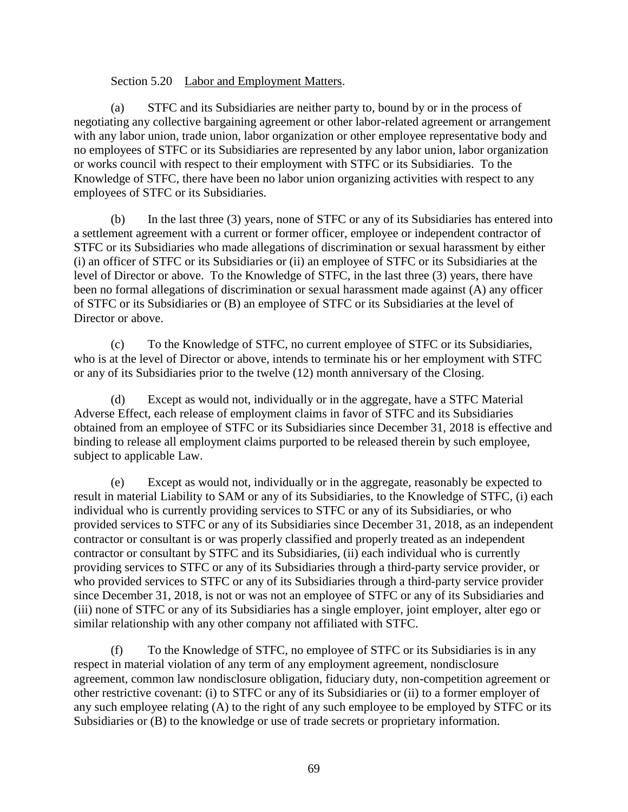# Section 5.20 Labor and Employment Matters.

(a) STFC and its Subsidiaries are neither party to, bound by or in the process of negotiating any collective bargaining agreement or other labor-related agreement or arrangement with any labor union, trade union, labor organization or other employee representative body and no employees of STFC or its Subsidiaries are represented by any labor union, labor organization or works council with respect to their employment with STFC or its Subsidiaries. To the Knowledge of STFC, there have been no labor union organizing activities with respect to any employees of STFC or its Subsidiaries.

(b) In the last three (3) years, none of STFC or any of its Subsidiaries has entered into a settlement agreement with a current or former officer, employee or independent contractor of STFC or its Subsidiaries who made allegations of discrimination or sexual harassment by either (i) an officer of STFC or its Subsidiaries or (ii) an employee of STFC or its Subsidiaries at the level of Director or above. To the Knowledge of STFC, in the last three (3) years, there have been no formal allegations of discrimination or sexual harassment made against (A) any officer of STFC or its Subsidiaries or (B) an employee of STFC or its Subsidiaries at the level of Director or above.

(c) To the Knowledge of STFC, no current employee of STFC or its Subsidiaries, who is at the level of Director or above, intends to terminate his or her employment with STFC or any of its Subsidiaries prior to the twelve (12) month anniversary of the Closing.

(d) Except as would not, individually or in the aggregate, have a STFC Material Adverse Effect, each release of employment claims in favor of STFC and its Subsidiaries obtained from an employee of STFC or its Subsidiaries since December 31, 2018 is effective and binding to release all employment claims purported to be released therein by such employee, subject to applicable Law.

(e) Except as would not, individually or in the aggregate, reasonably be expected to result in material Liability to SAM or any of its Subsidiaries, to the Knowledge of STFC, (i) each individual who is currently providing services to STFC or any of its Subsidiaries, or who provided services to STFC or any of its Subsidiaries since December 31, 2018, as an independent contractor or consultant is or was properly classified and properly treated as an independent contractor or consultant by STFC and its Subsidiaries, (ii) each individual who is currently providing services to STFC or any of its Subsidiaries through a third-party service provider, or who provided services to STFC or any of its Subsidiaries through a third-party service provider since December 31, 2018, is not or was not an employee of STFC or any of its Subsidiaries and (iii) none of STFC or any of its Subsidiaries has a single employer, joint employer, alter ego or similar relationship with any other company not affiliated with STFC.

(f) To the Knowledge of STFC, no employee of STFC or its Subsidiaries is in any respect in material violation of any term of any employment agreement, nondisclosure agreement, common law nondisclosure obligation, fiduciary duty, non-competition agreement or other restrictive covenant: (i) to STFC or any of its Subsidiaries or (ii) to a former employer of any such employee relating (A) to the right of any such employee to be employed by STFC or its Subsidiaries or (B) to the knowledge or use of trade secrets or proprietary information.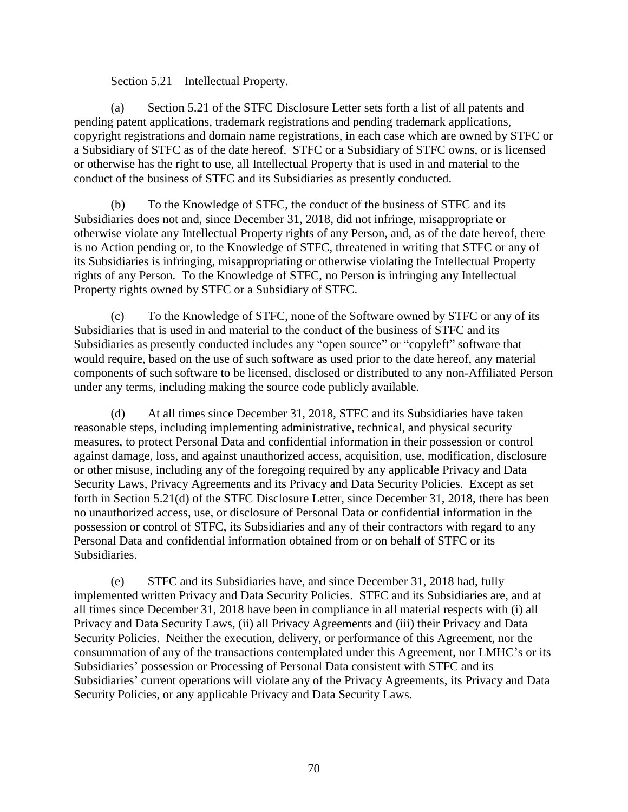# Section 5.21 Intellectual Property.

<span id="page-75-0"></span>(a) Section [5.21](#page-75-0) of the STFC Disclosure Letter sets forth a list of all patents and pending patent applications, trademark registrations and pending trademark applications, copyright registrations and domain name registrations, in each case which are owned by STFC or a Subsidiary of STFC as of the date hereof. STFC or a Subsidiary of STFC owns, or is licensed or otherwise has the right to use, all Intellectual Property that is used in and material to the conduct of the business of STFC and its Subsidiaries as presently conducted.

(b) To the Knowledge of STFC, the conduct of the business of STFC and its Subsidiaries does not and, since December 31, 2018, did not infringe, misappropriate or otherwise violate any Intellectual Property rights of any Person, and, as of the date hereof, there is no Action pending or, to the Knowledge of STFC, threatened in writing that STFC or any of its Subsidiaries is infringing, misappropriating or otherwise violating the Intellectual Property rights of any Person. To the Knowledge of STFC, no Person is infringing any Intellectual Property rights owned by STFC or a Subsidiary of STFC.

(c) To the Knowledge of STFC, none of the Software owned by STFC or any of its Subsidiaries that is used in and material to the conduct of the business of STFC and its Subsidiaries as presently conducted includes any "open source" or "copyleft" software that would require, based on the use of such software as used prior to the date hereof, any material components of such software to be licensed, disclosed or distributed to any non-Affiliated Person under any terms, including making the source code publicly available.

<span id="page-75-1"></span>(d) At all times since December 31, 2018, STFC and its Subsidiaries have taken reasonable steps, including implementing administrative, technical, and physical security measures, to protect Personal Data and confidential information in their possession or control against damage, loss, and against unauthorized access, acquisition, use, modification, disclosure or other misuse, including any of the foregoing required by any applicable Privacy and Data Security Laws, Privacy Agreements and its Privacy and Data Security Policies. Except as set forth in Section [5.21\(d\)](#page-75-1) of the STFC Disclosure Letter, since December 31, 2018, there has been no unauthorized access, use, or disclosure of Personal Data or confidential information in the possession or control of STFC, its Subsidiaries and any of their contractors with regard to any Personal Data and confidential information obtained from or on behalf of STFC or its Subsidiaries.

(e) STFC and its Subsidiaries have, and since December 31, 2018 had, fully implemented written Privacy and Data Security Policies. STFC and its Subsidiaries are, and at all times since December 31, 2018 have been in compliance in all material respects with (i) all Privacy and Data Security Laws, (ii) all Privacy Agreements and (iii) their Privacy and Data Security Policies. Neither the execution, delivery, or performance of this Agreement, nor the consummation of any of the transactions contemplated under this Agreement, nor LMHC's or its Subsidiaries' possession or Processing of Personal Data consistent with STFC and its Subsidiaries' current operations will violate any of the Privacy Agreements, its Privacy and Data Security Policies, or any applicable Privacy and Data Security Laws.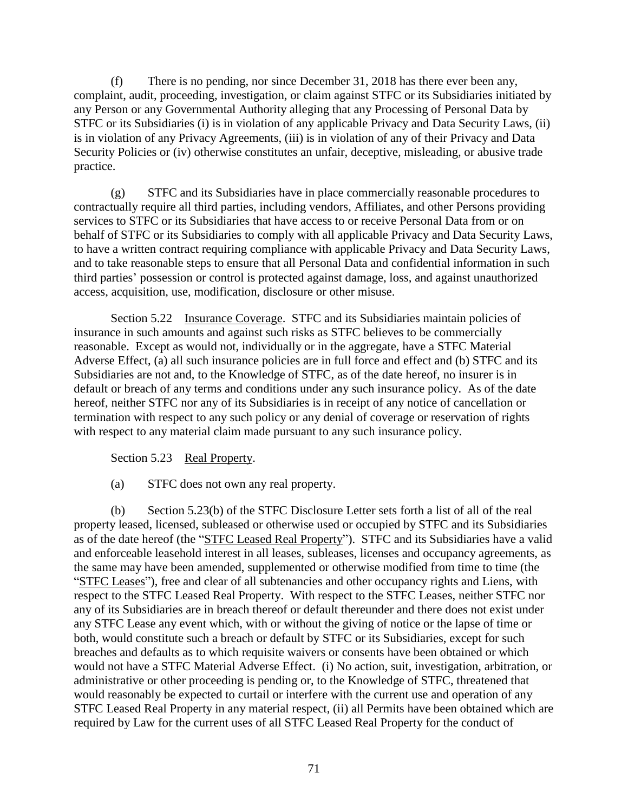(f) There is no pending, nor since December 31, 2018 has there ever been any, complaint, audit, proceeding, investigation, or claim against STFC or its Subsidiaries initiated by any Person or any Governmental Authority alleging that any Processing of Personal Data by STFC or its Subsidiaries (i) is in violation of any applicable Privacy and Data Security Laws, (ii) is in violation of any Privacy Agreements, (iii) is in violation of any of their Privacy and Data Security Policies or (iv) otherwise constitutes an unfair, deceptive, misleading, or abusive trade practice.

(g) STFC and its Subsidiaries have in place commercially reasonable procedures to contractually require all third parties, including vendors, Affiliates, and other Persons providing services to STFC or its Subsidiaries that have access to or receive Personal Data from or on behalf of STFC or its Subsidiaries to comply with all applicable Privacy and Data Security Laws, to have a written contract requiring compliance with applicable Privacy and Data Security Laws, and to take reasonable steps to ensure that all Personal Data and confidential information in such third parties' possession or control is protected against damage, loss, and against unauthorized access, acquisition, use, modification, disclosure or other misuse.

Section 5.22 Insurance Coverage. STFC and its Subsidiaries maintain policies of insurance in such amounts and against such risks as STFC believes to be commercially reasonable. Except as would not, individually or in the aggregate, have a STFC Material Adverse Effect, (a) all such insurance policies are in full force and effect and (b) STFC and its Subsidiaries are not and, to the Knowledge of STFC, as of the date hereof, no insurer is in default or breach of any terms and conditions under any such insurance policy. As of the date hereof, neither STFC nor any of its Subsidiaries is in receipt of any notice of cancellation or termination with respect to any such policy or any denial of coverage or reservation of rights with respect to any material claim made pursuant to any such insurance policy.

Section 5.23 Real Property.

(a) STFC does not own any real property.

<span id="page-76-0"></span>(b) Section [5.23\(b\)](#page-76-0) of the STFC Disclosure Letter sets forth a list of all of the real property leased, licensed, subleased or otherwise used or occupied by STFC and its Subsidiaries as of the date hereof (the "STFC Leased Real Property"). STFC and its Subsidiaries have a valid and enforceable leasehold interest in all leases, subleases, licenses and occupancy agreements, as the same may have been amended, supplemented or otherwise modified from time to time (the "STFC Leases"), free and clear of all subtenancies and other occupancy rights and Liens, with respect to the STFC Leased Real Property. With respect to the STFC Leases, neither STFC nor any of its Subsidiaries are in breach thereof or default thereunder and there does not exist under any STFC Lease any event which, with or without the giving of notice or the lapse of time or both, would constitute such a breach or default by STFC or its Subsidiaries, except for such breaches and defaults as to which requisite waivers or consents have been obtained or which would not have a STFC Material Adverse Effect. (i) No action, suit, investigation, arbitration, or administrative or other proceeding is pending or, to the Knowledge of STFC, threatened that would reasonably be expected to curtail or interfere with the current use and operation of any STFC Leased Real Property in any material respect, (ii) all Permits have been obtained which are required by Law for the current uses of all STFC Leased Real Property for the conduct of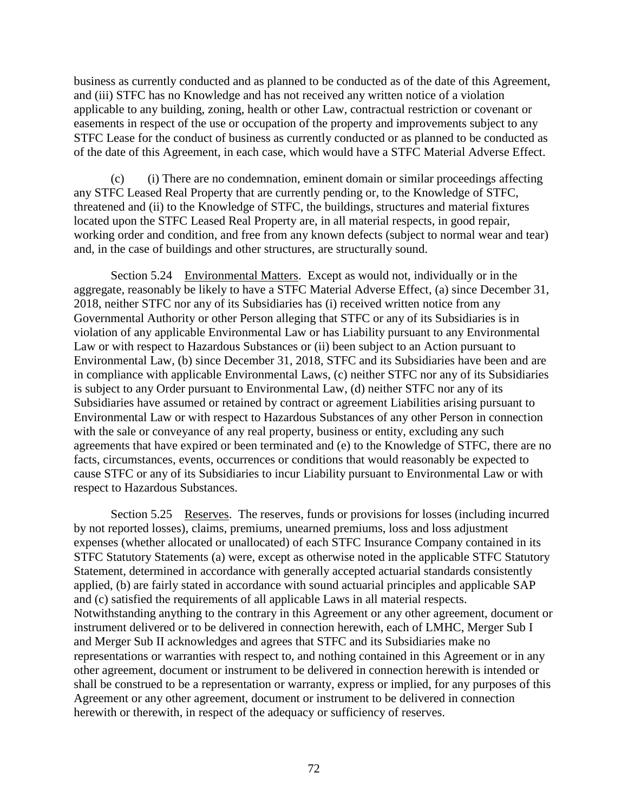business as currently conducted and as planned to be conducted as of the date of this Agreement, and (iii) STFC has no Knowledge and has not received any written notice of a violation applicable to any building, zoning, health or other Law, contractual restriction or covenant or easements in respect of the use or occupation of the property and improvements subject to any STFC Lease for the conduct of business as currently conducted or as planned to be conducted as of the date of this Agreement, in each case, which would have a STFC Material Adverse Effect.

(c) (i) There are no condemnation, eminent domain or similar proceedings affecting any STFC Leased Real Property that are currently pending or, to the Knowledge of STFC, threatened and (ii) to the Knowledge of STFC, the buildings, structures and material fixtures located upon the STFC Leased Real Property are, in all material respects, in good repair, working order and condition, and free from any known defects (subject to normal wear and tear) and, in the case of buildings and other structures, are structurally sound.

Section 5.24 Environmental Matters. Except as would not, individually or in the aggregate, reasonably be likely to have a STFC Material Adverse Effect, (a) since December 31, 2018, neither STFC nor any of its Subsidiaries has (i) received written notice from any Governmental Authority or other Person alleging that STFC or any of its Subsidiaries is in violation of any applicable Environmental Law or has Liability pursuant to any Environmental Law or with respect to Hazardous Substances or (ii) been subject to an Action pursuant to Environmental Law, (b) since December 31, 2018, STFC and its Subsidiaries have been and are in compliance with applicable Environmental Laws, (c) neither STFC nor any of its Subsidiaries is subject to any Order pursuant to Environmental Law, (d) neither STFC nor any of its Subsidiaries have assumed or retained by contract or agreement Liabilities arising pursuant to Environmental Law or with respect to Hazardous Substances of any other Person in connection with the sale or conveyance of any real property, business or entity, excluding any such agreements that have expired or been terminated and (e) to the Knowledge of STFC, there are no facts, circumstances, events, occurrences or conditions that would reasonably be expected to cause STFC or any of its Subsidiaries to incur Liability pursuant to Environmental Law or with respect to Hazardous Substances.

Section 5.25 Reserves. The reserves, funds or provisions for losses (including incurred by not reported losses), claims, premiums, unearned premiums, loss and loss adjustment expenses (whether allocated or unallocated) of each STFC Insurance Company contained in its STFC Statutory Statements (a) were, except as otherwise noted in the applicable STFC Statutory Statement, determined in accordance with generally accepted actuarial standards consistently applied, (b) are fairly stated in accordance with sound actuarial principles and applicable SAP and (c) satisfied the requirements of all applicable Laws in all material respects. Notwithstanding anything to the contrary in this Agreement or any other agreement, document or instrument delivered or to be delivered in connection herewith, each of LMHC, Merger Sub I and Merger Sub II acknowledges and agrees that STFC and its Subsidiaries make no representations or warranties with respect to, and nothing contained in this Agreement or in any other agreement, document or instrument to be delivered in connection herewith is intended or shall be construed to be a representation or warranty, express or implied, for any purposes of this Agreement or any other agreement, document or instrument to be delivered in connection herewith or therewith, in respect of the adequacy or sufficiency of reserves.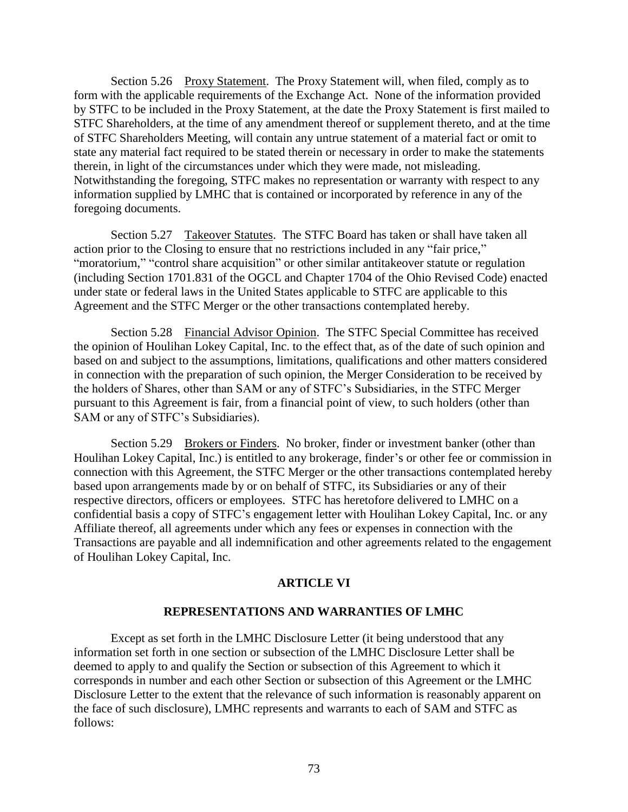Section 5.26 Proxy Statement. The Proxy Statement will, when filed, comply as to form with the applicable requirements of the Exchange Act. None of the information provided by STFC to be included in the Proxy Statement, at the date the Proxy Statement is first mailed to STFC Shareholders, at the time of any amendment thereof or supplement thereto, and at the time of STFC Shareholders Meeting, will contain any untrue statement of a material fact or omit to state any material fact required to be stated therein or necessary in order to make the statements therein, in light of the circumstances under which they were made, not misleading. Notwithstanding the foregoing, STFC makes no representation or warranty with respect to any information supplied by LMHC that is contained or incorporated by reference in any of the foregoing documents.

<span id="page-78-1"></span>Section 5.27 Takeover Statutes. The STFC Board has taken or shall have taken all action prior to the Closing to ensure that no restrictions included in any "fair price," "moratorium," "control share acquisition" or other similar antitakeover statute or regulation (including Section 1701.831 of the OGCL and Chapter 1704 of the Ohio Revised Code) enacted under state or federal laws in the United States applicable to STFC are applicable to this Agreement and the STFC Merger or the other transactions contemplated hereby.

Section 5.28 Financial Advisor Opinion. The STFC Special Committee has received the opinion of Houlihan Lokey Capital, Inc. to the effect that, as of the date of such opinion and based on and subject to the assumptions, limitations, qualifications and other matters considered in connection with the preparation of such opinion, the Merger Consideration to be received by the holders of Shares, other than SAM or any of STFC's Subsidiaries, in the STFC Merger pursuant to this Agreement is fair, from a financial point of view, to such holders (other than SAM or any of STFC's Subsidiaries).

<span id="page-78-2"></span>Section 5.29 Brokers or Finders. No broker, finder or investment banker (other than Houlihan Lokey Capital, Inc.) is entitled to any brokerage, finder's or other fee or commission in connection with this Agreement, the STFC Merger or the other transactions contemplated hereby based upon arrangements made by or on behalf of STFC, its Subsidiaries or any of their respective directors, officers or employees. STFC has heretofore delivered to LMHC on a confidential basis a copy of STFC's engagement letter with Houlihan Lokey Capital, Inc. or any Affiliate thereof, all agreements under which any fees or expenses in connection with the Transactions are payable and all indemnification and other agreements related to the engagement of Houlihan Lokey Capital, Inc.

#### **ARTICLE VI**

#### **REPRESENTATIONS AND WARRANTIES OF LMHC**

<span id="page-78-0"></span>Except as set forth in the LMHC Disclosure Letter (it being understood that any information set forth in one section or subsection of the LMHC Disclosure Letter shall be deemed to apply to and qualify the Section or subsection of this Agreement to which it corresponds in number and each other Section or subsection of this Agreement or the LMHC Disclosure Letter to the extent that the relevance of such information is reasonably apparent on the face of such disclosure), LMHC represents and warrants to each of SAM and STFC as follows: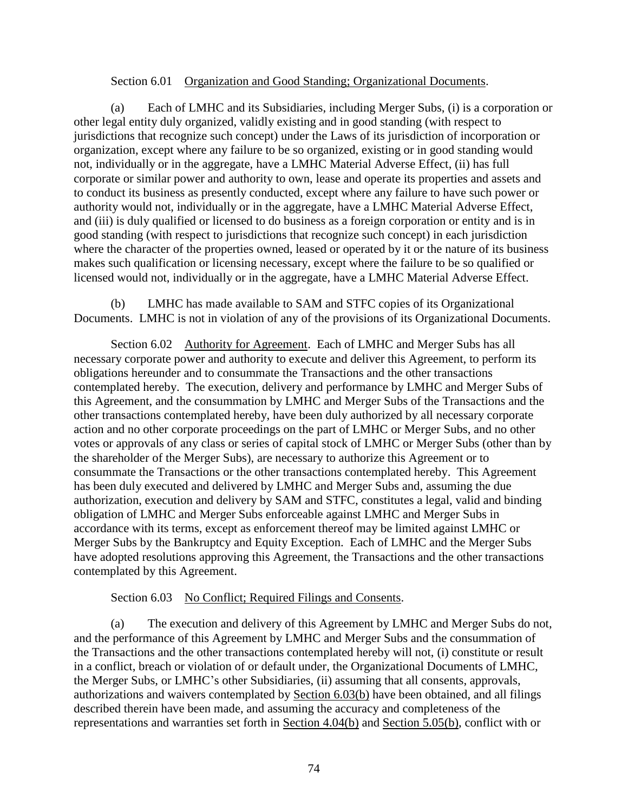### Section 6.01 Organization and Good Standing; Organizational Documents.

(a) Each of LMHC and its Subsidiaries, including Merger Subs, (i) is a corporation or other legal entity duly organized, validly existing and in good standing (with respect to jurisdictions that recognize such concept) under the Laws of its jurisdiction of incorporation or organization, except where any failure to be so organized, existing or in good standing would not, individually or in the aggregate, have a LMHC Material Adverse Effect, (ii) has full corporate or similar power and authority to own, lease and operate its properties and assets and to conduct its business as presently conducted, except where any failure to have such power or authority would not, individually or in the aggregate, have a LMHC Material Adverse Effect, and (iii) is duly qualified or licensed to do business as a foreign corporation or entity and is in good standing (with respect to jurisdictions that recognize such concept) in each jurisdiction where the character of the properties owned, leased or operated by it or the nature of its business makes such qualification or licensing necessary, except where the failure to be so qualified or licensed would not, individually or in the aggregate, have a LMHC Material Adverse Effect.

(b) LMHC has made available to SAM and STFC copies of its Organizational Documents. LMHC is not in violation of any of the provisions of its Organizational Documents.

Section 6.02 Authority for Agreement. Each of LMHC and Merger Subs has all necessary corporate power and authority to execute and deliver this Agreement, to perform its obligations hereunder and to consummate the Transactions and the other transactions contemplated hereby. The execution, delivery and performance by LMHC and Merger Subs of this Agreement, and the consummation by LMHC and Merger Subs of the Transactions and the other transactions contemplated hereby, have been duly authorized by all necessary corporate action and no other corporate proceedings on the part of LMHC or Merger Subs, and no other votes or approvals of any class or series of capital stock of LMHC or Merger Subs (other than by the shareholder of the Merger Subs), are necessary to authorize this Agreement or to consummate the Transactions or the other transactions contemplated hereby. This Agreement has been duly executed and delivered by LMHC and Merger Subs and, assuming the due authorization, execution and delivery by SAM and STFC, constitutes a legal, valid and binding obligation of LMHC and Merger Subs enforceable against LMHC and Merger Subs in accordance with its terms, except as enforcement thereof may be limited against LMHC or Merger Subs by the Bankruptcy and Equity Exception. Each of LMHC and the Merger Subs have adopted resolutions approving this Agreement, the Transactions and the other transactions contemplated by this Agreement.

## Section 6.03 No Conflict; Required Filings and Consents.

(a) The execution and delivery of this Agreement by LMHC and Merger Subs do not, and the performance of this Agreement by LMHC and Merger Subs and the consummation of the Transactions and the other transactions contemplated hereby will not, (i) constitute or result in a conflict, breach or violation of or default under, the Organizational Documents of LMHC, the Merger Subs, or LMHC's other Subsidiaries, (ii) assuming that all consents, approvals, authorizations and waivers contemplated by Section [6.03\(b\)](#page-80-0) have been obtained, and all filings described therein have been made, and assuming the accuracy and completeness of the representations and warranties set forth in Section [4.04\(b\)](#page-38-0) and Section [5.05\(b\),](#page-59-0) conflict with or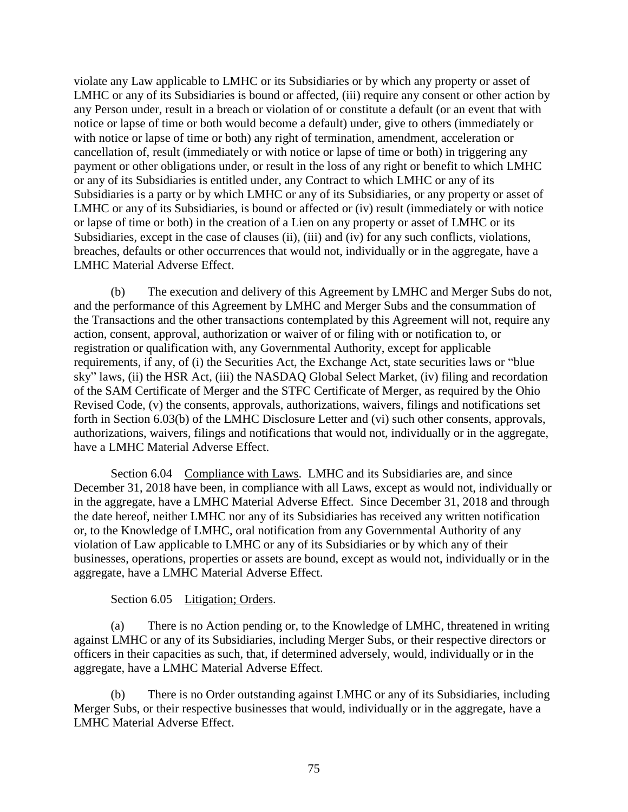violate any Law applicable to LMHC or its Subsidiaries or by which any property or asset of LMHC or any of its Subsidiaries is bound or affected, (iii) require any consent or other action by any Person under, result in a breach or violation of or constitute a default (or an event that with notice or lapse of time or both would become a default) under, give to others (immediately or with notice or lapse of time or both) any right of termination, amendment, acceleration or cancellation of, result (immediately or with notice or lapse of time or both) in triggering any payment or other obligations under, or result in the loss of any right or benefit to which LMHC or any of its Subsidiaries is entitled under, any Contract to which LMHC or any of its Subsidiaries is a party or by which LMHC or any of its Subsidiaries, or any property or asset of LMHC or any of its Subsidiaries, is bound or affected or (iv) result (immediately or with notice or lapse of time or both) in the creation of a Lien on any property or asset of LMHC or its Subsidiaries, except in the case of clauses (ii), (iii) and (iv) for any such conflicts, violations, breaches, defaults or other occurrences that would not, individually or in the aggregate, have a LMHC Material Adverse Effect.

<span id="page-80-0"></span>(b) The execution and delivery of this Agreement by LMHC and Merger Subs do not, and the performance of this Agreement by LMHC and Merger Subs and the consummation of the Transactions and the other transactions contemplated by this Agreement will not, require any action, consent, approval, authorization or waiver of or filing with or notification to, or registration or qualification with, any Governmental Authority, except for applicable requirements, if any, of (i) the Securities Act, the Exchange Act, state securities laws or "blue sky" laws, (ii) the HSR Act, (iii) the NASDAQ Global Select Market, (iv) filing and recordation of the SAM Certificate of Merger and the STFC Certificate of Merger, as required by the Ohio Revised Code, (v) the consents, approvals, authorizations, waivers, filings and notifications set forth in Section [6.03\(b\)](#page-80-0) of the LMHC Disclosure Letter and (vi) such other consents, approvals, authorizations, waivers, filings and notifications that would not, individually or in the aggregate, have a LMHC Material Adverse Effect.

Section 6.04 Compliance with Laws. LMHC and its Subsidiaries are, and since December 31, 2018 have been, in compliance with all Laws, except as would not, individually or in the aggregate, have a LMHC Material Adverse Effect. Since December 31, 2018 and through the date hereof, neither LMHC nor any of its Subsidiaries has received any written notification or, to the Knowledge of LMHC, oral notification from any Governmental Authority of any violation of Law applicable to LMHC or any of its Subsidiaries or by which any of their businesses, operations, properties or assets are bound, except as would not, individually or in the aggregate, have a LMHC Material Adverse Effect.

## Section 6.05 Litigation; Orders.

(a) There is no Action pending or, to the Knowledge of LMHC, threatened in writing against LMHC or any of its Subsidiaries, including Merger Subs, or their respective directors or officers in their capacities as such, that, if determined adversely, would, individually or in the aggregate, have a LMHC Material Adverse Effect.

(b) There is no Order outstanding against LMHC or any of its Subsidiaries, including Merger Subs, or their respective businesses that would, individually or in the aggregate, have a LMHC Material Adverse Effect.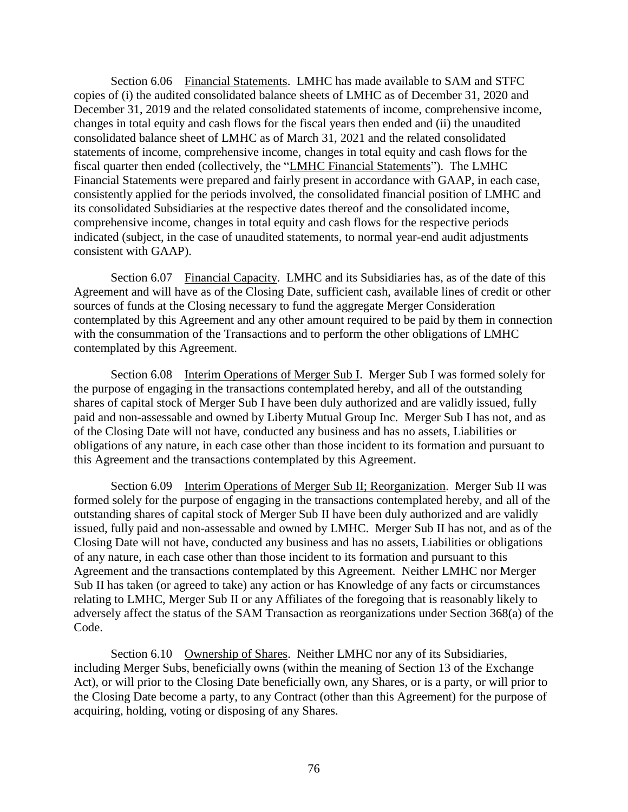Section 6.06 Financial Statements. LMHC has made available to SAM and STFC copies of (i) the audited consolidated balance sheets of LMHC as of December 31, 2020 and December 31, 2019 and the related consolidated statements of income, comprehensive income, changes in total equity and cash flows for the fiscal years then ended and (ii) the unaudited consolidated balance sheet of LMHC as of March 31, 2021 and the related consolidated statements of income, comprehensive income, changes in total equity and cash flows for the fiscal quarter then ended (collectively, the "LMHC Financial Statements"). The LMHC Financial Statements were prepared and fairly present in accordance with GAAP, in each case, consistently applied for the periods involved, the consolidated financial position of LMHC and its consolidated Subsidiaries at the respective dates thereof and the consolidated income, comprehensive income, changes in total equity and cash flows for the respective periods indicated (subject, in the case of unaudited statements, to normal year-end audit adjustments consistent with GAAP).

Section 6.07 Financial Capacity. LMHC and its Subsidiaries has, as of the date of this Agreement and will have as of the Closing Date, sufficient cash, available lines of credit or other sources of funds at the Closing necessary to fund the aggregate Merger Consideration contemplated by this Agreement and any other amount required to be paid by them in connection with the consummation of the Transactions and to perform the other obligations of LMHC contemplated by this Agreement.

Section 6.08 Interim Operations of Merger Sub I. Merger Sub I was formed solely for the purpose of engaging in the transactions contemplated hereby, and all of the outstanding shares of capital stock of Merger Sub I have been duly authorized and are validly issued, fully paid and non-assessable and owned by Liberty Mutual Group Inc. Merger Sub I has not, and as of the Closing Date will not have, conducted any business and has no assets, Liabilities or obligations of any nature, in each case other than those incident to its formation and pursuant to this Agreement and the transactions contemplated by this Agreement.

Section 6.09 Interim Operations of Merger Sub II; Reorganization. Merger Sub II was formed solely for the purpose of engaging in the transactions contemplated hereby, and all of the outstanding shares of capital stock of Merger Sub II have been duly authorized and are validly issued, fully paid and non-assessable and owned by LMHC. Merger Sub II has not, and as of the Closing Date will not have, conducted any business and has no assets, Liabilities or obligations of any nature, in each case other than those incident to its formation and pursuant to this Agreement and the transactions contemplated by this Agreement. Neither LMHC nor Merger Sub II has taken (or agreed to take) any action or has Knowledge of any facts or circumstances relating to LMHC, Merger Sub II or any Affiliates of the foregoing that is reasonably likely to adversely affect the status of the SAM Transaction as reorganizations under Section 368(a) of the Code.

Section 6.10 Ownership of Shares. Neither LMHC nor any of its Subsidiaries, including Merger Subs, beneficially owns (within the meaning of Section 13 of the Exchange Act), or will prior to the Closing Date beneficially own, any Shares, or is a party, or will prior to the Closing Date become a party, to any Contract (other than this Agreement) for the purpose of acquiring, holding, voting or disposing of any Shares.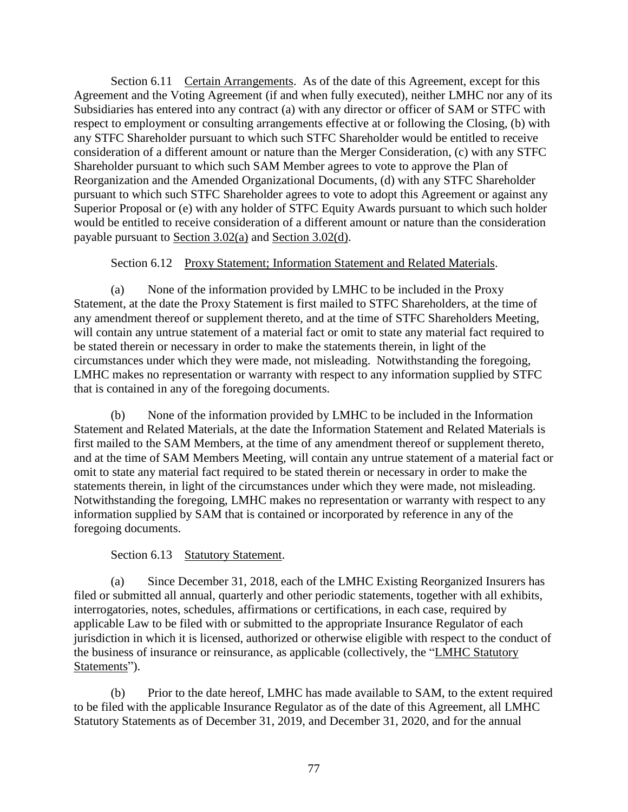Section 6.11 Certain Arrangements. As of the date of this Agreement, except for this Agreement and the Voting Agreement (if and when fully executed), neither LMHC nor any of its Subsidiaries has entered into any contract (a) with any director or officer of SAM or STFC with respect to employment or consulting arrangements effective at or following the Closing, (b) with any STFC Shareholder pursuant to which such STFC Shareholder would be entitled to receive consideration of a different amount or nature than the Merger Consideration, (c) with any STFC Shareholder pursuant to which such SAM Member agrees to vote to approve the Plan of Reorganization and the Amended Organizational Documents, (d) with any STFC Shareholder pursuant to which such STFC Shareholder agrees to vote to adopt this Agreement or against any Superior Proposal or (e) with any holder of STFC Equity Awards pursuant to which such holder would be entitled to receive consideration of a different amount or nature than the consideration payable pursuant to Section [3.02\(a\)](#page-30-0) and Section [3.02\(d\).](#page-32-0)

# Section 6.12 Proxy Statement; Information Statement and Related Materials.

(a) None of the information provided by LMHC to be included in the Proxy Statement, at the date the Proxy Statement is first mailed to STFC Shareholders, at the time of any amendment thereof or supplement thereto, and at the time of STFC Shareholders Meeting, will contain any untrue statement of a material fact or omit to state any material fact required to be stated therein or necessary in order to make the statements therein, in light of the circumstances under which they were made, not misleading. Notwithstanding the foregoing, LMHC makes no representation or warranty with respect to any information supplied by STFC that is contained in any of the foregoing documents.

(b) None of the information provided by LMHC to be included in the Information Statement and Related Materials, at the date the Information Statement and Related Materials is first mailed to the SAM Members, at the time of any amendment thereof or supplement thereto, and at the time of SAM Members Meeting, will contain any untrue statement of a material fact or omit to state any material fact required to be stated therein or necessary in order to make the statements therein, in light of the circumstances under which they were made, not misleading. Notwithstanding the foregoing, LMHC makes no representation or warranty with respect to any information supplied by SAM that is contained or incorporated by reference in any of the foregoing documents.

# Section 6.13 Statutory Statement.

(a) Since December 31, 2018, each of the LMHC Existing Reorganized Insurers has filed or submitted all annual, quarterly and other periodic statements, together with all exhibits, interrogatories, notes, schedules, affirmations or certifications, in each case, required by applicable Law to be filed with or submitted to the appropriate Insurance Regulator of each jurisdiction in which it is licensed, authorized or otherwise eligible with respect to the conduct of the business of insurance or reinsurance, as applicable (collectively, the "LMHC Statutory Statements").

(b) Prior to the date hereof, LMHC has made available to SAM, to the extent required to be filed with the applicable Insurance Regulator as of the date of this Agreement, all LMHC Statutory Statements as of December 31, 2019, and December 31, 2020, and for the annual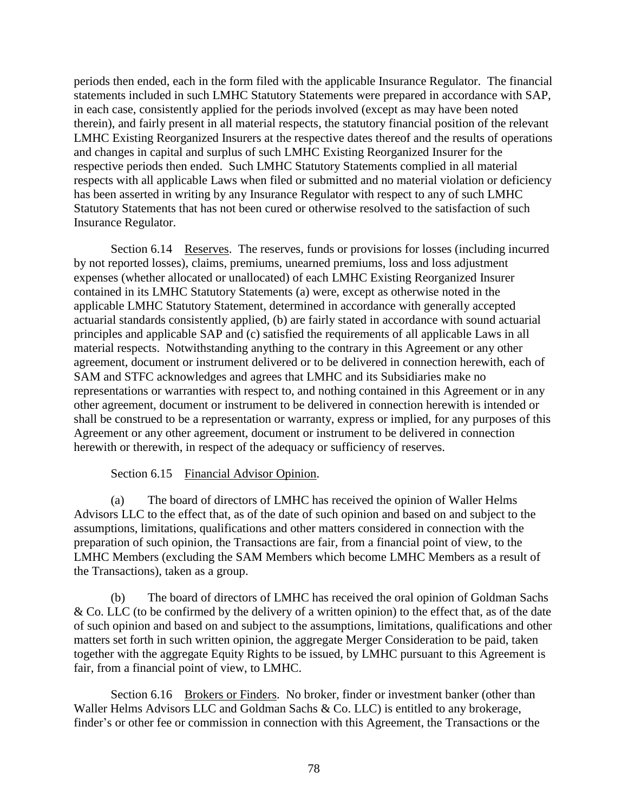periods then ended, each in the form filed with the applicable Insurance Regulator. The financial statements included in such LMHC Statutory Statements were prepared in accordance with SAP, in each case, consistently applied for the periods involved (except as may have been noted therein), and fairly present in all material respects, the statutory financial position of the relevant LMHC Existing Reorganized Insurers at the respective dates thereof and the results of operations and changes in capital and surplus of such LMHC Existing Reorganized Insurer for the respective periods then ended. Such LMHC Statutory Statements complied in all material respects with all applicable Laws when filed or submitted and no material violation or deficiency has been asserted in writing by any Insurance Regulator with respect to any of such LMHC Statutory Statements that has not been cured or otherwise resolved to the satisfaction of such Insurance Regulator.

Section 6.14 Reserves. The reserves, funds or provisions for losses (including incurred by not reported losses), claims, premiums, unearned premiums, loss and loss adjustment expenses (whether allocated or unallocated) of each LMHC Existing Reorganized Insurer contained in its LMHC Statutory Statements (a) were, except as otherwise noted in the applicable LMHC Statutory Statement, determined in accordance with generally accepted actuarial standards consistently applied, (b) are fairly stated in accordance with sound actuarial principles and applicable SAP and (c) satisfied the requirements of all applicable Laws in all material respects. Notwithstanding anything to the contrary in this Agreement or any other agreement, document or instrument delivered or to be delivered in connection herewith, each of SAM and STFC acknowledges and agrees that LMHC and its Subsidiaries make no representations or warranties with respect to, and nothing contained in this Agreement or in any other agreement, document or instrument to be delivered in connection herewith is intended or shall be construed to be a representation or warranty, express or implied, for any purposes of this Agreement or any other agreement, document or instrument to be delivered in connection herewith or therewith, in respect of the adequacy or sufficiency of reserves.

## Section 6.15 Financial Advisor Opinion.

(a) The board of directors of LMHC has received the opinion of Waller Helms Advisors LLC to the effect that, as of the date of such opinion and based on and subject to the assumptions, limitations, qualifications and other matters considered in connection with the preparation of such opinion, the Transactions are fair, from a financial point of view, to the LMHC Members (excluding the SAM Members which become LMHC Members as a result of the Transactions), taken as a group.

(b) The board of directors of LMHC has received the oral opinion of Goldman Sachs & Co. LLC (to be confirmed by the delivery of a written opinion) to the effect that, as of the date of such opinion and based on and subject to the assumptions, limitations, qualifications and other matters set forth in such written opinion, the aggregate Merger Consideration to be paid, taken together with the aggregate Equity Rights to be issued, by LMHC pursuant to this Agreement is fair, from a financial point of view, to LMHC.

Section 6.16 Brokers or Finders. No broker, finder or investment banker (other than Waller Helms Advisors LLC and Goldman Sachs & Co. LLC) is entitled to any brokerage, finder's or other fee or commission in connection with this Agreement, the Transactions or the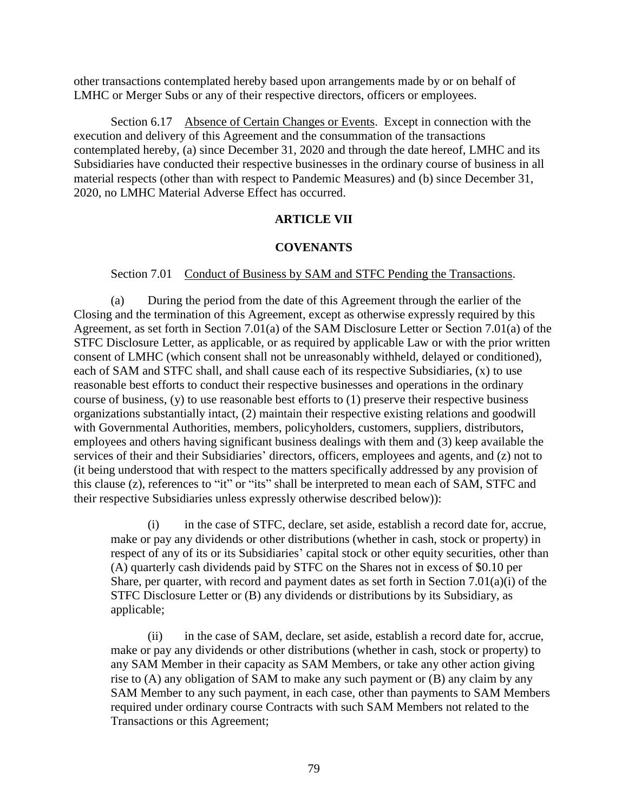other transactions contemplated hereby based upon arrangements made by or on behalf of LMHC or Merger Subs or any of their respective directors, officers or employees.

Section 6.17 Absence of Certain Changes or Events. Except in connection with the execution and delivery of this Agreement and the consummation of the transactions contemplated hereby, (a) since December 31, 2020 and through the date hereof, LMHC and its Subsidiaries have conducted their respective businesses in the ordinary course of business in all material respects (other than with respect to Pandemic Measures) and (b) since December 31, 2020, no LMHC Material Adverse Effect has occurred.

#### **ARTICLE VII**

#### **COVENANTS**

#### Section 7.01 Conduct of Business by SAM and STFC Pending the Transactions.

<span id="page-84-1"></span><span id="page-84-0"></span>(a) During the period from the date of this Agreement through the earlier of the Closing and the termination of this Agreement, except as otherwise expressly required by this Agreement, as set forth in Section 7.01(a) of the SAM Disclosure Letter or Section 7.01(a) of the STFC Disclosure Letter, as applicable, or as required by applicable Law or with the prior written consent of LMHC (which consent shall not be unreasonably withheld, delayed or conditioned), each of SAM and STFC shall, and shall cause each of its respective Subsidiaries, (x) to use reasonable best efforts to conduct their respective businesses and operations in the ordinary course of business, (y) to use reasonable best efforts to (1) preserve their respective business organizations substantially intact, (2) maintain their respective existing relations and goodwill with Governmental Authorities, members, policyholders, customers, suppliers, distributors, employees and others having significant business dealings with them and (3) keep available the services of their and their Subsidiaries' directors, officers, employees and agents, and (z) not to (it being understood that with respect to the matters specifically addressed by any provision of this clause (z), references to "it" or "its" shall be interpreted to mean each of SAM, STFC and their respective Subsidiaries unless expressly otherwise described below)):

(i) in the case of STFC, declare, set aside, establish a record date for, accrue, make or pay any dividends or other distributions (whether in cash, stock or property) in respect of any of its or its Subsidiaries' capital stock or other equity securities, other than (A) quarterly cash dividends paid by STFC on the Shares not in excess of \$0.10 per Share, per quarter, with record and payment dates as set forth in Section [7.01\(a\)\(](#page-84-0)i) of the STFC Disclosure Letter or (B) any dividends or distributions by its Subsidiary, as applicable;

(ii) in the case of SAM, declare, set aside, establish a record date for, accrue, make or pay any dividends or other distributions (whether in cash, stock or property) to any SAM Member in their capacity as SAM Members, or take any other action giving rise to (A) any obligation of SAM to make any such payment or (B) any claim by any SAM Member to any such payment, in each case, other than payments to SAM Members required under ordinary course Contracts with such SAM Members not related to the Transactions or this Agreement;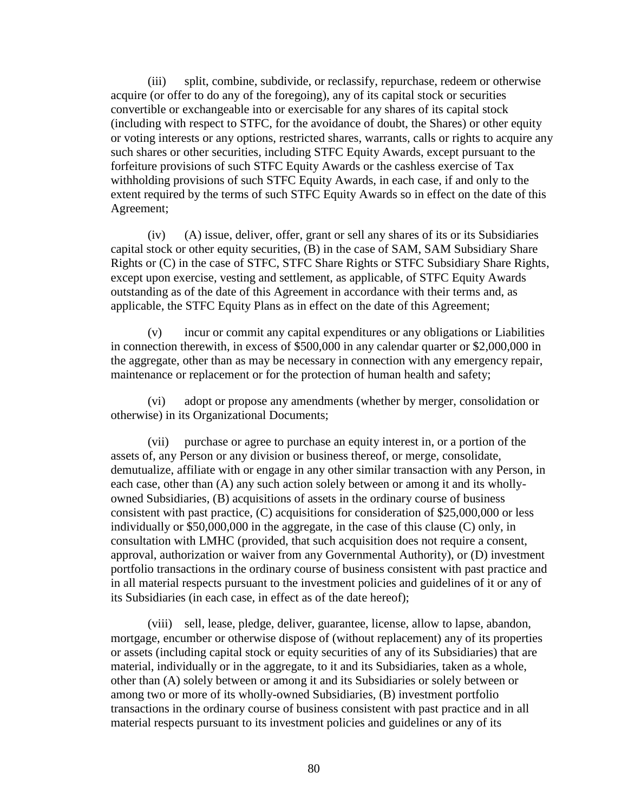(iii) split, combine, subdivide, or reclassify, repurchase, redeem or otherwise acquire (or offer to do any of the foregoing), any of its capital stock or securities convertible or exchangeable into or exercisable for any shares of its capital stock (including with respect to STFC, for the avoidance of doubt, the Shares) or other equity or voting interests or any options, restricted shares, warrants, calls or rights to acquire any such shares or other securities, including STFC Equity Awards, except pursuant to the forfeiture provisions of such STFC Equity Awards or the cashless exercise of Tax withholding provisions of such STFC Equity Awards, in each case, if and only to the extent required by the terms of such STFC Equity Awards so in effect on the date of this Agreement;

(iv) (A) issue, deliver, offer, grant or sell any shares of its or its Subsidiaries capital stock or other equity securities, (B) in the case of SAM, SAM Subsidiary Share Rights or (C) in the case of STFC, STFC Share Rights or STFC Subsidiary Share Rights, except upon exercise, vesting and settlement, as applicable, of STFC Equity Awards outstanding as of the date of this Agreement in accordance with their terms and, as applicable, the STFC Equity Plans as in effect on the date of this Agreement;

(v) incur or commit any capital expenditures or any obligations or Liabilities in connection therewith, in excess of \$500,000 in any calendar quarter or \$2,000,000 in the aggregate, other than as may be necessary in connection with any emergency repair, maintenance or replacement or for the protection of human health and safety;

(vi) adopt or propose any amendments (whether by merger, consolidation or otherwise) in its Organizational Documents;

(vii) purchase or agree to purchase an equity interest in, or a portion of the assets of, any Person or any division or business thereof, or merge, consolidate, demutualize, affiliate with or engage in any other similar transaction with any Person, in each case, other than (A) any such action solely between or among it and its whollyowned Subsidiaries, (B) acquisitions of assets in the ordinary course of business consistent with past practice, (C) acquisitions for consideration of \$25,000,000 or less individually or \$50,000,000 in the aggregate, in the case of this clause (C) only, in consultation with LMHC (provided, that such acquisition does not require a consent, approval, authorization or waiver from any Governmental Authority), or (D) investment portfolio transactions in the ordinary course of business consistent with past practice and in all material respects pursuant to the investment policies and guidelines of it or any of its Subsidiaries (in each case, in effect as of the date hereof);

(viii) sell, lease, pledge, deliver, guarantee, license, allow to lapse, abandon, mortgage, encumber or otherwise dispose of (without replacement) any of its properties or assets (including capital stock or equity securities of any of its Subsidiaries) that are material, individually or in the aggregate, to it and its Subsidiaries, taken as a whole, other than (A) solely between or among it and its Subsidiaries or solely between or among two or more of its wholly-owned Subsidiaries, (B) investment portfolio transactions in the ordinary course of business consistent with past practice and in all material respects pursuant to its investment policies and guidelines or any of its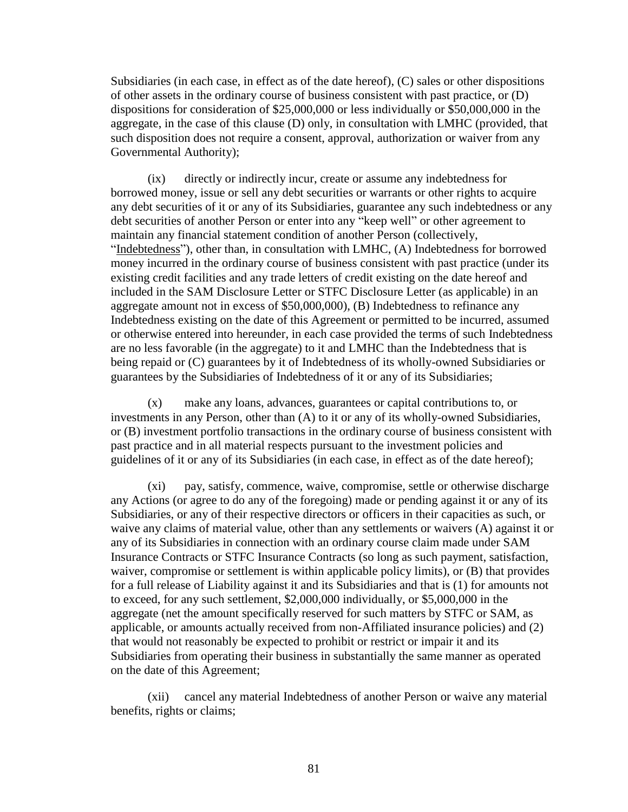Subsidiaries (in each case, in effect as of the date hereof), (C) sales or other dispositions of other assets in the ordinary course of business consistent with past practice, or (D) dispositions for consideration of \$25,000,000 or less individually or \$50,000,000 in the aggregate, in the case of this clause (D) only, in consultation with LMHC (provided, that such disposition does not require a consent, approval, authorization or waiver from any Governmental Authority);

(ix) directly or indirectly incur, create or assume any indebtedness for borrowed money, issue or sell any debt securities or warrants or other rights to acquire any debt securities of it or any of its Subsidiaries, guarantee any such indebtedness or any debt securities of another Person or enter into any "keep well" or other agreement to maintain any financial statement condition of another Person (collectively, "Indebtedness"), other than, in consultation with LMHC, (A) Indebtedness for borrowed money incurred in the ordinary course of business consistent with past practice (under its existing credit facilities and any trade letters of credit existing on the date hereof and included in the SAM Disclosure Letter or STFC Disclosure Letter (as applicable) in an aggregate amount not in excess of \$50,000,000), (B) Indebtedness to refinance any Indebtedness existing on the date of this Agreement or permitted to be incurred, assumed or otherwise entered into hereunder, in each case provided the terms of such Indebtedness are no less favorable (in the aggregate) to it and LMHC than the Indebtedness that is being repaid or (C) guarantees by it of Indebtedness of its wholly-owned Subsidiaries or guarantees by the Subsidiaries of Indebtedness of it or any of its Subsidiaries;

(x) make any loans, advances, guarantees or capital contributions to, or investments in any Person, other than (A) to it or any of its wholly-owned Subsidiaries, or (B) investment portfolio transactions in the ordinary course of business consistent with past practice and in all material respects pursuant to the investment policies and guidelines of it or any of its Subsidiaries (in each case, in effect as of the date hereof);

(xi) pay, satisfy, commence, waive, compromise, settle or otherwise discharge any Actions (or agree to do any of the foregoing) made or pending against it or any of its Subsidiaries, or any of their respective directors or officers in their capacities as such, or waive any claims of material value, other than any settlements or waivers (A) against it or any of its Subsidiaries in connection with an ordinary course claim made under SAM Insurance Contracts or STFC Insurance Contracts (so long as such payment, satisfaction, waiver, compromise or settlement is within applicable policy limits), or (B) that provides for a full release of Liability against it and its Subsidiaries and that is (1) for amounts not to exceed, for any such settlement, \$2,000,000 individually, or \$5,000,000 in the aggregate (net the amount specifically reserved for such matters by STFC or SAM, as applicable, or amounts actually received from non-Affiliated insurance policies) and (2) that would not reasonably be expected to prohibit or restrict or impair it and its Subsidiaries from operating their business in substantially the same manner as operated on the date of this Agreement;

(xii) cancel any material Indebtedness of another Person or waive any material benefits, rights or claims;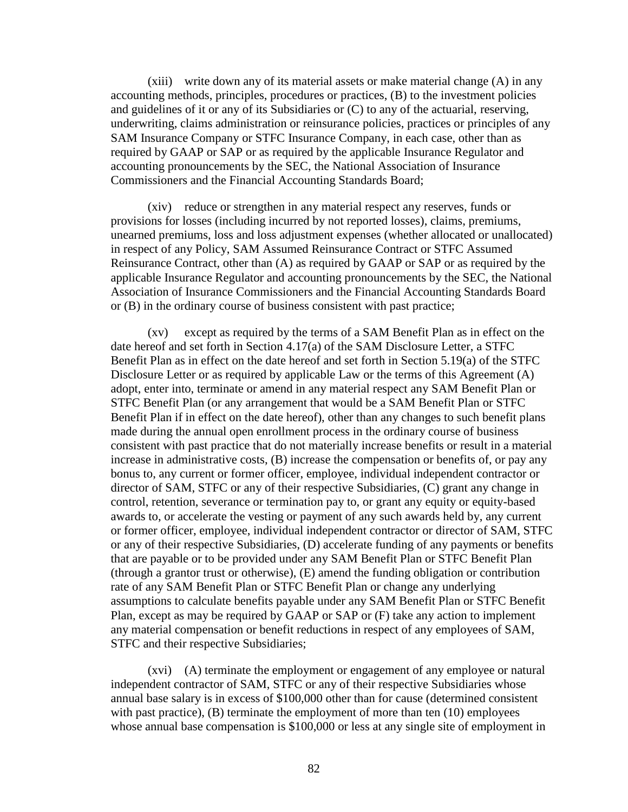(xiii) write down any of its material assets or make material change (A) in any accounting methods, principles, procedures or practices, (B) to the investment policies and guidelines of it or any of its Subsidiaries or (C) to any of the actuarial, reserving, underwriting, claims administration or reinsurance policies, practices or principles of any SAM Insurance Company or STFC Insurance Company, in each case, other than as required by GAAP or SAP or as required by the applicable Insurance Regulator and accounting pronouncements by the SEC, the National Association of Insurance Commissioners and the Financial Accounting Standards Board;

(xiv) reduce or strengthen in any material respect any reserves, funds or provisions for losses (including incurred by not reported losses), claims, premiums, unearned premiums, loss and loss adjustment expenses (whether allocated or unallocated) in respect of any Policy, SAM Assumed Reinsurance Contract or STFC Assumed Reinsurance Contract, other than (A) as required by GAAP or SAP or as required by the applicable Insurance Regulator and accounting pronouncements by the SEC, the National Association of Insurance Commissioners and the Financial Accounting Standards Board or (B) in the ordinary course of business consistent with past practice;

(xv) except as required by the terms of a SAM Benefit Plan as in effect on the date hereof and set forth in Section [4.17\(a\)](#page-48-0) of the SAM Disclosure Letter, a STFC Benefit Plan as in effect on the date hereof and set forth in [Section](#page-71-1) 5.19(a) of the STFC Disclosure Letter or as required by applicable Law or the terms of this Agreement (A) adopt, enter into, terminate or amend in any material respect any SAM Benefit Plan or STFC Benefit Plan (or any arrangement that would be a SAM Benefit Plan or STFC Benefit Plan if in effect on the date hereof), other than any changes to such benefit plans made during the annual open enrollment process in the ordinary course of business consistent with past practice that do not materially increase benefits or result in a material increase in administrative costs, (B) increase the compensation or benefits of, or pay any bonus to, any current or former officer, employee, individual independent contractor or director of SAM, STFC or any of their respective Subsidiaries, (C) grant any change in control, retention, severance or termination pay to, or grant any equity or equity-based awards to, or accelerate the vesting or payment of any such awards held by, any current or former officer, employee, individual independent contractor or director of SAM, STFC or any of their respective Subsidiaries, (D) accelerate funding of any payments or benefits that are payable or to be provided under any SAM Benefit Plan or STFC Benefit Plan (through a grantor trust or otherwise), (E) amend the funding obligation or contribution rate of any SAM Benefit Plan or STFC Benefit Plan or change any underlying assumptions to calculate benefits payable under any SAM Benefit Plan or STFC Benefit Plan, except as may be required by GAAP or SAP or (F) take any action to implement any material compensation or benefit reductions in respect of any employees of SAM, STFC and their respective Subsidiaries;

<span id="page-87-0"></span>(xvi) (A) terminate the employment or engagement of any employee or natural independent contractor of SAM, STFC or any of their respective Subsidiaries whose annual base salary is in excess of \$100,000 other than for cause (determined consistent with past practice), (B) terminate the employment of more than ten (10) employees whose annual base compensation is \$100,000 or less at any single site of employment in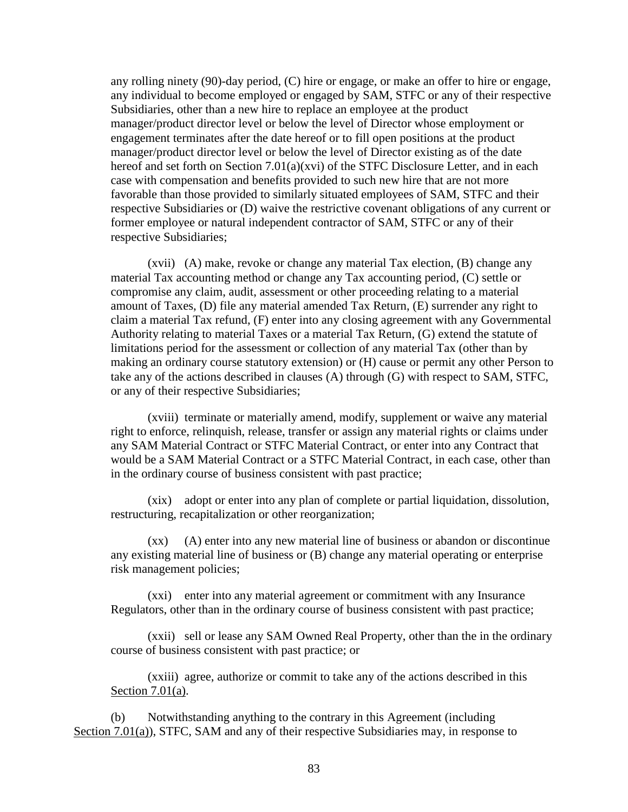any rolling ninety (90)-day period, (C) hire or engage, or make an offer to hire or engage, any individual to become employed or engaged by SAM, STFC or any of their respective Subsidiaries, other than a new hire to replace an employee at the product manager/product director level or below the level of Director whose employment or engagement terminates after the date hereof or to fill open positions at the product manager/product director level or below the level of Director existing as of the date hereof and set forth on Section [7.01\(a\)\(xvi\)](#page-87-0) of the STFC Disclosure Letter, and in each case with compensation and benefits provided to such new hire that are not more favorable than those provided to similarly situated employees of SAM, STFC and their respective Subsidiaries or (D) waive the restrictive covenant obligations of any current or former employee or natural independent contractor of SAM, STFC or any of their respective Subsidiaries;

(xvii) (A) make, revoke or change any material Tax election, (B) change any material Tax accounting method or change any Tax accounting period, (C) settle or compromise any claim, audit, assessment or other proceeding relating to a material amount of Taxes, (D) file any material amended Tax Return, (E) surrender any right to claim a material Tax refund, (F) enter into any closing agreement with any Governmental Authority relating to material Taxes or a material Tax Return, (G) extend the statute of limitations period for the assessment or collection of any material Tax (other than by making an ordinary course statutory extension) or (H) cause or permit any other Person to take any of the actions described in clauses (A) through (G) with respect to SAM, STFC, or any of their respective Subsidiaries;

(xviii) terminate or materially amend, modify, supplement or waive any material right to enforce, relinquish, release, transfer or assign any material rights or claims under any SAM Material Contract or STFC Material Contract, or enter into any Contract that would be a SAM Material Contract or a STFC Material Contract, in each case, other than in the ordinary course of business consistent with past practice;

(xix) adopt or enter into any plan of complete or partial liquidation, dissolution, restructuring, recapitalization or other reorganization;

(xx) (A) enter into any new material line of business or abandon or discontinue any existing material line of business or (B) change any material operating or enterprise risk management policies;

(xxi) enter into any material agreement or commitment with any Insurance Regulators, other than in the ordinary course of business consistent with past practice;

(xxii) sell or lease any SAM Owned Real Property, other than the in the ordinary course of business consistent with past practice; or

(xxiii) agree, authorize or commit to take any of the actions described in this Section [7.01\(](#page-84-1)a).

(b) Notwithstanding anything to the contrary in this Agreement (including Section [7.01\(](#page-84-1)a)), STFC, SAM and any of their respective Subsidiaries may, in response to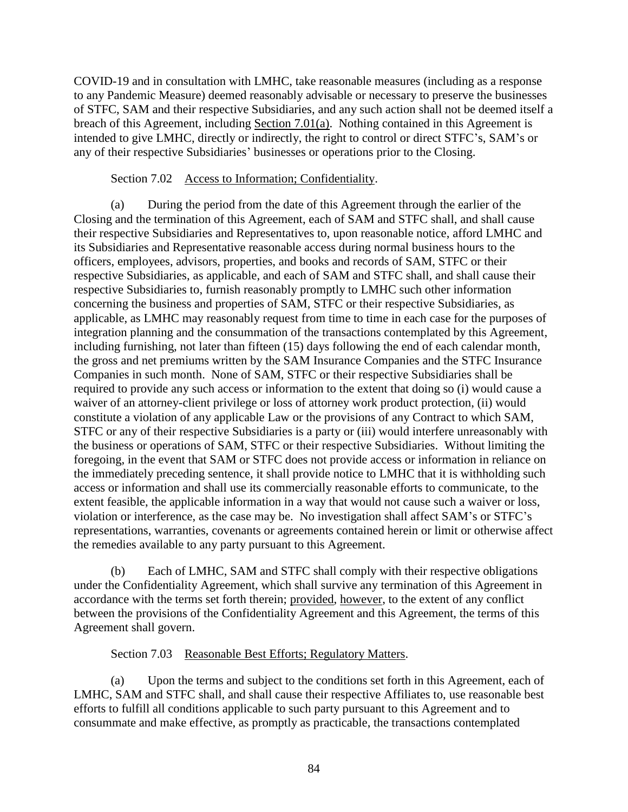COVID-19 and in consultation with LMHC, take reasonable measures (including as a response to any Pandemic Measure) deemed reasonably advisable or necessary to preserve the businesses of STFC, SAM and their respective Subsidiaries, and any such action shall not be deemed itself a breach of this Agreement, including Section [7.01\(](#page-84-1)a). Nothing contained in this Agreement is intended to give LMHC, directly or indirectly, the right to control or direct STFC's, SAM's or any of their respective Subsidiaries' businesses or operations prior to the Closing.

# Section 7.02 Access to Information; Confidentiality.

(a) During the period from the date of this Agreement through the earlier of the Closing and the termination of this Agreement, each of SAM and STFC shall, and shall cause their respective Subsidiaries and Representatives to, upon reasonable notice, afford LMHC and its Subsidiaries and Representative reasonable access during normal business hours to the officers, employees, advisors, properties, and books and records of SAM, STFC or their respective Subsidiaries, as applicable, and each of SAM and STFC shall, and shall cause their respective Subsidiaries to, furnish reasonably promptly to LMHC such other information concerning the business and properties of SAM, STFC or their respective Subsidiaries, as applicable, as LMHC may reasonably request from time to time in each case for the purposes of integration planning and the consummation of the transactions contemplated by this Agreement, including furnishing, not later than fifteen (15) days following the end of each calendar month, the gross and net premiums written by the SAM Insurance Companies and the STFC Insurance Companies in such month. None of SAM, STFC or their respective Subsidiaries shall be required to provide any such access or information to the extent that doing so (i) would cause a waiver of an attorney-client privilege or loss of attorney work product protection, (ii) would constitute a violation of any applicable Law or the provisions of any Contract to which SAM, STFC or any of their respective Subsidiaries is a party or (iii) would interfere unreasonably with the business or operations of SAM, STFC or their respective Subsidiaries. Without limiting the foregoing, in the event that SAM or STFC does not provide access or information in reliance on the immediately preceding sentence, it shall provide notice to LMHC that it is withholding such access or information and shall use its commercially reasonable efforts to communicate, to the extent feasible, the applicable information in a way that would not cause such a waiver or loss, violation or interference, as the case may be. No investigation shall affect SAM's or STFC's representations, warranties, covenants or agreements contained herein or limit or otherwise affect the remedies available to any party pursuant to this Agreement.

(b) Each of LMHC, SAM and STFC shall comply with their respective obligations under the Confidentiality Agreement, which shall survive any termination of this Agreement in accordance with the terms set forth therein; provided, however, to the extent of any conflict between the provisions of the Confidentiality Agreement and this Agreement, the terms of this Agreement shall govern.

## Section 7.03 Reasonable Best Efforts; Regulatory Matters.

(a) Upon the terms and subject to the conditions set forth in this Agreement, each of LMHC, SAM and STFC shall, and shall cause their respective Affiliates to, use reasonable best efforts to fulfill all conditions applicable to such party pursuant to this Agreement and to consummate and make effective, as promptly as practicable, the transactions contemplated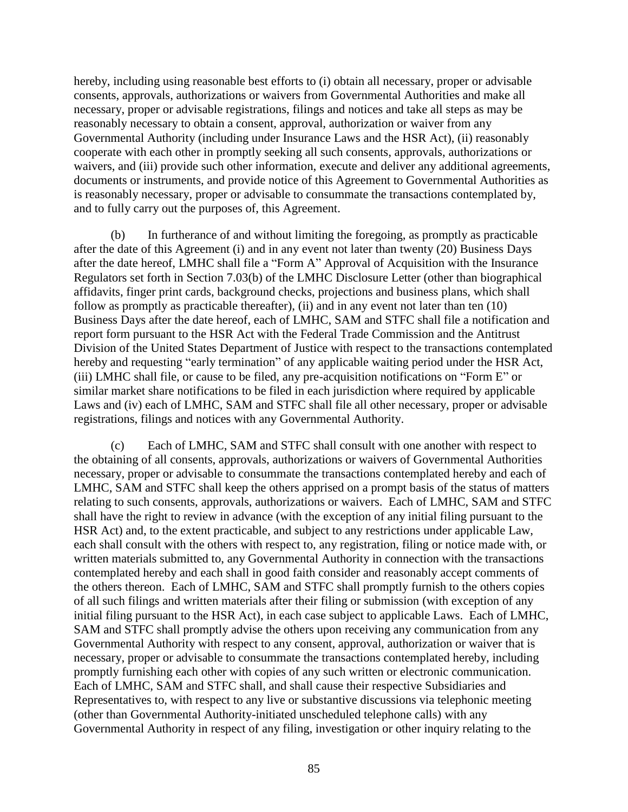hereby, including using reasonable best efforts to (i) obtain all necessary, proper or advisable consents, approvals, authorizations or waivers from Governmental Authorities and make all necessary, proper or advisable registrations, filings and notices and take all steps as may be reasonably necessary to obtain a consent, approval, authorization or waiver from any Governmental Authority (including under Insurance Laws and the HSR Act), (ii) reasonably cooperate with each other in promptly seeking all such consents, approvals, authorizations or waivers, and (iii) provide such other information, execute and deliver any additional agreements, documents or instruments, and provide notice of this Agreement to Governmental Authorities as is reasonably necessary, proper or advisable to consummate the transactions contemplated by, and to fully carry out the purposes of, this Agreement.

<span id="page-90-0"></span>(b) In furtherance of and without limiting the foregoing, as promptly as practicable after the date of this Agreement (i) and in any event not later than twenty (20) Business Days after the date hereof, LMHC shall file a "Form A" Approval of Acquisition with the Insurance Regulators set forth in Section [7.03\(b\)](#page-90-0) of the LMHC Disclosure Letter (other than biographical affidavits, finger print cards, background checks, projections and business plans, which shall follow as promptly as practicable thereafter), (ii) and in any event not later than ten (10) Business Days after the date hereof, each of LMHC, SAM and STFC shall file a notification and report form pursuant to the HSR Act with the Federal Trade Commission and the Antitrust Division of the United States Department of Justice with respect to the transactions contemplated hereby and requesting "early termination" of any applicable waiting period under the HSR Act, (iii) LMHC shall file, or cause to be filed, any pre-acquisition notifications on "Form E" or similar market share notifications to be filed in each jurisdiction where required by applicable Laws and (iv) each of LMHC, SAM and STFC shall file all other necessary, proper or advisable registrations, filings and notices with any Governmental Authority.

<span id="page-90-1"></span>(c) Each of LMHC, SAM and STFC shall consult with one another with respect to the obtaining of all consents, approvals, authorizations or waivers of Governmental Authorities necessary, proper or advisable to consummate the transactions contemplated hereby and each of LMHC, SAM and STFC shall keep the others apprised on a prompt basis of the status of matters relating to such consents, approvals, authorizations or waivers. Each of LMHC, SAM and STFC shall have the right to review in advance (with the exception of any initial filing pursuant to the HSR Act) and, to the extent practicable, and subject to any restrictions under applicable Law, each shall consult with the others with respect to, any registration, filing or notice made with, or written materials submitted to, any Governmental Authority in connection with the transactions contemplated hereby and each shall in good faith consider and reasonably accept comments of the others thereon. Each of LMHC, SAM and STFC shall promptly furnish to the others copies of all such filings and written materials after their filing or submission (with exception of any initial filing pursuant to the HSR Act), in each case subject to applicable Laws. Each of LMHC, SAM and STFC shall promptly advise the others upon receiving any communication from any Governmental Authority with respect to any consent, approval, authorization or waiver that is necessary, proper or advisable to consummate the transactions contemplated hereby, including promptly furnishing each other with copies of any such written or electronic communication. Each of LMHC, SAM and STFC shall, and shall cause their respective Subsidiaries and Representatives to, with respect to any live or substantive discussions via telephonic meeting (other than Governmental Authority-initiated unscheduled telephone calls) with any Governmental Authority in respect of any filing, investigation or other inquiry relating to the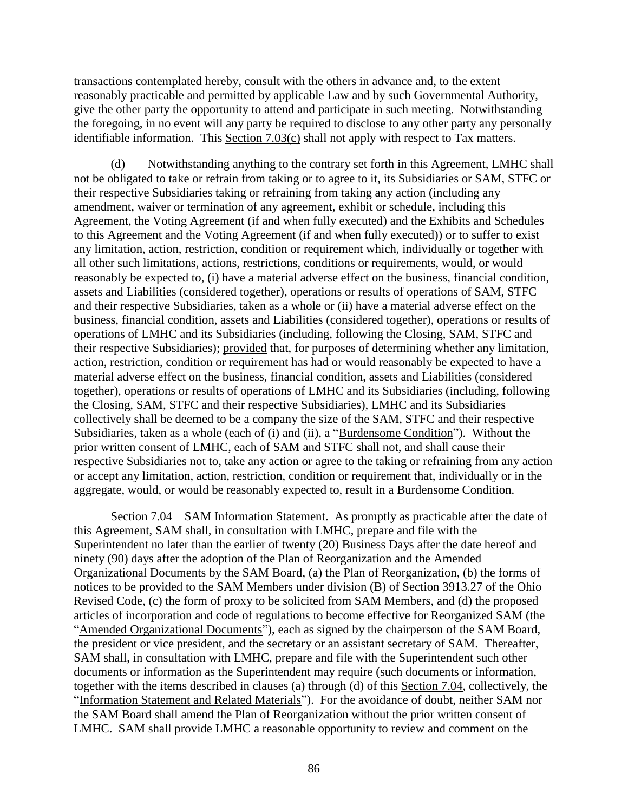transactions contemplated hereby, consult with the others in advance and, to the extent reasonably practicable and permitted by applicable Law and by such Governmental Authority, give the other party the opportunity to attend and participate in such meeting. Notwithstanding the foregoing, in no event will any party be required to disclose to any other party any personally identifiable information. This Section [7.03\(c\)](#page-90-1) shall not apply with respect to Tax matters.

(d) Notwithstanding anything to the contrary set forth in this Agreement, LMHC shall not be obligated to take or refrain from taking or to agree to it, its Subsidiaries or SAM, STFC or their respective Subsidiaries taking or refraining from taking any action (including any amendment, waiver or termination of any agreement, exhibit or schedule, including this Agreement, the Voting Agreement (if and when fully executed) and the Exhibits and Schedules to this Agreement and the Voting Agreement (if and when fully executed)) or to suffer to exist any limitation, action, restriction, condition or requirement which, individually or together with all other such limitations, actions, restrictions, conditions or requirements, would, or would reasonably be expected to, (i) have a material adverse effect on the business, financial condition, assets and Liabilities (considered together), operations or results of operations of SAM, STFC and their respective Subsidiaries, taken as a whole or (ii) have a material adverse effect on the business, financial condition, assets and Liabilities (considered together), operations or results of operations of LMHC and its Subsidiaries (including, following the Closing, SAM, STFC and their respective Subsidiaries); provided that, for purposes of determining whether any limitation, action, restriction, condition or requirement has had or would reasonably be expected to have a material adverse effect on the business, financial condition, assets and Liabilities (considered together), operations or results of operations of LMHC and its Subsidiaries (including, following the Closing, SAM, STFC and their respective Subsidiaries), LMHC and its Subsidiaries collectively shall be deemed to be a company the size of the SAM, STFC and their respective Subsidiaries, taken as a whole (each of (i) and (ii), a "Burdensome Condition"). Without the prior written consent of LMHC, each of SAM and STFC shall not, and shall cause their respective Subsidiaries not to, take any action or agree to the taking or refraining from any action or accept any limitation, action, restriction, condition or requirement that, individually or in the aggregate, would, or would be reasonably expected to, result in a Burdensome Condition.

<span id="page-91-0"></span>Section 7.04 SAM Information Statement. As promptly as practicable after the date of this Agreement, SAM shall, in consultation with LMHC, prepare and file with the Superintendent no later than the earlier of twenty (20) Business Days after the date hereof and ninety (90) days after the adoption of the Plan of Reorganization and the Amended Organizational Documents by the SAM Board, (a) the Plan of Reorganization, (b) the forms of notices to be provided to the SAM Members under division (B) of Section 3913.27 of the Ohio Revised Code, (c) the form of proxy to be solicited from SAM Members, and (d) the proposed articles of incorporation and code of regulations to become effective for Reorganized SAM (the "Amended Organizational Documents"), each as signed by the chairperson of the SAM Board, the president or vice president, and the secretary or an assistant secretary of SAM. Thereafter, SAM shall, in consultation with LMHC, prepare and file with the Superintendent such other documents or information as the Superintendent may require (such documents or information, together with the items described in clauses (a) through (d) of this Section [7.04,](#page-91-0) collectively, the "Information Statement and Related Materials"). For the avoidance of doubt, neither SAM nor the SAM Board shall amend the Plan of Reorganization without the prior written consent of LMHC. SAM shall provide LMHC a reasonable opportunity to review and comment on the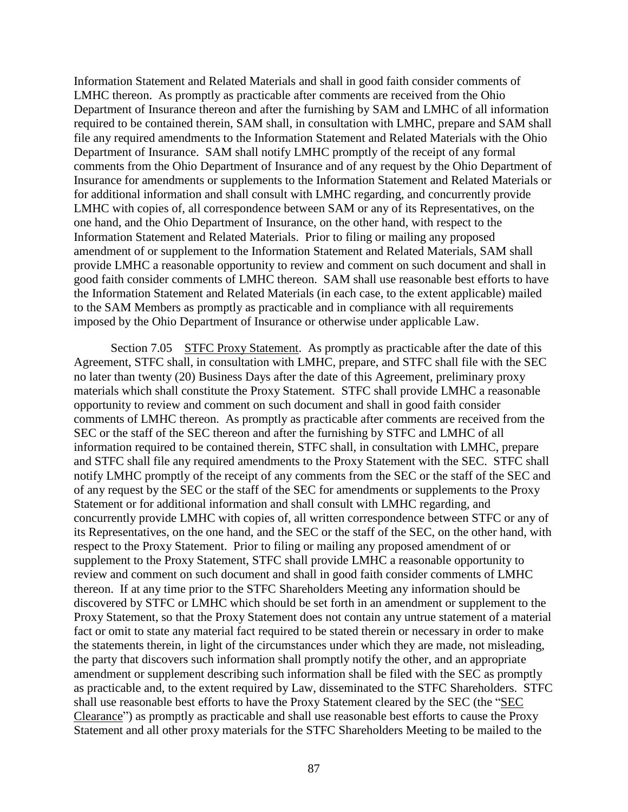Information Statement and Related Materials and shall in good faith consider comments of LMHC thereon. As promptly as practicable after comments are received from the Ohio Department of Insurance thereon and after the furnishing by SAM and LMHC of all information required to be contained therein, SAM shall, in consultation with LMHC, prepare and SAM shall file any required amendments to the Information Statement and Related Materials with the Ohio Department of Insurance. SAM shall notify LMHC promptly of the receipt of any formal comments from the Ohio Department of Insurance and of any request by the Ohio Department of Insurance for amendments or supplements to the Information Statement and Related Materials or for additional information and shall consult with LMHC regarding, and concurrently provide LMHC with copies of, all correspondence between SAM or any of its Representatives, on the one hand, and the Ohio Department of Insurance, on the other hand, with respect to the Information Statement and Related Materials. Prior to filing or mailing any proposed amendment of or supplement to the Information Statement and Related Materials, SAM shall provide LMHC a reasonable opportunity to review and comment on such document and shall in good faith consider comments of LMHC thereon. SAM shall use reasonable best efforts to have the Information Statement and Related Materials (in each case, to the extent applicable) mailed to the SAM Members as promptly as practicable and in compliance with all requirements imposed by the Ohio Department of Insurance or otherwise under applicable Law.

Section 7.05 STFC Proxy Statement. As promptly as practicable after the date of this Agreement, STFC shall, in consultation with LMHC, prepare, and STFC shall file with the SEC no later than twenty (20) Business Days after the date of this Agreement, preliminary proxy materials which shall constitute the Proxy Statement. STFC shall provide LMHC a reasonable opportunity to review and comment on such document and shall in good faith consider comments of LMHC thereon. As promptly as practicable after comments are received from the SEC or the staff of the SEC thereon and after the furnishing by STFC and LMHC of all information required to be contained therein, STFC shall, in consultation with LMHC, prepare and STFC shall file any required amendments to the Proxy Statement with the SEC. STFC shall notify LMHC promptly of the receipt of any comments from the SEC or the staff of the SEC and of any request by the SEC or the staff of the SEC for amendments or supplements to the Proxy Statement or for additional information and shall consult with LMHC regarding, and concurrently provide LMHC with copies of, all written correspondence between STFC or any of its Representatives, on the one hand, and the SEC or the staff of the SEC, on the other hand, with respect to the Proxy Statement. Prior to filing or mailing any proposed amendment of or supplement to the Proxy Statement, STFC shall provide LMHC a reasonable opportunity to review and comment on such document and shall in good faith consider comments of LMHC thereon. If at any time prior to the STFC Shareholders Meeting any information should be discovered by STFC or LMHC which should be set forth in an amendment or supplement to the Proxy Statement, so that the Proxy Statement does not contain any untrue statement of a material fact or omit to state any material fact required to be stated therein or necessary in order to make the statements therein, in light of the circumstances under which they are made, not misleading, the party that discovers such information shall promptly notify the other, and an appropriate amendment or supplement describing such information shall be filed with the SEC as promptly as practicable and, to the extent required by Law, disseminated to the STFC Shareholders. STFC shall use reasonable best efforts to have the Proxy Statement cleared by the SEC (the "SEC Clearance") as promptly as practicable and shall use reasonable best efforts to cause the Proxy Statement and all other proxy materials for the STFC Shareholders Meeting to be mailed to the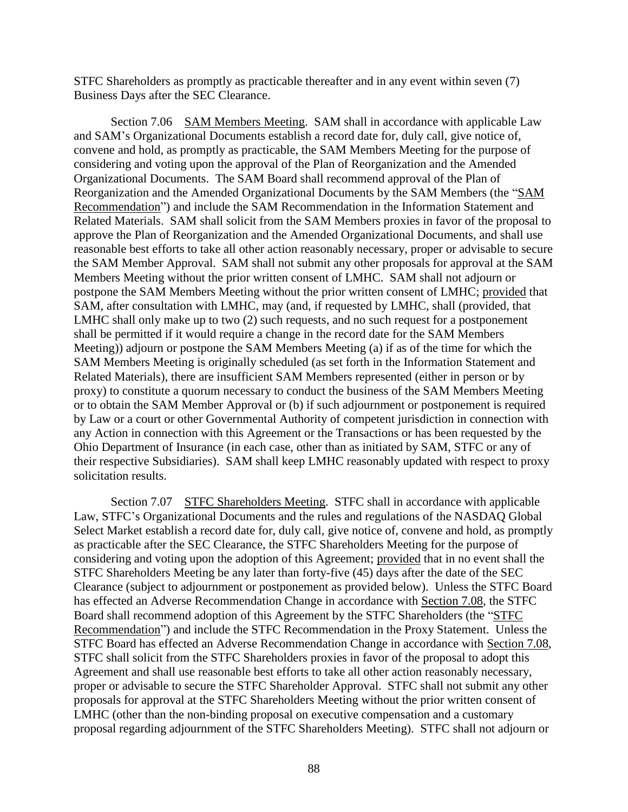STFC Shareholders as promptly as practicable thereafter and in any event within seven (7) Business Days after the SEC Clearance.

Section 7.06 SAM Members Meeting. SAM shall in accordance with applicable Law and SAM's Organizational Documents establish a record date for, duly call, give notice of, convene and hold, as promptly as practicable, the SAM Members Meeting for the purpose of considering and voting upon the approval of the Plan of Reorganization and the Amended Organizational Documents. The SAM Board shall recommend approval of the Plan of Reorganization and the Amended Organizational Documents by the SAM Members (the "SAM Recommendation") and include the SAM Recommendation in the Information Statement and Related Materials. SAM shall solicit from the SAM Members proxies in favor of the proposal to approve the Plan of Reorganization and the Amended Organizational Documents, and shall use reasonable best efforts to take all other action reasonably necessary, proper or advisable to secure the SAM Member Approval. SAM shall not submit any other proposals for approval at the SAM Members Meeting without the prior written consent of LMHC. SAM shall not adjourn or postpone the SAM Members Meeting without the prior written consent of LMHC; provided that SAM, after consultation with LMHC, may (and, if requested by LMHC, shall (provided, that LMHC shall only make up to two (2) such requests, and no such request for a postponement shall be permitted if it would require a change in the record date for the SAM Members Meeting)) adjourn or postpone the SAM Members Meeting (a) if as of the time for which the SAM Members Meeting is originally scheduled (as set forth in the Information Statement and Related Materials), there are insufficient SAM Members represented (either in person or by proxy) to constitute a quorum necessary to conduct the business of the SAM Members Meeting or to obtain the SAM Member Approval or (b) if such adjournment or postponement is required by Law or a court or other Governmental Authority of competent jurisdiction in connection with any Action in connection with this Agreement or the Transactions or has been requested by the Ohio Department of Insurance (in each case, other than as initiated by SAM, STFC or any of their respective Subsidiaries). SAM shall keep LMHC reasonably updated with respect to proxy solicitation results.

<span id="page-93-0"></span>Section 7.07 STFC Shareholders Meeting. STFC shall in accordance with applicable Law, STFC's Organizational Documents and the rules and regulations of the NASDAQ Global Select Market establish a record date for, duly call, give notice of, convene and hold, as promptly as practicable after the SEC Clearance, the STFC Shareholders Meeting for the purpose of considering and voting upon the adoption of this Agreement; provided that in no event shall the STFC Shareholders Meeting be any later than forty-five (45) days after the date of the SEC Clearance (subject to adjournment or postponement as provided below). Unless the STFC Board has effected an Adverse Recommendation Change in accordance with Section [7.08,](#page-94-0) the STFC Board shall recommend adoption of this Agreement by the STFC Shareholders (the "STFC Recommendation") and include the STFC Recommendation in the Proxy Statement. Unless the STFC Board has effected an Adverse Recommendation Change in accordance with Section [7.08,](#page-94-0) STFC shall solicit from the STFC Shareholders proxies in favor of the proposal to adopt this Agreement and shall use reasonable best efforts to take all other action reasonably necessary, proper or advisable to secure the STFC Shareholder Approval. STFC shall not submit any other proposals for approval at the STFC Shareholders Meeting without the prior written consent of LMHC (other than the non-binding proposal on executive compensation and a customary proposal regarding adjournment of the STFC Shareholders Meeting). STFC shall not adjourn or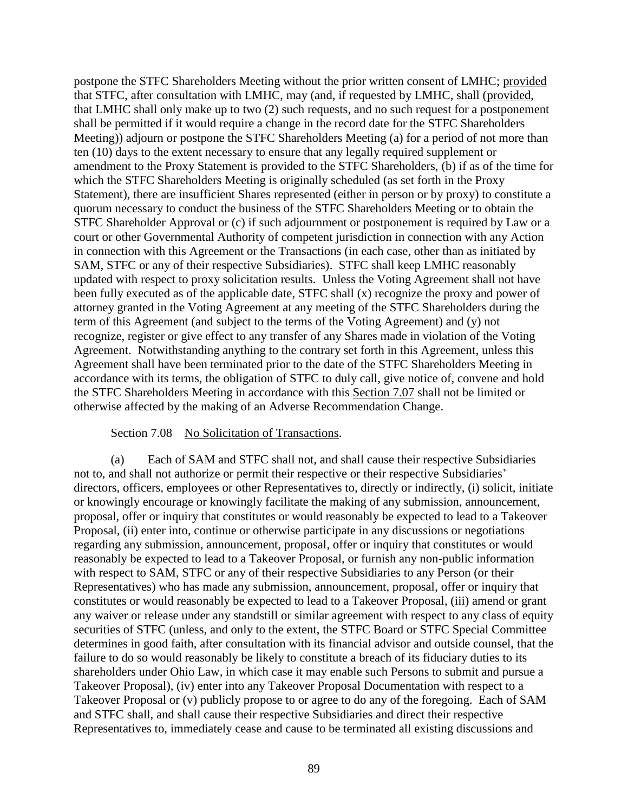postpone the STFC Shareholders Meeting without the prior written consent of LMHC; provided that STFC, after consultation with LMHC, may (and, if requested by LMHC, shall (provided, that LMHC shall only make up to two (2) such requests, and no such request for a postponement shall be permitted if it would require a change in the record date for the STFC Shareholders Meeting)) adjourn or postpone the STFC Shareholders Meeting (a) for a period of not more than ten (10) days to the extent necessary to ensure that any legally required supplement or amendment to the Proxy Statement is provided to the STFC Shareholders, (b) if as of the time for which the STFC Shareholders Meeting is originally scheduled (as set forth in the Proxy Statement), there are insufficient Shares represented (either in person or by proxy) to constitute a quorum necessary to conduct the business of the STFC Shareholders Meeting or to obtain the STFC Shareholder Approval or (c) if such adjournment or postponement is required by Law or a court or other Governmental Authority of competent jurisdiction in connection with any Action in connection with this Agreement or the Transactions (in each case, other than as initiated by SAM, STFC or any of their respective Subsidiaries). STFC shall keep LMHC reasonably updated with respect to proxy solicitation results. Unless the Voting Agreement shall not have been fully executed as of the applicable date, STFC shall (x) recognize the proxy and power of attorney granted in the Voting Agreement at any meeting of the STFC Shareholders during the term of this Agreement (and subject to the terms of the Voting Agreement) and (y) not recognize, register or give effect to any transfer of any Shares made in violation of the Voting Agreement. Notwithstanding anything to the contrary set forth in this Agreement, unless this Agreement shall have been terminated prior to the date of the STFC Shareholders Meeting in accordance with its terms, the obligation of STFC to duly call, give notice of, convene and hold the STFC Shareholders Meeting in accordance with this Section [7.07](#page-93-0) shall not be limited or otherwise affected by the making of an Adverse Recommendation Change.

#### Section 7.08 No Solicitation of Transactions.

<span id="page-94-1"></span><span id="page-94-0"></span>(a) Each of SAM and STFC shall not, and shall cause their respective Subsidiaries not to, and shall not authorize or permit their respective or their respective Subsidiaries' directors, officers, employees or other Representatives to, directly or indirectly, (i) solicit, initiate or knowingly encourage or knowingly facilitate the making of any submission, announcement, proposal, offer or inquiry that constitutes or would reasonably be expected to lead to a Takeover Proposal, (ii) enter into, continue or otherwise participate in any discussions or negotiations regarding any submission, announcement, proposal, offer or inquiry that constitutes or would reasonably be expected to lead to a Takeover Proposal, or furnish any non-public information with respect to SAM, STFC or any of their respective Subsidiaries to any Person (or their Representatives) who has made any submission, announcement, proposal, offer or inquiry that constitutes or would reasonably be expected to lead to a Takeover Proposal, (iii) amend or grant any waiver or release under any standstill or similar agreement with respect to any class of equity securities of STFC (unless, and only to the extent, the STFC Board or STFC Special Committee determines in good faith, after consultation with its financial advisor and outside counsel, that the failure to do so would reasonably be likely to constitute a breach of its fiduciary duties to its shareholders under Ohio Law, in which case it may enable such Persons to submit and pursue a Takeover Proposal), (iv) enter into any Takeover Proposal Documentation with respect to a Takeover Proposal or (v) publicly propose to or agree to do any of the foregoing. Each of SAM and STFC shall, and shall cause their respective Subsidiaries and direct their respective Representatives to, immediately cease and cause to be terminated all existing discussions and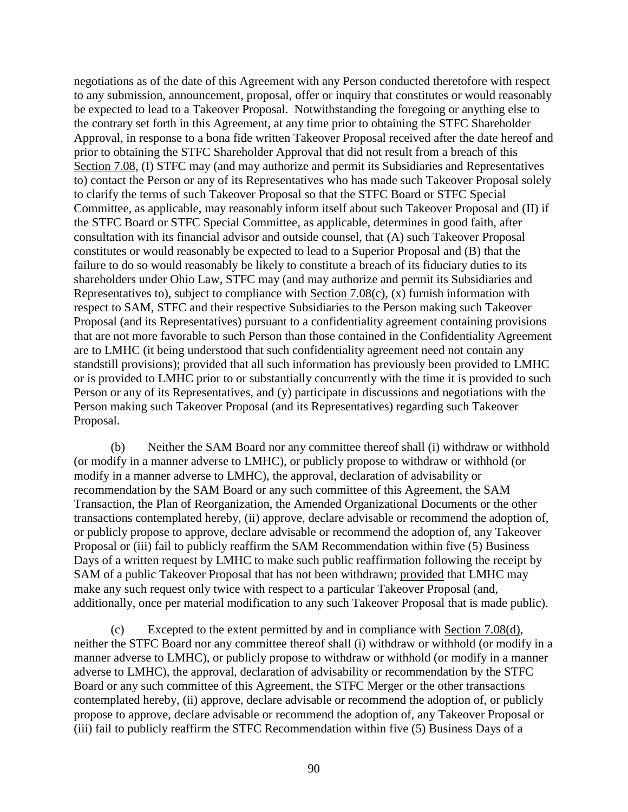negotiations as of the date of this Agreement with any Person conducted theretofore with respect to any submission, announcement, proposal, offer or inquiry that constitutes or would reasonably be expected to lead to a Takeover Proposal. Notwithstanding the foregoing or anything else to the contrary set forth in this Agreement, at any time prior to obtaining the STFC Shareholder Approval, in response to a bona fide written Takeover Proposal received after the date hereof and prior to obtaining the STFC Shareholder Approval that did not result from a breach of this Section [7.08,](#page-94-0) (I) STFC may (and may authorize and permit its Subsidiaries and Representatives to) contact the Person or any of its Representatives who has made such Takeover Proposal solely to clarify the terms of such Takeover Proposal so that the STFC Board or STFC Special Committee, as applicable, may reasonably inform itself about such Takeover Proposal and (II) if the STFC Board or STFC Special Committee, as applicable, determines in good faith, after consultation with its financial advisor and outside counsel, that (A) such Takeover Proposal constitutes or would reasonably be expected to lead to a Superior Proposal and (B) that the failure to do so would reasonably be likely to constitute a breach of its fiduciary duties to its shareholders under Ohio Law, STFC may (and may authorize and permit its Subsidiaries and Representatives to), subject to compliance with Section [7.08\(c\),](#page-95-0) (x) furnish information with respect to SAM, STFC and their respective Subsidiaries to the Person making such Takeover Proposal (and its Representatives) pursuant to a confidentiality agreement containing provisions that are not more favorable to such Person than those contained in the Confidentiality Agreement are to LMHC (it being understood that such confidentiality agreement need not contain any standstill provisions); provided that all such information has previously been provided to LMHC or is provided to LMHC prior to or substantially concurrently with the time it is provided to such Person or any of its Representatives, and (y) participate in discussions and negotiations with the Person making such Takeover Proposal (and its Representatives) regarding such Takeover Proposal.

<span id="page-95-1"></span>(b) Neither the SAM Board nor any committee thereof shall (i) withdraw or withhold (or modify in a manner adverse to LMHC), or publicly propose to withdraw or withhold (or modify in a manner adverse to LMHC), the approval, declaration of advisability or recommendation by the SAM Board or any such committee of this Agreement, the SAM Transaction, the Plan of Reorganization, the Amended Organizational Documents or the other transactions contemplated hereby, (ii) approve, declare advisable or recommend the adoption of, or publicly propose to approve, declare advisable or recommend the adoption of, any Takeover Proposal or (iii) fail to publicly reaffirm the SAM Recommendation within five (5) Business Days of a written request by LMHC to make such public reaffirmation following the receipt by SAM of a public Takeover Proposal that has not been withdrawn; provided that LMHC may make any such request only twice with respect to a particular Takeover Proposal (and, additionally, once per material modification to any such Takeover Proposal that is made public).

<span id="page-95-0"></span>(c) Excepted to the extent permitted by and in compliance with Section [7.08\(d\),](#page-96-0) neither the STFC Board nor any committee thereof shall (i) withdraw or withhold (or modify in a manner adverse to LMHC), or publicly propose to withdraw or withhold (or modify in a manner adverse to LMHC), the approval, declaration of advisability or recommendation by the STFC Board or any such committee of this Agreement, the STFC Merger or the other transactions contemplated hereby, (ii) approve, declare advisable or recommend the adoption of, or publicly propose to approve, declare advisable or recommend the adoption of, any Takeover Proposal or (iii) fail to publicly reaffirm the STFC Recommendation within five (5) Business Days of a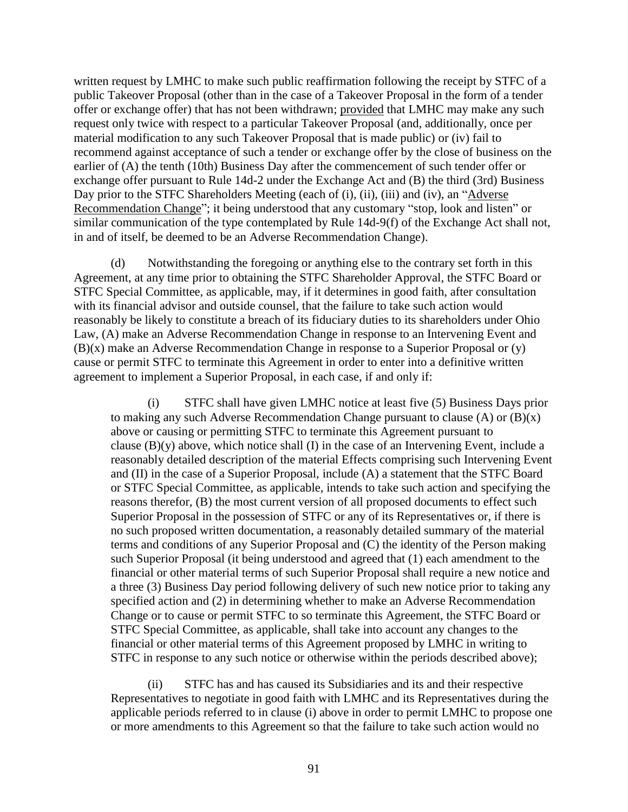written request by LMHC to make such public reaffirmation following the receipt by STFC of a public Takeover Proposal (other than in the case of a Takeover Proposal in the form of a tender offer or exchange offer) that has not been withdrawn; provided that LMHC may make any such request only twice with respect to a particular Takeover Proposal (and, additionally, once per material modification to any such Takeover Proposal that is made public) or (iv) fail to recommend against acceptance of such a tender or exchange offer by the close of business on the earlier of (A) the tenth (10th) Business Day after the commencement of such tender offer or exchange offer pursuant to Rule 14d-2 under the Exchange Act and (B) the third (3rd) Business Day prior to the STFC Shareholders Meeting (each of (i), (ii), (iii) and (iv), an "Adverse Recommendation Change"; it being understood that any customary "stop, look and listen" or similar communication of the type contemplated by Rule 14d-9(f) of the Exchange Act shall not, in and of itself, be deemed to be an Adverse Recommendation Change).

<span id="page-96-0"></span>(d) Notwithstanding the foregoing or anything else to the contrary set forth in this Agreement, at any time prior to obtaining the STFC Shareholder Approval, the STFC Board or STFC Special Committee, as applicable, may, if it determines in good faith, after consultation with its financial advisor and outside counsel, that the failure to take such action would reasonably be likely to constitute a breach of its fiduciary duties to its shareholders under Ohio Law, (A) make an Adverse Recommendation Change in response to an Intervening Event and (B)(x) make an Adverse Recommendation Change in response to a Superior Proposal or (y) cause or permit STFC to terminate this Agreement in order to enter into a definitive written agreement to implement a Superior Proposal, in each case, if and only if:

<span id="page-96-1"></span>(i) STFC shall have given LMHC notice at least five (5) Business Days prior to making any such Adverse Recommendation Change pursuant to clause  $(A)$  or  $(B)(x)$ above or causing or permitting STFC to terminate this Agreement pursuant to clause  $(B)(y)$  above, which notice shall  $(I)$  in the case of an Intervening Event, include a reasonably detailed description of the material Effects comprising such Intervening Event and (II) in the case of a Superior Proposal, include (A) a statement that the STFC Board or STFC Special Committee, as applicable, intends to take such action and specifying the reasons therefor, (B) the most current version of all proposed documents to effect such Superior Proposal in the possession of STFC or any of its Representatives or, if there is no such proposed written documentation, a reasonably detailed summary of the material terms and conditions of any Superior Proposal and (C) the identity of the Person making such Superior Proposal (it being understood and agreed that (1) each amendment to the financial or other material terms of such Superior Proposal shall require a new notice and a three (3) Business Day period following delivery of such new notice prior to taking any specified action and (2) in determining whether to make an Adverse Recommendation Change or to cause or permit STFC to so terminate this Agreement, the STFC Board or STFC Special Committee, as applicable, shall take into account any changes to the financial or other material terms of this Agreement proposed by LMHC in writing to STFC in response to any such notice or otherwise within the periods described above);

(ii) STFC has and has caused its Subsidiaries and its and their respective Representatives to negotiate in good faith with LMHC and its Representatives during the applicable periods referred to in clause [\(i\)](#page-96-1) above in order to permit LMHC to propose one or more amendments to this Agreement so that the failure to take such action would no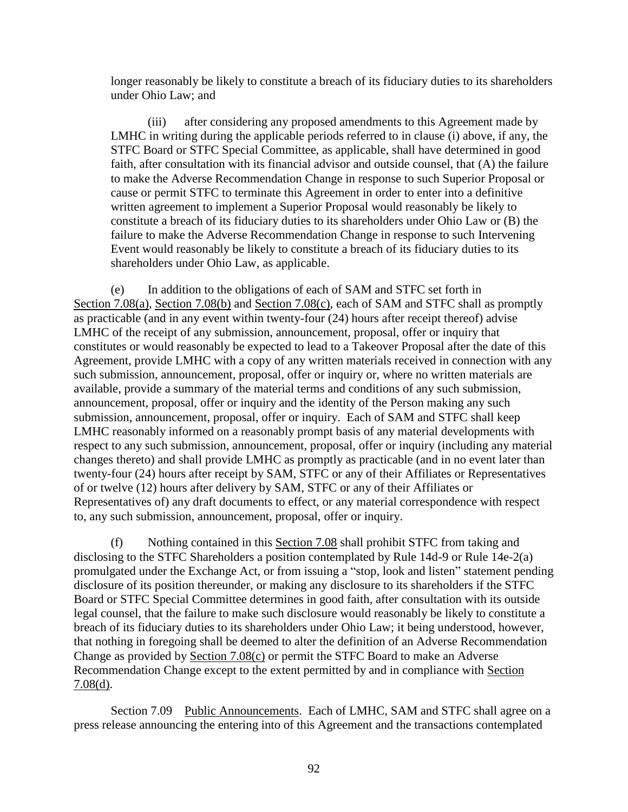longer reasonably be likely to constitute a breach of its fiduciary duties to its shareholders under Ohio Law; and

(iii) after considering any proposed amendments to this Agreement made by LMHC in writing during the applicable periods referred to in clause [\(i\)](#page-96-1) above, if any, the STFC Board or STFC Special Committee, as applicable, shall have determined in good faith, after consultation with its financial advisor and outside counsel, that (A) the failure to make the Adverse Recommendation Change in response to such Superior Proposal or cause or permit STFC to terminate this Agreement in order to enter into a definitive written agreement to implement a Superior Proposal would reasonably be likely to constitute a breach of its fiduciary duties to its shareholders under Ohio Law or (B) the failure to make the Adverse Recommendation Change in response to such Intervening Event would reasonably be likely to constitute a breach of its fiduciary duties to its shareholders under Ohio Law, as applicable.

(e) In addition to the obligations of each of SAM and STFC set forth in Section [7.08\(a\),](#page-94-1) Section [7.08\(b\)](#page-95-1) and Section [7.08\(c\),](#page-95-0) each of SAM and STFC shall as promptly as practicable (and in any event within twenty-four (24) hours after receipt thereof) advise LMHC of the receipt of any submission, announcement, proposal, offer or inquiry that constitutes or would reasonably be expected to lead to a Takeover Proposal after the date of this Agreement, provide LMHC with a copy of any written materials received in connection with any such submission, announcement, proposal, offer or inquiry or, where no written materials are available, provide a summary of the material terms and conditions of any such submission, announcement, proposal, offer or inquiry and the identity of the Person making any such submission, announcement, proposal, offer or inquiry. Each of SAM and STFC shall keep LMHC reasonably informed on a reasonably prompt basis of any material developments with respect to any such submission, announcement, proposal, offer or inquiry (including any material changes thereto) and shall provide LMHC as promptly as practicable (and in no event later than twenty-four (24) hours after receipt by SAM, STFC or any of their Affiliates or Representatives of or twelve (12) hours after delivery by SAM, STFC or any of their Affiliates or Representatives of) any draft documents to effect, or any material correspondence with respect to, any such submission, announcement, proposal, offer or inquiry.

(f) Nothing contained in this Section [7.08](#page-94-0) shall prohibit STFC from taking and disclosing to the STFC Shareholders a position contemplated by Rule 14d-9 or Rule 14e-2(a) promulgated under the Exchange Act, or from issuing a "stop, look and listen" statement pending disclosure of its position thereunder, or making any disclosure to its shareholders if the STFC Board or STFC Special Committee determines in good faith, after consultation with its outside legal counsel, that the failure to make such disclosure would reasonably be likely to constitute a breach of its fiduciary duties to its shareholders under Ohio Law; it being understood, however, that nothing in foregoing shall be deemed to alter the definition of an Adverse Recommendation Change as provided by Section [7.08\(c\)](#page-95-0) or permit the STFC Board to make an Adverse Recommendation Change except to the extent permitted by and in compliance with Section [7.08\(d\).](#page-96-0)

<span id="page-97-0"></span>Section 7.09 Public Announcements. Each of LMHC, SAM and STFC shall agree on a press release announcing the entering into of this Agreement and the transactions contemplated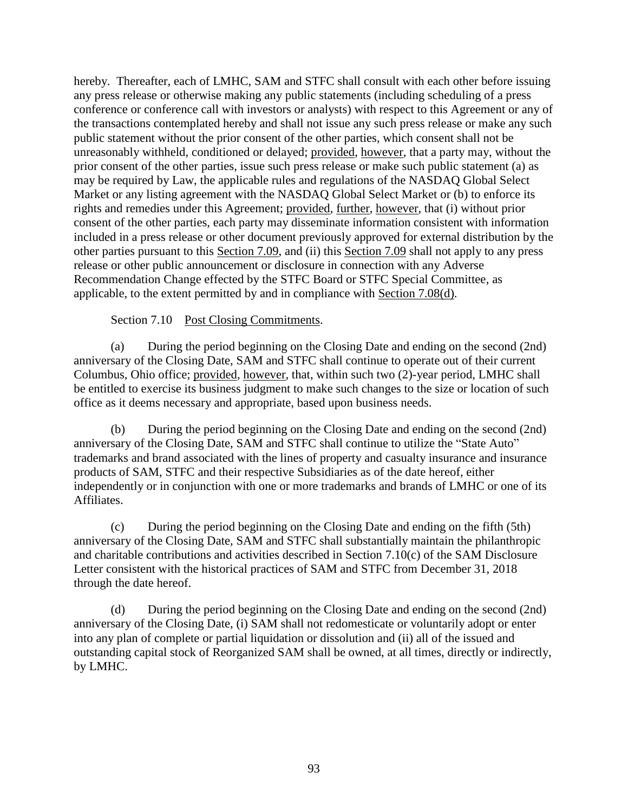hereby. Thereafter, each of LMHC, SAM and STFC shall consult with each other before issuing any press release or otherwise making any public statements (including scheduling of a press conference or conference call with investors or analysts) with respect to this Agreement or any of the transactions contemplated hereby and shall not issue any such press release or make any such public statement without the prior consent of the other parties, which consent shall not be unreasonably withheld, conditioned or delayed; provided, however, that a party may, without the prior consent of the other parties, issue such press release or make such public statement (a) as may be required by Law, the applicable rules and regulations of the NASDAQ Global Select Market or any listing agreement with the NASDAQ Global Select Market or (b) to enforce its rights and remedies under this Agreement; provided, further, however, that (i) without prior consent of the other parties, each party may disseminate information consistent with information included in a press release or other document previously approved for external distribution by the other parties pursuant to this Section [7.09,](#page-97-0) and (ii) this Section [7.09](#page-97-0) shall not apply to any press release or other public announcement or disclosure in connection with any Adverse Recommendation Change effected by the STFC Board or STFC Special Committee, as applicable, to the extent permitted by and in compliance with Section [7.08\(d\).](#page-96-0)

Section 7.10 Post Closing Commitments.

(a) During the period beginning on the Closing Date and ending on the second (2nd) anniversary of the Closing Date, SAM and STFC shall continue to operate out of their current Columbus, Ohio office; provided, however, that, within such two (2)-year period, LMHC shall be entitled to exercise its business judgment to make such changes to the size or location of such office as it deems necessary and appropriate, based upon business needs.

(b) During the period beginning on the Closing Date and ending on the second (2nd) anniversary of the Closing Date, SAM and STFC shall continue to utilize the "State Auto" trademarks and brand associated with the lines of property and casualty insurance and insurance products of SAM, STFC and their respective Subsidiaries as of the date hereof, either independently or in conjunction with one or more trademarks and brands of LMHC or one of its Affiliates.

<span id="page-98-0"></span>(c) During the period beginning on the Closing Date and ending on the fifth (5th) anniversary of the Closing Date, SAM and STFC shall substantially maintain the philanthropic and charitable contributions and activities described in Section [7.10\(c\)](#page-98-0) of the SAM Disclosure Letter consistent with the historical practices of SAM and STFC from December 31, 2018 through the date hereof.

(d) During the period beginning on the Closing Date and ending on the second (2nd) anniversary of the Closing Date, (i) SAM shall not redomesticate or voluntarily adopt or enter into any plan of complete or partial liquidation or dissolution and (ii) all of the issued and outstanding capital stock of Reorganized SAM shall be owned, at all times, directly or indirectly, by LMHC.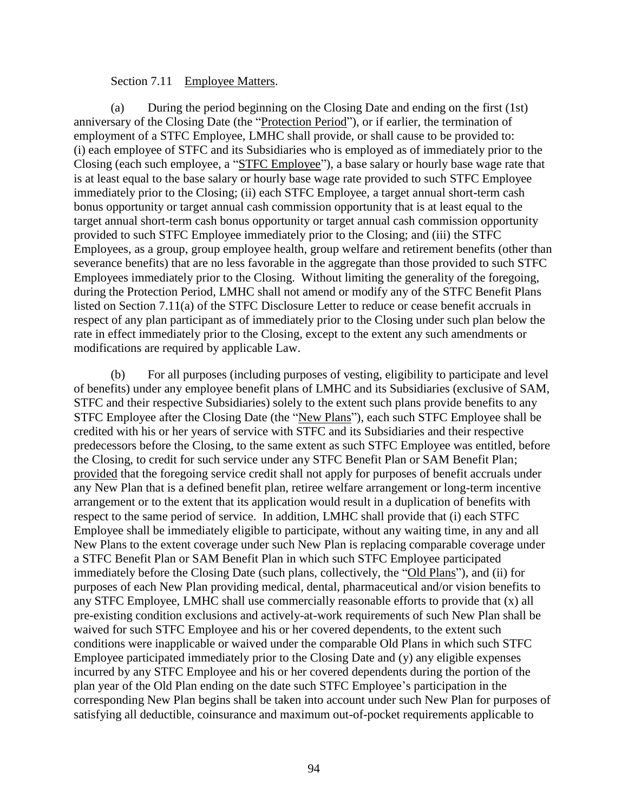# Section 7.11 Employee Matters.

<span id="page-99-1"></span><span id="page-99-0"></span>(a) During the period beginning on the Closing Date and ending on the first (1st) anniversary of the Closing Date (the "Protection Period"), or if earlier, the termination of employment of a STFC Employee, LMHC shall provide, or shall cause to be provided to: (i) each employee of STFC and its Subsidiaries who is employed as of immediately prior to the Closing (each such employee, a "STFC Employee"), a base salary or hourly base wage rate that is at least equal to the base salary or hourly base wage rate provided to such STFC Employee immediately prior to the Closing; (ii) each STFC Employee, a target annual short-term cash bonus opportunity or target annual cash commission opportunity that is at least equal to the target annual short-term cash bonus opportunity or target annual cash commission opportunity provided to such STFC Employee immediately prior to the Closing; and (iii) the STFC Employees, as a group, group employee health, group welfare and retirement benefits (other than severance benefits) that are no less favorable in the aggregate than those provided to such STFC Employees immediately prior to the Closing. Without limiting the generality of the foregoing, during the Protection Period, LMHC shall not amend or modify any of the STFC Benefit Plans listed on Section [7.11\(a\)](#page-99-0) of the STFC Disclosure Letter to reduce or cease benefit accruals in respect of any plan participant as of immediately prior to the Closing under such plan below the rate in effect immediately prior to the Closing, except to the extent any such amendments or modifications are required by applicable Law.

(b) For all purposes (including purposes of vesting, eligibility to participate and level of benefits) under any employee benefit plans of LMHC and its Subsidiaries (exclusive of SAM, STFC and their respective Subsidiaries) solely to the extent such plans provide benefits to any STFC Employee after the Closing Date (the "New Plans"), each such STFC Employee shall be credited with his or her years of service with STFC and its Subsidiaries and their respective predecessors before the Closing, to the same extent as such STFC Employee was entitled, before the Closing, to credit for such service under any STFC Benefit Plan or SAM Benefit Plan; provided that the foregoing service credit shall not apply for purposes of benefit accruals under any New Plan that is a defined benefit plan, retiree welfare arrangement or long-term incentive arrangement or to the extent that its application would result in a duplication of benefits with respect to the same period of service. In addition, LMHC shall provide that (i) each STFC Employee shall be immediately eligible to participate, without any waiting time, in any and all New Plans to the extent coverage under such New Plan is replacing comparable coverage under a STFC Benefit Plan or SAM Benefit Plan in which such STFC Employee participated immediately before the Closing Date (such plans, collectively, the "Old Plans"), and (ii) for purposes of each New Plan providing medical, dental, pharmaceutical and/or vision benefits to any STFC Employee, LMHC shall use commercially reasonable efforts to provide that (x) all pre-existing condition exclusions and actively-at-work requirements of such New Plan shall be waived for such STFC Employee and his or her covered dependents, to the extent such conditions were inapplicable or waived under the comparable Old Plans in which such STFC Employee participated immediately prior to the Closing Date and (y) any eligible expenses incurred by any STFC Employee and his or her covered dependents during the portion of the plan year of the Old Plan ending on the date such STFC Employee's participation in the corresponding New Plan begins shall be taken into account under such New Plan for purposes of satisfying all deductible, coinsurance and maximum out-of-pocket requirements applicable to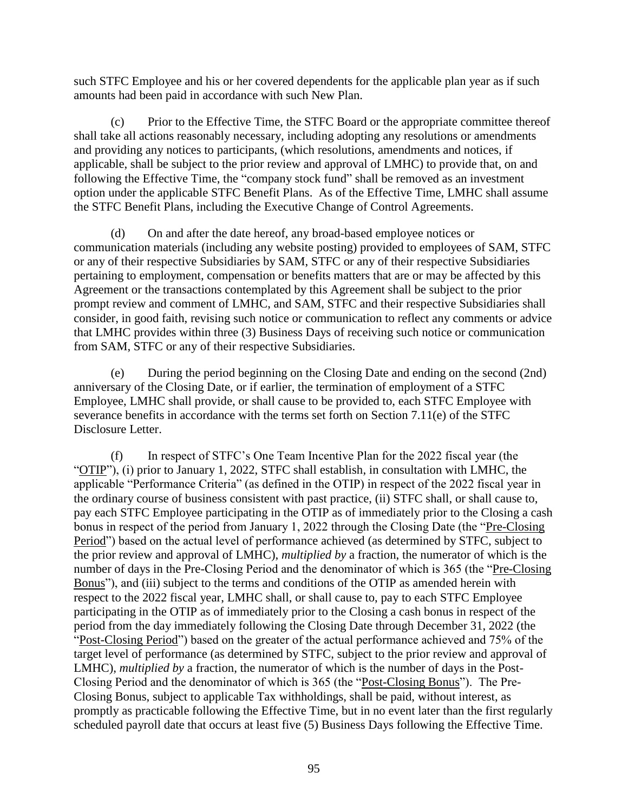such STFC Employee and his or her covered dependents for the applicable plan year as if such amounts had been paid in accordance with such New Plan.

(c) Prior to the Effective Time, the STFC Board or the appropriate committee thereof shall take all actions reasonably necessary, including adopting any resolutions or amendments and providing any notices to participants, (which resolutions, amendments and notices, if applicable, shall be subject to the prior review and approval of LMHC) to provide that, on and following the Effective Time, the "company stock fund" shall be removed as an investment option under the applicable STFC Benefit Plans. As of the Effective Time, LMHC shall assume the STFC Benefit Plans, including the Executive Change of Control Agreements.

(d) On and after the date hereof, any broad-based employee notices or communication materials (including any website posting) provided to employees of SAM, STFC or any of their respective Subsidiaries by SAM, STFC or any of their respective Subsidiaries pertaining to employment, compensation or benefits matters that are or may be affected by this Agreement or the transactions contemplated by this Agreement shall be subject to the prior prompt review and comment of LMHC, and SAM, STFC and their respective Subsidiaries shall consider, in good faith, revising such notice or communication to reflect any comments or advice that LMHC provides within three (3) Business Days of receiving such notice or communication from SAM, STFC or any of their respective Subsidiaries.

<span id="page-100-0"></span>(e) During the period beginning on the Closing Date and ending on the second (2nd) anniversary of the Closing Date, or if earlier, the termination of employment of a STFC Employee, LMHC shall provide, or shall cause to be provided to, each STFC Employee with severance benefits in accordance with the terms set forth on [Section](#page-100-0) 7.11(e) of the STFC Disclosure Letter.

(f) In respect of STFC's One Team Incentive Plan for the 2022 fiscal year (the "OTIP"), (i) prior to January 1, 2022, STFC shall establish, in consultation with LMHC, the applicable "Performance Criteria" (as defined in the OTIP) in respect of the 2022 fiscal year in the ordinary course of business consistent with past practice, (ii) STFC shall, or shall cause to, pay each STFC Employee participating in the OTIP as of immediately prior to the Closing a cash bonus in respect of the period from January 1, 2022 through the Closing Date (the "Pre-Closing Period") based on the actual level of performance achieved (as determined by STFC, subject to the prior review and approval of LMHC), *multiplied by* a fraction, the numerator of which is the number of days in the Pre-Closing Period and the denominator of which is 365 (the "Pre-Closing Bonus"), and (iii) subject to the terms and conditions of the OTIP as amended herein with respect to the 2022 fiscal year, LMHC shall, or shall cause to, pay to each STFC Employee participating in the OTIP as of immediately prior to the Closing a cash bonus in respect of the period from the day immediately following the Closing Date through December 31, 2022 (the "Post-Closing Period") based on the greater of the actual performance achieved and 75% of the target level of performance (as determined by STFC, subject to the prior review and approval of LMHC), *multiplied by* a fraction, the numerator of which is the number of days in the Post-Closing Period and the denominator of which is 365 (the "Post-Closing Bonus"). The Pre-Closing Bonus, subject to applicable Tax withholdings, shall be paid, without interest, as promptly as practicable following the Effective Time, but in no event later than the first regularly scheduled payroll date that occurs at least five (5) Business Days following the Effective Time.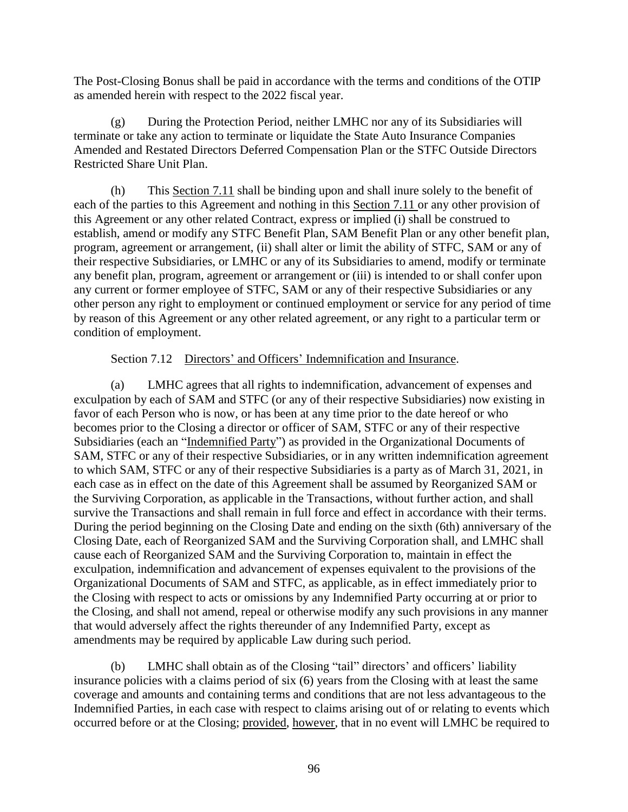The Post-Closing Bonus shall be paid in accordance with the terms and conditions of the OTIP as amended herein with respect to the 2022 fiscal year.

(g) During the Protection Period, neither LMHC nor any of its Subsidiaries will terminate or take any action to terminate or liquidate the State Auto Insurance Companies Amended and Restated Directors Deferred Compensation Plan or the STFC Outside Directors Restricted Share Unit Plan.

(h) This Section [7.11](#page-99-1) shall be binding upon and shall inure solely to the benefit of each of the parties to this Agreement and nothing in this Section [7.11](#page-99-1) or any other provision of this Agreement or any other related Contract, express or implied (i) shall be construed to establish, amend or modify any STFC Benefit Plan, SAM Benefit Plan or any other benefit plan, program, agreement or arrangement, (ii) shall alter or limit the ability of STFC, SAM or any of their respective Subsidiaries, or LMHC or any of its Subsidiaries to amend, modify or terminate any benefit plan, program, agreement or arrangement or (iii) is intended to or shall confer upon any current or former employee of STFC, SAM or any of their respective Subsidiaries or any other person any right to employment or continued employment or service for any period of time by reason of this Agreement or any other related agreement, or any right to a particular term or condition of employment.

Section 7.12 Directors' and Officers' Indemnification and Insurance.

<span id="page-101-0"></span>(a) LMHC agrees that all rights to indemnification, advancement of expenses and exculpation by each of SAM and STFC (or any of their respective Subsidiaries) now existing in favor of each Person who is now, or has been at any time prior to the date hereof or who becomes prior to the Closing a director or officer of SAM, STFC or any of their respective Subsidiaries (each an "Indemnified Party") as provided in the Organizational Documents of SAM, STFC or any of their respective Subsidiaries, or in any written indemnification agreement to which SAM, STFC or any of their respective Subsidiaries is a party as of March 31, 2021, in each case as in effect on the date of this Agreement shall be assumed by Reorganized SAM or the Surviving Corporation, as applicable in the Transactions, without further action, and shall survive the Transactions and shall remain in full force and effect in accordance with their terms. During the period beginning on the Closing Date and ending on the sixth (6th) anniversary of the Closing Date, each of Reorganized SAM and the Surviving Corporation shall, and LMHC shall cause each of Reorganized SAM and the Surviving Corporation to, maintain in effect the exculpation, indemnification and advancement of expenses equivalent to the provisions of the Organizational Documents of SAM and STFC, as applicable, as in effect immediately prior to the Closing with respect to acts or omissions by any Indemnified Party occurring at or prior to the Closing, and shall not amend, repeal or otherwise modify any such provisions in any manner that would adversely affect the rights thereunder of any Indemnified Party, except as amendments may be required by applicable Law during such period.

(b) LMHC shall obtain as of the Closing "tail" directors' and officers' liability insurance policies with a claims period of six (6) years from the Closing with at least the same coverage and amounts and containing terms and conditions that are not less advantageous to the Indemnified Parties, in each case with respect to claims arising out of or relating to events which occurred before or at the Closing; provided, however, that in no event will LMHC be required to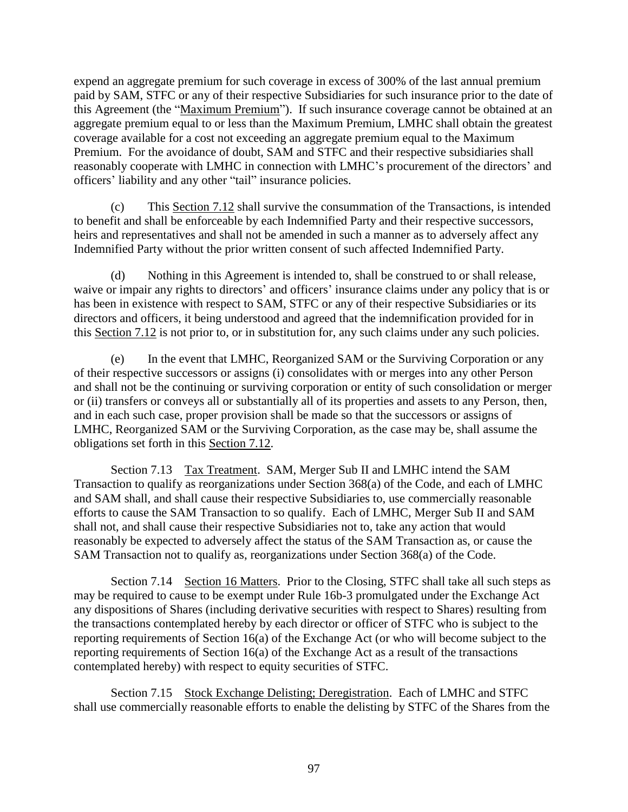expend an aggregate premium for such coverage in excess of 300% of the last annual premium paid by SAM, STFC or any of their respective Subsidiaries for such insurance prior to the date of this Agreement (the "Maximum Premium"). If such insurance coverage cannot be obtained at an aggregate premium equal to or less than the Maximum Premium, LMHC shall obtain the greatest coverage available for a cost not exceeding an aggregate premium equal to the Maximum Premium. For the avoidance of doubt, SAM and STFC and their respective subsidiaries shall reasonably cooperate with LMHC in connection with LMHC's procurement of the directors' and officers' liability and any other "tail" insurance policies.

(c) This Section [7.12](#page-101-0) shall survive the consummation of the Transactions, is intended to benefit and shall be enforceable by each Indemnified Party and their respective successors, heirs and representatives and shall not be amended in such a manner as to adversely affect any Indemnified Party without the prior written consent of such affected Indemnified Party.

(d) Nothing in this Agreement is intended to, shall be construed to or shall release, waive or impair any rights to directors' and officers' insurance claims under any policy that is or has been in existence with respect to SAM, STFC or any of their respective Subsidiaries or its directors and officers, it being understood and agreed that the indemnification provided for in this Section [7.12](#page-101-0) is not prior to, or in substitution for, any such claims under any such policies.

(e) In the event that LMHC, Reorganized SAM or the Surviving Corporation or any of their respective successors or assigns (i) consolidates with or merges into any other Person and shall not be the continuing or surviving corporation or entity of such consolidation or merger or (ii) transfers or conveys all or substantially all of its properties and assets to any Person, then, and in each such case, proper provision shall be made so that the successors or assigns of LMHC, Reorganized SAM or the Surviving Corporation, as the case may be, shall assume the obligations set forth in this Section [7.12.](#page-101-0)

Section 7.13 Tax Treatment. SAM, Merger Sub II and LMHC intend the SAM Transaction to qualify as reorganizations under Section 368(a) of the Code, and each of LMHC and SAM shall, and shall cause their respective Subsidiaries to, use commercially reasonable efforts to cause the SAM Transaction to so qualify. Each of LMHC, Merger Sub II and SAM shall not, and shall cause their respective Subsidiaries not to, take any action that would reasonably be expected to adversely affect the status of the SAM Transaction as, or cause the SAM Transaction not to qualify as, reorganizations under Section 368(a) of the Code.

Section 7.14 Section 16 Matters. Prior to the Closing, STFC shall take all such steps as may be required to cause to be exempt under Rule 16b-3 promulgated under the Exchange Act any dispositions of Shares (including derivative securities with respect to Shares) resulting from the transactions contemplated hereby by each director or officer of STFC who is subject to the reporting requirements of Section 16(a) of the Exchange Act (or who will become subject to the reporting requirements of Section 16(a) of the Exchange Act as a result of the transactions contemplated hereby) with respect to equity securities of STFC.

Section 7.15 Stock Exchange Delisting; Deregistration. Each of LMHC and STFC shall use commercially reasonable efforts to enable the delisting by STFC of the Shares from the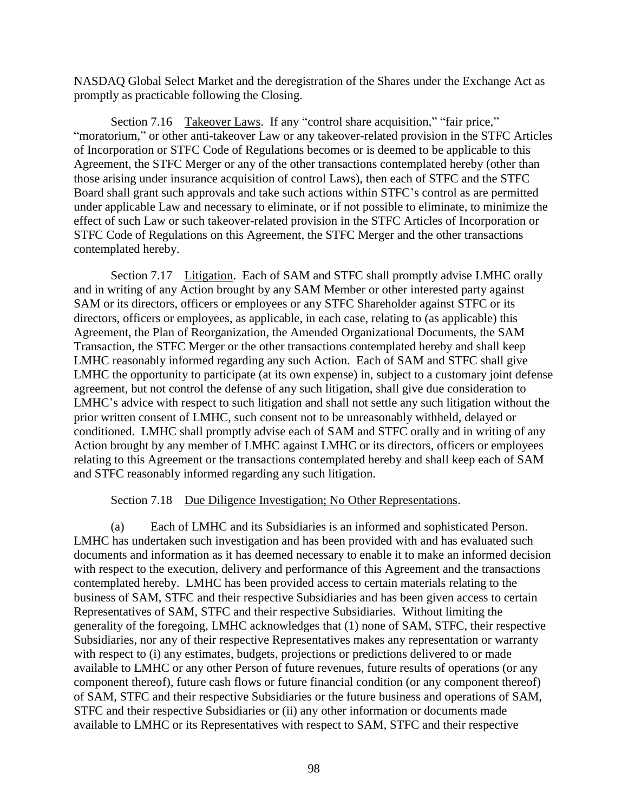NASDAQ Global Select Market and the deregistration of the Shares under the Exchange Act as promptly as practicable following the Closing.

Section 7.16 Takeover Laws. If any "control share acquisition," "fair price," "moratorium," or other anti-takeover Law or any takeover-related provision in the STFC Articles of Incorporation or STFC Code of Regulations becomes or is deemed to be applicable to this Agreement, the STFC Merger or any of the other transactions contemplated hereby (other than those arising under insurance acquisition of control Laws), then each of STFC and the STFC Board shall grant such approvals and take such actions within STFC's control as are permitted under applicable Law and necessary to eliminate, or if not possible to eliminate, to minimize the effect of such Law or such takeover-related provision in the STFC Articles of Incorporation or STFC Code of Regulations on this Agreement, the STFC Merger and the other transactions contemplated hereby.

Section 7.17 Litigation. Each of SAM and STFC shall promptly advise LMHC orally and in writing of any Action brought by any SAM Member or other interested party against SAM or its directors, officers or employees or any STFC Shareholder against STFC or its directors, officers or employees, as applicable, in each case, relating to (as applicable) this Agreement, the Plan of Reorganization, the Amended Organizational Documents, the SAM Transaction, the STFC Merger or the other transactions contemplated hereby and shall keep LMHC reasonably informed regarding any such Action. Each of SAM and STFC shall give LMHC the opportunity to participate (at its own expense) in, subject to a customary joint defense agreement, but not control the defense of any such litigation, shall give due consideration to LMHC's advice with respect to such litigation and shall not settle any such litigation without the prior written consent of LMHC, such consent not to be unreasonably withheld, delayed or conditioned. LMHC shall promptly advise each of SAM and STFC orally and in writing of any Action brought by any member of LMHC against LMHC or its directors, officers or employees relating to this Agreement or the transactions contemplated hereby and shall keep each of SAM and STFC reasonably informed regarding any such litigation.

#### Section 7.18 Due Diligence Investigation; No Other Representations.

(a) Each of LMHC and its Subsidiaries is an informed and sophisticated Person. LMHC has undertaken such investigation and has been provided with and has evaluated such documents and information as it has deemed necessary to enable it to make an informed decision with respect to the execution, delivery and performance of this Agreement and the transactions contemplated hereby. LMHC has been provided access to certain materials relating to the business of SAM, STFC and their respective Subsidiaries and has been given access to certain Representatives of SAM, STFC and their respective Subsidiaries. Without limiting the generality of the foregoing, LMHC acknowledges that (1) none of SAM, STFC, their respective Subsidiaries, nor any of their respective Representatives makes any representation or warranty with respect to (i) any estimates, budgets, projections or predictions delivered to or made available to LMHC or any other Person of future revenues, future results of operations (or any component thereof), future cash flows or future financial condition (or any component thereof) of SAM, STFC and their respective Subsidiaries or the future business and operations of SAM, STFC and their respective Subsidiaries or (ii) any other information or documents made available to LMHC or its Representatives with respect to SAM, STFC and their respective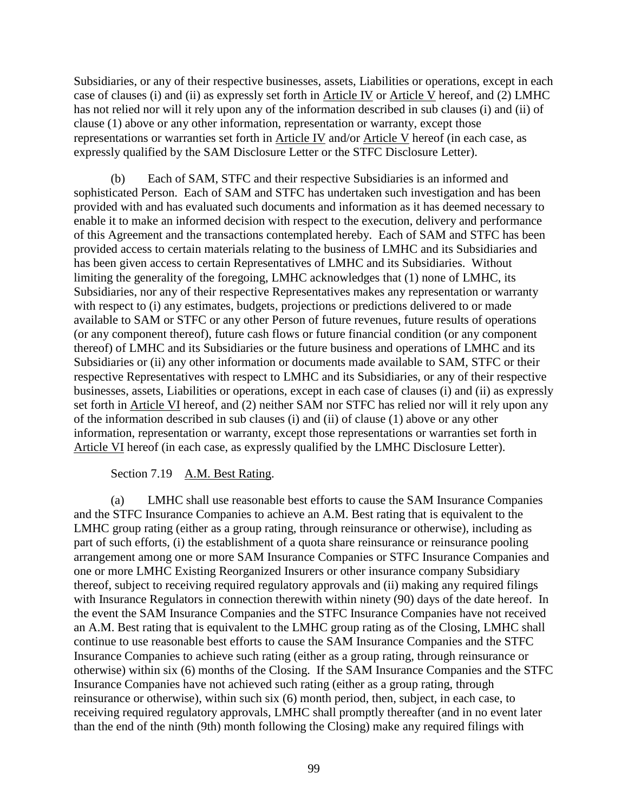Subsidiaries, or any of their respective businesses, assets, Liabilities or operations, except in each case of clauses (i) and (ii) as expressly set forth in Article [IV](#page-36-0) or Article [V](#page-55-0) hereof, and (2) LMHC has not relied nor will it rely upon any of the information described in sub clauses (i) and (ii) of clause (1) above or any other information, representation or warranty, except those representations or warranties set forth in Article [IV](#page-36-0) and/or Article [V](#page-55-0) hereof (in each case, as expressly qualified by the SAM Disclosure Letter or the STFC Disclosure Letter).

(b) Each of SAM, STFC and their respective Subsidiaries is an informed and sophisticated Person. Each of SAM and STFC has undertaken such investigation and has been provided with and has evaluated such documents and information as it has deemed necessary to enable it to make an informed decision with respect to the execution, delivery and performance of this Agreement and the transactions contemplated hereby. Each of SAM and STFC has been provided access to certain materials relating to the business of LMHC and its Subsidiaries and has been given access to certain Representatives of LMHC and its Subsidiaries. Without limiting the generality of the foregoing, LMHC acknowledges that (1) none of LMHC, its Subsidiaries, nor any of their respective Representatives makes any representation or warranty with respect to (i) any estimates, budgets, projections or predictions delivered to or made available to SAM or STFC or any other Person of future revenues, future results of operations (or any component thereof), future cash flows or future financial condition (or any component thereof) of LMHC and its Subsidiaries or the future business and operations of LMHC and its Subsidiaries or (ii) any other information or documents made available to SAM, STFC or their respective Representatives with respect to LMHC and its Subsidiaries, or any of their respective businesses, assets, Liabilities or operations, except in each case of clauses (i) and (ii) as expressly set forth in Article [VI](#page-78-0) hereof, and (2) neither SAM nor STFC has relied nor will it rely upon any of the information described in sub clauses (i) and (ii) of clause (1) above or any other information, representation or warranty, except those representations or warranties set forth in Article [VI](#page-78-0) hereof (in each case, as expressly qualified by the LMHC Disclosure Letter).

## Section 7.19 A.M. Best Rating.

<span id="page-104-0"></span>(a) LMHC shall use reasonable best efforts to cause the SAM Insurance Companies and the STFC Insurance Companies to achieve an A.M. Best rating that is equivalent to the LMHC group rating (either as a group rating, through reinsurance or otherwise), including as part of such efforts, (i) the establishment of a quota share reinsurance or reinsurance pooling arrangement among one or more SAM Insurance Companies or STFC Insurance Companies and one or more LMHC Existing Reorganized Insurers or other insurance company Subsidiary thereof, subject to receiving required regulatory approvals and (ii) making any required filings with Insurance Regulators in connection therewith within ninety (90) days of the date hereof. In the event the SAM Insurance Companies and the STFC Insurance Companies have not received an A.M. Best rating that is equivalent to the LMHC group rating as of the Closing, LMHC shall continue to use reasonable best efforts to cause the SAM Insurance Companies and the STFC Insurance Companies to achieve such rating (either as a group rating, through reinsurance or otherwise) within six (6) months of the Closing. If the SAM Insurance Companies and the STFC Insurance Companies have not achieved such rating (either as a group rating, through reinsurance or otherwise), within such six (6) month period, then, subject, in each case, to receiving required regulatory approvals, LMHC shall promptly thereafter (and in no event later than the end of the ninth (9th) month following the Closing) make any required filings with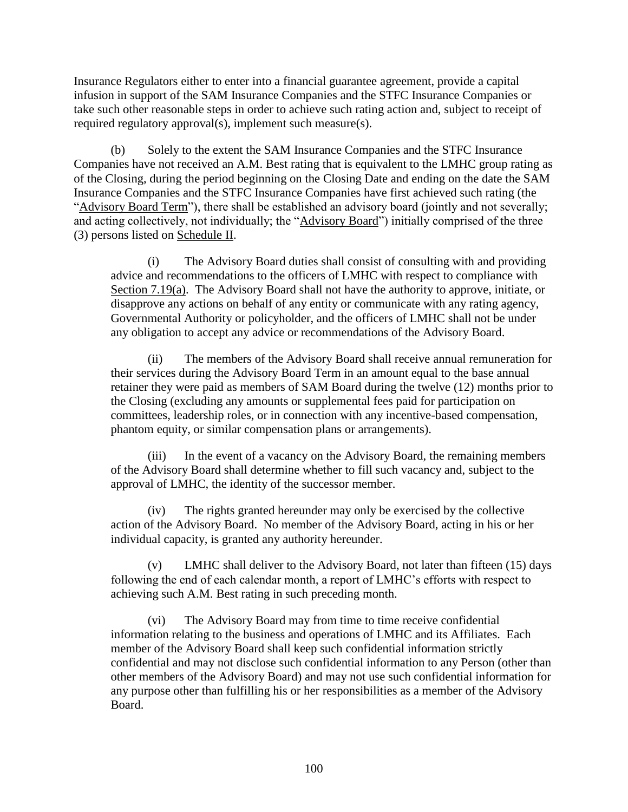Insurance Regulators either to enter into a financial guarantee agreement, provide a capital infusion in support of the SAM Insurance Companies and the STFC Insurance Companies or take such other reasonable steps in order to achieve such rating action and, subject to receipt of required regulatory approval(s), implement such measure(s).

(b) Solely to the extent the SAM Insurance Companies and the STFC Insurance Companies have not received an A.M. Best rating that is equivalent to the LMHC group rating as of the Closing, during the period beginning on the Closing Date and ending on the date the SAM Insurance Companies and the STFC Insurance Companies have first achieved such rating (the "Advisory Board Term"), there shall be established an advisory board (jointly and not severally; and acting collectively, not individually; the "Advisory Board") initially comprised of the three (3) persons listed on Schedule II.

(i) The Advisory Board duties shall consist of consulting with and providing advice and recommendations to the officers of LMHC with respect to compliance with Section [7.19\(a\).](#page-104-0) The Advisory Board shall not have the authority to approve, initiate, or disapprove any actions on behalf of any entity or communicate with any rating agency, Governmental Authority or policyholder, and the officers of LMHC shall not be under any obligation to accept any advice or recommendations of the Advisory Board.

(ii) The members of the Advisory Board shall receive annual remuneration for their services during the Advisory Board Term in an amount equal to the base annual retainer they were paid as members of SAM Board during the twelve (12) months prior to the Closing (excluding any amounts or supplemental fees paid for participation on committees, leadership roles, or in connection with any incentive-based compensation, phantom equity, or similar compensation plans or arrangements).

(iii) In the event of a vacancy on the Advisory Board, the remaining members of the Advisory Board shall determine whether to fill such vacancy and, subject to the approval of LMHC, the identity of the successor member.

(iv) The rights granted hereunder may only be exercised by the collective action of the Advisory Board. No member of the Advisory Board, acting in his or her individual capacity, is granted any authority hereunder.

(v) LMHC shall deliver to the Advisory Board, not later than fifteen (15) days following the end of each calendar month, a report of LMHC's efforts with respect to achieving such A.M. Best rating in such preceding month.

(vi) The Advisory Board may from time to time receive confidential information relating to the business and operations of LMHC and its Affiliates. Each member of the Advisory Board shall keep such confidential information strictly confidential and may not disclose such confidential information to any Person (other than other members of the Advisory Board) and may not use such confidential information for any purpose other than fulfilling his or her responsibilities as a member of the Advisory Board.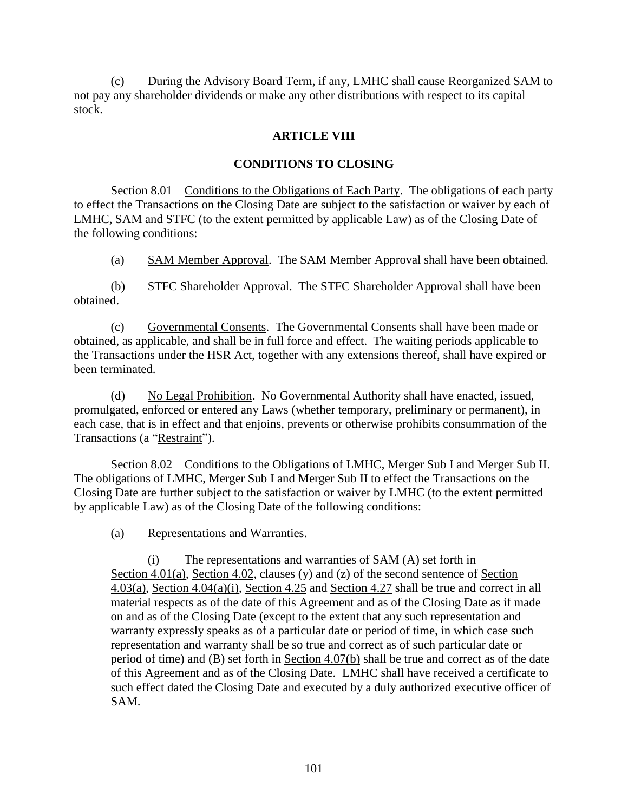(c) During the Advisory Board Term, if any, LMHC shall cause Reorganized SAM to not pay any shareholder dividends or make any other distributions with respect to its capital stock.

# **ARTICLE VIII**

# **CONDITIONS TO CLOSING**

Section 8.01 Conditions to the Obligations of Each Party. The obligations of each party to effect the Transactions on the Closing Date are subject to the satisfaction or waiver by each of LMHC, SAM and STFC (to the extent permitted by applicable Law) as of the Closing Date of the following conditions:

(a) SAM Member Approval. The SAM Member Approval shall have been obtained.

(b) STFC Shareholder Approval. The STFC Shareholder Approval shall have been obtained.

(c) Governmental Consents. The Governmental Consents shall have been made or obtained, as applicable, and shall be in full force and effect. The waiting periods applicable to the Transactions under the HSR Act, together with any extensions thereof, shall have expired or been terminated.

(d) No Legal Prohibition. No Governmental Authority shall have enacted, issued, promulgated, enforced or entered any Laws (whether temporary, preliminary or permanent), in each case, that is in effect and that enjoins, prevents or otherwise prohibits consummation of the Transactions (a "Restraint").

Section 8.02 Conditions to the Obligations of LMHC, Merger Sub I and Merger Sub II. The obligations of LMHC, Merger Sub I and Merger Sub II to effect the Transactions on the Closing Date are further subject to the satisfaction or waiver by LMHC (to the extent permitted by applicable Law) as of the Closing Date of the following conditions:

<span id="page-106-0"></span>(a) Representations and Warranties.

(i) The representations and warranties of SAM (A) set forth in Section [4.01\(a\),](#page-36-1) Section [4.02,](#page-36-2) clauses (y) and (z) of the second sentence of Section 4.03(a), Section [4.04\(a\)\(](#page-38-1)i), Section [4.25](#page-55-1) and Section [4.27](#page-55-2) shall be true and correct in all material respects as of the date of this Agreement and as of the Closing Date as if made on and as of the Closing Date (except to the extent that any such representation and warranty expressly speaks as of a particular date or period of time, in which case such representation and warranty shall be so true and correct as of such particular date or period of time) and (B) set forth in Section [4.07\(](#page-39-0)b) shall be true and correct as of the date of this Agreement and as of the Closing Date. LMHC shall have received a certificate to such effect dated the Closing Date and executed by a duly authorized executive officer of SAM.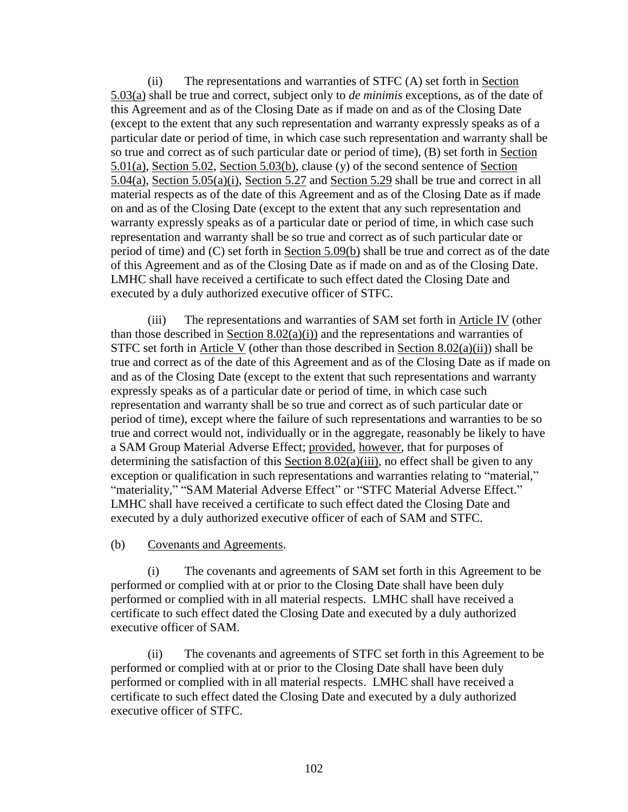<span id="page-107-0"></span>(ii) The representations and warranties of STFC (A) set forth in Section [5.03\(a\)](#page-57-0) shall be true and correct, subject only to *de minimis* exceptions, as of the date of this Agreement and as of the Closing Date as if made on and as of the Closing Date (except to the extent that any such representation and warranty expressly speaks as of a particular date or period of time, in which case such representation and warranty shall be so true and correct as of such particular date or period of time), (B) set forth in Section [5.01\(a\),](#page-56-0) Section [5.02,](#page-56-1) Section [5.03\(b\),](#page-57-1) clause (y) of the second sentence of Section 5.04(a), Section [5.05\(a\)\(](#page-58-0)i), Section [5.27](#page-78-1) and Section [5.29](#page-78-2) shall be true and correct in all material respects as of the date of this Agreement and as of the Closing Date as if made on and as of the Closing Date (except to the extent that any such representation and warranty expressly speaks as of a particular date or period of time, in which case such representation and warranty shall be so true and correct as of such particular date or period of time) and (C) set forth in [Section](#page-62-0) 5.09(b) shall be true and correct as of the date of this Agreement and as of the Closing Date as if made on and as of the Closing Date. LMHC shall have received a certificate to such effect dated the Closing Date and executed by a duly authorized executive officer of STFC.

<span id="page-107-1"></span>(iii) The representations and warranties of SAM set forth in Article [IV](#page-36-0) (other than those described in Section  $8.02(a)(i)$  and the representations and warranties of STFC set forth in Article [V](#page-55-0) (other than those described in Section [8.02\(a\)\(ii\)\)](#page-107-0) shall be true and correct as of the date of this Agreement and as of the Closing Date as if made on and as of the Closing Date (except to the extent that such representations and warranty expressly speaks as of a particular date or period of time, in which case such representation and warranty shall be so true and correct as of such particular date or period of time), except where the failure of such representations and warranties to be so true and correct would not, individually or in the aggregate, reasonably be likely to have a SAM Group Material Adverse Effect; provided, however, that for purposes of determining the satisfaction of this Section [8.02\(a\)\(iii\),](#page-107-1) no effect shall be given to any exception or qualification in such representations and warranties relating to "material," "materiality," "SAM Material Adverse Effect" or "STFC Material Adverse Effect." LMHC shall have received a certificate to such effect dated the Closing Date and executed by a duly authorized executive officer of each of SAM and STFC.

#### (b) Covenants and Agreements.

(i) The covenants and agreements of SAM set forth in this Agreement to be performed or complied with at or prior to the Closing Date shall have been duly performed or complied with in all material respects. LMHC shall have received a certificate to such effect dated the Closing Date and executed by a duly authorized executive officer of SAM.

(ii) The covenants and agreements of STFC set forth in this Agreement to be performed or complied with at or prior to the Closing Date shall have been duly performed or complied with in all material respects. LMHC shall have received a certificate to such effect dated the Closing Date and executed by a duly authorized executive officer of STFC.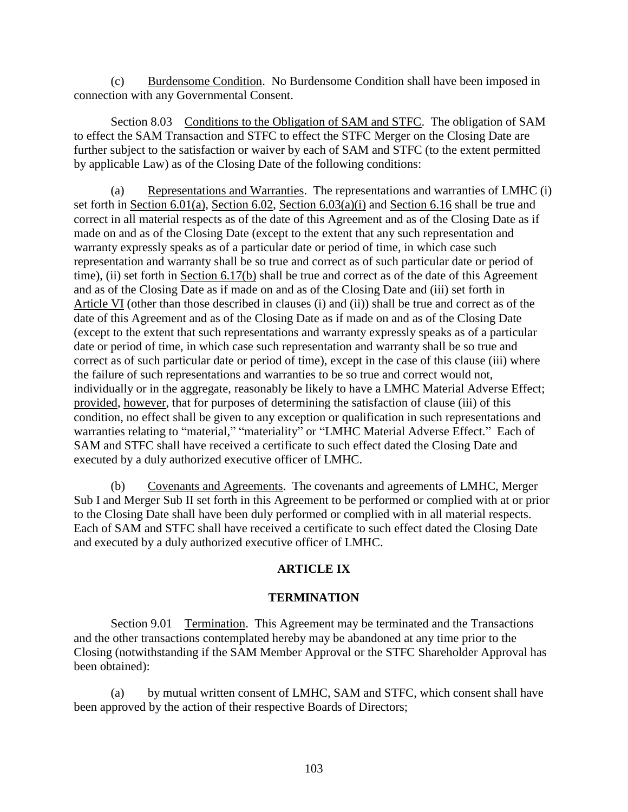<span id="page-108-0"></span>(c) Burdensome Condition. No Burdensome Condition shall have been imposed in connection with any Governmental Consent.

Section 8.03 Conditions to the Obligation of SAM and STFC. The obligation of SAM to effect the SAM Transaction and STFC to effect the STFC Merger on the Closing Date are further subject to the satisfaction or waiver by each of SAM and STFC (to the extent permitted by applicable Law) as of the Closing Date of the following conditions:

<span id="page-108-1"></span>(a) Representations and Warranties. The representations and warranties of LMHC (i) set forth in Section [6.01\(a\),](#page-79-0) Section [6.02,](#page-79-1) Section [6.03\(a\)\(](#page-79-2)i) and Section [6.16](#page-83-0) shall be true and correct in all material respects as of the date of this Agreement and as of the Closing Date as if made on and as of the Closing Date (except to the extent that any such representation and warranty expressly speaks as of a particular date or period of time, in which case such representation and warranty shall be so true and correct as of such particular date or period of time), (ii) set forth in Section [6.17\(](#page-84-0)b) shall be true and correct as of the date of this Agreement and as of the Closing Date as if made on and as of the Closing Date and (iii) set forth in Article [VI](#page-78-0) (other than those described in clauses (i) and (ii)) shall be true and correct as of the date of this Agreement and as of the Closing Date as if made on and as of the Closing Date (except to the extent that such representations and warranty expressly speaks as of a particular date or period of time, in which case such representation and warranty shall be so true and correct as of such particular date or period of time), except in the case of this clause (iii) where the failure of such representations and warranties to be so true and correct would not, individually or in the aggregate, reasonably be likely to have a LMHC Material Adverse Effect; provided, however, that for purposes of determining the satisfaction of clause (iii) of this condition, no effect shall be given to any exception or qualification in such representations and warranties relating to "material," "materiality" or "LMHC Material Adverse Effect." Each of SAM and STFC shall have received a certificate to such effect dated the Closing Date and executed by a duly authorized executive officer of LMHC.

<span id="page-108-2"></span>(b) Covenants and Agreements. The covenants and agreements of LMHC, Merger Sub I and Merger Sub II set forth in this Agreement to be performed or complied with at or prior to the Closing Date shall have been duly performed or complied with in all material respects. Each of SAM and STFC shall have received a certificate to such effect dated the Closing Date and executed by a duly authorized executive officer of LMHC.

## **ARTICLE IX**

## **TERMINATION**

<span id="page-108-3"></span>Section 9.01 Termination. This Agreement may be terminated and the Transactions and the other transactions contemplated hereby may be abandoned at any time prior to the Closing (notwithstanding if the SAM Member Approval or the STFC Shareholder Approval has been obtained):

<span id="page-108-4"></span>(a) by mutual written consent of LMHC, SAM and STFC, which consent shall have been approved by the action of their respective Boards of Directors;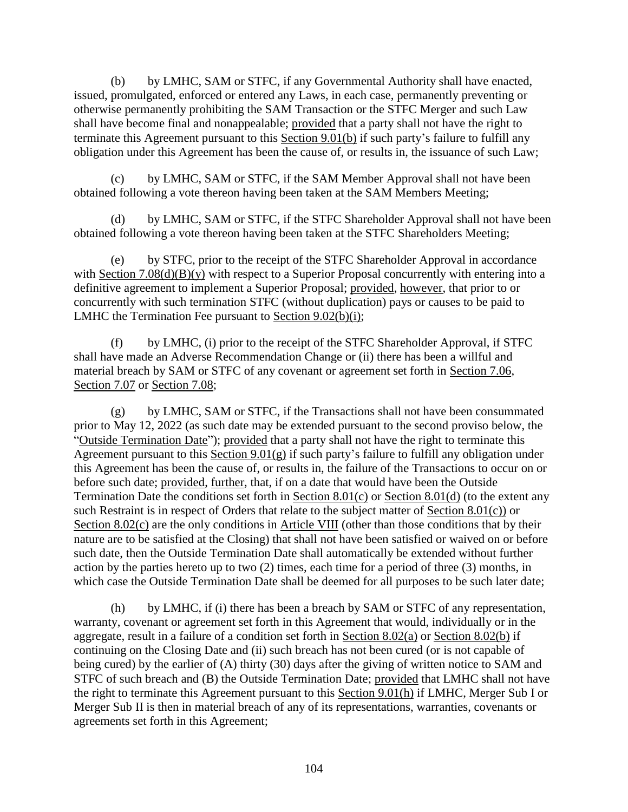<span id="page-109-0"></span>(b) by LMHC, SAM or STFC, if any Governmental Authority shall have enacted, issued, promulgated, enforced or entered any Laws, in each case, permanently preventing or otherwise permanently prohibiting the SAM Transaction or the STFC Merger and such Law shall have become final and nonappealable; provided that a party shall not have the right to terminate this Agreement pursuant to this Section [9.01\(b\)](#page-109-0) if such party's failure to fulfill any obligation under this Agreement has been the cause of, or results in, the issuance of such Law;

(c) by LMHC, SAM or STFC, if the SAM Member Approval shall not have been obtained following a vote thereon having been taken at the SAM Members Meeting;

<span id="page-109-5"></span>(d) by LMHC, SAM or STFC, if the STFC Shareholder Approval shall not have been obtained following a vote thereon having been taken at the STFC Shareholders Meeting;

<span id="page-109-3"></span>(e) by STFC, prior to the receipt of the STFC Shareholder Approval in accordance with Section [7.08\(d\)\(](#page-96-0)B)(y) with respect to a Superior Proposal concurrently with entering into a definitive agreement to implement a Superior Proposal; provided, however, that prior to or concurrently with such termination STFC (without duplication) pays or causes to be paid to LMHC the Termination Fee pursuant to Section [9.02\(b\)\(i\);](#page-110-0)

<span id="page-109-4"></span>(f) by LMHC, (i) prior to the receipt of the STFC Shareholder Approval, if STFC shall have made an Adverse Recommendation Change or (ii) there has been a willful and material breach by SAM or STFC of any covenant or agreement set forth in Section [7.06,](#page-93-0) Section [7.07](#page-93-1) or Section [7.08;](#page-94-0)

<span id="page-109-1"></span>(g) by LMHC, SAM or STFC, if the Transactions shall not have been consummated prior to May 12, 2022 (as such date may be extended pursuant to the second proviso below, the "Outside Termination Date"); provided that a party shall not have the right to terminate this Agreement pursuant to this Section [9.01\(g\)](#page-109-1) if such party's failure to fulfill any obligation under this Agreement has been the cause of, or results in, the failure of the Transactions to occur on or before such date; provided, further, that, if on a date that would have been the Outside Termination Date the conditions set forth in Section [8.01\(c\)](#page-106-0) or [Section](#page-106-1) 8.01(d) (to the extent any such Restraint is in respect of Orders that relate to the subject matter of Section [8.01\(c\)\)](#page-106-0) or Section [8.02\(c\)](#page-108-0) are the only conditions in Article [VIII](#page-106-2) (other than those conditions that by their nature are to be satisfied at the Closing) that shall not have been satisfied or waived on or before such date, then the Outside Termination Date shall automatically be extended without further action by the parties hereto up to two (2) times, each time for a period of three (3) months, in which case the Outside Termination Date shall be deemed for all purposes to be such later date;

<span id="page-109-2"></span>(h) by LMHC, if (i) there has been a breach by SAM or STFC of any representation, warranty, covenant or agreement set forth in this Agreement that would, individually or in the aggregate, result in a failure of a condition set forth in [Section](#page-106-3) 8.02(a) or [Section](#page-107-0) 8.02(b) if continuing on the Closing Date and (ii) such breach has not been cured (or is not capable of being cured) by the earlier of (A) thirty (30) days after the giving of written notice to SAM and STFC of such breach and (B) the Outside Termination Date; provided that LMHC shall not have the right to terminate this Agreement pursuant to this [Section](#page-109-2) 9.01(h) if LMHC, Merger Sub I or Merger Sub II is then in material breach of any of its representations, warranties, covenants or agreements set forth in this Agreement;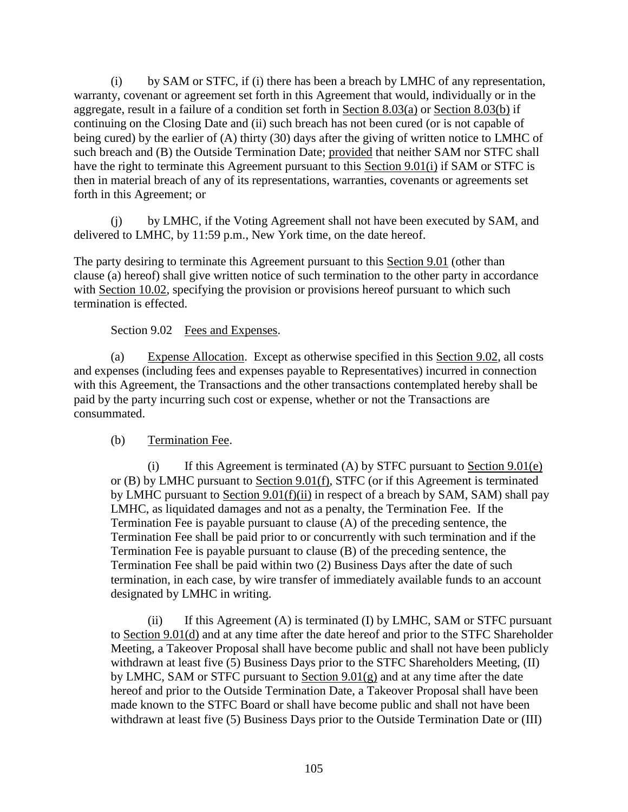<span id="page-110-1"></span>(i) by SAM or STFC, if (i) there has been a breach by LMHC of any representation, warranty, covenant or agreement set forth in this Agreement that would, individually or in the aggregate, result in a failure of a condition set forth in [Section](#page-108-1) 8.03(a) or [Section](#page-108-2) 8.03(b) if continuing on the Closing Date and (ii) such breach has not been cured (or is not capable of being cured) by the earlier of (A) thirty (30) days after the giving of written notice to LMHC of such breach and (B) the Outside Termination Date; provided that neither SAM nor STFC shall have the right to terminate this Agreement pursuant to this [Section](#page-110-1) 9.01(i) if SAM or STFC is then in material breach of any of its representations, warranties, covenants or agreements set forth in this Agreement; or

<span id="page-110-5"></span>(j) by LMHC, if the Voting Agreement shall not have been executed by SAM, and delivered to LMHC, by 11:59 p.m., New York time, on the date hereof.

The party desiring to terminate this Agreement pursuant to this Section [9.01](#page-108-3) (other than clause [\(a\)](#page-108-4) hereof) shall give written notice of such termination to the other party in accordance with Section [10.02,](#page-112-0) specifying the provision or provisions hereof pursuant to which such termination is effected.

Section 9.02 Fees and Expenses.

<span id="page-110-4"></span><span id="page-110-2"></span>(a) Expense Allocation. Except as otherwise specified in this Section [9.02,](#page-110-2) all costs and expenses (including fees and expenses payable to Representatives) incurred in connection with this Agreement, the Transactions and the other transactions contemplated hereby shall be paid by the party incurring such cost or expense, whether or not the Transactions are consummated.

<span id="page-110-6"></span>(b) Termination Fee.

<span id="page-110-0"></span>(i) If this Agreement is terminated (A) by STFC pursuant to Section  $9.01(e)$ or (B) by LMHC pursuant to Section [9.01\(f\),](#page-109-4) STFC (or if this Agreement is terminated by LMHC pursuant to Section [9.01\(f\)\(](#page-109-4)ii) in respect of a breach by SAM, SAM) shall pay LMHC, as liquidated damages and not as a penalty, the Termination Fee. If the Termination Fee is payable pursuant to clause (A) of the preceding sentence, the Termination Fee shall be paid prior to or concurrently with such termination and if the Termination Fee is payable pursuant to clause (B) of the preceding sentence, the Termination Fee shall be paid within two (2) Business Days after the date of such termination, in each case, by wire transfer of immediately available funds to an account designated by LMHC in writing.

<span id="page-110-3"></span>(ii) If this Agreement  $(A)$  is terminated  $(I)$  by LMHC, SAM or STFC pursuant to Section [9.01\(d\)](#page-109-5) and at any time after the date hereof and prior to the STFC Shareholder Meeting, a Takeover Proposal shall have become public and shall not have been publicly withdrawn at least five (5) Business Days prior to the STFC Shareholders Meeting, (II) by LMHC, SAM or STFC pursuant to Section [9.01\(g\)](#page-109-1) and at any time after the date hereof and prior to the Outside Termination Date, a Takeover Proposal shall have been made known to the STFC Board or shall have become public and shall not have been withdrawn at least five (5) Business Days prior to the Outside Termination Date or (III)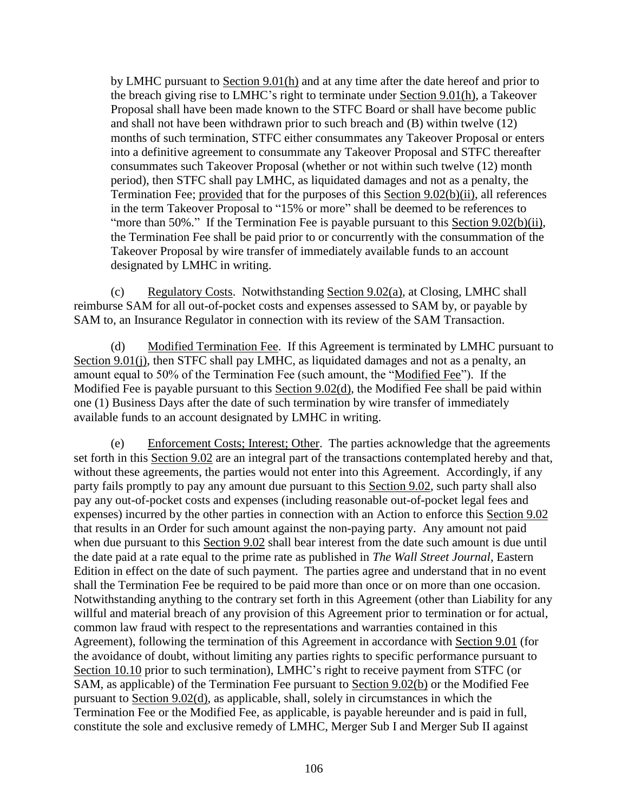by LMHC pursuant to [Section](#page-109-2) 9.01(h) and at any time after the date hereof and prior to the breach giving rise to LMHC's right to terminate under [Section](#page-109-2) 9.01(h), a Takeover Proposal shall have been made known to the STFC Board or shall have become public and shall not have been withdrawn prior to such breach and (B) within twelve (12) months of such termination, STFC either consummates any Takeover Proposal or enters into a definitive agreement to consummate any Takeover Proposal and STFC thereafter consummates such Takeover Proposal (whether or not within such twelve (12) month period), then STFC shall pay LMHC, as liquidated damages and not as a penalty, the Termination Fee; provided that for the purposes of this Section [9.02\(b\)\(ii\),](#page-110-3) all references in the term Takeover Proposal to "15% or more" shall be deemed to be references to "more than 50%." If the Termination Fee is payable pursuant to this Section [9.02\(b\)\(ii\),](#page-110-3) the Termination Fee shall be paid prior to or concurrently with the consummation of the Takeover Proposal by wire transfer of immediately available funds to an account designated by LMHC in writing.

(c) Regulatory Costs. Notwithstanding Section  $9.02(a)$ , at Closing, LMHC shall reimburse SAM for all out-of-pocket costs and expenses assessed to SAM by, or payable by SAM to, an Insurance Regulator in connection with its review of the SAM Transaction.

<span id="page-111-0"></span>(d) Modified Termination Fee. If this Agreement is terminated by LMHC pursuant to Section [9.01\(j\),](#page-110-5) then STFC shall pay LMHC, as liquidated damages and not as a penalty, an amount equal to 50% of the Termination Fee (such amount, the "Modified Fee"). If the Modified Fee is payable pursuant to this Section [9.02\(d\),](#page-111-0) the Modified Fee shall be paid within one (1) Business Days after the date of such termination by wire transfer of immediately available funds to an account designated by LMHC in writing.

<span id="page-111-1"></span>(e) Enforcement Costs; Interest; Other. The parties acknowledge that the agreements set forth in this Section [9.02](#page-110-2) are an integral part of the transactions contemplated hereby and that, without these agreements, the parties would not enter into this Agreement. Accordingly, if any party fails promptly to pay any amount due pursuant to this Section [9.02,](#page-110-2) such party shall also pay any out-of-pocket costs and expenses (including reasonable out-of-pocket legal fees and expenses) incurred by the other parties in connection with an Action to enforce this Section [9.02](#page-110-2) that results in an Order for such amount against the non-paying party. Any amount not paid when due pursuant to this Section [9.02](#page-110-2) shall bear interest from the date such amount is due until the date paid at a rate equal to the prime rate as published in *The Wall Street Journal*, Eastern Edition in effect on the date of such payment. The parties agree and understand that in no event shall the Termination Fee be required to be paid more than once or on more than one occasion. Notwithstanding anything to the contrary set forth in this Agreement (other than Liability for any willful and material breach of any provision of this Agreement prior to termination or for actual, common law fraud with respect to the representations and warranties contained in this Agreement), following the termination of this Agreement in accordance with Section [9.01](#page-108-3) (for the avoidance of doubt, without limiting any parties rights to specific performance pursuant to [Section](#page-116-0) 10.10 prior to such termination), LMHC's right to receive payment from STFC (or SAM, as applicable) of the Termination Fee pursuant to [Section](#page-110-6) 9.02(b) or the Modified Fee pursuant to Section [9.02\(d\),](#page-111-0) as applicable, shall, solely in circumstances in which the Termination Fee or the Modified Fee, as applicable, is payable hereunder and is paid in full, constitute the sole and exclusive remedy of LMHC, Merger Sub I and Merger Sub II against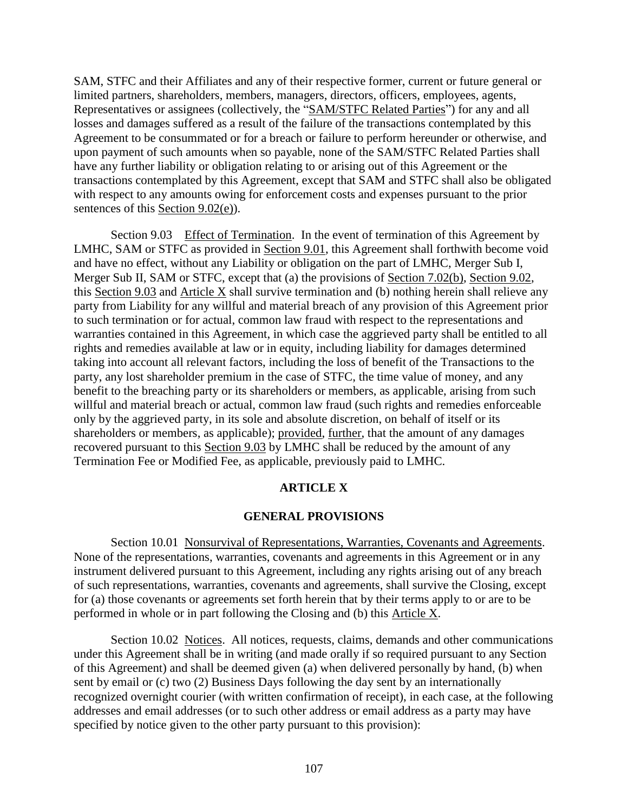SAM, STFC and their Affiliates and any of their respective former, current or future general or limited partners, shareholders, members, managers, directors, officers, employees, agents, Representatives or assignees (collectively, the "SAM/STFC Related Parties") for any and all losses and damages suffered as a result of the failure of the transactions contemplated by this Agreement to be consummated or for a breach or failure to perform hereunder or otherwise, and upon payment of such amounts when so payable, none of the SAM/STFC Related Parties shall have any further liability or obligation relating to or arising out of this Agreement or the transactions contemplated by this Agreement, except that SAM and STFC shall also be obligated with respect to any amounts owing for enforcement costs and expenses pursuant to the prior sentences of this [Section](#page-111-1) 9.02(e)).

<span id="page-112-1"></span>Section 9.03 Effect of Termination. In the event of termination of this Agreement by LMHC, SAM or STFC as provided in Section [9.01,](#page-108-3) this Agreement shall forthwith become void and have no effect, without any Liability or obligation on the part of LMHC, Merger Sub I, Merger Sub II, SAM or STFC, except that (a) the provisions of Section [7.02\(b\),](#page-89-0) Section [9.02,](#page-110-2) this Section [9.03](#page-112-1) and Article [X](#page-112-2) shall survive termination and (b) nothing herein shall relieve any party from Liability for any willful and material breach of any provision of this Agreement prior to such termination or for actual, common law fraud with respect to the representations and warranties contained in this Agreement, in which case the aggrieved party shall be entitled to all rights and remedies available at law or in equity, including liability for damages determined taking into account all relevant factors, including the loss of benefit of the Transactions to the party, any lost shareholder premium in the case of STFC, the time value of money, and any benefit to the breaching party or its shareholders or members, as applicable, arising from such willful and material breach or actual, common law fraud (such rights and remedies enforceable only by the aggrieved party, in its sole and absolute discretion, on behalf of itself or its shareholders or members, as applicable); provided, further, that the amount of any damages recovered pursuant to this Section [9.03](#page-112-1) by LMHC shall be reduced by the amount of any Termination Fee or Modified Fee, as applicable, previously paid to LMHC.

## **ARTICLE X**

#### **GENERAL PROVISIONS**

<span id="page-112-2"></span>Section 10.01 Nonsurvival of Representations, Warranties, Covenants and Agreements. None of the representations, warranties, covenants and agreements in this Agreement or in any instrument delivered pursuant to this Agreement, including any rights arising out of any breach of such representations, warranties, covenants and agreements, shall survive the Closing, except for (a) those covenants or agreements set forth herein that by their terms apply to or are to be performed in whole or in part following the Closing and (b) this Article [X.](#page-112-2)

<span id="page-112-0"></span>Section 10.02 Notices. All notices, requests, claims, demands and other communications under this Agreement shall be in writing (and made orally if so required pursuant to any Section of this Agreement) and shall be deemed given (a) when delivered personally by hand, (b) when sent by email or (c) two (2) Business Days following the day sent by an internationally recognized overnight courier (with written confirmation of receipt), in each case, at the following addresses and email addresses (or to such other address or email address as a party may have specified by notice given to the other party pursuant to this provision):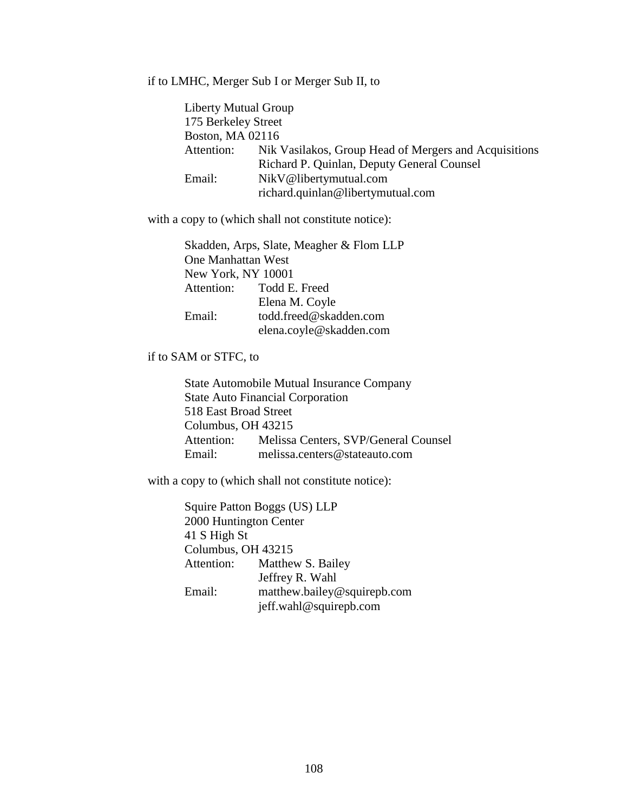## if to LMHC, Merger Sub I or Merger Sub II, to

| <b>Liberty Mutual Group</b> |                                                       |  |
|-----------------------------|-------------------------------------------------------|--|
| 175 Berkeley Street         |                                                       |  |
| Boston, MA 02116            |                                                       |  |
| Attention:                  | Nik Vasilakos, Group Head of Mergers and Acquisitions |  |
|                             | Richard P. Quinlan, Deputy General Counsel            |  |
| Email:                      | NikV@libertymutual.com                                |  |
|                             | richard.quinlan@libertymutual.com                     |  |

with a copy to (which shall not constitute notice):

|                    | Skadden, Arps, Slate, Meagher & Flom LLP |  |
|--------------------|------------------------------------------|--|
| One Manhattan West |                                          |  |
| New York, NY 10001 |                                          |  |
|                    | Attention: Todd E. Freed                 |  |
|                    | Elena M. Coyle                           |  |
| Email:             | todd.freed@skadden.com                   |  |
|                    | elena.coyle@skadden.com                  |  |

# if to SAM or STFC, to

State Automobile Mutual Insurance Company State Auto Financial Corporation 518 East Broad Street Columbus, OH 43215 Attention: Melissa Centers, SVP/General Counsel Email: melissa.centers@stateauto.com

with a copy to (which shall not constitute notice):

|                        | Squire Patton Boggs (US) LLP |  |
|------------------------|------------------------------|--|
| 2000 Huntington Center |                              |  |
| 41 S High St           |                              |  |
| Columbus, OH 43215     |                              |  |
| Attention:             | Matthew S. Bailey            |  |
|                        | Jeffrey R. Wahl              |  |
| Email:                 | matthew.bailey@squirepb.com  |  |
|                        | jeff.wahl@squirepb.com       |  |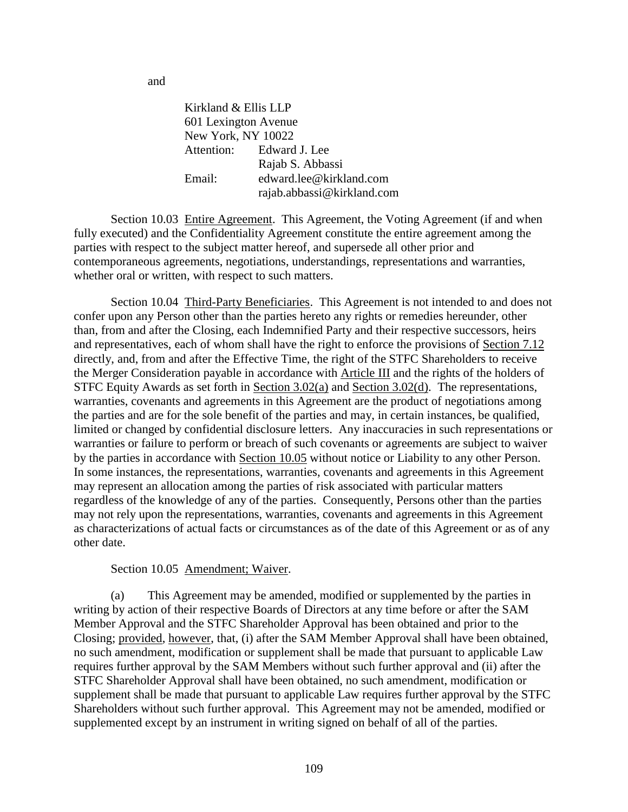Kirkland & Ellis LLP 601 Lexington Avenue New York, NY 10022 Attention: Edward J. Lee Rajab S. Abbassi Email: edward.lee@kirkland.com rajab.abbassi@kirkland.com

Section 10.03 Entire Agreement. This Agreement, the Voting Agreement (if and when fully executed) and the Confidentiality Agreement constitute the entire agreement among the parties with respect to the subject matter hereof, and supersede all other prior and contemporaneous agreements, negotiations, understandings, representations and warranties, whether oral or written, with respect to such matters.

Section 10.04 Third-Party Beneficiaries. This Agreement is not intended to and does not confer upon any Person other than the parties hereto any rights or remedies hereunder, other than, from and after the Closing, each Indemnified Party and their respective successors, heirs and representatives, each of whom shall have the right to enforce the provisions of Section [7.12](#page-101-0) directly, and, from and after the Effective Time, the right of the STFC Shareholders to receive the Merger Consideration payable in accordance with Article [III](#page-30-0) and the rights of the holders of STFC Equity Awards as set forth in Section [3.02\(a\)](#page-30-1) and Section [3.02\(d\).](#page-32-0) The representations, warranties, covenants and agreements in this Agreement are the product of negotiations among the parties and are for the sole benefit of the parties and may, in certain instances, be qualified, limited or changed by confidential disclosure letters. Any inaccuracies in such representations or warranties or failure to perform or breach of such covenants or agreements are subject to waiver by the parties in accordance with Section [10.05](#page-114-0) without notice or Liability to any other Person. In some instances, the representations, warranties, covenants and agreements in this Agreement may represent an allocation among the parties of risk associated with particular matters regardless of the knowledge of any of the parties. Consequently, Persons other than the parties may not rely upon the representations, warranties, covenants and agreements in this Agreement as characterizations of actual facts or circumstances as of the date of this Agreement or as of any other date.

#### Section 10.05 Amendment; Waiver.

<span id="page-114-1"></span><span id="page-114-0"></span>(a) This Agreement may be amended, modified or supplemented by the parties in writing by action of their respective Boards of Directors at any time before or after the SAM Member Approval and the STFC Shareholder Approval has been obtained and prior to the Closing; provided, however, that, (i) after the SAM Member Approval shall have been obtained, no such amendment, modification or supplement shall be made that pursuant to applicable Law requires further approval by the SAM Members without such further approval and (ii) after the STFC Shareholder Approval shall have been obtained, no such amendment, modification or supplement shall be made that pursuant to applicable Law requires further approval by the STFC Shareholders without such further approval. This Agreement may not be amended, modified or supplemented except by an instrument in writing signed on behalf of all of the parties.

and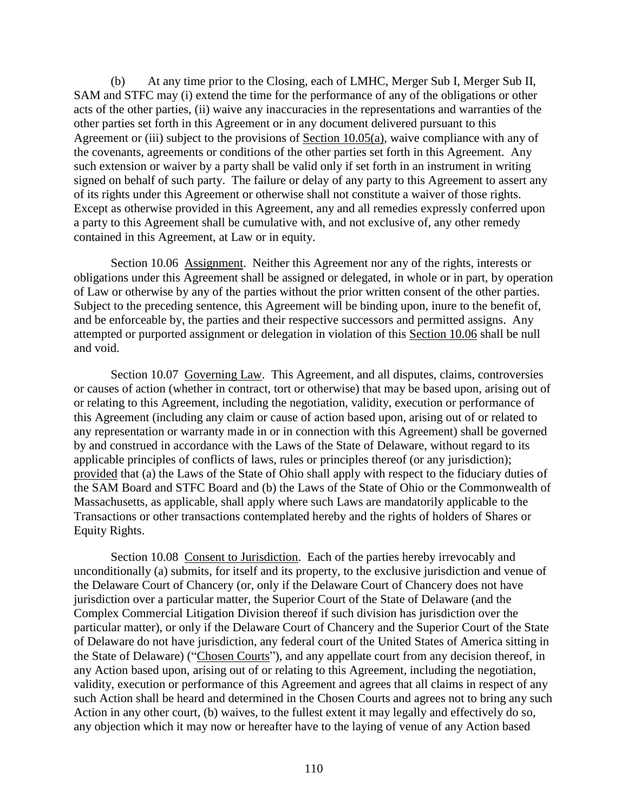(b) At any time prior to the Closing, each of LMHC, Merger Sub I, Merger Sub II, SAM and STFC may (i) extend the time for the performance of any of the obligations or other acts of the other parties, (ii) waive any inaccuracies in the representations and warranties of the other parties set forth in this Agreement or in any document delivered pursuant to this Agreement or (iii) subject to the provisions of Section [10.05\(a\),](#page-114-1) waive compliance with any of the covenants, agreements or conditions of the other parties set forth in this Agreement. Any such extension or waiver by a party shall be valid only if set forth in an instrument in writing signed on behalf of such party. The failure or delay of any party to this Agreement to assert any of its rights under this Agreement or otherwise shall not constitute a waiver of those rights. Except as otherwise provided in this Agreement, any and all remedies expressly conferred upon a party to this Agreement shall be cumulative with, and not exclusive of, any other remedy contained in this Agreement, at Law or in equity.

<span id="page-115-0"></span>Section 10.06 Assignment. Neither this Agreement nor any of the rights, interests or obligations under this Agreement shall be assigned or delegated, in whole or in part, by operation of Law or otherwise by any of the parties without the prior written consent of the other parties. Subject to the preceding sentence, this Agreement will be binding upon, inure to the benefit of, and be enforceable by, the parties and their respective successors and permitted assigns. Any attempted or purported assignment or delegation in violation of this Section [10.06](#page-115-0) shall be null and void.

Section 10.07 Governing Law. This Agreement, and all disputes, claims, controversies or causes of action (whether in contract, tort or otherwise) that may be based upon, arising out of or relating to this Agreement, including the negotiation, validity, execution or performance of this Agreement (including any claim or cause of action based upon, arising out of or related to any representation or warranty made in or in connection with this Agreement) shall be governed by and construed in accordance with the Laws of the State of Delaware, without regard to its applicable principles of conflicts of laws, rules or principles thereof (or any jurisdiction); provided that (a) the Laws of the State of Ohio shall apply with respect to the fiduciary duties of the SAM Board and STFC Board and (b) the Laws of the State of Ohio or the Commonwealth of Massachusetts, as applicable, shall apply where such Laws are mandatorily applicable to the Transactions or other transactions contemplated hereby and the rights of holders of Shares or Equity Rights.

Section 10.08 Consent to Jurisdiction. Each of the parties hereby irrevocably and unconditionally (a) submits, for itself and its property, to the exclusive jurisdiction and venue of the Delaware Court of Chancery (or, only if the Delaware Court of Chancery does not have jurisdiction over a particular matter, the Superior Court of the State of Delaware (and the Complex Commercial Litigation Division thereof if such division has jurisdiction over the particular matter), or only if the Delaware Court of Chancery and the Superior Court of the State of Delaware do not have jurisdiction, any federal court of the United States of America sitting in the State of Delaware) ("Chosen Courts"), and any appellate court from any decision thereof, in any Action based upon, arising out of or relating to this Agreement, including the negotiation, validity, execution or performance of this Agreement and agrees that all claims in respect of any such Action shall be heard and determined in the Chosen Courts and agrees not to bring any such Action in any other court, (b) waives, to the fullest extent it may legally and effectively do so, any objection which it may now or hereafter have to the laying of venue of any Action based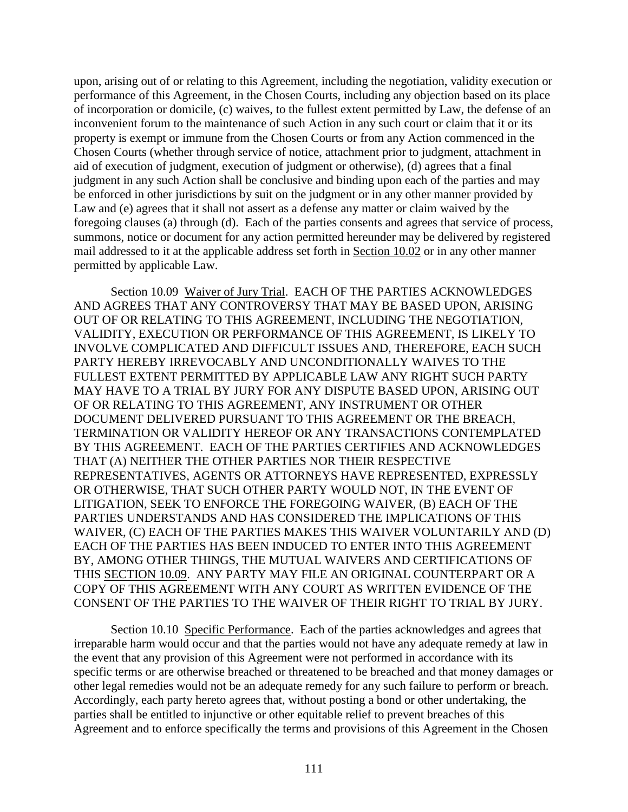upon, arising out of or relating to this Agreement, including the negotiation, validity execution or performance of this Agreement, in the Chosen Courts, including any objection based on its place of incorporation or domicile, (c) waives, to the fullest extent permitted by Law, the defense of an inconvenient forum to the maintenance of such Action in any such court or claim that it or its property is exempt or immune from the Chosen Courts or from any Action commenced in the Chosen Courts (whether through service of notice, attachment prior to judgment, attachment in aid of execution of judgment, execution of judgment or otherwise), (d) agrees that a final judgment in any such Action shall be conclusive and binding upon each of the parties and may be enforced in other jurisdictions by suit on the judgment or in any other manner provided by Law and (e) agrees that it shall not assert as a defense any matter or claim waived by the foregoing clauses (a) through (d). Each of the parties consents and agrees that service of process, summons, notice or document for any action permitted hereunder may be delivered by registered mail addressed to it at the applicable address set forth in Section [10.02](#page-112-0) or in any other manner permitted by applicable Law.

<span id="page-116-1"></span>Section 10.09 Waiver of Jury Trial. EACH OF THE PARTIES ACKNOWLEDGES AND AGREES THAT ANY CONTROVERSY THAT MAY BE BASED UPON, ARISING OUT OF OR RELATING TO THIS AGREEMENT, INCLUDING THE NEGOTIATION, VALIDITY, EXECUTION OR PERFORMANCE OF THIS AGREEMENT, IS LIKELY TO INVOLVE COMPLICATED AND DIFFICULT ISSUES AND, THEREFORE, EACH SUCH PARTY HEREBY IRREVOCABLY AND UNCONDITIONALLY WAIVES TO THE FULLEST EXTENT PERMITTED BY APPLICABLE LAW ANY RIGHT SUCH PARTY MAY HAVE TO A TRIAL BY JURY FOR ANY DISPUTE BASED UPON, ARISING OUT OF OR RELATING TO THIS AGREEMENT, ANY INSTRUMENT OR OTHER DOCUMENT DELIVERED PURSUANT TO THIS AGREEMENT OR THE BREACH, TERMINATION OR VALIDITY HEREOF OR ANY TRANSACTIONS CONTEMPLATED BY THIS AGREEMENT. EACH OF THE PARTIES CERTIFIES AND ACKNOWLEDGES THAT (A) NEITHER THE OTHER PARTIES NOR THEIR RESPECTIVE REPRESENTATIVES, AGENTS OR ATTORNEYS HAVE REPRESENTED, EXPRESSLY OR OTHERWISE, THAT SUCH OTHER PARTY WOULD NOT, IN THE EVENT OF LITIGATION, SEEK TO ENFORCE THE FOREGOING WAIVER, (B) EACH OF THE PARTIES UNDERSTANDS AND HAS CONSIDERED THE IMPLICATIONS OF THIS WAIVER, (C) EACH OF THE PARTIES MAKES THIS WAIVER VOLUNTARILY AND (D) EACH OF THE PARTIES HAS BEEN INDUCED TO ENTER INTO THIS AGREEMENT BY, AMONG OTHER THINGS, THE MUTUAL WAIVERS AND CERTIFICATIONS OF THIS SECTION [10.09.](#page-116-1) ANY PARTY MAY FILE AN ORIGINAL COUNTERPART OR A COPY OF THIS AGREEMENT WITH ANY COURT AS WRITTEN EVIDENCE OF THE CONSENT OF THE PARTIES TO THE WAIVER OF THEIR RIGHT TO TRIAL BY JURY.

<span id="page-116-0"></span>Section 10.10 Specific Performance. Each of the parties acknowledges and agrees that irreparable harm would occur and that the parties would not have any adequate remedy at law in the event that any provision of this Agreement were not performed in accordance with its specific terms or are otherwise breached or threatened to be breached and that money damages or other legal remedies would not be an adequate remedy for any such failure to perform or breach. Accordingly, each party hereto agrees that, without posting a bond or other undertaking, the parties shall be entitled to injunctive or other equitable relief to prevent breaches of this Agreement and to enforce specifically the terms and provisions of this Agreement in the Chosen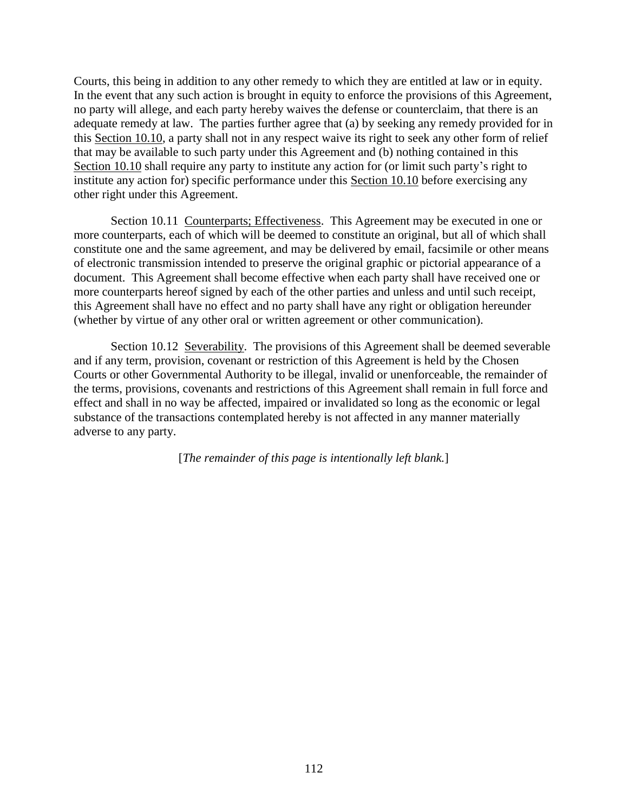Courts, this being in addition to any other remedy to which they are entitled at law or in equity. In the event that any such action is brought in equity to enforce the provisions of this Agreement, no party will allege, and each party hereby waives the defense or counterclaim, that there is an adequate remedy at law. The parties further agree that (a) by seeking any remedy provided for in this Section [10.10,](#page-116-0) a party shall not in any respect waive its right to seek any other form of relief that may be available to such party under this Agreement and (b) nothing contained in this Section [10.10](#page-116-0) shall require any party to institute any action for (or limit such party's right to institute any action for) specific performance under this Section [10.10](#page-116-0) before exercising any other right under this Agreement.

Section 10.11 Counterparts; Effectiveness. This Agreement may be executed in one or more counterparts, each of which will be deemed to constitute an original, but all of which shall constitute one and the same agreement, and may be delivered by email, facsimile or other means of electronic transmission intended to preserve the original graphic or pictorial appearance of a document. This Agreement shall become effective when each party shall have received one or more counterparts hereof signed by each of the other parties and unless and until such receipt, this Agreement shall have no effect and no party shall have any right or obligation hereunder (whether by virtue of any other oral or written agreement or other communication).

Section 10.12 Severability. The provisions of this Agreement shall be deemed severable and if any term, provision, covenant or restriction of this Agreement is held by the Chosen Courts or other Governmental Authority to be illegal, invalid or unenforceable, the remainder of the terms, provisions, covenants and restrictions of this Agreement shall remain in full force and effect and shall in no way be affected, impaired or invalidated so long as the economic or legal substance of the transactions contemplated hereby is not affected in any manner materially adverse to any party.

[*The remainder of this page is intentionally left blank.*]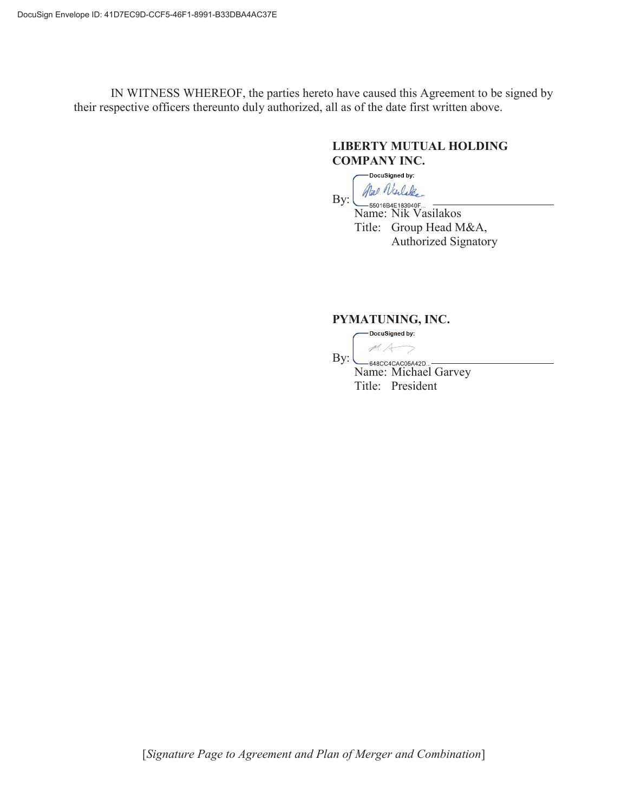IN WITNESS WHEREOF, the parties hereto have caused this Agreement to be signed by their respective officers thereunto duly authorized, all as of the date first written above.

# **LIBERTY MUTUAL HOLDING COMPANY INC.**

-DocuSigned by: Nel Nieleke

 $By:$ **SESO16B4E183940F...**<br>Name: Nik Vasilakos Title: Group Head M&A, Authorized Signatory

## **PYMATUNING, INC.**

-DocuSigned by:

By: 648CC4CAC05A42D... Name: Michael Garvey Title: President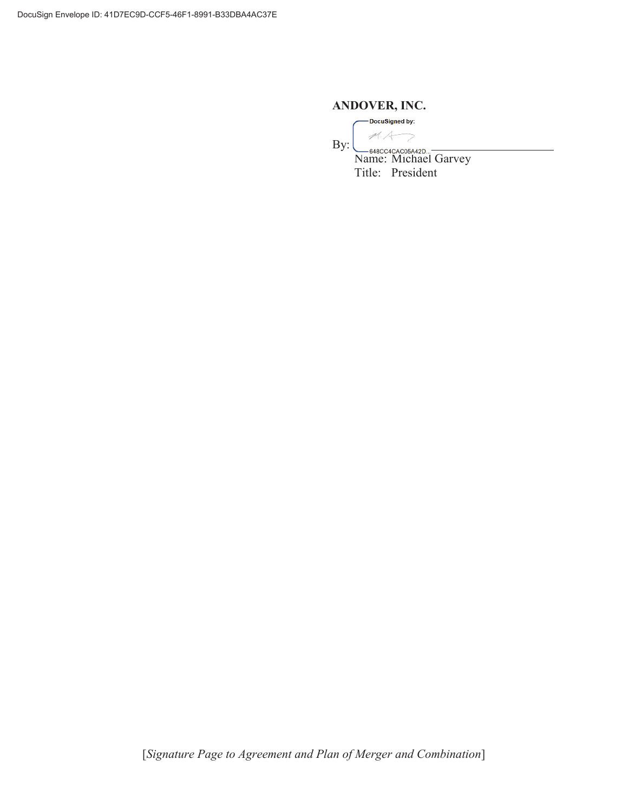## **ANDOVER, INC.**

-DocuSigned by:  $\not\sim$  A By:

<sub>648CC4CAC05A42D...</sub><br>Name: Michael Garvey Title: President

[*Signature Page to Agreement and Plan of Merger and Combination*]